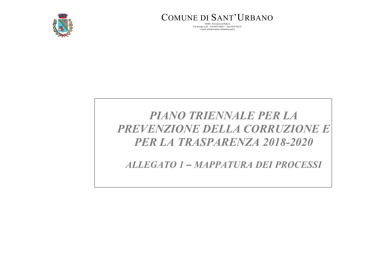

COMUNE DI SANT'URBANO

35040 - Provincia di Padova Via Europa n.20 – Tel.0429-96023 – Fax 0429-96272 e-mail: info@comune.santurbano.pd.it

# *PIANO TRIENNALE PER LA PREVENZIONE DELLA CORRUZIONE E PER LA TRASPARENZA 2018-2020*

*ALLEGATO 1 – MAPPATURA DEI PROCESSI*

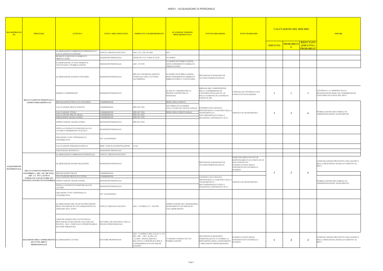| <b>MACROPROCES</b><br>SO <sub>2</sub>      | <b>PROCESSO</b>                                                                                  | <b>ATTIVITA'</b>                                                                                                                    | <b>UNITA' ORGANIZZATIVE</b>                                | NORMATIVA DI RIFERIMENTO                                                                                                                                          | <b>SCANSIONE TERMINI</b><br><b>PROCEDIMENTALI</b>                                     | <b>EVENTO RISCHIOSO</b>                                                                                                | <b>FONTI DI RISCHIO</b>                                                                                                                              | <b>VALUTAZIONE DEL RISCHIO</b><br><b>RISULTATO</b><br><b>PROBABILIT</b> |                                             |                | <b>MISURE</b>                                                                                    |
|--------------------------------------------|--------------------------------------------------------------------------------------------------|-------------------------------------------------------------------------------------------------------------------------------------|------------------------------------------------------------|-------------------------------------------------------------------------------------------------------------------------------------------------------------------|---------------------------------------------------------------------------------------|------------------------------------------------------------------------------------------------------------------------|------------------------------------------------------------------------------------------------------------------------------------------------------|-------------------------------------------------------------------------|---------------------------------------------|----------------|--------------------------------------------------------------------------------------------------|
|                                            |                                                                                                  |                                                                                                                                     |                                                            |                                                                                                                                                                   |                                                                                       |                                                                                                                        |                                                                                                                                                      | <b>IMPATTO</b>                                                          | <b>IMPATTO</b> x<br>A'<br><b>PROBABILIT</b> |                |                                                                                                  |
|                                            |                                                                                                  | ELABORAZIONE FABBISOGNO PERSONALE E<br>VALUTAZIONI ECCEDENZE                                                                        | JFFICI E ORGANO POLITICO                                   | ART. 6 D. LGS 165/2001                                                                                                                                            | <b>DUP</b>                                                                            |                                                                                                                        |                                                                                                                                                      |                                                                         |                                             |                |                                                                                                  |
|                                            |                                                                                                  | RICHIESTA PROVINCIA MOBILITÀ<br>OBBLIGATORIA                                                                                        | SEGR/RESP.PERSONALE                                        | ARTICOLI 34 E 34 BIS 34 TUPI                                                                                                                                      | 30 GIORNI                                                                             |                                                                                                                        |                                                                                                                                                      |                                                                         |                                             |                |                                                                                                  |
|                                            |                                                                                                  | ELABORAZIONE AVVISO MOBILITÀ<br>VOLONTARIA E PUBBLICAZIONE                                                                          | SEGR/RESP.PERSONALE                                        | ART. 30 TUPI                                                                                                                                                      | 30 GIORNI DI PUBBLICAZIONE,<br>DOPO ESPERIMENTO MOBILITÀ<br>OBBLIGATORIA              |                                                                                                                        |                                                                                                                                                      |                                                                         |                                             |                |                                                                                                  |
|                                            |                                                                                                  | ELABORAZIONE BANDO CONCORSO                                                                                                         | SEGR/RESP.PERSONALE                                        | DPR 487/1994/REGOLAMENTO<br>COMUNALE PER L'ACCESSO<br>ALL'IMPIEGO                                                                                                 | 30 GIORNI DI PUBBLICAZIONE,<br>DOPO ESPERIMENTO MOBILITÀ<br>OBBLIGATORIA E VOLONTARIA | PREVISIONI DI REQUISITI DI<br>ACCESSO PERSONALIZZATI                                                                   |                                                                                                                                                      |                                                                         |                                             |                |                                                                                                  |
|                                            | RECLUTAMENTO PERSONALE A                                                                         | NOMINA COMMISSIONE                                                                                                                  | SEGR/RESP.PERSONALE                                        |                                                                                                                                                                   | SCADUTI I TERMINI PER LA<br>PRESENTAZIONE DELLA<br>DOMANDA                            | IRREGOLARE COMPOSIZIONE<br>DELLA COMMISSIONE DI<br>CONCORSO FINALIZZATA AL<br>RECLUTAMENTO DI CANDIDATI<br>PARTICOLARI | CARENZA DI CONTROLLO SUL<br>CONFLITTO DI INTERESSI                                                                                                   | -1                                                                      |                                             | -1             | CONTROLLI A CAMPIONE SULLE<br>DICHIARAZIONI RESE DAI COMMISSARI DI<br>CONCORSO DA PARTE DEL RPCT |
|                                            | TEMPO INDETERMINATO                                                                              | PREPARAZIONE PROVE DI CONCORSO                                                                                                      | COMMISSIONE                                                |                                                                                                                                                                   | PRIMA DELLE PROVE                                                                     |                                                                                                                        |                                                                                                                                                      |                                                                         |                                             |                |                                                                                                  |
|                                            |                                                                                                  | VALUTAZIONE PROVE SCRITTE                                                                                                           | COMMISSIONE                                                | DPR 487/1994                                                                                                                                                      | NON PRIMA DI 20 GIORNI<br>DALL'AVVISO DI CONVOCAZIONE                                 | <b>INOSSERVANZA REGOLE</b>                                                                                             |                                                                                                                                                      |                                                                         |                                             |                |                                                                                                  |
|                                            |                                                                                                  | VALUTAZIONE TITOLI                                                                                                                  | COMMISSIONE                                                | DPR 487/1994                                                                                                                                                      | PRIMA DELLE PROVE ORALI                                                               | PROCEDURALI A GARANZIA DELL<br>TRASPARENZA E                                                                           | ASSENZA DI TRASPARENZA                                                                                                                               | 3                                                                       | $\overline{2}$                              | -6             | PUBBLICAZIONE DEI VERBALI IN<br>AMMINISTRAZIONE TRASPARENTE                                      |
|                                            |                                                                                                  | VALUTAZIONE PROVE ORALI<br>FORMAZIONE GRADUATORIA                                                                                   | COMMISSIONE<br>COMMISSIONE                                 | DPR 487/1994<br>DPR 487/1994                                                                                                                                      |                                                                                       | DELL'IMPARZIALITÀ DELLA                                                                                                |                                                                                                                                                      |                                                                         |                                             |                |                                                                                                  |
|                                            |                                                                                                  | APPROVAZIONE GRADUATORIA                                                                                                            | SEGR/RESP.PERSONALE                                        | DPR 487/1994                                                                                                                                                      |                                                                                       | SELEZIONE (ANONIMATO, ECC)                                                                                             |                                                                                                                                                      |                                                                         |                                             |                |                                                                                                  |
|                                            |                                                                                                  | STIPULA CONTRATTO INDIVIDUALE DI<br>LAVORO E IMMISSIONE IN RUOLO                                                                    | SEGR/RESP.PERSONALE                                        |                                                                                                                                                                   |                                                                                       |                                                                                                                        |                                                                                                                                                      |                                                                         |                                             |                |                                                                                                  |
|                                            |                                                                                                  | CREAZIONE VOCE STIPENDIALI E<br>CONTRIBUTIVE                                                                                        | UFF. RAGIONERIA                                            |                                                                                                                                                                   |                                                                                       |                                                                                                                        |                                                                                                                                                      |                                                                         |                                             |                |                                                                                                  |
|                                            |                                                                                                  | VALUTAZIONE PERIODO DI PROVA                                                                                                        | RESP. UFFICIO DI DESTINAZIONE                              | <b>CCNL</b>                                                                                                                                                       |                                                                                       |                                                                                                                        |                                                                                                                                                      |                                                                         |                                             |                |                                                                                                  |
|                                            |                                                                                                  | ASSUNZIONE DEFINITIVA                                                                                                               | SEGR/RESP.PERSONALE                                        |                                                                                                                                                                   |                                                                                       |                                                                                                                        |                                                                                                                                                      |                                                                         |                                             |                |                                                                                                  |
|                                            |                                                                                                  | ELABORAZIONE FABBISOGNO PERSONALE                                                                                                   | UFFICI E ORGANO POLITICO                                   |                                                                                                                                                                   |                                                                                       |                                                                                                                        |                                                                                                                                                      |                                                                         |                                             |                |                                                                                                  |
| <b>ACQUISIZIONE</b><br><b>DI PERSONALE</b> |                                                                                                  | ELABORAZIONE BANDO SELEZIONE                                                                                                        | SEGR/RESP.PERSONALE                                        |                                                                                                                                                                   |                                                                                       | PREVISIONI DI REQUISITI DI<br><b>ACCESSO PERSONALIZZATI</b>                                                            | ESERCIZIO PROLUNGATO DI<br>RESPONSABILITÀ DA PARTE DI UN<br>SOLO SOGGETTO-<br><b>INADEGUATEZZA DEGLI</b><br>STRUMENTI DI CONTROLLO<br><b>INTERNO</b> |                                                                         |                                             |                | COMUNICAZIONE PREVENTIVA DEL BANDO E<br>DELLA PROCEDURA DI RECLUTAMENTO AL<br><b>RPCT</b>        |
|                                            | RECLUTAMENTO PERSONALE<br>FLESSIBILE ( ART. 110, 108 TUEL; PREPARAZIONE PROVE                    |                                                                                                                                     | COMMISSIONE                                                |                                                                                                                                                                   |                                                                                       |                                                                                                                        |                                                                                                                                                      | 3                                                                       | $\overline{2}$                              | -6             |                                                                                                  |
|                                            | ART. 1 C. 557 L.311/04 O<br>NORMATIVA DI SETTORE SUI                                             | VALUTAZIONE PROVE E/O TITOLI                                                                                                        | COMMISSIONE                                                |                                                                                                                                                                   |                                                                                       | NOSSERVANZA REGOLE                                                                                                     |                                                                                                                                                      |                                                                         |                                             |                |                                                                                                  |
|                                            | SINGOLI CONTRATTI FLESSIBILI) APPROVAZIONE GRADUATORIA                                           |                                                                                                                                     | SEGR/RESP.PERSONALE                                        |                                                                                                                                                                   |                                                                                       | PROCEDURALI A GARANZIA DELL<br><b><i>FRASPARENZA E</i></b><br>DELL'IMPARZIALITÀ DELLA                                  | ASSENZA DI TRASPARENZA                                                                                                                               |                                                                         |                                             |                | PUBBLICAZIONE DEI VERBALI IN<br>AMMINISTRAZIONE TRASPARENTE                                      |
|                                            |                                                                                                  | STIPULA CONTRATTO INDIVIDUALE DI<br><b>AVORO</b>                                                                                    | SEGR/RESP.PERSONALE                                        |                                                                                                                                                                   |                                                                                       | SELEZIONE (ANONIMATO, ECC)                                                                                             |                                                                                                                                                      |                                                                         |                                             |                |                                                                                                  |
|                                            |                                                                                                  | CREAZIONE VOCE STIPENDIALI E<br>CONTRIBUTIVE                                                                                        | UFF. RAGIONERIA                                            |                                                                                                                                                                   |                                                                                       |                                                                                                                        |                                                                                                                                                      |                                                                         |                                             |                |                                                                                                  |
|                                            |                                                                                                  | ELABORAZIONE DEL PIANO DI PREVISIONE<br>DEGLI INCARICHI DI COLLABORAZIONE DA<br>AFFIDARE NELL'ANNO                                  | UFFICI E ORGANO POLITICO                                   | ART. 3 COMMA 55 L. 244/2007                                                                                                                                       | APPROVAZIONE DEL PROGRAMMA<br>AFFIDAMENTO INCARICHI DI<br>COLLABORAZIONE              |                                                                                                                        |                                                                                                                                                      |                                                                         |                                             |                |                                                                                                  |
|                                            |                                                                                                  | COMUNICAZIONE DELL'AVVIO DELLE<br>PROCEDURE DI SELEZIONE AGLI ORGANI<br>POLITICI, SEG. COMUNALE E RESPONSABILE<br>SETTORE PERSONALE | SETTORE CHE NECESSITA DELLA<br><b>FIGURA PROFESSIONALE</b> |                                                                                                                                                                   |                                                                                       |                                                                                                                        |                                                                                                                                                      |                                                                         |                                             |                |                                                                                                  |
|                                            | SELEZIONE PER L'AFFIDAMENTO ELABORAZIONE AVVISO<br><b>DI UN INCARICO</b><br><b>PROFESSIONALE</b> |                                                                                                                                     | SETTORE PROPONENTE                                         | ART. 7 COMMA 6 DEL D.LGS. N. 165<br>DEL 2001 - ART. 46 DEL D.L.<br>112/2008 - REGOLAMENTO<br>RECANTE LA DISCIPLINA PER IL<br>CONFERIMENTO DI INCARICHI<br>ESTERNI | 15 GIORNI CONSECUTIVI DI<br>PUBBLICAZIONE                                             | PREVISIONI DI REQUISITI<br>PERSONALIZZATI. FAVORIRE LA<br>RIPETIZIONE DEGLI AFFIDAMENTI<br>A PRECEDENTI PROFESSIONISTI | NADEGUATEZZA DEGLI<br>STRUMENTI DI CONTROLLO<br><b>INTERNO</b>                                                                                       |                                                                         | 2                                           | $\overline{2}$ | COMUNICAZIONE PREVENTIVA DEL BANDO E<br>DELLA PROCEDURA DI RECLUTAMENTO AL<br><b>RPCT</b>        |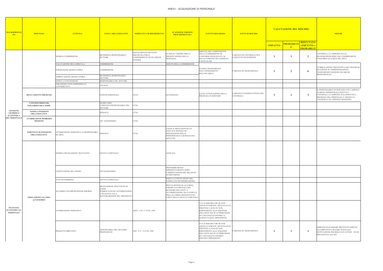#### AREA1 - ACQUISIZIONE DI PERSONALE

| <b>MACROPROCES</b><br>SO                                    | <b>PROCESSO</b>                                         | <b>ATTIVITA'</b>                                    | <b>UNITA' ORGANIZZATIVE</b>                                                                                             | <b>NORMATIVA DI RIFERIMENTO</b>                                                         | <b>SCANSIONE TERMINI</b><br><b>PROCEDIMENTALI</b>                                                                                                                       | <b>EVENTO RISCHIOSO</b>                                                                                                                                                                                | <b>FONTI DI RISCHIO</b>                            | <b>VALUTAZIONE DEL RISCHIO</b><br><mark>PROBABILI</mark> '<br><b>IMPATTO</b> |                           | <b>RISULTATO</b>                | <b>MISURE</b>                                                                                                                                                                        |
|-------------------------------------------------------------|---------------------------------------------------------|-----------------------------------------------------|-------------------------------------------------------------------------------------------------------------------------|-----------------------------------------------------------------------------------------|-------------------------------------------------------------------------------------------------------------------------------------------------------------------------|--------------------------------------------------------------------------------------------------------------------------------------------------------------------------------------------------------|----------------------------------------------------|------------------------------------------------------------------------------|---------------------------|---------------------------------|--------------------------------------------------------------------------------------------------------------------------------------------------------------------------------------|
|                                                             |                                                         |                                                     |                                                                                                                         |                                                                                         |                                                                                                                                                                         |                                                                                                                                                                                                        |                                                    |                                                                              | $\mathbf{A}^{\mathsf{r}}$ | (IMPATTO x<br><b>PROBABILIT</b> |                                                                                                                                                                                      |
|                                                             |                                                         | NOMINA COMMISSIONE                                  | DETERMINA RESPONSABILE<br><b>SETTORE</b>                                                                                | REGOLAMENTO RECANTE<br>DISCIPLINA PER IL<br>CONFERIMENTO DI INCARICHI<br><b>ESTERNI</b> | SCADUTI I TERMIN PER LA<br>PRESENTAZIONE DELLA<br><b>DOMANDA</b>                                                                                                        | <b>IRREGOLARE COMPOSIZIONE</b><br>DELLA COMMISSIONE DI<br>CONCORSO FINALIZZATA AL<br>RECLUTAMENTO DI CANDIDATI<br>PARTICOLARI                                                                          | CARENZA DI CONTROLLO SUL<br>CONFLITTO DI INTERESSI |                                                                              |                           | $\mathbf{1}$                    | CONTROLLI A CAMPIONE SULLE<br>DICHIARAZIONI RESE DAI COMMISSARI DI<br>CONCORSO DA PARTE DEL RPCT                                                                                     |
|                                                             |                                                         | VALUTAZIONE DEI CURRICULA                           | COMMISSIONE                                                                                                             |                                                                                         | SEDUTE DELLA COMMISSIONE                                                                                                                                                |                                                                                                                                                                                                        |                                                    |                                                                              |                           |                                 | PUBBLICAZIONE PREVENTIVA DEI CRITERI DI                                                                                                                                              |
|                                                             |                                                         | FORMAZIONE GRADUATORIA                              | COMMISSIONE                                                                                                             |                                                                                         |                                                                                                                                                                         | SCARSA TRASPARENZA<br>NELL'AFFIDAMENTO<br>DELL'INCARICO.                                                                                                                                               | CARENZA DI TRASPARENZA                             | 3                                                                            | 2                         | -6                              | SELEZIONE IN AMMINISTRAZIONE<br>TRASPAREMTE SEZIONE INCARICHI<br>PROFESSIONALI                                                                                                       |
|                                                             |                                                         | APPROVAZIONE GRADUATORIA                            | DETERMINA RESPONSABILE<br><b>SETTORE</b>                                                                                |                                                                                         |                                                                                                                                                                         |                                                                                                                                                                                                        |                                                    |                                                                              |                           |                                 |                                                                                                                                                                                      |
|                                                             |                                                         | STIPULA CONVENZIONE<br>CREAZIONE VOCE STIPENDIALI E | RESPONSABILE DEL SETTORE                                                                                                |                                                                                         |                                                                                                                                                                         |                                                                                                                                                                                                        |                                                    |                                                                              |                           |                                 |                                                                                                                                                                                      |
|                                                             |                                                         | CONTRIBUTIVE                                        | UFF RAG.                                                                                                                |                                                                                         |                                                                                                                                                                         |                                                                                                                                                                                                        |                                                    |                                                                              |                           |                                 |                                                                                                                                                                                      |
|                                                             | <b>RILEVAMENTO PRESENZE</b>                             |                                                     | <b>UFFICIO PERSONALE</b>                                                                                                | 165/01                                                                                  | QUOTIDIANO                                                                                                                                                              | FALSA ATTESTAZIONE DELLA<br>PRESENZA IN SERVIZIO                                                                                                                                                       | CARENZA O INADEGUATEZZA DEI<br>CONTROLLI           | 3                                                                            |                           | $\mathbf{3}$                    | L RESPONSABILE DI SERVIZIO CON CADENZA<br>ALMENO TRIMESTRALE EFFETTUA<br>CONTROLLI A CAMPIONE SULL'EFFETTIVA<br>PRESENZA DEL PERSONALE E ANNOTA IL<br>CONTROLLO SU APPOSITO REGISTRO |
|                                                             | <b>CONGEDI ORDINARI,</b><br><b>STRAORDINARI E FERIE</b> |                                                     | SEGRETARIO<br>COMUNALE/RESPONSABILE DEL<br><b>SETTORE</b>                                                               | <b>CCNL</b>                                                                             |                                                                                                                                                                         |                                                                                                                                                                                                        |                                                    |                                                                              |                           |                                 |                                                                                                                                                                                      |
| <b>GESTIONE</b><br><b>GIURIDICO</b><br><b>ECONOMICA</b>     | <b>NOMINA POSIZIONI</b><br>ORGANIZZATIVE                |                                                     | SINDACO                                                                                                                 | CCNL                                                                                    |                                                                                                                                                                         |                                                                                                                                                                                                        |                                                    |                                                                              |                           |                                 |                                                                                                                                                                                      |
| DEL PERSONALE                                               | <b>ATTRIBUZIONE RIMBORSI</b><br><b>MISSIONE</b>         |                                                     | UFF. RAGIONERIA                                                                                                         | <b>CCNL</b>                                                                             |                                                                                                                                                                         |                                                                                                                                                                                                        |                                                    |                                                                              |                           |                                 |                                                                                                                                                                                      |
|                                                             | <b>INDENNITÀ DI POSIZIONI</b><br><b>ORGANIZZATIVE</b>   | ATTRIBUZIONE INDENNITA' AI RESPONSABILI<br>DI AREA  | <b>SINDACO</b>                                                                                                          | <b>CCNL</b>                                                                             | L'ENTE E' PROVVISTO DI UN<br>EFFICACE SISTEMA DI<br>MISURAZIONE DELLA<br>PERFORMANCE E DI PESATURA<br>DELLE PO                                                          |                                                                                                                                                                                                        |                                                    |                                                                              |                           |                                 |                                                                                                                                                                                      |
|                                                             |                                                         | NOMINA DELEGAZIONE TRATTANTE                        | <b>GIUNTA COMUNALE</b>                                                                                                  |                                                                                         | <b>ANNUALE</b>                                                                                                                                                          |                                                                                                                                                                                                        |                                                    |                                                                              |                           |                                 |                                                                                                                                                                                      |
|                                                             |                                                         | COSTITUZIONE DEL FONDO                              | UFF.RAGIONERIA                                                                                                          |                                                                                         | <b>PREFERIBILMENTE</b><br><b>IMMEDIATAMENTE DOPO</b><br>L'APPROVAZIONE DEL BILANCIO<br>DI PREVISIONE                                                                    |                                                                                                                                                                                                        |                                                    |                                                                              |                           |                                 |                                                                                                                                                                                      |
|                                                             |                                                         | ATTO DI INDIRIZZO                                   | <b>GIUNTA COMUNALE</b>                                                                                                  |                                                                                         | DOPO LA COSTITUZIONE DEL<br>FONDO CON DETERMINAZIONE                                                                                                                    |                                                                                                                                                                                                        |                                                    |                                                                              |                           |                                 |                                                                                                                                                                                      |
|                                                             | <b>EROGAZIONE SALARIO</b><br><b>ACCESSORIO</b>          | ACCORDO CON RIPARTIZIONE RISORSE                    | DELEGAZIONE TRATTANTE DI<br>PARTE<br>PUBBLICA/OO.SS./AUTORIZZAZION<br>E DI GIUNTA ALLA<br>SOTTOSCRIZIONE DEL DEFINITIVO |                                                                                         | PREVIA IPOTESI DI ACCORDO,<br>PARERE FAVOREVOLE DEL<br>REVISORE DEI CONTI E<br>AUTORIZZAZIONE ALLA STIPULA<br>DELL'ACCORDO DEFINITIVO DA<br>PARTE DELLA GIUNTA COMUNALE |                                                                                                                                                                                                        |                                                    |                                                                              |                           |                                 |                                                                                                                                                                                      |
| <b>INCENTIVI</b><br><b>ECONOMICI AL</b><br><b>PERSONALE</b> |                                                         | ATTRIBUZIONE INDENNITA'                             |                                                                                                                         | ARTT. 15 E 17 CCNL 1999                                                                 |                                                                                                                                                                         | VI È IL RISCHIO CHE SE NON<br>ADEGUATAMENTE ARTICOLATI SI<br>PRESTINO A SCELTE NON<br>RISPONDENTI ALLE ESIGENZE<br>DELL'ENTE MA DI ATTRIBUZIONE<br>DI VANTAGGI ECONOMICI A<br>QUESTO O QUEL DIPENDENTE |                                                    |                                                                              |                           |                                 |                                                                                                                                                                                      |
|                                                             |                                                         | PROGETTI OBIETTIVO                                  | RESONSABILE DEL SETTORE<br><b>PROPONENTE</b>                                                                            | ART. 15 C. 5 CCNL 1999                                                                  |                                                                                                                                                                         | VI È IL RISCHIO CHE SE NON<br>ADEGUATAMENTE ARTICOLATI SI<br>PRESTINO A SCELTE NON<br>RISPONDENTI ALLE ESIGENZE<br>DELL'ENTE MA DI ATTRIBUZIONE<br>DI VANTAGGI ECONOMICI<br>SPECIFICI DIPENDENTI       | CARENZA DI TRASPARENZA                             |                                                                              |                           | -1                              | OBBLIGO DI STABILIRE PREVENTIVAMENTE<br><b>GLI OBIETTIVI E DI DARE PUNTUALE</b><br>MOTIVAZIONE DEI RISULTATI ATTESI - INVIO<br>PREVENTIVO ALL'OIV                                    |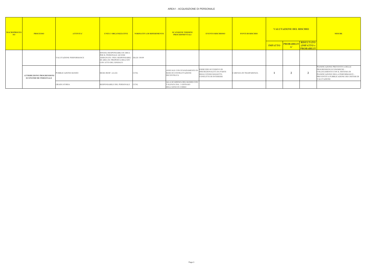#### AREA1 - ACQUISIZIONE DI PERSONALE

| <b>MACROPROCES</b><br>SO <sub>2</sub> | <b>PROCESSO</b>                                                 | <b>ATTIVITA'</b>               | <b>UNITA' ORGANIZZATIVE</b>                                                                                                                                   | NORMATIVA DI RIFERIMENTO | <b>SCANSIONE TERMINI</b><br><b>PROCEDIMENTALI</b>                          | <b>EVENTO RISCHIOSO</b>                                                                                | <b>FONTI DI RISCHIO</b> | <b>VALUTAZIONE DEL RISCHIO</b><br><b>PROBABILIT</b> |    | <b>RISULTATO</b>                      | <b>MISURE</b>                                                                                                                                                                                  |
|---------------------------------------|-----------------------------------------------------------------|--------------------------------|---------------------------------------------------------------------------------------------------------------------------------------------------------------|--------------------------|----------------------------------------------------------------------------|--------------------------------------------------------------------------------------------------------|-------------------------|-----------------------------------------------------|----|---------------------------------------|------------------------------------------------------------------------------------------------------------------------------------------------------------------------------------------------|
|                                       |                                                                 |                                |                                                                                                                                                               |                          |                                                                            |                                                                                                        |                         | <b>IMPATTO</b>                                      | A' | <b>IMPATTO</b> x<br><b>PROBABILIT</b> |                                                                                                                                                                                                |
|                                       |                                                                 | <b>VALUTAZIONE PERFORMANCE</b> | SINGOLI RESPONSABILI DI AREA<br>PER IL PERSONALE AD ESSI<br>ASSEGNATO. PER I RESPONSABILI DLGS 150/09<br>DI AREA SU PROPOSTA DELL'OIV<br>CON ATTO DEL SINDACO |                          |                                                                            |                                                                                                        |                         |                                                     |    |                                       |                                                                                                                                                                                                |
|                                       | <b>ATTRIBUZIONE PROGRESSIONI</b><br><b>ECONOMICHE PERSONALE</b> | PUBBLICAZIONE BANDO            | SEGR./RESP. AA.GG                                                                                                                                             | <b>CCNL</b>              | ANNUALE CON STANZIAMENTO IN<br>SEDE DI CONTRATTAZIONE<br><b>DECENTRATA</b> | ESERCIZIO ECCESSIVO DI<br>DISCREZIONALITÀ DA PARTE<br>DEGLI STESSI SOGGETTI-<br>CONFLITTO DI INTERESSI | CARENZA DI TRASPARENZA  |                                                     |    | $\rightarrow$                         | PIANIFICAZIONE PREVENTIVA DELLE<br>PROGRESSIONI ECONOMICHE -<br>COLLEGAMENTO CON IL SISTEMA DI<br>PIANIFICAZIONE DELLA PERFORMANCE -<br>PREVENTIVA PUBBLICAZIONE DEI CRITERI DI<br>VALUTAZIONE |
|                                       |                                                                 | <b>GRADUATORIA</b>             | RESPONSABILE DEL PERSONALE                                                                                                                                    | <b>CCNL</b>              | ALLA SCADENZA DEL BANDO CON<br>VALENZA DAL 1 GENNAIO<br>DELL'ANNO IN CORSO |                                                                                                        |                         |                                                     |    |                                       |                                                                                                                                                                                                |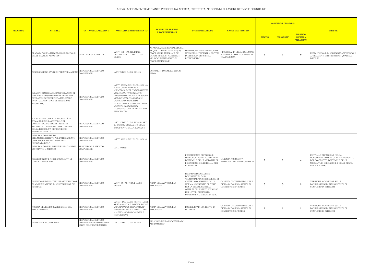|                 | <b>ATTIVITA'</b>                                                                                                                                                                                 |                                                                                     | <b>SCANSIONE TERMINI</b>                                                                                                                                                                                                                                                                                                                |                                                                                                                                                                     |                                                                                                                                                                                                                                                              |                                                                                     |                | <b>VALUTAZIONE DEL RISCHIO</b> |                                                        |                                                                                                                                                                  |
|-----------------|--------------------------------------------------------------------------------------------------------------------------------------------------------------------------------------------------|-------------------------------------------------------------------------------------|-----------------------------------------------------------------------------------------------------------------------------------------------------------------------------------------------------------------------------------------------------------------------------------------------------------------------------------------|---------------------------------------------------------------------------------------------------------------------------------------------------------------------|--------------------------------------------------------------------------------------------------------------------------------------------------------------------------------------------------------------------------------------------------------------|-------------------------------------------------------------------------------------|----------------|--------------------------------|--------------------------------------------------------|------------------------------------------------------------------------------------------------------------------------------------------------------------------|
| <b>PROCESSO</b> |                                                                                                                                                                                                  | <b>UNITA' ORGANIZZATIVE</b>                                                         | <b>NORMATIVA DI RIFERIMENTO</b>                                                                                                                                                                                                                                                                                                         | <b>PROCEDIMENTALI</b>                                                                                                                                               | <b>EVENTO RISCHIOSO</b>                                                                                                                                                                                                                                      | <b>CAUSE DEL RISCHIO</b>                                                            | <b>IMPATTO</b> | <b>PROBABILITA</b>             | <b>RISULTATO</b><br>(IMPATTO x<br><b>PROBABILITA')</b> | <b>MISURE</b>                                                                                                                                                    |
|                 | ELABORAZIONE ATTI DI PROGRAMMAZIONE<br>DELLE STAZIONI APPALTANTI                                                                                                                                 | JFFICI E ORGANO POLITICO                                                            | ARTT. 162 - 173 DEL D.LGS.<br>267/2000 - ART. 21 DEL D.LGS.<br>50/2016                                                                                                                                                                                                                                                                  | A) PROGRAMMA BIENNALE DEGLI<br>ACQUISTI DI BENI E SERVIZI; B)<br>PROGRAMMA TRIENNALE DEI<br>LAVORI PUBBLICI (CONTENUTI<br>NEL DOCUMENTO UNICO DI<br>PROGRAMMAZIONE) | DEFINIZIONE DI UN FABBISOGNO<br>NON CORRISPONDENTE A CRITERI<br>DI EFFICACIA EFFICIENZA<br>ECONOMICITA'                                                                                                                                                      | NECESSITA' DI ORGANIZZAZIONE<br>E PIANIFICAZIONE – CARENZA DI<br>TRASPARENZA        |                |                                |                                                        | PUBBLICAZIONE IN AMMINISTRAZIONE DEGLI<br>AFFIDAMENTI EFFETTUATI PER QUALSIASI<br><b>IMPORTI</b>                                                                 |
|                 | PUBBLICAZIONE AVVISI DI PREINFORMAZIONE                                                                                                                                                          | RESPONSABILE SERVIZIO<br><b>COMPETENTE</b>                                          | ART. 70 DEL D.LGS. 50/2016                                                                                                                                                                                                                                                                                                              | ENTRO IL 31 DICEMBRE DI OGNI<br><b>ANNO</b>                                                                                                                         |                                                                                                                                                                                                                                                              |                                                                                     |                |                                |                                                        |                                                                                                                                                                  |
|                 | INDAGINI DI MERCATO/MANIFESTAZIONI DI<br>INTERESSE/ COSTITUZIONE DI ELENCHI DI<br>OPERATORI ECONOMICI (DA UTILIZZARE<br>EVENTUALMENTE PER LE PROCEDURE<br>NEGOZIATE)                             | RESPONSABILE SERVIZIO<br><b>COMPETENTE</b>                                          | ARTT. 35 E 36 DEL D.LGS. 50/2016 -<br>LINEE GUIDA ANAC N. 4<br>PROCEDURE PER L'AFFIDAMENTO<br>DEI CONTRATTI PUBBLICI DI<br><b>IMPORTO INFERIORE ALLE SOGLIE</b><br>DI RILEVANZA COMUNITARIA,<br><i>INDAGINI DI MERCATO E</i><br>FORMAZIONE E GESTIONE DEGLI<br><i>ELENCHI DI OPERATORI</i><br>ECONOMICI (PER LE PROCEDURE<br>NEGOZIATE) |                                                                                                                                                                     |                                                                                                                                                                                                                                                              |                                                                                     |                |                                |                                                        |                                                                                                                                                                  |
|                 | VALUTAZIONE CIRCA LA NECESSITÀ DI<br>AVVALERSI DELLA CENTRALE DI<br>COMMITTENZA O DEGLI STRUMENTI<br>TELEMATICI DI NEGOZIAZIONE OVVERO<br>DELLA POSSIBILITÀ DI PROCEDERE<br><b>AUTONOMAMENTE</b> | RESPONSABILE SERVIZIO<br><b>COMPETENTE</b>                                          | ART. 37 DEL D.LGS. 50/2016 - ART.<br>296/2006, COMMA 450, COME<br>MODIFICATO DALLA L. 208/2015                                                                                                                                                                                                                                          |                                                                                                                                                                     |                                                                                                                                                                                                                                                              |                                                                                     |                |                                |                                                        |                                                                                                                                                                  |
|                 | INDIVIDUAZIONE DELLO<br>STRUMENTO/ISTITUTO PER L'AFFIDAMENTO<br>(PROCEDURA APERTA, RISTRETTA,<br>NEGOZIATA ECC.?)                                                                                | RESPONSABILE SERVIZIO<br>COMPETENTE                                                 | ARTT. 36 E 59 DEL D.LGS. 50/2016                                                                                                                                                                                                                                                                                                        |                                                                                                                                                                     |                                                                                                                                                                                                                                                              |                                                                                     |                |                                |                                                        |                                                                                                                                                                  |
|                 | INDIVIDUAZIONE ELEMENTI ESSENZIALI DEL<br>CONTRATTO E IMPORTO                                                                                                                                    | RESPONSABILE SERVIZIO<br><b>COMPETENTE</b>                                          | ART. 192 tuel                                                                                                                                                                                                                                                                                                                           |                                                                                                                                                                     |                                                                                                                                                                                                                                                              |                                                                                     |                |                                |                                                        |                                                                                                                                                                  |
|                 | PREDISPOSIZIONE ATTI E DOCUMENTI DI<br>GARA E CAPITOLATO                                                                                                                                         | RESPONSABILE SERVIZIO<br><b>COMPETENTE</b>                                          |                                                                                                                                                                                                                                                                                                                                         |                                                                                                                                                                     | <b>INSUFFICIENTE DEFINIZIONE</b><br>DELL'OGGETTO DEL CONTRATTO,<br>DEI TEMPI E DELLE MODALITà DI<br>ESECUZIONE, DELLE PENALI PER<br><b>IL RITARDO</b>                                                                                                        | CARENZA NORMATIVA<br>INADEGUATEZZA DEI CONTROLLI                                    | $\overline{2}$ | $\overline{2}$                 | $\mathbf 4$                                            | PUNTUALE DEFINIZIONE NELLA<br>DOCUMENTAZIONE DI GARA DELL'OGGETTO<br>DEL CONTRATTO, DEI TEMPI E DELLE<br>MODALITà DI ESECUZIONE E DELLE PENALI<br>PER IL RITARDO |
|                 | DEFINIZIONE DEI CRITERI DI PARTECIPAZIONE.<br>DI AGGIUDICAZIONE, DI ASSEGNAZIONE DEI<br>PUNTEGGI                                                                                                 | <b>RESPONSABILE SERVIZIO</b><br>COMPETENTE                                          | ARTT. 83 - 94 - 95 DEL D.LGS.<br>50/2016                                                                                                                                                                                                                                                                                                | PRIMA DELL'AVVIO DELLA<br>PROCEDURA                                                                                                                                 | PREDISPOSIZIONE ATTI E<br>DOCUMENTI DI GARA<br>"SARTORIALI" INDIVIDUAZIONE DI<br>CRITERI NON AMMESSI DALLA<br>NORMA. AD ESEMPIO CRITERIO<br>PER LA SELEZIONE DELLE<br>OFFERTE DEL PREZZO PIÙ BASSO<br>PER LAVORI DI IMPORTO<br>SUPERIORE A 2 MILIONI DI EURO | CARENZA DI CONTROLLO SULLE<br>DICHIARAZIONI DI ASSENZA DI<br>CONFLITTO DI INTERESSI | 3              | $\mathbf{3}$                   | $\mathbf{q}$                                           | VERIFICHE A CAMPIONE SULLE<br>DICHIARAZIONI DI INSUSSISTENZA DI<br>CONFLITTO DI INTERESSI                                                                        |
|                 | NOMINA DEL RESPONSABILE UNICO DEL<br><b>PROCEDIEMENTO</b>                                                                                                                                        | RESPONSABILE SERVIZIO<br><b>COMPETENTE</b>                                          | ART. 31 DEL D.LGS. 50/2016 - LINEE<br>GUIDA ANAC N. 3 NOMINA, RUOLO<br>E COMPITI DEL RESPONSABILE<br>UNICO DEL PROCEDIMENTO PER<br>'AFFIDAMENTO DI APPALTI E<br><i>CONCESSIONI</i>                                                                                                                                                      | PRIMA DELL'AVVIO DELLA<br>PROCEDURA                                                                                                                                 | POSSIBILITA' DI CONFLITTO DI<br><b>INTERESSI</b>                                                                                                                                                                                                             | CARENZA DI CONTROLLO SULLE<br>DICHIARAZIONI DI ASSENZA DI<br>CONFLITTO DI INTERESSI |                |                                |                                                        | VERIFICHE A CAMPIONE SULLE<br>DICHIARAZIONI DI INSUSSISTENZA DI<br>CONFLITTO DI INTERESSI                                                                        |
|                 | DETERMINA A CONTRARRE                                                                                                                                                                            | RESPONSABILE SERVIZIO<br><b>COMPETENTE / RESPONSABILE</b><br>UNICO DEL PROCEDIMENTO | ART. 32 DEL D.LGS. 50/2016                                                                                                                                                                                                                                                                                                              | ALL'AVVIO DELLA PROCEDURA DI<br><b>AFFIDAMENTO</b>                                                                                                                  |                                                                                                                                                                                                                                                              |                                                                                     |                |                                |                                                        |                                                                                                                                                                  |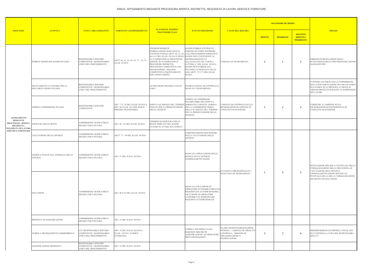| <b>ATTIVITA'</b><br><b>PROCESSO</b>                   |                                                        |                                                                                         |                                                                                              |                                                                                                                                                                                                                                                                                                                                                                                |                                                                                                                                                                                                                                                       |                                                                                                                              |                | <b>VALUTAZIONE DEL RISCHIO</b> |                                                        |                                                                                                                                                                                     |
|-------------------------------------------------------|--------------------------------------------------------|-----------------------------------------------------------------------------------------|----------------------------------------------------------------------------------------------|--------------------------------------------------------------------------------------------------------------------------------------------------------------------------------------------------------------------------------------------------------------------------------------------------------------------------------------------------------------------------------|-------------------------------------------------------------------------------------------------------------------------------------------------------------------------------------------------------------------------------------------------------|------------------------------------------------------------------------------------------------------------------------------|----------------|--------------------------------|--------------------------------------------------------|-------------------------------------------------------------------------------------------------------------------------------------------------------------------------------------|
|                                                       |                                                        | <b>UNITA' ORGANIZZATIVE</b>                                                             | <b>NORMATIVA DI RIFERIMENTO</b>                                                              | <b>SCANSIONE TERMINI</b><br><b>PROCEDIMENTALI</b>                                                                                                                                                                                                                                                                                                                              | <b>EVENTO RISCHIOSO</b>                                                                                                                                                                                                                               | <b>CAUSE DEL RISCHIO</b>                                                                                                     | <b>IMPATTO</b> | <b>PROBABILITA'</b>            | <b>RISULTATO</b><br>(IMPATTO x<br><b>PROBABILITA')</b> | <b>MISURE</b>                                                                                                                                                                       |
|                                                       | PUBBLICAZIONE DEL BANDO DI GARA                        | RESPONSABILE SERVIZIO<br><b>COMPETENTE / RESPONSABILE</b><br>UNICO DEL PROCEDIMENTO     | ARTT. 60, 61, 62, 64, 65, 71 - 76, 79<br>D.LGS. 50/2016                                      | PERIODI MINIMI DI<br>PUBBLICAZIONE SONO QUELLI<br>CONTENUTI NEGLI ARTT. 60, 61, 62, ALLE PRESCRIZIONI NORMATIVE;<br>64 E 65 DEL D.LGS. 50/2016 E SONO: BANDO NON CONTENENTE LE<br>A) 35 GIORNI PER LE PROCEDURE<br>APERTE; B) 30 GIORNI PER LE<br>PROCEDURE RISTRETTE;<br>PROCEDURE COMPETITIVE CON<br>NEGOZIAZIONE; DIALOGO<br>COMPETITIVO; PARTENARIATO<br>PER L'INNOVAZIONE | BANDO PUBBLICATO PER UN<br>PERIODO DI TEMPO INFERIORE<br>INFORMAZIONI DI CUI<br>ALL'ALLEGATO XIV, PARTE I,<br>LETTERA C, DEL D.LGS. 50/2016;<br><b>BANDO NON PUBBLICATO</b><br>SECONDO LE MODALITÀ DI CUI<br>AGLI ARTT. 72 E 73 DEL D.LGS.<br>50/2016 | CARENZA DI TRASPARENZA                                                                                                       | $\overline{2}$ |                                | 2                                                      | OBBLIGO DI MOTIVAZIONE DEGLI<br>SCOSTAMENTI DELLE PREVISIONI DEL BANDO<br>DAI BANDI TIPO                                                                                            |
|                                                       | TRATTAMENTO E CUSTODIA DELLA<br>DOCUMENTAZIONE DI GARA | RESPONSABILE SERVIZIO<br>COMPETENTE / RESPONSABILE<br>UNICO DEL PROCEDIMENTO            |                                                                                              | ALTERAZIONE DEI RISULTATI DI<br>GARA                                                                                                                                                                                                                                                                                                                                           | INADEGUATEZZA DI CONTROLLI E<br>MANCATA TRASPARENZA                                                                                                                                                                                                   |                                                                                                                              |                |                                |                                                        | CUSTODIA DA PARTE DELLA COMMISISONE<br>DELLA DOCUMENTAZIONE DI GARA IN CORSO<br>DI LAVORI E SUA CHIUSURA A CHIAVE IN<br>ARMADI PROTETTI DURANTE LE SOSPENSIONI<br><b>DEI LAVORI</b> |
| <b>AFFIDAMENTO</b>                                    | NOMINA COMMISSIONE DI GARA                             | RESPONSABILE SERVIZIO<br><b>COMPETENTE</b>                                              | ART. 77 E 78 DEL D.LGS. 50/2016 E<br>ART. 84 D.LGS. 163/2006 (PER IL<br>PERIODO TRANSITORIO) | DOPO LA SCADENZA DEL TERMINE NORMATIVA VIGENTE; NOMINA<br>FISSATO PER LA PRESENTAZIONE<br><b>DELLE OFFERTE</b>                                                                                                                                                                                                                                                                 | NOMINA DI COMMISSARI<br>INCOMPATIBILI SECONDO LA<br>DELLA COMMISSIONE PRIMA<br>DELLA SCADENZA DEL TERMINE<br>PER LA PRESENTAZIONE DELLE<br>OFFERTE;                                                                                                   | CARENZA DI CONTROLLO SULLE<br>DICHIARAZIONI DI ASSENZA DI<br>CONFLITTO DI INTERESSI                                          |                | $\mathcal{L}$                  | $\overline{2}$                                         | VERIFICHE A CAMPIONE SULLE<br>DICHIARAZIONI DI INSUSSISTENZA DI<br>CONFLITTO DI INTERESSI                                                                                           |
| <b>MEDIANTE</b><br>RISTRETTA,<br>NEGOZIATA DI LAVORI, | PROCEDURA APERTA, APERTURA DELLE BUSTE                 | COMMISSIONE GIUDICATRICE/<br>SEGGIO UNICO DI GARA                                       | ART. 80 - 83 DEL D.LGS. 50/2016                                                              | TERMINE DI APERTURA DELLE<br>BUSTE INDICATO NEL BANDO<br>OVVERO IN AVVISO SUCCESSIVO                                                                                                                                                                                                                                                                                           |                                                                                                                                                                                                                                                       |                                                                                                                              |                |                                |                                                        |                                                                                                                                                                                     |
| <b>SERVIZI E FORNITURE</b>                            | VALUTAZIONE DELLE OFFERTE                              | COMMISSIONE GIUDICATRICE/<br>SEGGIO UNICO DI GARA                                       | ARTT. 77 - 99 DEL D.LGS. 50/2016                                                             |                                                                                                                                                                                                                                                                                                                                                                                | COMPORTAMENTI NON INTEGRI<br>NELLA VALUTAZIONE DELLE<br>OFFERTE                                                                                                                                                                                       |                                                                                                                              |                |                                |                                                        |                                                                                                                                                                                     |
|                                                       | VERIFICA EVENTUALE ANOMALIA DELLE<br>OFFERTE           | <b>COMMISSIONE GIUDICATRICE/</b><br><b>SEGGIO UNICO DI GARA</b>                         | ART. 97 DEL D.LGS. 50/2016                                                                   | MANCATA APPLICAZIONE DELLE<br>REGOLE SULLE OFFERTE<br>ANORMALMENTE BASSE                                                                                                                                                                                                                                                                                                       |                                                                                                                                                                                                                                                       | ECCESSIVA DISCREZIONALITA' –                                                                                                 |                |                                |                                                        | MOTIVAZIONE SPECIFICA E PUNTUALE DELLA<br>VERBALIZZAZIONE DELLA PROCEDURA DI<br>VALUTAZIONE DELL'OFFERTA                                                                            |
|                                                       | ESCLUSIONI                                             | COMMISSIONE GIUDICATRICE/<br><b>SEGGIO UNICO DI GARA</b>                                | ART. 80 E 83 DEL D.LGS. 50/2016                                                              |                                                                                                                                                                                                                                                                                                                                                                                | MANCATA ESCLUSIONE DI<br>OPERATORE ECONOMICO PRIVO DI<br>REQUISITI (DA AUTODICHIARARE);<br>ESCLUSIONE DI OPERATORE<br>ECONOMICO IN POSSESSO DEI<br>REQUISITI (AUTODICHIARATI)                                                                         | MANCANZA DI TRASPARENZA                                                                                                      |                | $\mathbf{2}$                   | $\overline{2}$                                         | ANOMALAMOTIVAZIONE SPECIFICA E<br>PUNTUALE DELLA DELLA VERBALIZZAZIONE<br>DEI MOTIVI DI ESCLUSIONE                                                                                  |
|                                                       | PROPOSTA DI AGGIUDICAZIONE                             | COMMISSIONE GIUDICATRICE/<br>SEGGIO UNICO DI GARA                                       | ART. 32 DEL D.LGS. 50/2016                                                                   |                                                                                                                                                                                                                                                                                                                                                                                |                                                                                                                                                                                                                                                       |                                                                                                                              |                |                                |                                                        |                                                                                                                                                                                     |
|                                                       | VERIFICA DEI REQUISITI DI AMMISSIBILITA'               | <b>CUC/RESPONSABILE SERVIZIO</b><br>COMPETENTE / RESPONSABILE<br>UNICO DEL PROCEDIMENTO | ART. 32 DEL D.LGS. 50/2016 E<br>D.LGS. 159/2011 (CODICE<br><b>ANTIMAFIA)</b>                 |                                                                                                                                                                                                                                                                                                                                                                                | VERIFICA INCOMPLETA DEI<br>REQUISITI. RISCHIO DI<br>AGGIUDICAZIONE AD OPERATORE<br>PRIVO DEI REQUISITI                                                                                                                                                | SCARSA RESPONSABILIZZAZIONE<br>INTERNA - CARENZA DI ADEGUATI<br>CONTROLLI - BISOGNO DI<br>ORGANIZZAZIONE O<br>PIANIFICAZIONE | 2              | 3                              | -6                                                     | PREDISPOSIZIONE DI APPOSITA CHECK LIST<br>SUI CONTROLLI A CURA DEL RESPONSABILE<br><b>DELL'UT</b>                                                                                   |
|                                                       | <b>AGGIUDICAZIONE DEFINITIVA</b>                       | RESPONSABILE SERVIZIO<br>COMPETENTE / RESPONSABILE<br>JNICO DEL PROCEDIMENTO            | ART. 32 DEL D.LGS. 50/2016                                                                   |                                                                                                                                                                                                                                                                                                                                                                                |                                                                                                                                                                                                                                                       |                                                                                                                              |                |                                |                                                        |                                                                                                                                                                                     |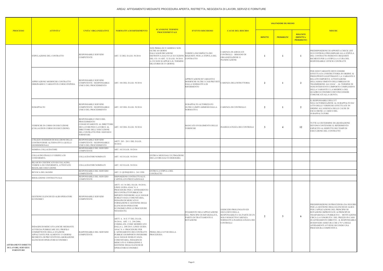| <b>PROCESSO</b>                                                               |                                                                                                                                                                                                                       |                                                                                                                                                                                         |                                                                                                                                                                                                                                                                                                                                                                        |                                                                                                                                                                                                                                                  |                                                                                                           |                                                                                                     |                | <b>VALUTAZIONE DEL RISCHIO</b> |                                                        |                                                                                                                                                                                                                                                                                                                                                                                    |
|-------------------------------------------------------------------------------|-----------------------------------------------------------------------------------------------------------------------------------------------------------------------------------------------------------------------|-----------------------------------------------------------------------------------------------------------------------------------------------------------------------------------------|------------------------------------------------------------------------------------------------------------------------------------------------------------------------------------------------------------------------------------------------------------------------------------------------------------------------------------------------------------------------|--------------------------------------------------------------------------------------------------------------------------------------------------------------------------------------------------------------------------------------------------|-----------------------------------------------------------------------------------------------------------|-----------------------------------------------------------------------------------------------------|----------------|--------------------------------|--------------------------------------------------------|------------------------------------------------------------------------------------------------------------------------------------------------------------------------------------------------------------------------------------------------------------------------------------------------------------------------------------------------------------------------------------|
|                                                                               | <b>ATTIVITA'</b>                                                                                                                                                                                                      | <b>UNITA' ORGANIZZATIVE</b>                                                                                                                                                             | <b>NORMATIVA DI RIFERIMENTO</b>                                                                                                                                                                                                                                                                                                                                        | <b>SCANSIONE TERMINI</b><br><b>PROCEDIMENTALI</b>                                                                                                                                                                                                | <b>EVENTO RISCHIOSO</b>                                                                                   | <b>CAUSE DEL RISCHIO</b>                                                                            | <b>IMPATTO</b> | <b>PROBABILITA</b>             | <b>RISULTATO</b><br>(IMPATTO x<br><b>PROBABILITA')</b> | <b>MISURE</b>                                                                                                                                                                                                                                                                                                                                                                      |
|                                                                               | STIPULAZIONE DEL CONTRATTO                                                                                                                                                                                            | RESPONSABILE SERVIZIO<br>COMPETENTE                                                                                                                                                     | ART. 32 DEL D.LGS. 50/2016                                                                                                                                                                                                                                                                                                                                             | NON PRIMA DI 35 GIORNI E NON<br>OLTRE 60 GIORNI<br><b>DALL'AGGIUDICAZIONE</b><br>DEFINITIVA (SALVO LE ECCEZIONI REQUISITI. PER LA STIPULA DEL<br>DEL CO. 10 ART. 32 D.LGS. 50/2016<br>A CUI NON SI APPLICA IL TERMINE<br>DILATORIO DI 35 GIORNI) | VERIFICA INCOMPLETA DEI<br><b>CONTRATTO</b>                                                               | CARENZA DI ADEGUATI<br>CONTROLLI - BISOGNO DI<br>ORGANIZZAZIONE O<br>PIANIFICAZIONE                 |                |                                |                                                        | PREDISPOSIZIONE DI APPOSITA CHECK LIST<br>SUI CONTROLLI PRELIMINARI ALLA STIPULA<br>DEL CONTRATTO INERENTI I REQUISITI<br>RICHIESTI PER LA STIPULA A CURA DEL<br>RESPONSABILE UFFICIO CONTRATTI                                                                                                                                                                                    |
|                                                                               | APPRVAZIONE MODIFICHE CONTRATTO<br>ORIGINARIO E VARIANTI IN CORSO D'OPERA                                                                                                                                             | RESPONSABILE SERVIZIO<br>COMPETENTE / RESPONSABILE<br>JNICO DEL PROCEDIMENTO                                                                                                            | ART. 106 DEL D.LGS. 50/2016                                                                                                                                                                                                                                                                                                                                            |                                                                                                                                                                                                                                                  | APPROVAZIONI DI VARIANTI E<br>MODIFICHE OLTRE I CASI PREVISTI<br>DALLA NORMATIVA DI<br><b>RIFERIMENTO</b> | CARENZA DELL'ISTRUTTORIA                                                                            | $\overline{2}$ |                                |                                                        | PER OGNI VARIANTE DEVE ESSERE<br>EFFETTUATA UN'ISTRUTTORIA IN ORDINE AI<br>PRESUPPOSTI LEGITTIMANTI LA VARIANTE E<br>RELATIVI IMPORTI E ATTESTAZIONE<br>DELL'ASSOLVIMENTO DELL'OBBLIGO DI<br>TRASMISSIONE ALL'ANAC – AL TERMINE DI<br>OGNI INTERVENTO L'IMPORTO COMPLESSIVO<br>DELLA VARIANTE E LA MODIFICA DEL<br><b>QUADRO ECONOMICO DEVONO ESSERE</b><br>COMUNICATI ALLA GIUNTA |
|                                                                               | <b>SUBAPPALTO</b>                                                                                                                                                                                                     | RESPONSABILE SERVIZIO<br>COMPETENTE / RESPONSABILE<br>UNICO DEL PROCEDIMENTO                                                                                                            | ART. 105 DEL D.LGS. 50/2016                                                                                                                                                                                                                                                                                                                                            |                                                                                                                                                                                                                                                  | SUBAPPALTO AUTORIZZATO<br>OLTRE I LIMITI AMMESSI DALLA<br><b>NORMATIVA</b>                                | CARENZA DI CONTROLLO                                                                                | $\overline{2}$ |                                | $\overline{2}$                                         | IL RESPONSABILE DELL'UT<br>NELL'AUTORIZZAZIONE AL SUBAPPALTO DA'<br>ATTO DELLE VERIFICHE EFFETTUATE IN<br>ORDINE ALL'ASSENZA DELLE CAUSE DI<br>ESCLUSIONE A CARICO DEL<br>SUBAPPALTATORE                                                                                                                                                                                           |
|                                                                               | VERIFICHE IN CORSO DI ESECUZIONE<br>(COLLAUDI IN CORSO DI ESECUZIONE)                                                                                                                                                 | RESPONSABILE UNICO DEL<br>PROCEDIMENTO<br>CONGIUNTAMENTE AL DIRETTORE<br>DEI LAVORI PER I LAVORI E AL<br>DIRETTORE DELL'ESECUZIONE<br>DEL CONTRATTO PER I SERVIZI E<br><b>FORNITURE</b> | ART. 102 DEL D.LGS. 50/2016                                                                                                                                                                                                                                                                                                                                            |                                                                                                                                                                                                                                                  | MANCATO SVOLGIMENTO DELLE<br>VERIFICHE                                                                    | INADEGUATEZZA DEI CONTROLLI                                                                         | 3              |                                | 12                                                     | TUTTE LE DETERMINE DI LIQUIDAZIONE<br>DEVONO CONTENERE IL RIFERIMENTO<br>ESPLICITO AL RISPETTO DEI TEMPI DI<br>ESECUZIONE DEL CONTRATTO                                                                                                                                                                                                                                            |
|                                                                               | UTILIZZO DI RIMEDI DI SOLUZIONI DELLE<br>CONTROVERSIE ALTERNATIVI A QUELLI<br><b>GIURISDIZIONALI</b>                                                                                                                  | RESPONSABILE SERVIZIO<br>COMPETENTE / RESPONSABILE<br>JNICO DEL PROCEDIMENTO                                                                                                            | ARTT. 205 - 2011 DEL D.LGS.<br>50/2016                                                                                                                                                                                                                                                                                                                                 |                                                                                                                                                                                                                                                  |                                                                                                           |                                                                                                     |                |                                |                                                        |                                                                                                                                                                                                                                                                                                                                                                                    |
|                                                                               | NOMINA COLLAUDATORE                                                                                                                                                                                                   | RESPONSABILE DEL SERVIZIO<br>COMPETENTE                                                                                                                                                 | ART. 102 D.LGS. 50/2016                                                                                                                                                                                                                                                                                                                                                |                                                                                                                                                                                                                                                  |                                                                                                           |                                                                                                     |                |                                |                                                        |                                                                                                                                                                                                                                                                                                                                                                                    |
|                                                                               | COLLAUDO FINALE O VERIFICA DI<br><b>CONFORMITÀ</b>                                                                                                                                                                    | COLLAUDATORI NOMINATI                                                                                                                                                                   | ART. 102 D.LGS. 50/2016                                                                                                                                                                                                                                                                                                                                                | ENTRO 6 MESI DALL'ULTIMAZIONE<br>DEI LAVORI (SALVO DEROGHE)                                                                                                                                                                                      |                                                                                                           |                                                                                                     |                |                                |                                                        |                                                                                                                                                                                                                                                                                                                                                                                    |
|                                                                               | RILASCIO CERTIFICATO DI COLLAUDO,<br>VERIFICA DI CONFORMITÀ, ATTESTATO<br>REGOLARE ESECUZIONE                                                                                                                         | COLLAUDATORI NOMINATI                                                                                                                                                                   | ART. 102 D.LGS. 50/2016                                                                                                                                                                                                                                                                                                                                                |                                                                                                                                                                                                                                                  |                                                                                                           |                                                                                                     |                |                                |                                                        |                                                                                                                                                                                                                                                                                                                                                                                    |
|                                                                               | REVOCA DEL BANDO                                                                                                                                                                                                      | RESPONSABILE DEL SERVIZIO<br>COMPETENTE                                                                                                                                                 | ART. 21 QUINQUIES L. 241/1990                                                                                                                                                                                                                                                                                                                                          | ENTRO LA STIPULA DEL<br>CONTRATTO                                                                                                                                                                                                                |                                                                                                           |                                                                                                     |                |                                |                                                        |                                                                                                                                                                                                                                                                                                                                                                                    |
|                                                                               | RISOLUZIONE CONTRATTUALE                                                                                                                                                                                              | RESPONSABILE DEL SERVIZIO<br><b>COMPETENTE</b>                                                                                                                                          | DISPOSIZIONI CONTRATTUALI E<br>CAPITOLATO PRESTAZIONALE                                                                                                                                                                                                                                                                                                                |                                                                                                                                                                                                                                                  |                                                                                                           |                                                                                                     |                |                                |                                                        |                                                                                                                                                                                                                                                                                                                                                                                    |
|                                                                               | GESTIONE ELENCHI ED ALBI OPERATORI<br><b>ECONOMICI</b>                                                                                                                                                                | RESPONSABILE SERVIZIO<br><b>COMPETENTE</b>                                                                                                                                              | ARTT. 4 E 36 DEL D.LGS. 50/2016;<br>LINEE GUIDA ANAC N. 4<br>PROCEDURE PER L'AFFIDAMENTO<br>DEI CONTRATTI PUBBLICI DI<br><b>IMPORTO INFERIORE ALLE SOGLIE</b><br>DI RILEVANZA COMUNITARIA,<br><b>INDAGINI DI MERCATO E</b><br>FORMAZIONE E GESTIONE DEGLI<br>ELENCHI DI OPERATORI<br>ECONOMICI (PER LE PROCEDURE<br>NEGOZIATE)                                         |                                                                                                                                                                                                                                                  | SVIAMENTO NELL'APPLICAZIONE                                                                               | ESERCIZIO PROLUNGATO ED<br>ESCLUSIVO DELLA                                                          |                |                                |                                                        | PREDISPOSIZIONE DI PROCEDURA DA SEGUIRE<br>PER LA GESTIONE DEGLI ELENCHI ED ALBI E<br>PER L'APPLICAZIONE DEL PRINCIPIO DI<br>ROTAZIONE IMPRONTATE AI PRINCIPI DI                                                                                                                                                                                                                   |
| <b>AFFIDAMENTI DIRETTI</b><br><b>DI LAVORI, SERVIZI E</b><br><b>FORNITURE</b> | INDAGINI DI MERCATO (ANCHE MEDIANTE<br>AVVISI DA PUBBLICARE SUL PROFILO<br>COMMITTENTE DELLA STAZIONE<br>APPALTANTE PER ALMENTO 15 GIORNI)/<br>RICHIESTA DI PREVENTIVI/ELABORAZIONE<br>ELENCHI DI OPERATORI ECONOMICI | RASPONSABILE DEL SERVIZIO<br>COMPETENTE                                                                                                                                                 | ARTT. 4, 36 E 37 DEL D.LGS.<br>50/2016; ART. 1 L. 296/2006,<br>COMMA 450, COME MODIFICATO<br>DALLA L. 208/2015; LINEE GUIDA<br>ANAC N. 4 PROCEDURE PER<br>L'AFFIDAMENTO DEI CONTRATTI<br>PUBBLICI DI IMPORTO INFERIORE PROCEDURA<br>ALLE SOGLIE DI RILEVANZA<br>COMUNITARIA, INDAGINI DI<br>MERCATO E FORMAZIONE E<br>GESTIONE DEGLI ELENCHI DI<br>OPERATORI ECONOMICI | PRIMA DELL'AVVIO DELLA                                                                                                                                                                                                                           | DEL PRINCIPIO DI IMPARZIALITÀ,<br>PARITÀ DI TRATTAMENTO E<br><b>ROTAZIONE</b>                             | RESPONSABILITA' DA PARTE DI UN<br>SOLO SOGGETTO/CARENZA<br>NORMATIVA INADEGUATEZZA DEI<br>CONTROLLI | $\overline{2}$ | 3                              | 6                                                      | TRASPARENZA E PUBBLICITA' - MOTIVAZIONE<br>CIRCA LA CONGRUITA' DEL PREZZO IN CASO<br>DI AFFIDAMENTO DIRETTO - IL RESPONSABILE<br>DI SERVIZIO ASSICURA CHE L'70 % DEGLI<br>AFFIDAMENTI AVVIENE SECONDO UNA<br>PROCEDURA COMPETITIVA                                                                                                                                                 |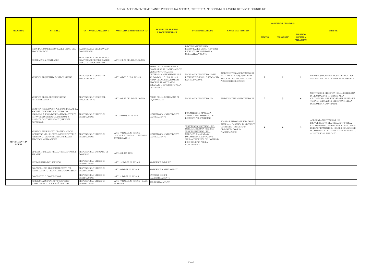|                                       |                                                                                                                                                                                                                   |                                                                                 | <b>SCANSIONE TERMINI</b>                                                        |                                                                                                                                                                                                                                               |                                                                                                                                                                                                                    | <b>VALUTAZIONE DEL RISCHIO</b>                                                                                     |                         |                    |                                                        |                                                                                                                                                                                      |
|---------------------------------------|-------------------------------------------------------------------------------------------------------------------------------------------------------------------------------------------------------------------|---------------------------------------------------------------------------------|---------------------------------------------------------------------------------|-----------------------------------------------------------------------------------------------------------------------------------------------------------------------------------------------------------------------------------------------|--------------------------------------------------------------------------------------------------------------------------------------------------------------------------------------------------------------------|--------------------------------------------------------------------------------------------------------------------|-------------------------|--------------------|--------------------------------------------------------|--------------------------------------------------------------------------------------------------------------------------------------------------------------------------------------|
| <b>PROCESSO</b>                       | <b>ATTIVITA'</b>                                                                                                                                                                                                  | <b>UNITA' ORGANIZZATIVE</b>                                                     | <b>NORMATIVA DI RIFERIMENTO</b>                                                 | <b>PROCEDIMENTALI</b>                                                                                                                                                                                                                         | <b>EVENTO RISCHIOSO</b>                                                                                                                                                                                            | <b>CAUSE DEL RISCHIO</b>                                                                                           | <b>IMPATTO</b>          | <b>PROBABILITA</b> | <b>RISULTATO</b><br>(IMPATTO x<br><b>PROBABILITA')</b> | <b>MISURE</b>                                                                                                                                                                        |
|                                       | INDIVIDUAZIONE RESPONSABILE UNICO DEL<br>PROCEDIMENTO                                                                                                                                                             | RASPONSABILE DEL SERVIZIO<br>COMPETENTE                                         |                                                                                 |                                                                                                                                                                                                                                               | INDIVIDUAZIONE DI UN<br>RESPONSABILE UNICO PRIVO DEI<br>REQUISITI PREVISTI DALLA<br>NORMATIVA VIGENTE                                                                                                              |                                                                                                                    |                         |                    |                                                        |                                                                                                                                                                                      |
|                                       | DETERMINA A CONTRARRE                                                                                                                                                                                             | RESPONSABILE DEL SERVIZIO<br>COMPETENTE / RESPONSABILE<br>JNICO DEL PROCEDIENTO | ART. 32 E 36 DEL D.LGS. 50/2016                                                 |                                                                                                                                                                                                                                               |                                                                                                                                                                                                                    |                                                                                                                    |                         |                    |                                                        |                                                                                                                                                                                      |
|                                       | VERIFICA REQUISITI DI PARTECIPAZIONE                                                                                                                                                                              | RESPONSABILE UNICO DEL<br>PROCEDIMENTO                                          | ART. 36 DEL D.LGS. 50/2016                                                      | PRIMA DELLA DETERMINA A<br>CONTRARRE SE L'AFFIDAMENTO<br>VIENE FATTO TRAMITE<br>DETERMINA AI SENSI DELL'ART.<br>32, COMMA 2, D.LGS. 50/2016.<br>PRIMA DEL CONTRATTO SE SI<br>PROCEDE TRAMITE ATTO<br>SEPARATO E SUCCESSIVO ALLA<br>DETERMINA. | MANCANZA DI CONTROLLO SUI<br>REQUISTI GENERALI E SPECIALI DI<br>PARTECIPAZIONE                                                                                                                                     | NADEGUATEZZA DEI CONTROLLI<br>E/O MANCATA ACQUISIZIONE DI<br>AUTOCERTIFICAZIONE CIRCA IL<br>POSSESSO DEI REQUISITI | -1                      |                    | -1                                                     | PREDISPOSIZIONE DI APPOSITA CHECK LIST<br>SUI CONTROLLI A CURA DEL RESPONSABILE                                                                                                      |
|                                       | VERIFICA REGOLARE ESECUZIONE<br><b>DELL'AFFIDAMENTO</b>                                                                                                                                                           | RESPONSABILE UNICO DEL<br>PROCEDIMENTO                                          | ART. 80 E 83 DEL D.LGS. 50/2016                                                 | PRIMA DELLA DETERMINA DI<br>LIQUIDAZIONE                                                                                                                                                                                                      | MANCANZA DI CONTROLLO                                                                                                                                                                                              | INADEGUATEZZA DEI CONTROLLI                                                                                        | $\overline{\mathbf{c}}$ | $\mathbf{3}$       | -6                                                     | MOTIVAZIONE SPECIFICA NELLA DETERMINA<br>DI LIQUIDAZIONE IN ORDINE ALLA<br>CIRCOSTANZA CHE SONO STATI RISPETTATI I<br>TEMPI DI ESECUZIONE SPECIFICATI NELLA<br>DETERMINA A CONTRARRE |
|                                       | VERIFICA PRESUPPOSTI PER CONSIDERARE LA<br>SOCIETÀ "IN HOUSE": 1. CONTROLLO<br>ANALOGO; 2. L'80% DELLE ATTIVITÀ SVOLTE<br>IN FAVORE DI ENTIAGGIUDICATORI; 3.<br>ASSENZA CAPITALI PRIVATI (PREVISTE<br>ECCEZIONI). | RESPONSABILE UFFICIO DI<br>DESTINAZIONE                                         | ART. 5 D.LGS. N. 50/2016                                                        | ISTRUTTORIA: ANTECEDENTE<br><b>L'AFFIDAMENTO</b>                                                                                                                                                                                              | INCOMPLETA O MANCATA<br>VERIFICA SUIL POSSESSO DEI<br>REQUISITI PER L'IN HOUSE                                                                                                                                     | SCARSA RESPONSABILIZZAZIONE                                                                                        |                         |                    |                                                        | ADEGUATA MOTIVAZIONE NEI<br>PROVVEDIMENTI DI AFFIDAMENTO CIRCA                                                                                                                       |
| <b>AFFIDAMENTI IN</b><br><b>HOUSE</b> | VERIFICA PRESUPPOSTI DI AFFIDAMENTO:<br>ISCRIZIONE NELL'ELENCO AGGIUDICATORI E,<br>PER SERVIZI DISPONIBILI SUL MERCATO,<br>SPECIFICA MOTIVAZIONE.                                                                 | RESPONSABILE UFFICIO DI<br>DESTINAZIONE                                         | ART. 192 D.LGS. N. 50/2016 -<br>ALL'ART. 1 COMMA 553 LEGGE DI<br>STABILITÀ 2014 | ISTRUTTORIA: ANTECEDENTE<br><b>L'AFFIDAMENTO</b>                                                                                                                                                                                              | SERVIZI NON DISPONIBILI SUL<br>MERCATO: NESSUN RISCHIO;<br>SERVIZI DISPONIBILI SUL<br><b>MERCATO: MANCATA O</b><br>INCOMPLETA VALUTAZIONE<br>SULLA CONGRUITÀ DELL'OFFERTA<br>E DEI BENEFICI PER LA<br>COLLETTIVITÀ | NTERNA – CARENZA DI ADEGUAT<br>CONTROLLI - BISOGNO DI<br>ORGANIZZAZIONE O<br>PIANIFICAZIONE                        | $\overline{2}$          | 2                  | $\overline{4}$                                         | L'ISTRUTTORIA CONDOTTA E LA LEGITTIMITA'<br>DELL'AFFIDAMENTO IN HOUSE E SUL GIUDIZIO<br>DI CONGRUITA' DELL'AFFIDAMENTO RISPETTO<br>AL RICORSO AL MERCATO                             |
|                                       | LINEE DI INDIRIZZO NELL'AFFIDAMENTO DEL<br>SERVIZIO                                                                                                                                                               | RESPONSABILE E ORGANO DI<br>GOVERNO                                             | ART. 48 E 107 TUEL                                                              |                                                                                                                                                                                                                                               |                                                                                                                                                                                                                    |                                                                                                                    |                         |                    |                                                        |                                                                                                                                                                                      |
|                                       | AFFIDAMENTO DEL SERVIZIO                                                                                                                                                                                          | RESPONSABILE UFFICIO DI<br>DESTINAZIONE                                         | ART. 192 D.LGS. N. 50/2016                                                      | 30 GIORNI D INDIRIZZI                                                                                                                                                                                                                         |                                                                                                                                                                                                                    |                                                                                                                    |                         |                    |                                                        |                                                                                                                                                                                      |
|                                       | CONTROLLI SUI REQUISITI PREVISTI PER<br>L'AFFIDAMENTO DI APPALTI E/O CONCESSIONI DESTINAZIONE                                                                                                                     | RESPONSABILE UFFICIO DI                                                         | ART. 80 D.LGS. N. 50/2016                                                       | 30 GIORNI DA AFFIDAMENTO                                                                                                                                                                                                                      |                                                                                                                                                                                                                    |                                                                                                                    |                         |                    |                                                        |                                                                                                                                                                                      |
|                                       | CONTRATTO O CONVENZIONE                                                                                                                                                                                           | RESPONSABILE UFFICIO DI<br>DESTINAZIONE                                         | ART. 32 D.LGS. N. 50/2016                                                       | ENTRO 60 GIORNI<br><b>DALL'AFFIDAMENTO</b>                                                                                                                                                                                                    |                                                                                                                                                                                                                    |                                                                                                                    |                         |                    |                                                        |                                                                                                                                                                                      |
|                                       | PUBBLICITÀ DI OGNI ATTO CONNESSO<br>L'AFFIDAMENTO A SOCIETÀ IN HOUSE                                                                                                                                              | RESPONSABILE UFFICIO DI<br><b>DESTINAZIONE</b>                                  | ART. 192 D.LGS. N. 50/2016 - D.LGS<br>N. 33/2013                                | <b>TEMPESTIVAMENTE</b>                                                                                                                                                                                                                        |                                                                                                                                                                                                                    |                                                                                                                    |                         |                    |                                                        |                                                                                                                                                                                      |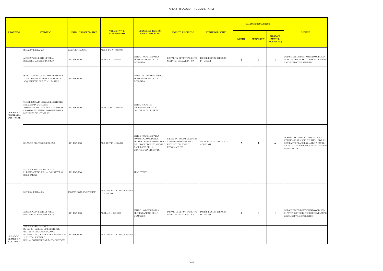| <b>MISURE</b>                                                                                                                                                                  |
|--------------------------------------------------------------------------------------------------------------------------------------------------------------------------------|
|                                                                                                                                                                                |
| CODICE DI COMPORTAMENTO OBBLIGO<br>DI ASTENSIONE E DI DICHIARE EVENTUALI<br>CAUSE DI INCOMPATIBILITA'                                                                          |
|                                                                                                                                                                                |
|                                                                                                                                                                                |
|                                                                                                                                                                                |
|                                                                                                                                                                                |
|                                                                                                                                                                                |
|                                                                                                                                                                                |
|                                                                                                                                                                                |
|                                                                                                                                                                                |
|                                                                                                                                                                                |
|                                                                                                                                                                                |
| IN SEDE DI CONTROLLI INTERNI IL RPCT<br>VERIFICA IL RILASCIO DEI TITOLI EDILIZI<br>CON PARTICOLARE RIGUARDO A QUELLI<br>RILASCIATI IN ZONE SOGGETTE A VINCOLI<br>PAESAGGISTICI |
|                                                                                                                                                                                |
|                                                                                                                                                                                |
|                                                                                                                                                                                |
|                                                                                                                                                                                |
|                                                                                                                                                                                |
|                                                                                                                                                                                |
|                                                                                                                                                                                |
| CODICE DI COMPORTAMENTO OBBLIGO<br>DI ASTENSIONE E DI DICHIARE EVENTUALI<br>CAUSE DI INCOMPATIBILITA'                                                                          |
|                                                                                                                                                                                |
|                                                                                                                                                                                |
|                                                                                                                                                                                |
|                                                                                                                                                                                |

| <b>PROCESSO</b><br><b>ATTIVITA'</b>               |                                                                                                                                                                                                         |                             |                                                 |                                                                                                                                                                        |                                                                             |                                            |                | <b>VALUTAZIONE DEL RISCHIO</b> |                                                        |                                                                                          |
|---------------------------------------------------|---------------------------------------------------------------------------------------------------------------------------------------------------------------------------------------------------------|-----------------------------|-------------------------------------------------|------------------------------------------------------------------------------------------------------------------------------------------------------------------------|-----------------------------------------------------------------------------|--------------------------------------------|----------------|--------------------------------|--------------------------------------------------------|------------------------------------------------------------------------------------------|
|                                                   |                                                                                                                                                                                                         | <b>UNITA' ORGANIZZATIVE</b> | <b>NORMATIVA DI</b><br><b>RIFERIMENTO</b>       | <b>SCANSIONE TERMINI</b><br><b>PROCEDIMENTALI</b>                                                                                                                      | <b>EVENTO RISCHIOSO</b>                                                     | <b>FONTE DI RISCHIO</b>                    | <b>IMPATTO</b> | <b>PROBABILITA'</b>            | <b>RISULTATO</b><br>(IMPATTO x<br><b>PROBABILITA')</b> |                                                                                          |
|                                                   | RICEZIONE ISTANZA                                                                                                                                                                                       | <b>SUAP/UFF.TECNICO</b>     | ART. 5 T.U. N. 380/2001                         |                                                                                                                                                                        |                                                                             |                                            |                |                                |                                                        |                                                                                          |
|                                                   | ASSEGNAZIONE ISTRUTTORIA<br>DELL'ISTANZA E NOMINA RUP                                                                                                                                                   | UFF. TECNICO                | ARTT. 4-5 L. 241/1990                           | ENTRO 10 GIORNI DALLA<br>PRESENTAZIONE DELLA<br><b>DOMANDA</b>                                                                                                         | DISPARITÀ DI TRATTAMENTO<br>NELL'ITER DELLA PRATICA                         | POSSIBILE CONFLITTO DI<br><b>INTERESSI</b> | 1              | $\mathbf{1}$                   | 1                                                      | CODICE DI CO<br><b>DI ASTENSIO</b><br><b>CAUSE DI INC</b>                                |
|                                                   | ISTRUTTORIA (ACCERTAMENTO DELLA<br>SITUAZIONE DI FATTO E VINCOLI EDILIZI,<br>ACQUISIZIONE EVENTUALI PARERI)                                                                                             | UFF. TECNICO                |                                                 | ENTRO 60/120 GIORNI DALLA<br>PRESENTAZIONE DELLA<br><b>DOMANDA</b>                                                                                                     |                                                                             |                                            |                |                                |                                                        |                                                                                          |
| <b>RILASCIO</b><br>PERMESSI A<br><b>COSTRUIRE</b> | CONFERENZA DI SERVIZI (EVENTUALE,<br>NEL CASO IN CUI ALTRE<br>AMMINISTRAZIONI COINVOLTE NON SI<br>PRONUNCINO ENTRO 30 GIORNI DALLA<br>RICHIESTA DEL COMUNE)                                             | UFF. TECNICO                | ARTT. 14 SS. L. 241/1990                        | <b>ENTRO 45 GIORNI</b><br>DALL'INDIZIONE DELLA<br>CONFERENZA DI SERVIZI                                                                                                |                                                                             |                                            |                |                                |                                                        |                                                                                          |
|                                                   | RILASCIO DEL TITOLO EDILIZIO                                                                                                                                                                            | UFF. TECNICO                | ART. 12, T.U. N. 380/2001                       | ENTRO 30 GIORNI DALLA<br>FORMULAZIONE DELLA<br>PROPOSTA DEL RESPONSABILE<br>DEL PROCEDIMENTO, OVVERO REQUISITI DI LEGGE O<br>DALL'ESITO DELLA<br>CONFERENZA DI SERVIZI | RILASCIO TITOLO EDILIZIO IN<br>ASSENZA DEI PRESCRITTI<br><b>REGOLAMENTO</b> | MANCANZA DI CONTROLLI<br><b>ADEGUATI</b>   | $\overline{2}$ | $\mathbf{3}$                   | 6                                                      | IN SEDE DI C<br><b>VERIFICA ILI</b><br><b>CON PARTICO</b><br>RILASCIATI II<br>PAESAGGIST |
|                                                   | NOTIFICA ALL'INTERESSATO E<br>PUBBLICAZIONE SULL'ALBO PRETORIO<br>DEL COMUNE                                                                                                                            | UFF. TECNICO                |                                                 | <b>TEMPESTIVO</b>                                                                                                                                                      |                                                                             |                                            |                |                                |                                                        |                                                                                          |
|                                                   | RICEZIONE ISTANZA                                                                                                                                                                                       | SPORTELLO UNICO EDILIZIA    | ART.146 E SS. DEL D.LGS.42/2004<br>DPR 380/2001 |                                                                                                                                                                        |                                                                             |                                            |                |                                |                                                        |                                                                                          |
|                                                   | ASSEGNAZIONE ISTRUTTORIA<br>DELL'ISTANZA E NOMINA RUP                                                                                                                                                   | UFF. TECNICO                | ARTT. 4-5 L. 241/1990                           | ENTRO 10 GIORNI DALLA<br>PRESENTAZIONE DELLA<br><b>DOMANDA</b>                                                                                                         | DISPARITÀ DI TRATTAMENTO<br>NELL'ITER DELLA PRATICA                         | POSSIBILE CONFLITTO DI<br><b>INTERESSI</b> | -1             | $\mathbf{1}$                   | -1                                                     | CODICE DI CO<br><b>DI ASTENSIO</b><br><b>CAUSE DI INC</b>                                |
| RILASCIO<br>PERMESSI A<br>COSTRUIRE               | <b>VERIFICA PRELIMINARE</b><br>DOCUMENTAZIONE ED EVENTUALE<br>RICHIESTA DOCUMENTAZIONE<br>INTEGRATIVA (VERIFICA PRELIMINARE SE UFF. TECNICO<br>SUSSISTA L'ESONERO<br>DALL'AUTORIZZAZIONE PAESAGGISTICA) |                             | ART.146 E SS. DEL D.LGS.42/2004                 |                                                                                                                                                                        |                                                                             |                                            |                |                                |                                                        |                                                                                          |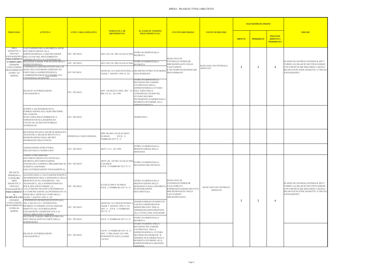| <b>ATTIVITA'</b><br><b>PROCESSO</b>                                             |                                                                                                                                                                                                                                                                                                                                                                  |                             |                                                                                                           |                                                                                                                                                                                                                                   |                                                                                                                                                    |                                   |                | <b>VALUTAZIONE DEL RISCHIO</b> |                                                        |                                                                                                                               |
|---------------------------------------------------------------------------------|------------------------------------------------------------------------------------------------------------------------------------------------------------------------------------------------------------------------------------------------------------------------------------------------------------------------------------------------------------------|-----------------------------|-----------------------------------------------------------------------------------------------------------|-----------------------------------------------------------------------------------------------------------------------------------------------------------------------------------------------------------------------------------|----------------------------------------------------------------------------------------------------------------------------------------------------|-----------------------------------|----------------|--------------------------------|--------------------------------------------------------|-------------------------------------------------------------------------------------------------------------------------------|
|                                                                                 |                                                                                                                                                                                                                                                                                                                                                                  | <b>UNITA' ORGANIZZATIVE</b> | <b>NORMATIVA DI</b><br><b>RIFERIMENTO</b>                                                                 | <b>SCANSIONE TERMINI</b><br><b>PROCEDIMENTALI</b>                                                                                                                                                                                 | <b>EVENTO RISCHIOSO</b>                                                                                                                            | <b>FONTE DI RISCHIO</b>           | <b>IMPATTO</b> | <b>PROBABILITA'</b>            | <b>RISULTATO</b><br>(IMPATTO x<br><b>PROBABILITA')</b> | <b>MISURE</b>                                                                                                                 |
| AREE<br><b>SOGGETTE A</b><br><b>VINCOLO</b>                                     | VALUTAZIONE DELLA RICHIESTA, INVIO<br>DOCUMENTAZIONE ALLA<br>SORPINTENDENZA, COMUNICAZIONE<br>PAESAGGISTICO DELL'AVVIO DEL PROCEDIMENTO<br>PROCEDIMENT AMMINISTRATIVO ALL'INTERESSATO                                                                                                                                                                            | UFF. TECNICO                | ART.146 E SS. DEL D.LGS.42/2004                                                                           | ENTRO 40 GIORNI DALLA<br><b>RICHIESTA</b>                                                                                                                                                                                         | <b>MANCANZA DI</b>                                                                                                                                 |                                   |                |                                |                                                        |                                                                                                                               |
| (TERMINE                                                                        | O ORDINARIO RICEZIONE PARERE VINCOLANTE DELLA<br><b>SOPRINTENDENZA</b>                                                                                                                                                                                                                                                                                           | JFF. TECNICO                | ART.146 E SS. DEL D.LGS.42/2004                                                                           | ENTRO 45 GIORNI DALLA<br><b>RICHIESTA</b>                                                                                                                                                                                         | CONTROLLI/VERIFICHE,<br>DISCREZIONALITÀ NELLE                                                                                                      |                                   |                |                                |                                                        | IN SEDE DI CONTROLLI IN<br><b>VERIFICA IL RILASCIO DE</b>                                                                     |
| CONCLUSIONE<br>ENTRO 120<br>GIORNI)                                             | CONFERENZA SERVIZI (EVENTUALE). IN<br>PROCEDIMENTO MANCANZA DI PARERE ESPRESSO DA<br>PARTE DELLA SOPRINTENDENZA<br>L'AMMINISTRAZIONE PUÒ INDIRE UNA<br>CONFERENZA DI SERVIZI                                                                                                                                                                                     | UFF TECNICO                 | LEGGE 7 AGOSTO 1990, N. 241                                                                               | ARTICOLI 14 E SEGUENTI DELLA DECISIONE ENTRO 45/90 GIORN<br><b>DALL'INDIZIONE</b>                                                                                                                                                 | VALUTAZIONI<br>E NEI TEMPI DI GESTIONE DEI<br>PROCEDIMENTI                                                                                         | MANCANZA DI CONTROLLI<br>ADEGUATI | 2              | $\overline{2}$                 | $\overline{4}$                                         | CON PARTICOLARE RIGU.<br>RILASCIATI IN ZONE SOG<br>PAESAGGISTICI                                                              |
|                                                                                 | RILASCIO AUTORIZZAZIONE<br>PAESAGGISTICA                                                                                                                                                                                                                                                                                                                         | UFF. TECNICO                | ART. 146 DLGS 42/2004, ART. 14-- DALL'ESITO DELLA<br>BIS, CO 4 L. 241/1990                                | ENTRO 20 GIORNI DALLA<br>RICEZIONE DEL PARERE<br>FAVOREVOLE DELLA<br>SOPRINTENDENZA OVVERO<br>CONFERENZA DI SERVIZI,<br><b>OVVERO DECORSI</b><br>INUTILMENTE 60 GIORNI DALLA<br>RICHIESTA DI PARERE ALLA<br><b>SOPRINTENDENZA</b> |                                                                                                                                                    |                                   |                |                                |                                                        |                                                                                                                               |
|                                                                                 | NOTIFICA ALL'INTERESSATO E<br>PUBBLICAZIONE SULL'ALBO PRETORIO<br>DEL COMUNE<br>INVIO COPIA PROVVEDIMENTO A<br>SOPRINTENTENZA, REGIONE ED<br>EVENTUALI ALTRI ENTI PUBBLICI<br><b>INTERESSATI</b>                                                                                                                                                                 | UFF. TECNICO                |                                                                                                           | <b>TEMPESTIVO</b>                                                                                                                                                                                                                 |                                                                                                                                                    |                                   |                |                                |                                                        |                                                                                                                               |
|                                                                                 | RICEZIONE ISTANZA ANCHE IN MODALITÀ<br>TELEMATICA, RILASCIO RICEVUTA E<br>REGISTRAZIONE NEGLI ARCHIVI<br>INFORMATICI DELL'UFFICIO                                                                                                                                                                                                                                | SPORTELLO UNICO EDILIZIA    | DPR 380/2001 D.LGS.42/2004 E<br>SS.MM.II.<br>D.P.R. 13<br>FEBBRAIO 2017 N. 31                             |                                                                                                                                                                                                                                   |                                                                                                                                                    |                                   |                |                                |                                                        |                                                                                                                               |
|                                                                                 | ASSEGNAZIONE ISTRUTTORIA<br>DELL'ISTANZA E NOMINA RUP                                                                                                                                                                                                                                                                                                            | UFF. TECNICO                | ARTT. 4-5 L. 241/1990                                                                                     | ENTRO 10 GIORNI DALLA<br>PRESENTAZIONE DELLA<br><b>DOMANDA</b>                                                                                                                                                                    |                                                                                                                                                    |                                   |                |                                |                                                        |                                                                                                                               |
| RILASCIO                                                                        | VERIFICA PRELIMINARE<br>DOCUMENTAZIONE ED EVENTUALE<br>RICHIESTA DOCUMENTAZIONE<br>INTEGRATIVA (VERIFICA PRELIMINARE SE UFF. TECNICO<br>SUSSISTA L'ESONERO<br>DALL'AUTORIZZAZIONE PAESAGGISTICA)                                                                                                                                                                 |                             | ARTT.146, 149 DEL D.LGS.42/2004 ENTRO 10 GIORNI DALLA<br><b>SS.MM.II</b><br>D.P.R. 13 FEBBRAIO 2017 N. 31 | RICEZIONE DELL'ISTANZA                                                                                                                                                                                                            |                                                                                                                                                    |                                   |                |                                |                                                        |                                                                                                                               |
| PERMESSI A<br>COSTRUIRE<br>AREE<br><b>SOGGETTE A</b><br>VINCOLO<br>$\mathbf{O}$ | ALL'ESITO DELLA VALUTAZIONE POSITIVA<br>TRASMISSIONE DELLA DOMANDA E DELLA<br>PROPOSTA DI ACCOGLIMENTO, VIA<br>TELEMATICA, ALLA SOPRINTENDENZA<br>PER IL RELATIVO PARERE. LA<br>PAESAGGISTICO VALUTAIZONE NEGATIVA DETERIMANA<br>PROCEDIMENT LA COMUNICAZIONE ALL'INTERESSATO AI<br>SENSI DELL'ARTICOLO 10-BIS DELLA<br>SEMPLIFICATO LEGGE 7 AGOSTO 1990, N. 241 | UFF. TECNICO                | D.LGS.42/2004 E SS.MM.II.<br>D.P.R. 13 FEBBRAIO 2017 N. 31                                                | ENTRO 20 GIORNI DALLA<br>PRESENTAZIONE DELLA<br>DOMANDA O DALLA RICHIESTA<br>DI INTEGRAZIONE<br>DOCUMENTALE.                                                                                                                      | MANCANZA DI<br>CONTROLLI/VERIFICHE<br>FALSA/ERRATA<br>RAPPRESENTAZIONE DEI FATTI<br>DISCREZIONALITÀ NELLE<br>VALUTAZIONI<br><b>DISCREZIONALITÀ</b> | MANCANZA DI CONTROLLI<br>ADEGUATI |                |                                |                                                        | IN SEDE DI CONTROLLI IN<br><b>VERIFICA IL RILASCIO DE</b><br>CON PARTICOLARE RIGU.<br>RILASCIATI IN ZONE SOG<br>PAESAGGISTICI |
| (TERMINE<br><b>ENTRO 60</b><br>GIORNI)                                          | CONFERENZA DI SERVIZI (EVENTUALE)<br>CONCLUSIONE $\,$ NEL CASO IN CUI L'INTERVENTO<br>PROCEDIMENTO RICHIEDA ULTERIORI ATTI DI ASSENSE<br>RISPETTO ALL'AUTORIZZAZIONE<br>PAESAGGISTICA SEMPLIFICATA E AL<br>TITOLO ABILITATIVO EDILIZIO                                                                                                                           | UFF. TECNICO                | ARTICOLI 14 E SEGUENTI DELL.<br>LEGGE 7 AGOSTO 1990, N. 241<br>ART. 11 D.P.R. 13 FEBBRAIO<br>2017 N. 31   | TERMINI DIMEZZATI RISPETTO<br>A QUELLI ORDINARI DI 90<br>GIORNI PREVISTI PER LE<br>AMMINISTRAZIONI PREPOSTE<br>ALLA TUTELA DEL PAESAGGIO                                                                                          |                                                                                                                                                    |                                   | $\overline{2}$ | $\overline{2}$                 | $\overline{4}$                                         |                                                                                                                               |
|                                                                                 | RICEZIONE PARERE OBBLIGATORIO MA<br>NON VINCOLANTE DA PARTE DELLA                                                                                                                                                                                                                                                                                                | UFF. TECNICO                | D.P.R. 13 FEBBRAIO 2017 N. 31                                                                             | ENTRO 20 GIORNI DALLA<br>RICHIESTA                                                                                                                                                                                                |                                                                                                                                                    |                                   |                |                                |                                                        |                                                                                                                               |
|                                                                                 | <b>SOPRINTENZA</b><br>RILASCIO AUTORIZZAZIONE<br>PAESAGGISTICA                                                                                                                                                                                                                                                                                                   | UFF. TECNICO                | D.P.R. 13 FEBBRAIO 2017 N. 31<br>ART. 17 BIS LEGGE 241/1990,<br>INTRODOTTO DALLA LEGGE<br>124/2015        | ENTRO 10 GIORNI DALLA<br>RICEZIONE DEL PARERE<br>FAVOREVOLE DELLA<br>SOPRINTENDENZA OVVERO<br>DECORSO INUTILMENTE IL<br>TERMINE DI 20 GIORNI DALLA<br>RICHIESTA DI PARERE ALLA<br>SOPRINTENDENZA (SILENZIO -<br>ASSENSO)          |                                                                                                                                                    |                                   |                |                                |                                                        |                                                                                                                               |

| <b>MISURE</b>                                                                                                                                                                  |
|--------------------------------------------------------------------------------------------------------------------------------------------------------------------------------|
| IN SEDE DI CONTROLLI INTERNI IL RPCT<br>VERIFICA IL RILASCIO DEI TITOLI EDILIZI<br>CON PARTICOLARE RIGUARDO A QUELLI<br>RILASCIATI IN ZONE SOGGETTE A VINCOLI<br>PAESAGGISTICI |
|                                                                                                                                                                                |
|                                                                                                                                                                                |
| IN SEDE DI CONTROLLI INTERNI IL RPCT<br>VERIFICA IL RILASCIO DEI TITOLI EDILIZI<br>CON PARTICOLARE RIGUARDO A QUELLI<br>RILASCIATI IN ZONE SOGGETTE A VINCOLI<br>PAESAGGISTICI |
|                                                                                                                                                                                |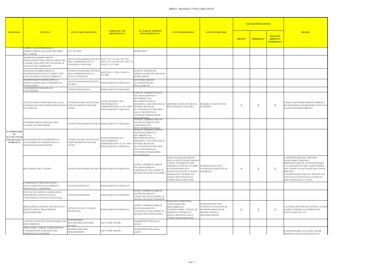| <b>MISURE</b>                                                                                                                                                                                                                                                                             |
|-------------------------------------------------------------------------------------------------------------------------------------------------------------------------------------------------------------------------------------------------------------------------------------------|
|                                                                                                                                                                                                                                                                                           |
|                                                                                                                                                                                                                                                                                           |
|                                                                                                                                                                                                                                                                                           |
|                                                                                                                                                                                                                                                                                           |
|                                                                                                                                                                                                                                                                                           |
| CODICE DI COMPORTAMENTO OBBLIGO<br>DI ASTENSIONE E DI DICHIARE EVENTUALI<br>CAUSE DI INCOMPATIBILITA'                                                                                                                                                                                     |
|                                                                                                                                                                                                                                                                                           |
|                                                                                                                                                                                                                                                                                           |
| iL RESPONSABILE DEL SERVIZIO<br>FINANZIARIO COMUNICA<br>TRIMESTRALMENTE AL RESPONSABILE<br>UT L'ANDAMENTO DELLA RISCOSSIONE<br>DEI CANONI E IL DETTAGLIO DEI CANONI<br><b>RISCOSSI</b><br>IL RESPONSABILE DELL'UT ANNOTA SUL<br>FASCICOLO L'EVENTUALE AVVENUTA<br>RISCOSSIONE DELLA TASSA |
|                                                                                                                                                                                                                                                                                           |
|                                                                                                                                                                                                                                                                                           |
| LA POLIZIA MUNICIPALE PIANIFICA ENTRO<br>IL MESE DI MARZO I CONTROLLI DA<br>EFFETTUARE NEL 2017                                                                                                                                                                                           |
|                                                                                                                                                                                                                                                                                           |
| IL RESPONSABILE DA CONTO ANCHE<br>MEDIANTE CHECK LIST DI OUANTO                                                                                                                                                                                                                           |

|                                                                                            |                                                                                                                              |                                                                                                          |                                                                                            |                                                                                                                                                                                                                                                      |                                                                                                                                                                                                                                                      |                                                                                                                  | <b>VALUTAZIONE DEL RISCHIO</b> |                     |                                                        |                                                                                                                                                                                                                              |
|--------------------------------------------------------------------------------------------|------------------------------------------------------------------------------------------------------------------------------|----------------------------------------------------------------------------------------------------------|--------------------------------------------------------------------------------------------|------------------------------------------------------------------------------------------------------------------------------------------------------------------------------------------------------------------------------------------------------|------------------------------------------------------------------------------------------------------------------------------------------------------------------------------------------------------------------------------------------------------|------------------------------------------------------------------------------------------------------------------|--------------------------------|---------------------|--------------------------------------------------------|------------------------------------------------------------------------------------------------------------------------------------------------------------------------------------------------------------------------------|
| <b>PROCESSO</b>                                                                            | <b>ATTIVITA'</b>                                                                                                             | <b>UNITA' ORGANIZZATIVE</b>                                                                              | <b>NORMATIVA DI</b><br><b>RIFERIMENTO</b>                                                  | <b>SCANSIONE TERMINI</b><br><b>PROCEDIMENTALI</b>                                                                                                                                                                                                    | <b>EVENTO RISCHIOSO</b>                                                                                                                                                                                                                              | <b>FONTE DI RISCHIO</b>                                                                                          | <b>IMPATTO</b>                 | <b>PROBABILITA'</b> | <b>RISULTATO</b><br>(IMPATTO x<br><b>PROBABILITA')</b> | <b>MISURE</b>                                                                                                                                                                                                                |
|                                                                                            | NOTIFICA ALL'INTERESSATO E<br>PUBBLICAZIONE SULL'ALBO PRETORIO<br>DEL COMUNE                                                 | UFF. TECNICO                                                                                             |                                                                                            | TEMPESTIVO                                                                                                                                                                                                                                           |                                                                                                                                                                                                                                                      |                                                                                                                  |                                |                     |                                                        |                                                                                                                                                                                                                              |
|                                                                                            | ADOZIONE/AGGIORNAMENTO<br>REGOLAMENTO PER L'APPLICAZIONE DEL<br>CANONE/TASSA PER L'OCCUPAZIONE DI<br>SPAZI ED AREE PUBBLICHE | UFFICIO FINANZIARIO-TECNICO-ARTT. 38-57 D. LGS. 507/1993;<br>AREA AMMINISTRATIVA E<br>CONSIGLIO COMUNALE | ART. 63 D. LGS 446/1997; ART. 42<br>D.LGS. N. 267/2000                                     |                                                                                                                                                                                                                                                      |                                                                                                                                                                                                                                                      |                                                                                                                  |                                |                     |                                                        |                                                                                                                                                                                                                              |
|                                                                                            | ADOZIONE DELIBERAZIONE DI<br>DETERMINAZIONE DELLA TARIFFA PER<br>L'OCCUPAZIONE DI SUOLO PUBBLICO                             | UFFICIO FINANZIARIO-TECNICO-<br>AREA AMMINISTRATIVA E<br><b>GIUNTA COMUNALE</b>                          | ARTICOLO 172 DEL D.LGS. N.<br>267/2000                                                     | ENTRO IL TERMINE DI<br>APPROVAZIONE DEL BILANCIO<br>DI PREVISIONE                                                                                                                                                                                    |                                                                                                                                                                                                                                                      |                                                                                                                  |                                |                     |                                                        |                                                                                                                                                                                                                              |
|                                                                                            | PREDISPOSIZIONE MODULI PER LA<br>PRESENTAZIONE DELLA DOMANDA DI<br>CONCESSIONE                                               | UFFICIO FINANZIARIO-UFFICIO<br><b>TECNICO</b>                                                            | REGOLAMENTO COMUNALE                                                                       | SUCCESSIVAMENTE<br>ALL'ADOZIONE DEL<br>REGOLAMENTO                                                                                                                                                                                                   |                                                                                                                                                                                                                                                      |                                                                                                                  |                                |                     |                                                        |                                                                                                                                                                                                                              |
|                                                                                            | ACQUISIZIONE DOMANDA DI<br>CONCESSIONE                                                                                       | UFFICIO PROTOCOLLO                                                                                       | REGOLAMENTO COMUNALE                                                                       |                                                                                                                                                                                                                                                      |                                                                                                                                                                                                                                                      |                                                                                                                  |                                |                     |                                                        |                                                                                                                                                                                                                              |
| <b>AUTORIZZAZIO</b><br>NE<br><b>ALL'OCCUPAZI</b><br><b>ONE DI SUOLO</b><br><b>PUBBLICO</b> | ATTIVITÀ ISTRUTTORIA RELATIVA ALLA<br>DOMANDA DI CONCESSIONE PRESENTATA COINVOLGIMENTO DI ALTRI<br><b>DAL PRIVATO</b>        | UFFICIO TECNICO (EVENTUALE<br>UFFICI)                                                                    | LEGGE GENERALE SUL<br>PROCEDIMENTO<br>AMMINISTRATIVO N. 241/1990 E<br>REGOLAMENTO COMUNALE | ENTRO IL TERMINE FISSATO<br>DAL REGOLAMENTO A<br><b>DECORRERE DAL</b><br>RICEVIMENTO DELLA<br>DOMANDA A SECONDA DELLE<br><b>DIVERSE IPOTESI DI</b><br>OCCUPAZIONE IVI PREVISTE,<br>SALVO NECESSITÀ DI<br>OTTENERE INTEGRAZIONI<br><b>DOCUMENTALI</b> | DISPARITÀ DI TRATTAMENTO<br>NELL'ITER DELLA PRATICA                                                                                                                                                                                                  | POSSIBILE CONFLITTO DI<br><b>INTERESSI</b>                                                                       |                                | 2                   | $\overline{2}$                                         | CODICE DI COMPORTAMI<br>DI ASTENSIONE E DI DICH<br>CAUSE DI INCOMPATIBIL                                                                                                                                                     |
|                                                                                            | DETERMINAZIONE ANALITICA DEL<br>CANONE DI CONCESSIONE                                                                        | UFFICIO FINANZIARIO-TECNICO REGOLAMENTO COMUNALE                                                         |                                                                                            | ENTRO IL TERMINE FISSATO<br>DAL REGOLAMENTO PER<br>L'ADOZIONE DEL<br>PROVVEDIMENTO FINALE                                                                                                                                                            |                                                                                                                                                                                                                                                      |                                                                                                                  |                                |                     |                                                        |                                                                                                                                                                                                                              |
|                                                                                            | EMANAZIONE PROVVEDIMENTO DI<br>ACCOGLIMENTO O DINIEGO DELLA<br>DOMANDA DI CONCESSIONE                                        | UFFICIO TECNICO (EVENTUALE<br>COINVOLGIMENTO DI ALTRI<br>UFFICI)                                         | LEGGE GENERALE SUL<br>PROCEDIMENTO<br>AMMINISTRATIVO N. 241/1990 E<br>REGOLAMENTO COMUNALE | ENTRO IL TERMINE FISSATO<br>DAL REGOLAMENTO A<br>DECORRERE DAL<br>RICEVIMENTO DELLA<br>DOMANDA A SECONDA DELLE<br><b>DIVERSE IPOTESI DI</b><br>OCCUPAZIONE IVI PREVISTE.<br>SALVO NECESSITÀ DI<br>OTTENERE INTEGRAZIONI<br><b>DOCUMENTALI</b>        |                                                                                                                                                                                                                                                      |                                                                                                                  |                                |                     |                                                        |                                                                                                                                                                                                                              |
|                                                                                            | RISCOSSIONE DEL CANONE                                                                                                       | UFFICIO FINANZIARIO-TECNICO REGOLAMENTO COMUNALE                                                         |                                                                                            | ENTRO I TERMINI STABILITI<br>DAL REGOLAMENTO<br>COMUNALE IN RELAZIONE AI<br>DIVERSI TIPI DI OCCUPAZIONE                                                                                                                                              | MANCATA REALIZZAZIONE<br>DELL'ATTIVITÀ DI RISCOSSIONE<br>O MANCATO RISPETTO DEI<br><b>TERMINI AL FINE DI FAVORIRE</b><br>ILLEGITTIMAMENTE IL<br>SOGGETTO ISTANTE; UTILIZZO<br>DI MODALITÀ DIVERSE DA<br>QUELLE PREVISTE DALLE<br>NORME REGOLAMENTARI | <b>INADEGUATEZZA DEI</b><br>CONTROLLI/CONFLITTO DI<br><b>INTERESSE</b>                                           |                                | $\overline{2}$      | $\overline{2}$                                         | L RESPONSABILE DEL SE<br><b>INANZIARIO COMUNICA</b><br>TRIMESTRALMENTE AL R<br>UT L'ANDAMENTO DELLA<br>DEI CANONI E IL DETTAG<br><b>RISCOSSI</b><br>IL RESPONSABILE DELL'U<br>FASCICOLO L'EVENTUALI<br>RISCOSSIONE DELLA TAS |
|                                                                                            | CONTROLLO E VIGILANZA SULLE<br>OCCUPAZIONI DI SUOLO PUBBLICO<br>PRESENTI SUL TERRITORIO                                      | POLIZIA MUNICIPALE                                                                                       | REGOLAMENTO COMUNALE                                                                       |                                                                                                                                                                                                                                                      |                                                                                                                                                                                                                                                      |                                                                                                                  |                                |                     |                                                        |                                                                                                                                                                                                                              |
|                                                                                            | REVOCA, DECADENZA, SOSPENSIONE,<br>SUBINGRESSO, RINNOVO DELLA<br>CONCESSIONE (ATTIVITÀ EVENTUALE)                            | <b>UFFICIO FINANZIARIO</b>                                                                               | REGOLAMENTO COMUNALE                                                                       | ENTRO I TERMINI STABILITI<br>DAL REGOLAMENTO<br>COMUNALE IN RELAZIONE AI<br>DIVERSI TIPI DI OCCUPAZIONE                                                                                                                                              |                                                                                                                                                                                                                                                      |                                                                                                                  |                                |                     |                                                        |                                                                                                                                                                                                                              |
|                                                                                            | RROGAZIONE SANZIONE PER MANCATO<br>RISPETTO DELLE PRESCRIZIONI<br><b>REGOLAMENTARI</b>                                       | UFFICIO TECNICO / POLIZIA<br><b>MUNICIPALE</b>                                                           | REGOLAMENTO COMUNALE                                                                       | ENTRO I TERMINI STABILITI<br>DAL REGOLAMENTO<br>COMUNALE IN RELAZIONE AI<br>DIVERSI TIPI DI INFRAZIONE                                                                                                                                               | MANCATA O DIFETTOSA<br>ATTIVAZIONE DEL<br>PROCEDIMENTO<br>SANZIONATORIO. UTILIZZO DI<br>MODALITÀ DIVERSE DA<br>QUELLE PREVISTE DALLE<br>NORME REGOLAMENTARI                                                                                          | <b>INADEGUATEZZA DEI</b><br>CONTROLLI/CONFLITTO DI<br>INTERESSE/BISOGNO DI<br>PIANIFICAZIONE E<br>ORGANIZZAZIONE |                                |                     | $\blacksquare$                                         | LA POLIZIA MUNICIPALE :<br>IL MESE DI MARZO I CON<br>EFFETTUARE NEL 2017                                                                                                                                                     |
|                                                                                            | COMUNICAZIONE DEL RESPONSABILE DEL<br>PROCEDIMENTO                                                                           | <b>RESPONSABILE</b><br>SERVIZIO/AREA/SETTORE<br>TECNICO                                                  | ART 20 DPR 380/2001                                                                        | TERMINI PREVISTI DALLA<br>LEGGE                                                                                                                                                                                                                      |                                                                                                                                                                                                                                                      |                                                                                                                  |                                |                     |                                                        |                                                                                                                                                                                                                              |
|                                                                                            | ISTRUTTORIA: VERIFICA PRESUPPOSTI E<br>CONDIZIONI PER IL RILASCIO DEL<br>PERMESSO DI COSTRUIRE                               | RESPONSABILE DEL<br><b>PROCEDIMENTO</b>                                                                  | ART 20 DPR 380/2001                                                                        | TERMINI PREVISTI DALLA<br>LEGGE                                                                                                                                                                                                                      |                                                                                                                                                                                                                                                      |                                                                                                                  |                                |                     |                                                        | IL RESPONSABILE DA CO<br>MEDIANTE CHECK LIST D                                                                                                                                                                               |
|                                                                                            |                                                                                                                              |                                                                                                          |                                                                                            |                                                                                                                                                                                                                                                      |                                                                                                                                                                                                                                                      |                                                                                                                  |                                |                     |                                                        |                                                                                                                                                                                                                              |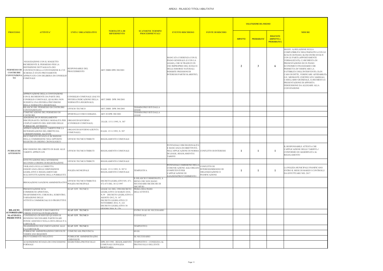|                                                             |                                                                                                                                                                                                                      |                                                                                                              |                                                                                                                                                                                                                               |                                                                                               |                                                                                                                                                                                                         |                                                                           |                | <b>VALUTAZIONE DEL RISCHIO</b> |                                                        |                                                                                                                                                                                                                                                                                                                                                                                                 |
|-------------------------------------------------------------|----------------------------------------------------------------------------------------------------------------------------------------------------------------------------------------------------------------------|--------------------------------------------------------------------------------------------------------------|-------------------------------------------------------------------------------------------------------------------------------------------------------------------------------------------------------------------------------|-----------------------------------------------------------------------------------------------|---------------------------------------------------------------------------------------------------------------------------------------------------------------------------------------------------------|---------------------------------------------------------------------------|----------------|--------------------------------|--------------------------------------------------------|-------------------------------------------------------------------------------------------------------------------------------------------------------------------------------------------------------------------------------------------------------------------------------------------------------------------------------------------------------------------------------------------------|
| <b>PROCESSO</b>                                             | <b>ATTIVITA'</b>                                                                                                                                                                                                     | <b>UNITA' ORGANIZZATIVE</b>                                                                                  | <b>NORMATIVA DI</b><br><b>RIFERIMENTO</b>                                                                                                                                                                                     | <b>SCANSIONE TERMINI</b><br><b>PROCEDIMENTALI</b>                                             | <b>EVENTO RISCHIOSO</b>                                                                                                                                                                                 | <b>FONTE DI RISCHIO</b>                                                   | <b>IMPATTO</b> | <b>PROBABILITA'</b>            | <b>RISULTATO</b><br>(IMPATTO x<br><b>PROBABILITA')</b> | <b>MISURE</b>                                                                                                                                                                                                                                                                                                                                                                                   |
| <b>PERMESSO DI</b><br><b>COSTRUIRE</b><br>CONVENZIONA<br>TO | NEGOZIAZIONE CON IL SOGGETTO<br>RICHIEDENTE IL PERMESSO PER LA<br>DEFINIZIONE DETTAGLIATA DEI<br>CONTENUTI DELLA CONVENZIONE IL CUI<br>SCHEMA È STATO PREVIAMENTE<br>APPROVATO CON DELIBERA DI CONSIGLIO<br>COMUNALE | RESPONSABILE DEL<br><b>PROCEDIMENTO</b>                                                                      | ART 28BIS DPR 380/2001                                                                                                                                                                                                        |                                                                                               | MANCATA COERENZA CON IL<br>PIANO GENERALE (E CON LA<br>LEGGE), CHE SI TRADUCE IN<br>USO IMPROPRIO DEL SUOLO E<br>DELLE RISORSE NATURALI.<br><b>INDEBITE PRESSIONI DI</b><br>INTERESSI PARTICOLARISTICI; |                                                                           | $\overline{2}$ | $\mathbf{3}$                   | 6                                                      | SEGUE: A) RELAZIONE SU<br>COMPATIBILITA' DELL'INI<br>SCELTE DI PIANO; B) INCO<br>CON LE PARTI (APPOSITA<br>VERBALIZZATI); C) RICHI<br>PRESENTAZIONE DI UN P<br>ECONOMICO FINANZIARI<br>PERMETTA DI VERIFICAR<br><b>FATTIBILITA' DELL'INTER'</b><br>CASO DI DITTE, VERIFICA<br>O.E. MEDIANTE CERTIFIC<br>CASELLARIO GIUDIZIALE<br>PRESENTAZIONE DI APPC<br>FIDEIUSSIONE DA ALLEG.<br>CONVENZIONE |
|                                                             | APPROVAZIONE DELLA CONVENZIONE<br>CON IL RICHIEDENTE DA PARTE DEL<br>CONSIGLIO COMUNALE, QUALORA NON<br>SUSSISTA UNA DIVERSA PREVISIONE<br>DELLA NORMATIVA REGIONALE.                                                | CONSIGLIO COMUNALE (SALVO<br>DIVERSA INDICAZIONE DELLA ART 28BIS DPR 380/2001<br><b>NORMATIVA REGIONALE)</b> |                                                                                                                                                                                                                               |                                                                                               |                                                                                                                                                                                                         |                                                                           |                |                                |                                                        |                                                                                                                                                                                                                                                                                                                                                                                                 |
|                                                             | RILASCIO DEL PERMESSO DI COSTRUIRE<br>CONVENZIONATO                                                                                                                                                                  | UFFICIO TECNICO                                                                                              | ART 28BIS DPR 380/2001                                                                                                                                                                                                        | <b>TERMINI PREVISTI DALLA</b><br>LEGGE                                                        |                                                                                                                                                                                                         |                                                                           |                |                                |                                                        |                                                                                                                                                                                                                                                                                                                                                                                                 |
|                                                             | COMUNICAZIONE DEL PERMESSO DI<br>COSTRUIRE                                                                                                                                                                           | SPORTELLO UNICO EDILIZIA                                                                                     | ART 20 DPR 380/2001                                                                                                                                                                                                           | FERMINI PREVISTI DALLA<br>LEGGE                                                               |                                                                                                                                                                                                         |                                                                           |                |                                |                                                        |                                                                                                                                                                                                                                                                                                                                                                                                 |
|                                                             | ADOZIONE DI UN REGOLAMENTO<br>DISCIPLINANTE CRITERI E MODALITÀ PER ORGANI DI GOVERNO<br>L'ESPLETAMENTO DEL SERVIZIO DELLE<br>PUBBLICHE AFFISSIONI                                                                    | (CONSIGLIO COMUNALE)                                                                                         | D.LGS. 15/11/1993, N. 507                                                                                                                                                                                                     |                                                                                               |                                                                                                                                                                                                         |                                                                           |                |                                |                                                        |                                                                                                                                                                                                                                                                                                                                                                                                 |
|                                                             | APPROVAZIONE DELLE TARIFFE PER LA<br>DETERMINAZIONE DEL DIRITTO DA<br>CORRISPONDERE ALL'ENTE                                                                                                                         | ORGANI DI GOVERNO (GIUNTA<br>COMUNALE)                                                                       | D.LGS. 15/11/1993, N. 507                                                                                                                                                                                                     |                                                                                               |                                                                                                                                                                                                         |                                                                           |                |                                |                                                        |                                                                                                                                                                                                                                                                                                                                                                                                 |
|                                                             | RICEVIMENTO ISTANZA E ISCRIZIONE<br>DELLA COMMISSIONE NELL'APPOSITO<br>REGISTRO IN ORDINE CRONOLOGICO                                                                                                                | UFFICIO TECNICO/TRIBUTI                                                                                      | REGOLAMENTO COMUNALE                                                                                                                                                                                                          |                                                                                               |                                                                                                                                                                                                         |                                                                           |                |                                |                                                        |                                                                                                                                                                                                                                                                                                                                                                                                 |
| <b>PUBBLICHE</b><br><b>AFFISSIONI</b>                       | RISCOSSIONE DEL DIRITTO IN BASE ALLE<br><b><i>TARIFFE APPROVATE</i></b>                                                                                                                                              | UFFICIO TECNICO/TRIBUTI                                                                                      | REGOLAMENTO COMUNALE                                                                                                                                                                                                          |                                                                                               | POTENZIALE DISCREZIONALITÀ<br>E MANCANZA DI OBIETTIVITÀ<br>NELL'APPLICAZIONE DI NORMA CONFLITTO DI INTERESSI<br>DI LEGGE, REGOLAMENTI E<br><b>TARIFFE</b>                                               |                                                                           |                | -1                             | -1                                                     | IL RESPONSABILE ATTES'<br>L'APPLICAZIONE DELLE T<br><b>CONFORME ED AGGIORN</b><br>REGOLAMENTO                                                                                                                                                                                                                                                                                                   |
|                                                             | EFFETTUAZIONE DELL'AFFISSIONE<br>SECONDO L'ORDINE DI REGISTRAZIONE                                                                                                                                                   | UFFICIO TECNICO/TRIBUTI                                                                                      | REGOLAMENTO COMUNALE                                                                                                                                                                                                          |                                                                                               |                                                                                                                                                                                                         |                                                                           |                |                                |                                                        |                                                                                                                                                                                                                                                                                                                                                                                                 |
|                                                             | VIGILANZA SULLA CORRETTA<br>OSSERVANZA DELLE DISPOSIZIONI<br>LEGISLATIVE E REGOLAMENTARI<br>SULL'EFFETTUAZIONE DELLA PUBBLICITÀ                                                                                      | POLIZIA MUNICIPALE                                                                                           | D.LGS. 15/11/1993, N. 507 E<br>REGOLAMENTO COMUNALE                                                                                                                                                                           | <b>TEMPESTIVA</b>                                                                             | POTENZIALE OMISSIONE DELL<br>COMUNICAZIONE AGLI ORGAN<br><b>COMPETENTI PER</b><br>L'APPLICAZIONE DI<br>SANZIONI/PROVVEDIMENTI I                                                                         | ONFLITTO DI<br>INTERESSI/BISOGNO DI<br>ORGANIZZAZIONE O<br>PIANIFICAZIONE |                |                                | $\mathbf{1}$                                           | LA POLIZIA MUNICIPALE<br>ENTRO IL MESE DI MARZ<br>DA EFFETTUARE NEL 201                                                                                                                                                                                                                                                                                                                         |
|                                                             | IRROGAZIONE SANZIONI AMMINISTRATIVE                                                                                                                                                                                  | UFFICIO TECNICO/TRIBUTI E<br>POLIZIA MUNICIPALE                                                              | DECRETI LEGISLATIVI NN. 471-<br>472-473 DEL 18/12/1997                                                                                                                                                                        | IL RILASCIO È IMMEDIATO, A<br><b>MENO CHE NON SIANO</b><br>NECESSARIE RICERCHE DI<br>ARCHIVIO |                                                                                                                                                                                                         |                                                                           |                |                                |                                                        |                                                                                                                                                                                                                                                                                                                                                                                                 |
|                                                             | PRESENTAZIONE SCIA<br>COMMERCIO: APERTURA,<br>TRASFERIMENTO, CHIUSURA, SUBENTRO,<br>VARIAZIONE DELLE<br>ATTIVITÀ COMMERCIALI E/O PRODUTTIVE                                                                          | SUAP / UFF. TECNICO                                                                                          | LEGGE 241 DEL 1990 DECRETO<br>LEGISLATIVO 26 MARZO 2010,<br>N.59 DECRETO LEGISLATIVO 6<br>AGOSTO 2012, N. 147<br>DECRETO LEGISLATIVO 25<br><b>NOVEMBRE 2016, N. 222</b><br>DECRETO LEGISLATIVO 30<br><b>ELICNO 2016 N 126</b> | PRIMA DELL'INZIO<br><b>DELL'ATTIVITÀ</b>                                                      |                                                                                                                                                                                                         |                                                                           |                |                                |                                                        |                                                                                                                                                                                                                                                                                                                                                                                                 |
| <b>RILASCIO</b>                                             | VERIFICA ISTANZE E DOCUMENTI E<br><b>AUTORIZZAZIO CHIEDE EVENTALI INTEGRAZIONE</b>                                                                                                                                   | <b>SUAP/UFF. TECNICO</b>                                                                                     |                                                                                                                                                                                                                               | ENTRO 30 GG SE NECESSARIO                                                                     |                                                                                                                                                                                                         |                                                                           |                |                                |                                                        |                                                                                                                                                                                                                                                                                                                                                                                                 |
| NI ATTIVITÀ<br><b>PRODUTTIVE</b>                            | CONFERENZA DI SERVIZI QUANDO SI<br>RENDONO NECESSARIE PARTICOLARI<br>INTESE ASSENSI O NULLA OSTA DELLE P.A                                                                                                           | <b>SUAP / UFF. TECNICO</b>                                                                                   |                                                                                                                                                                                                                               | EVENTUALE                                                                                     |                                                                                                                                                                                                         |                                                                           |                |                                |                                                        |                                                                                                                                                                                                                                                                                                                                                                                                 |
|                                                             | COINVOLTE<br>TRASMISSIONE DOCUMENTAZIONE ALLE                                                                                                                                                                        | <b>SUAP/UFF. TECNICO</b>                                                                                     |                                                                                                                                                                                                                               | <b>TEMPESTIVO</b>                                                                             |                                                                                                                                                                                                         |                                                                           |                |                                |                                                        |                                                                                                                                                                                                                                                                                                                                                                                                 |
|                                                             | <b>A COINVOLTE</b><br>PUBBLICHE AMINISTRAZIONI COINVOLTE                                                                                                                                                             | COMUNE/ASL/PROVINCIA                                                                                         |                                                                                                                                                                                                                               | 60 <sub>GG</sub>                                                                              |                                                                                                                                                                                                         |                                                                           |                |                                |                                                        |                                                                                                                                                                                                                                                                                                                                                                                                 |
|                                                             | VERIFICANO REQUISITI<br>PROVVEDIMENTO NEGATIVO                                                                                                                                                                       | PUBBLICHE AMMINISTRAZINI                                                                                     |                                                                                                                                                                                                                               | SE NECESSARIO                                                                                 |                                                                                                                                                                                                         |                                                                           |                |                                |                                                        |                                                                                                                                                                                                                                                                                                                                                                                                 |
|                                                             |                                                                                                                                                                                                                      | <b>COINVOLTE</b>                                                                                             |                                                                                                                                                                                                                               |                                                                                               |                                                                                                                                                                                                         |                                                                           |                |                                |                                                        |                                                                                                                                                                                                                                                                                                                                                                                                 |
|                                                             | ACQUISIZIONE ISTANZA DI CONCESSIONE<br>FORMALE                                                                                                                                                                       | SEGRETERIA-PROTOCOLLO                                                                                        | DPR 285/1990 - REGOLAMENTO<br>COMUNALE DI POLIZIA<br><b>MORTUARIA</b>                                                                                                                                                         | TEMPESTIVO - CONSEGNA AL<br>PROTOCOLLO DELL'ENTE                                              |                                                                                                                                                                                                         |                                                                           |                |                                |                                                        |                                                                                                                                                                                                                                                                                                                                                                                                 |

| <b>MISURE</b>                                                                                                                                                                                                                                                                                                                                                                                                                                                                                                          |
|------------------------------------------------------------------------------------------------------------------------------------------------------------------------------------------------------------------------------------------------------------------------------------------------------------------------------------------------------------------------------------------------------------------------------------------------------------------------------------------------------------------------|
|                                                                                                                                                                                                                                                                                                                                                                                                                                                                                                                        |
| SEGUE: A) RELAZIONE SULLA<br>COMPATIBILITA' DELL'INIZIATIVA CON LE<br>SCELTE DI PIANO; B) INCONTRI SVOLTI<br>CON LE PARTI (APPOSITAMENTE<br>VERBALIZZATI); C) RICHIESTA DI<br>PRESENTAZIONE DI UN PIANO<br>ECONOMICO FINANZIARIO CHE<br>PERMETTA DI VERIFICARE LA<br>FATTIBILITA' DELL'INTERVENTO; D) IN<br>CASO DI DITTE, VERIFICARE AFFIDABILITà<br>O.E. MEDIANTE CERTIFICATI CAMERALI,<br>CASELLARIO GIUDIZIALE, E) RICHIESTA E<br>PRESENTAZIONE DI APPOSITA<br>FIDEIUSSIONE DA ALLEGARE ALLA<br><b>CONVENZIONE</b> |
|                                                                                                                                                                                                                                                                                                                                                                                                                                                                                                                        |
|                                                                                                                                                                                                                                                                                                                                                                                                                                                                                                                        |
|                                                                                                                                                                                                                                                                                                                                                                                                                                                                                                                        |
|                                                                                                                                                                                                                                                                                                                                                                                                                                                                                                                        |
|                                                                                                                                                                                                                                                                                                                                                                                                                                                                                                                        |
| IL RESPONSABILE ATTESTA CHE<br>L'APPLICAZIONE DELLE TARIFFE e'<br>CONFORME ED AGGIORNATA AL<br>REGOLAMENTO                                                                                                                                                                                                                                                                                                                                                                                                             |
|                                                                                                                                                                                                                                                                                                                                                                                                                                                                                                                        |
| LA POLIZIA MUNICIPALE PIANIFICANO<br>ENTRO IL MESE DI MARZO I CONTROLLI<br>DA EFFETTUARE NEL 2017                                                                                                                                                                                                                                                                                                                                                                                                                      |
|                                                                                                                                                                                                                                                                                                                                                                                                                                                                                                                        |
|                                                                                                                                                                                                                                                                                                                                                                                                                                                                                                                        |
|                                                                                                                                                                                                                                                                                                                                                                                                                                                                                                                        |
|                                                                                                                                                                                                                                                                                                                                                                                                                                                                                                                        |
|                                                                                                                                                                                                                                                                                                                                                                                                                                                                                                                        |
|                                                                                                                                                                                                                                                                                                                                                                                                                                                                                                                        |
|                                                                                                                                                                                                                                                                                                                                                                                                                                                                                                                        |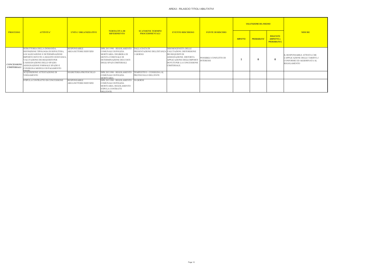| <b>PROCESSO</b>                          |                                                                                                                                                                                                                                                                                                       |                                              |                                                                                                                                                                         |                                                                                         |                                                                                                                                                     |                                            |                | <b>VALUTAZIONE DEL RISCHIO</b> |                                                        |                                                                                                            |
|------------------------------------------|-------------------------------------------------------------------------------------------------------------------------------------------------------------------------------------------------------------------------------------------------------------------------------------------------------|----------------------------------------------|-------------------------------------------------------------------------------------------------------------------------------------------------------------------------|-----------------------------------------------------------------------------------------|-----------------------------------------------------------------------------------------------------------------------------------------------------|--------------------------------------------|----------------|--------------------------------|--------------------------------------------------------|------------------------------------------------------------------------------------------------------------|
|                                          | <b>ATTIVITA'</b>                                                                                                                                                                                                                                                                                      | <b>UNITA' ORGANIZZATIVE</b>                  | <b>NORMATIVA DI</b><br><b>RIFERIMENTO</b>                                                                                                                               | <b>SCANSIONE TERMINI</b><br><b>PROCEDIMENTALI</b>                                       | <b>EVENTO RISCHIOSO</b>                                                                                                                             | <b>FONTE DI RISCHIO</b>                    | <b>IMPATTO</b> | <b>PROBABILITA'</b>            | <b>RISULTATO</b><br>(IMPATTO x<br><b>PROBABILITA')</b> | <b>MISURE</b>                                                                                              |
| <b>CONCESSIONI</b><br><b>CIMITERIALI</b> | ISTRUTTORIA DELLA DOMANDA.<br>DEFINIZIONE TIPOLOGIA DI SEPOLTURA.<br>LOCALIZZAZIONE E DETERMINAZIONE<br>IMPORTO DOVUTO A SEGUITO DI ISTANZA.<br>VALUTAZIONE DEI REQUISITI PER<br>L'ASSEGNAZIONE DELLO SPAZIO.<br>ASSEGNAZIONE FORMALE SPAZIO E<br>CONSEGNA MODULO DI PAGAMENTO<br><b><i>ALEDI</i></b> | <b>RESPONSABILE</b><br>AREA/SETTORE/SERVIZIO | DPR 285/1990 - REGOLAMENTO<br><b>COMUNALE DI POLIZIA</b><br>MORTUARIA. DELIBERA DI<br><b>GIUNTA COMUNALE DI</b><br>DETERMINAZIONE DEI COSTI<br>DEGLI SPAZI CIMITERIALI. | <b>DALLA DATA DI</b><br>PRESENTAZIONE DELL'ISTANZA VALUTAZIONI. DISTORSIONE<br>1 GIORNO | DISOMOGENEITÀ DELLE<br>DEI REQUISITI DI<br>ASSEGNAZIONE, DISTORTA<br>APPLICAZIONE DEGLI IMPORTI<br><b>DOVUTI PER LA CONCESSIONE</b><br>CIMITERIALE. | POSSIBILE CONFLITTO DI<br><b>INTERESSI</b> |                |                                | $\mathbf{0}$                                           | <b>IL RESPONSABILE ATTES</b><br>L'APPLICAZIONE DELLE T<br><b>CONFORME ED AGGIORN</b><br><b>REGOLAMENTO</b> |
|                                          | ACQUISIZIONE ATTESTAZIONE DI<br><b>VERSAMENTO</b>                                                                                                                                                                                                                                                     | SEGRETERIA-PROTOCOLLO                        | DPR 285/1990 - REGOLAMENTO<br><b>COMUNALE DI POLIZIA</b><br><b>MORTUARIA</b>                                                                                            | TEMPESTIVO - CONSEGNA AL<br>PROTOCOLLO DELL'ENTE                                        |                                                                                                                                                     |                                            |                |                                |                                                        |                                                                                                            |
|                                          | STIPULA CONTRATTO DI CONCESSIONE                                                                                                                                                                                                                                                                      | <b>RESPONSABILE</b><br>AREA/SETTORE/SERVIZIO | DPR 285/1990 - REGOLAMENTO 30 GIORNI<br><b>COMUNALE DI POLIZIA</b><br>MORTUARIA. REGOLAMENTO<br>STIPULA CONTRATTI<br>DELL'ENTE.                                         |                                                                                         |                                                                                                                                                     |                                            |                |                                |                                                        |                                                                                                            |

| <b>MISURE</b>                                                                                              |
|------------------------------------------------------------------------------------------------------------|
| IL RESPONSABILE ATTESTA CHE<br>L'APPLICAZIONE DELLE TARIFFE e'<br>CONFORME ED AGGIORNATA AL<br>REGOLAMENTO |
|                                                                                                            |
|                                                                                                            |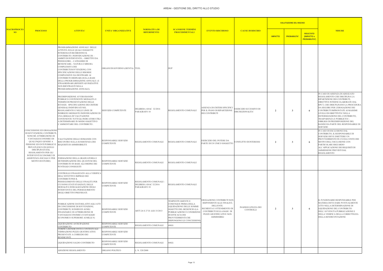## AREA4 - GESTIONE DEL DIRITTO ALLO STUDIO

|                          |                                                                                                                                                                                                                                                                                              | <b>PROCESSO</b><br><b>ATTIVITA'</b><br><b>UNITA' ORGANIZZATIVE</b>                                                                                                                                                                                                                                                                                                                                                                                                                                                                  |                                            |                                                                 |                                                                                                                                                                                                         |                                                                                                                                                                                  |                                           |                     | <b>VALUTAZIONE DEL RISCHIO</b>                                 |               |                                                                                                                                                                                                                                                                                                                                                                                                                                        |
|--------------------------|----------------------------------------------------------------------------------------------------------------------------------------------------------------------------------------------------------------------------------------------------------------------------------------------|-------------------------------------------------------------------------------------------------------------------------------------------------------------------------------------------------------------------------------------------------------------------------------------------------------------------------------------------------------------------------------------------------------------------------------------------------------------------------------------------------------------------------------------|--------------------------------------------|-----------------------------------------------------------------|---------------------------------------------------------------------------------------------------------------------------------------------------------------------------------------------------------|----------------------------------------------------------------------------------------------------------------------------------------------------------------------------------|-------------------------------------------|---------------------|----------------------------------------------------------------|---------------|----------------------------------------------------------------------------------------------------------------------------------------------------------------------------------------------------------------------------------------------------------------------------------------------------------------------------------------------------------------------------------------------------------------------------------------|
| <b>MACROPROCES</b><br>SO |                                                                                                                                                                                                                                                                                              |                                                                                                                                                                                                                                                                                                                                                                                                                                                                                                                                     | NORMATIVA DI<br><b>RIFERIMENTO</b>         | <b>SCANSIONE TERMINI</b><br><b>PROCEDIMENTALI</b>               | <b>EVENTO RISCHIOSO</b>                                                                                                                                                                                 | <b>CAUSE DI RISCHIO</b>                                                                                                                                                          | <b>IMPATTO</b>                            | <b>PROBABILITA'</b> | <b>RISULTATO</b><br><b>(IMPATTO x)</b><br><b>PROBABILITA')</b> | <b>MISURE</b> |                                                                                                                                                                                                                                                                                                                                                                                                                                        |
|                          |                                                                                                                                                                                                                                                                                              | PROGRAMMAZIONE ANNUALE DELLE<br>ATTIVITÀ SULLE QUALI I SOGGETTI<br><b>INTERESSATI RICHIEDONO IL</b><br>CONTRIBUTO. INDIVIDUAZIONE DI: -<br>AMBITI DI INTERVENTO; - OBIETTIVI DA<br>PERSEGUIRE; - CATEGORIE DI<br>BENEFICIARI; - NATURA E MISURA<br>COMPLESSIVA DEI<br>CONTRIBUTI/SOVVENZIONI, CON<br>SPECIFICAZIONE DELLE RISORSE<br>COMPLESSIVE DA DESTINARE AI<br>CONTRIBUTI ORDINARI (SULLA BASE<br>DELLA PROGRAMMAZIONE ANNUALE ) E<br>STRAORDINARI (RIFERITI AD INIZIATIVE<br>NON RIENTRANTI NELLA<br>PROGRAMMAZIONE ANNUALE). | ORGANI DI GOVERNO (GIUNTA) TUEL            |                                                                 | <b>DUP</b>                                                                                                                                                                                              |                                                                                                                                                                                  |                                           |                     |                                                                |               |                                                                                                                                                                                                                                                                                                                                                                                                                                        |
|                          |                                                                                                                                                                                                                                                                                              | PREDISPOSIZIONE AVVISO/BANDO<br>PUBBLICO CONTENENTE MODALITÀ E<br>TERMINI DI PRESENTAZIONE DELLE<br>ISTANZE. SPECIFICAZIONE DEI CRITERI<br><b>GENERALI INDIVIDUATI NEL</b><br>REGOLAMENTO E NELLE LINEE DI<br>INDIRIZZO MEDIANTE INDIVIDUAZIONE DI<br>UNA GRIGLIA DI VALUTAZIONE<br>CONTENENTE TUTTI GLI INDICATORI UTILI<br>A DETERMINARE IN MODO OGGETTIVO<br>. AMMONTARE DEL CONTRIBUTO'.                                                                                                                                        | <b>SERVIZIO COMPETENTE</b>                 | DELIBERA ANAC 32/2016<br>PARAGRAFO 10                           | REGOLAMENTO COMUNALE                                                                                                                                                                                    | ASSENZA DI CRITERI SPECIFICI<br>PER IL PIANO DI RIPARTIZIONE<br>DEI CONTRIBUTI                                                                                                   | SERCIZIO ECCESSIVO DI<br>DISCREZIONALITA' | $\overline{2}$      | 3                                                              |               | IN CASO DI ASSENZA DI ADEGUATO<br>REGOLAMENTO CHE DISCIPLINA LA<br>RIPARTIZIONE DEI CONTRIBUTI,<br>DIRETTIVE INTERNE ELABORATE DAL<br>RPCT, CHE DISICPLINANO LA PROCEDURA<br>DA SEGUIRE PER L'EROGAZIONE DEI<br>CONTRIBUTI IMPRONTATE AI MASSIMI<br>LIVELLI DI OBIETTIVITA' NELLA<br>DETERMIANZIONE DEL CONTRIBUTO,<br>TRASPARENZA E PUBBLICITA' -<br>OBBLIGO DI PREDISPOSIZIONE DEL<br>BANDO DA PARTE DEL RESPONSABILE DI<br>SERVIZIO |
|                          | CONCESSIONE ED EROGAZIONE<br>DI SOVVENZIONI, CONTRIBUTI,<br>NONCHÉ ATTRIBUZIONE DI<br>VANTAGGI ECONOMICI DI<br>QUALUNQUE GENERE A<br>PERSONE ED ENTI PUBBLICI E<br>PRIVATI (ESCLUSI QUELLI<br>DISCIPLINATI DAL<br>REGOLAMENTO PER GLI<br><b>INTERVENTI ECONOMICI DI</b><br>MOTIVI DI STUDIO) | VALUTAZIONE DELLE DOMANDE CON<br>RISCONTRO SULLA SUSSISTENZA DEI<br>REQUISITI DI AMMISSIBILITÀ                                                                                                                                                                                                                                                                                                                                                                                                                                      | RESPONSABILE SERVIZIO<br><b>COMPETENTE</b> | REGOLAMENTO COMUNALE                                            | REGOLAMENTO COMUNALE                                                                                                                                                                                    | ESERCIZIO DEL POTERE DA<br>PARTE DI UN UNICO SOGGETTO                                                                                                                            | CONFLITTO DI INTERESSI                    | $\overline{2}$      | -3                                                             |               | IN CASO DI ESCLUSIONE DAL<br>CONTRIBUTO, IL RESPONSABILE DI<br>SERVIZIO DEVE EMETTERE UN<br>PROVVEDIMENTO IN CUI DA CONTO DEI<br>MOTIVI DELL'ESCLUSIONE CON<br>PARTICOLARE RIGUARDO<br>ALL'APPLICAZIONE DEI REQUISITI DI<br>AMMISSIONE PREVISTI DAL<br><b>REGOLAMENTO</b>                                                                                                                                                              |
|                          |                                                                                                                                                                                                                                                                                              | ASSISTENZA SOCIALE E PER FORMAZIONE DELLA GRADUATORIA E<br>DETERMINAZIONE DEL QUANTUM DEL<br>CONTRIBUTO IN BASE ALL'ORDINE DEI<br>PUNTEGGI CONSEGUITI                                                                                                                                                                                                                                                                                                                                                                               | RESPONSABILE SERVIZIO<br><b>COMPETENTE</b> | REGOLAMENTO COMUNALE                                            | REGOLAMENTO COMUNALE                                                                                                                                                                                    |                                                                                                                                                                                  |                                           |                     |                                                                |               |                                                                                                                                                                                                                                                                                                                                                                                                                                        |
|                          |                                                                                                                                                                                                                                                                                              | CONTROLLO FINALIZZATO ALLA VERIFICA<br>DELL'EFFETTIVO IMPIEGO DEI<br>CONTRIBUTI PER IL<br>PERSEGUIMENTO DELLE FINALITÀ PER<br>CUI SONO STATI STANZIATI, DELLE<br>MODALITÀ DI REALIZZAZIONE DEGLI<br>INTERVENTI E DEL PERSEGUIMENTO<br>DEGLI OBIETTIVI PREFISSATI.                                                                                                                                                                                                                                                                   | RESPONSABILE SERVIZIO<br><b>COMPETENTE</b> | REGOLAMENTO COMUNALE -<br>DELIBERA ANAC 32/2016<br>PARAGRAFO 10 | REGOLAMENTO COMUNALE                                                                                                                                                                                    |                                                                                                                                                                                  |                                           |                     |                                                                |               |                                                                                                                                                                                                                                                                                                                                                                                                                                        |
|                          |                                                                                                                                                                                                                                                                                              | PUBBLICAZIONE DATI RELATIVI AGLI ATTI<br>DI CONCESSIONE DI SOVVENZIONI,<br>CONTRIBUTI, SUSSIDI ED AUSILI<br>FINANZIARI E DI ATTRIBUZIONE DI<br>VANTAGGI ECONOMICI (VANTAGGIO<br>ECONOMICO SUPERIORE AI MILLE $\epsilon$ )                                                                                                                                                                                                                                                                                                           | RESPONSABILE SERVIZIO<br><b>COMPETENTE</b> | ARTT.26 E 27 D. LGS 33/2013                                     | TEMPESTIVAMENTE E<br>COMUNQUE PRIMA DELLA<br>LIQUIDAZIONE DELLE SOMME<br>OGGETTO DEL BENEFICIO (LA<br>PUBBLICAZIONE È CONDIZIONE<br>DI EFFICACIA DEI<br>PROVVEDIMENTI CHE<br>DISPONGONO LE CONCESSIONI) | EROGAZIONE CONTRIBUTI NON<br>RISPONDENTI ALLE FINALITÀ<br>DELL'ENTE.<br>RICHIESTA E OTTENIMENTO DI<br>CONTRIBUTI SULLA BASE DI<br>PEZZE GIUSTIFICATIVE NON<br><b>AMMISSIBILI</b> | <b>INADEGUATEZZA DEI</b><br>CONTROLLI     | $\overline{2}$      | 3                                                              | -6            | IL FUNZIONARIO RESPONSABILE PER<br>MATERIA DEVE DARE PUNTUALMENTE<br>ATTO NELLA DETERMINAZIONE DI<br>LIQUIDAZIONE DEL CONTRIBUTO<br>DELL'AVVENUTA PUBBLICAZIONE E<br>DELLA VERIFICA DELLA CORRETTEZZA<br>DELLA RENDICONTAZIONE                                                                                                                                                                                                         |
|                          |                                                                                                                                                                                                                                                                                              | LIQUIDAZIONE ANTICIPAZIONE<br>CONTRIBUTO                                                                                                                                                                                                                                                                                                                                                                                                                                                                                            | RESPONSABILE SERVIZIO<br><b>COMPETENTE</b> | REGOLAMENTO COMUNALE                                            | 60GG                                                                                                                                                                                                    |                                                                                                                                                                                  |                                           |                     |                                                                |               |                                                                                                                                                                                                                                                                                                                                                                                                                                        |
|                          |                                                                                                                                                                                                                                                                                              | VERIFICA RENDICONTI E CONTESTUALE<br>VIDIMAZIONE PEZZE GIUSTIFICATIVE<br>PRESENTATE A CORREDO DEI<br>RENDICONTI                                                                                                                                                                                                                                                                                                                                                                                                                     | RESPONSABILE SERVIZIO<br><b>COMPETENTE</b> |                                                                 |                                                                                                                                                                                                         |                                                                                                                                                                                  |                                           |                     |                                                                |               |                                                                                                                                                                                                                                                                                                                                                                                                                                        |
|                          |                                                                                                                                                                                                                                                                                              | LIQUIDAZIONE SALDO CONTRIBUTO                                                                                                                                                                                                                                                                                                                                                                                                                                                                                                       | RESPONSABILE SERVIZIO<br><b>COMPETENTE</b> | REGOLAMENTO COMUNALE                                            | 60GG                                                                                                                                                                                                    |                                                                                                                                                                                  |                                           |                     |                                                                |               |                                                                                                                                                                                                                                                                                                                                                                                                                                        |
|                          |                                                                                                                                                                                                                                                                                              | ADOZIONE REGOLAMENTO                                                                                                                                                                                                                                                                                                                                                                                                                                                                                                                | ORGANO POLITICO                            | . N. 328/2000                                                   |                                                                                                                                                                                                         |                                                                                                                                                                                  |                                           |                     |                                                                |               |                                                                                                                                                                                                                                                                                                                                                                                                                                        |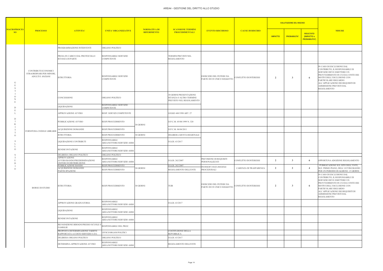|                                       |                                                                      | <b>ATTIVITA'</b>                                                                                                                       |                                                                          |                                                                                |                                                       |                         |                | <b>VALUTAZIONE DEL RISCHIO</b> |                                                        |                                                                                                                                                                                                                                                                    |
|---------------------------------------|----------------------------------------------------------------------|----------------------------------------------------------------------------------------------------------------------------------------|--------------------------------------------------------------------------|--------------------------------------------------------------------------------|-------------------------------------------------------|-------------------------|----------------|--------------------------------|--------------------------------------------------------|--------------------------------------------------------------------------------------------------------------------------------------------------------------------------------------------------------------------------------------------------------------------|
| <b>MACROPROCES</b><br>SO <sub>2</sub> | <b>PROCESSO</b>                                                      |                                                                                                                                        | <b>NORMATIVA DI</b><br><b>UNITA' ORGANIZZATIVE</b><br><b>RIFERIMENTO</b> | <b>SCANSIONE TERMINI</b><br><b>PROCEDIMENTALI</b>                              | <b>EVENTO RISCHIOSO</b>                               | <b>CAUSE DI RISCHIO</b> | <b>IMPATTO</b> | <b>PROBABILITA'</b>            | <b>RISULTATO</b><br>(IMPATTO x<br><b>PROBABILITA')</b> | <b>MISURE</b>                                                                                                                                                                                                                                                      |
|                                       |                                                                      | PROGRAMMAZIONE INTERVENTI                                                                                                              | ORGANO POLITICO                                                          |                                                                                |                                                       |                         |                |                                |                                                        |                                                                                                                                                                                                                                                                    |
|                                       |                                                                      | PRESA IN CARICO DAL PROTOCOLLO<br>ISTANZA DI PARTE                                                                                     | RESPONSABILE SERVIZIO<br><b>COMPETENTE</b>                               | TERMINI PREVISTI NEL<br><b>REGOLAMENTO</b>                                     |                                                       |                         |                |                                |                                                        |                                                                                                                                                                                                                                                                    |
| G                                     | CONTRIBUTI ECONOMICI<br>STRAORDINARI PER MINORI,<br>ADULTI E ANZIANI | <b>ISTRUTTORIA</b>                                                                                                                     | RESPONSABILE SERVIZIO<br><b>COMPETENTE</b>                               |                                                                                | ESERCIZIO DEL POTERE DA<br>PARTE DI UN UNICO SOGGETTO | CONFLITTO DI INTERESSI  | $\overline{2}$ | $\overline{3}$                 | - 6                                                    | IN CASO DI ESCLUSIONE DAL<br>CONTRIBUTO, IL RESPONSABILE DI<br>SERVIZIO DEVE EMETTERE UN<br>PROVVEDIMENTO IN CUI DA CONTO DEI<br>MOTIVI DELL'ESCLUSIONE CON<br>PARTICOLARE RIGUARDO<br>ALL'APPLICAZIONE DEI REQUISITI DI<br>AMMISSIONE PREVISTI DAL<br>REGOLAMENTO |
|                                       |                                                                      | CONCESSIONE                                                                                                                            | ORGANO POLITICO                                                          | 30 GIORNI PRESENTAZIONE<br>ISTANZA O ALTRO TERMINE<br>PREVISTO NEL REGOLAMENTO |                                                       |                         |                |                                |                                                        |                                                                                                                                                                                                                                                                    |
|                                       |                                                                      | LIQUIDAZIONE                                                                                                                           | RESPONSABILE SERVIZIO<br>COMPETENTE                                      |                                                                                |                                                       |                         |                |                                |                                                        |                                                                                                                                                                                                                                                                    |
|                                       |                                                                      | APPROVAZIONE AVVISO                                                                                                                    | RESP. SERVIZI COMPETENTE                                                 | LEGGE 448/1998 ART. 27                                                         |                                                       |                         |                |                                |                                                        |                                                                                                                                                                                                                                                                    |
|                                       |                                                                      | PUBBLICAZIONE AVVISO                                                                                                                   | RESP.PROCEDIMENTO<br>30 GIORNI                                           | D.P.C.M. 05/08/1999 N. 320                                                     |                                                       |                         |                |                                |                                                        |                                                                                                                                                                                                                                                                    |
|                                       | FORNITURA CEDOLE LIBRARIE                                            | ACQUISIZIONE DOMANDE                                                                                                                   | RESP.PROCEDIMENTO                                                        | D.P.C.M. 06/04/2011                                                            |                                                       |                         |                |                                |                                                        |                                                                                                                                                                                                                                                                    |
| $\Omega$                              |                                                                      | <b>ISTRUTTORIA</b>                                                                                                                     | 30 GIORNI<br>RESP.PROCEDIMENTO                                           | DELIBERA GIUNTA REGIONALE                                                      |                                                       |                         |                |                                |                                                        |                                                                                                                                                                                                                                                                    |
|                                       |                                                                      | LIQUIDAZIONE CONTRIBUTI                                                                                                                | RESPONSABILE<br>AREA/SETTORE/SERVIZIO AMM                                | D.LGS. 63/2017                                                                 |                                                       |                         |                |                                |                                                        |                                                                                                                                                                                                                                                                    |
| $\Omega$                              |                                                                      | <b>RENDICONTAZIONE</b>                                                                                                                 | <b>RESPONSABILE</b><br>AREA/SETTORE/SERVIZIO AMM                         |                                                                                |                                                       |                         |                |                                |                                                        |                                                                                                                                                                                                                                                                    |
| $\mathbf{H}$                          |                                                                      | DELIBERA ORGANO POLITICO<br><b>APPROVAZIONE</b>                                                                                        | ORGANO POLITICO<br><b>RESPONSABILE</b>                                   |                                                                                | PREVISIONE DI REQUISITI                               |                         | $\mathcal{L}$  |                                |                                                        |                                                                                                                                                                                                                                                                    |
| D                                     |                                                                      | AVVISO/BANDO/PREDERMINAZIONE<br>CRITERI DI DISTRIBUZIONE<br>PUBBLICAZIONE BANDO                                                        | AREA/SETTORE/SERVIZIO AMM<br>RESP.PROCEDIMENTO                           | D.LGS. 262/2007<br>D.LGS. 262/2007                                             | PERSONALIZZATI                                        | CONFLITTO DI INTERESSI  |                | $\mathbf{3}$                   | -6                                                     | OPPORTUNA ADOZIONE REGOLAMENTO<br>PUBBLICAZIONE SUL SITO DELL'ENTE,                                                                                                                                                                                                |
| $\overline{O}$                        |                                                                      | ACQUISIZIONE DOMANDE<br>PARTECIPAZIONE                                                                                                 | 0 GIORNI<br>RESP.PROCEDIMENTO                                            | REGOLAMENTO DELL'ENTE                                                          | NOSSERVANZA REGOLE<br>PROCEDURALI                     | CARENZA DI TRASPARENZA  | 2              | 2                              | $\overline{4}$                                         | SEZ. PRIMO PIANO, DELL'AVVISO/BANDO<br>PER UN PERIODO DI ALMENO 15 GIORNI                                                                                                                                                                                          |
|                                       | BORSE DI STUDIO                                                      | <b>ISTRUTTORIA</b>                                                                                                                     | 30 GIORNI<br>RESP.PROCEDIMENTO                                           | <b>TUIR</b>                                                                    | ESERCIZIO DEL POTERE DA<br>PARTE DI UN UNICO SOGGETTO | CONFLITTO DI INTERESSI  | 2              | $\overline{\mathbf{3}}$        | - 6                                                    | IN CASO DI ESCLUSIONE DAL<br>CONTRIBUTO, IL RESPONSABILE DI<br>SERVIZIO DEVE EMETTERE UN<br>PROVVEDIMENTO IN CUI DA CONTO DEI<br>MOTIVI DELL'ESCLUSIONE CON<br>PARTICOLARE RIGUARDO<br>ALL'APPLICAZIONE DEI REQUISITI DI<br>AMMISSIONE PREVISTI DAL<br>REGOLAMENTO |
|                                       |                                                                      | APPROVAZIONE GRADUATORIA                                                                                                               | <b>RESPONSABILE</b><br>AREA/SETTORE/SERVIZIO AMM                         | D.LGS. 63/2017                                                                 |                                                       |                         |                |                                |                                                        |                                                                                                                                                                                                                                                                    |
|                                       |                                                                      | LIQUIDAZIONE                                                                                                                           | RESPONSABILE<br>AREA/SETTORE/SERVIZIO AMM                                |                                                                                |                                                       |                         |                |                                |                                                        |                                                                                                                                                                                                                                                                    |
|                                       |                                                                      | <b>RENDICONTAZIONE</b>                                                                                                                 | <b>RESPONSABILE</b><br>AREA/SETTORE/SERVIZIO AMM                         |                                                                                |                                                       |                         |                |                                |                                                        |                                                                                                                                                                                                                                                                    |
|                                       |                                                                      | $\fbox{RICOGNIZIONE BISOGNI PRESSO SCUOLEE}\begin{tabular}{l c c c c} \hline \textbf{RESPONSABLE DEL PROC.} \end{tabular}$<br>FAMIGLIE |                                                                          |                                                                                |                                                       |                         |                |                                |                                                        |                                                                                                                                                                                                                                                                    |
|                                       |                                                                      | PROPOSTA DETERMINAZIONE TARIFFE<br>RAPPORTATA A COSTO SERVIZIO A D.I.                                                                  | UFFICI/ORGANI POLITICI                                                   | COSTITUZIONE DELLA<br><b>REPUBBLICA</b>                                        |                                                       |                         |                |                                |                                                        |                                                                                                                                                                                                                                                                    |
|                                       |                                                                      | DELIBERA ORGANO POLITICO                                                                                                               | ORGANO POLITICO                                                          | D.LGS. 63/2017                                                                 |                                                       |                         |                |                                |                                                        |                                                                                                                                                                                                                                                                    |
|                                       |                                                                      | DETERMINA APPROVAZIONE AVVISO                                                                                                          | RESPONSABILE<br>AREA/SETTORE/SERVIZIO AMM                                | REGOLAMENTO DELL'ENTE                                                          |                                                       |                         |                |                                |                                                        |                                                                                                                                                                                                                                                                    |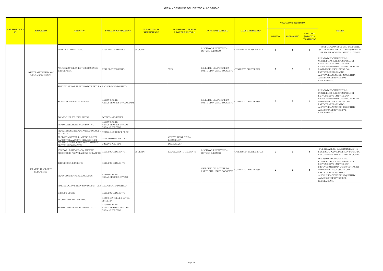## AREA4 - GESTIONE DEL DIRITTO ALLO STUDIO

|                                       |                                           |                                                                        |                                                                   |                                           |                                                   |                                                       | <b>VALUTAZIONE DEL RISCHIO</b> |                |                     |                                                               |                                                                                                                                                                                                                                                                    |
|---------------------------------------|-------------------------------------------|------------------------------------------------------------------------|-------------------------------------------------------------------|-------------------------------------------|---------------------------------------------------|-------------------------------------------------------|--------------------------------|----------------|---------------------|---------------------------------------------------------------|--------------------------------------------------------------------------------------------------------------------------------------------------------------------------------------------------------------------------------------------------------------------|
| <b>MACROPROCES</b><br>SO <sub>2</sub> | <b>PROCESSO</b>                           | <b>ATTIVITA'</b>                                                       | <b>UNITA' ORGANIZZATIVE</b>                                       | <b>NORMATIVA DI</b><br><b>RIFERIMENTO</b> | <b>SCANSIONE TERMINI</b><br><b>PROCEDIMENTALI</b> | <b>EVENTO RISCHIOSO</b>                               | <b>CAUSE DI RISCHIO</b>        | <b>IMPATTO</b> | <b>PROBABILITA'</b> | <b>RISULTATO</b><br><b>(IMPATTO x</b><br><b>PROBABILITA')</b> | <b>MISURE</b>                                                                                                                                                                                                                                                      |
|                                       |                                           | PUBBLICAZIONE AVVISO                                                   | RESP.PROCEDIMENTO                                                 | 30 GIORNI                                 |                                                   | RISCHIO CHE NON VENGA<br>DIFFUSO IL BANDO             | CARENZA DI TRASPARENZA         |                |                     | -1                                                            | PUBBLICAZIONE SUL SITO DELL'ENTE,<br>SEZ. PRIMO PIANO, DELL'AVVISO/BANDO<br>PER UN PERIODO DI ALMENO 15 GIORNI                                                                                                                                                     |
|                                       | AGEVOLAZIONI SU BUONI<br>MENSA SCOLASTICA | ACQUISIZIONE RICHIESTE RIDUZIONE E<br><b>ISTRUTTORIA</b>               | RESP.PROCEDIMENTO                                                 |                                           | TUIR                                              | ESERCIZIO DEL POTERE DA<br>PARTE DI UN UNICO SOGGETTO | CONFLITTO DI INTERESSI         | $\overline{2}$ | -3                  | -6                                                            | IN CASO DI ESCLUSIONE DAL<br>CONTRIBUTO, IL RESPONSABILE DI<br>SERVIZIO DEVE EMETTERE UN<br>PROVVEDIMENTO IN CUI DA CONTO DEI<br>MOTIVI DELL'ESCLUSIONE CON<br>PARTICOLARE RIGUARDO<br>ALL'APPLICAZIONE DEI REQUISITI DI<br>AMMISSIONE PREVISTI DAL<br>REGOLAMENTO |
|                                       |                                           | RIMODULAZIONE PREVISIONI COPERTURA RAG./ORGANO POLITICO                |                                                                   |                                           |                                                   |                                                       |                                |                |                     |                                                               |                                                                                                                                                                                                                                                                    |
|                                       |                                           | RICONOSCIMENTO RIDUZIONE                                               | <b>RESPONSABILE</b><br>AREA/SETTORE/SERVIZIO AMM                  |                                           |                                                   | ESERCIZIO DEL POTERE DA<br>PARTE DI UN UNICO SOGGETTO | CONFLITTO DI INTERESSI         | $\overline{2}$ | -3                  | -6                                                            | IN CASO DI ESCLUSIONE DAL<br>CONTRIBUTO, IL RESPONSABILE DI<br>SERVIZIO DEVE EMETTERE UN<br>PROVVEDIMENTO IN CUI DA CONTO DEI<br>MOTIVI DELL'ESCLUSIONE CON<br>PARTICOLARE RIGUARDO<br>ALL'APPLICAZIONE DEI REQUISITI DI<br>AMMISSIONE PREVISTI DAL<br>REGOLAMENTO |
|                                       |                                           | INCASSO PER VENDITA BUONI                                              | ECONOMATO/UFFICI                                                  |                                           |                                                   |                                                       |                                |                |                     |                                                               |                                                                                                                                                                                                                                                                    |
|                                       |                                           | RENDICONTAZIONE A CONSUNTIVO                                           | RESPONSABILE<br>AREA/SETTORE/SERVIZIO -<br>ORGANO POLITICO        |                                           |                                                   |                                                       |                                |                |                     |                                                               |                                                                                                                                                                                                                                                                    |
|                                       |                                           | RICOGNIZIONE BISOGNI PRESSO SCUOLE E<br><b>FAMIGLIE</b>                | RESPONSABILE DEL PROC.                                            |                                           |                                                   |                                                       |                                |                |                     |                                                               |                                                                                                                                                                                                                                                                    |
|                                       |                                           | PROPOSTA DETERMINAZIONE TARIFFE<br>RAPPORTATA A COSTO SERVIZIO A D.I.  | JFFICI/ORGANI POLITICI                                            |                                           | COSTITUZIONE DELLA<br><b>REPUBBLICA</b>           |                                                       |                                |                |                     |                                                               |                                                                                                                                                                                                                                                                    |
|                                       |                                           | DELIBERA DETERMINAZIONE TARIFFE E<br>CRITERI AGEVOLAZIONI              | ORGANO POLITICO                                                   |                                           | D.LGS. 63/2017                                    |                                                       |                                |                |                     |                                                               |                                                                                                                                                                                                                                                                    |
|                                       |                                           | AVVISO PUBBLICO E ACQUISIZIONE<br>RICHIESTE DI AGEVOLAZIONE SU TARIFFE | RESP. PROCEDIMENTO                                                | 30 GIORNI                                 | REGOLAMENTO DELL'ENTE                             | RISCHIO CHE NON VENGA<br>DIFFUSO IL BANDO             | CARENZA DI TRASPARENZA         | $\overline{2}$ | $\overline{2}$      | $\overline{4}$                                                | PUBBLICAZIONE SUL SITO DELL'ENTE,<br>SEZ. PRIMO PIANO, DELL'AVVISO/BANDO<br>PER UN PERIODO DI ALMENO 15 GIORNI                                                                                                                                                     |
|                                       | SERVIZIO TRASPORTO                        | ISTRUTTORIA RICHIESTE                                                  | RESP. PROCEDIMENTO                                                |                                           |                                                   | ESERCIZIO DEL POTERE DA                               |                                |                |                     |                                                               | IN CASO DI ESCLUSIONE DAL<br>CONTRIBUTO, IL RESPONSABILE DI<br>SERVIZIO DEVE EMETTERE UN<br>PROVVEDIMENTO IN CUI DA CONTO DEI                                                                                                                                      |
|                                       | SCOLASTICO                                | RICONOSCIMENTO AGEVOLAZIONI                                            | <b>RESPONSABILE</b><br>AREA/SETTORE/SERVIZIO                      |                                           |                                                   | PARTE DI UN UNICO SOGGETTO                            | CONFLITTO DI INTERESSI         | $\overline{2}$ | $\overline{2}$      | $\overline{4}$                                                | MOTIVI DELL'ESCLUSIONE CON<br>PARTICOLARE RIGUARDO<br>ALL'APPLICAZIONE DEI REQUISITI DI<br>AMMISSIONE PREVISTI DAL<br>REGOLAMENTO                                                                                                                                  |
|                                       |                                           | RIMODULAZIONE PREVISIONI COPERTURA RAG./ORGANO POLITICO                |                                                                   |                                           |                                                   |                                                       |                                |                |                     |                                                               |                                                                                                                                                                                                                                                                    |
|                                       |                                           | <b>INCASSO QUOTE</b>                                                   | RESP. PROCEDIMENTO                                                |                                           |                                                   |                                                       |                                |                |                     |                                                               |                                                                                                                                                                                                                                                                    |
|                                       |                                           | EROGAZIONE DEL SERVIZIO                                                | RISORSE INTERNE O AFFID.<br>ESTERNO                               |                                           |                                                   |                                                       |                                |                |                     |                                                               |                                                                                                                                                                                                                                                                    |
|                                       |                                           | RENDICONTAZIONE A CONSUNTIVO                                           | <b>RESPONSABILE</b><br>AREA/SETTORE/SERVIZIO -<br>ORGANO POLITICO |                                           |                                                   |                                                       |                                |                |                     |                                                               |                                                                                                                                                                                                                                                                    |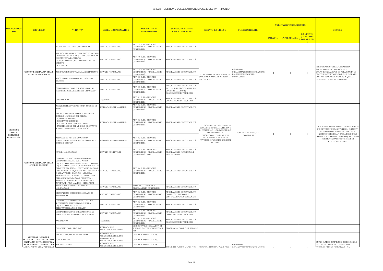| <u> MACROPROC</u>                                                                       | <b>PROCESSO</b>                                                          | <b>ATTIVITA'</b>                                                                                                                                                                                                                                                                                                                                                                                                                                                                                                     | <b>UNITA' ORGANIZZATIVE</b>                                                                                                                                                                                                                          | <b>NORMATIVA DI</b><br><b>RIFERIMENTO</b>                                     | <b>SCANSIONE TERMINI</b><br><b>PROCEDIMENTALI</b>                                                                   | <b>EVENTO RISCHIOSO</b>                                                                           | <b>VALUTAZIONE DEL RISCHIO</b><br><b>FONTE DI RISCHIO</b>                                                                 |                |                                                                           | <b>MISURE</b>                                                                                                                            |
|-----------------------------------------------------------------------------------------|--------------------------------------------------------------------------|----------------------------------------------------------------------------------------------------------------------------------------------------------------------------------------------------------------------------------------------------------------------------------------------------------------------------------------------------------------------------------------------------------------------------------------------------------------------------------------------------------------------|------------------------------------------------------------------------------------------------------------------------------------------------------------------------------------------------------------------------------------------------------|-------------------------------------------------------------------------------|---------------------------------------------------------------------------------------------------------------------|---------------------------------------------------------------------------------------------------|---------------------------------------------------------------------------------------------------------------------------|----------------|---------------------------------------------------------------------------|------------------------------------------------------------------------------------------------------------------------------------------|
| <b>SSO</b><br><b>GESTIONE</b><br><b>DELLE</b><br><b>ENTRATE E</b><br><b>DELLE SPESE</b> |                                                                          |                                                                                                                                                                                                                                                                                                                                                                                                                                                                                                                      |                                                                                                                                                                                                                                                      |                                                                               |                                                                                                                     |                                                                                                   |                                                                                                                           | <b>IMPATTO</b> | <b>RISULTATO</b><br>(IMPATTO x<br><b>PROBABILIT</b><br><b>PROBABILITA</b> |                                                                                                                                          |
|                                                                                         |                                                                          | RICEZIONE ATTO DI ACCERTAMENTO                                                                                                                                                                                                                                                                                                                                                                                                                                                                                       | SERVIZIO FINANZIARIO                                                                                                                                                                                                                                 | ART. 179 TUEL - PRINCIPIO<br>CONTABILE 4.2 - REGOLAMENTO<br>CONTABILITÀ       | REGOLAMENTO DI CONTABILITÀ                                                                                          |                                                                                                   |                                                                                                                           |                |                                                                           |                                                                                                                                          |
|                                                                                         |                                                                          | VERIFICA ELEMENTI ATTO DI ACCERTAMENTO<br>RAGIONE DEL CREDITO; - TITOLO GIURIDICO<br>CHE SUPPORTA IL CREDITO;<br>SOGGETTO DEBITORE; - AMMONTARE DEL<br>CREDITO;<br>SCADENZA;                                                                                                                                                                                                                                                                                                                                         | SERVIZIO FINANZIARIO                                                                                                                                                                                                                                 | ART. 179 TUEL - PRINCIPIO<br>CONTABILE 4.2 - REGOLAMENTO<br>CONTABILITÀ       | REGOLAMENTO DI CONTABILITÀ                                                                                          |                                                                                                   |                                                                                                                           |                |                                                                           | PERIODICAMENTE I RESPONSABILI DI                                                                                                         |
|                                                                                         | <b>GESTIONE ORDINARIA DELLE</b><br><b>ENTRATE DI BILANCIO</b>            | REGISTRAZIONE CONTABILE ACCERTAMENTO SERVIZIO FINANZIARIO                                                                                                                                                                                                                                                                                                                                                                                                                                                            |                                                                                                                                                                                                                                                      | ART. 179 TUEL - PRINCIPIO<br>CONTABILE 4.2 - REGOLAMENTO<br>CONTABILITÀ       | REGOLAMENTO DI CONTABILITÀ                                                                                          | ELUSIONE DELLE PROCEDURE DI                                                                       | BISOGNO DI<br>ORGANIZZAZIONE/PIANIFICAZIONI<br><b>INADEGUATEZZA DELLE</b>                                                 |                |                                                                           | SERVIZIO DEVONO VERIFICARE E<br>COMUNICARE AL RPCT ED ALLA GIUNTA LO<br>STATO DI ACCERTAMENTO DELLE ENTRATE,                             |
|                                                                                         |                                                                          | RISCOSSIONE: EMISSIONE REVERSALE DI<br><b>NCASSO</b>                                                                                                                                                                                                                                                                                                                                                                                                                                                                 | SERVIZIO FINANZIARIO                                                                                                                                                                                                                                 | ART. 180 TUEL - PRINCIPIO<br>CONTABILE 4.2 - REGOLAMENTO<br>CONTABILITÀ       | REGOLAMENTO DI CONTABILITÀ                                                                                          | SVOLGIMENTO DELLE ATTIVITÀ E<br>DI CONTROLLO                                                      | CONOSCENZE                                                                                                                |                |                                                                           | CON PARTICOLARE RIGUARDO A QUELLE<br>DERIVANTI DA ENTRATE PROPRIE                                                                        |
|                                                                                         |                                                                          | CONTABILIZZAZIONE E TRASMISSIONE AL<br>TESORIERE DELLA REVERSALE DI INCASSO                                                                                                                                                                                                                                                                                                                                                                                                                                          | SERVIZIO FINANZIARIO                                                                                                                                                                                                                                 | ART. 180 TUEL - PRINCIPIO<br>CONTABILE 4.2 - REGOLAMENTO<br>CONTABILITÀ       | REGOLAMENTO DI CONTABILITÀ ·<br>ART. 180 TUEL (60 GIORNI PER LA<br>CONTABILIZZAZIONE) -<br>CONVENZIONE DI TESORERIA |                                                                                                   |                                                                                                                           |                |                                                                           |                                                                                                                                          |
|                                                                                         |                                                                          | VERSAMENTO                                                                                                                                                                                                                                                                                                                                                                                                                                                                                                           | <b>TESORIERE</b>                                                                                                                                                                                                                                     | ART. 181 TUEL - PRINCIPIO<br>CONTABILE 4.2 - REGOLAMENTO<br>CONTABILITÀ       | REGOLAMENTO DI CONTABILITÀ<br>CONVENZIONE DI TESORERIA                                                              |                                                                                                   |                                                                                                                           |                |                                                                           |                                                                                                                                          |
|                                                                                         |                                                                          | RICEZIONE PROVVEDIMENTO DI IMPEGNO DI<br><b>SPESA</b>                                                                                                                                                                                                                                                                                                                                                                                                                                                                | RESPONSABILE FINANZIARIO                                                                                                                                                                                                                             | ART. 183 TUEL - PRINCIPIO<br>CONTABILE 4.2 - REGOLAMENTO<br>CONTABILITÀ       | REGOLAMENTO DI CONTABILITÀ                                                                                          |                                                                                                   |                                                                                                                           |                |                                                                           |                                                                                                                                          |
|                                                                                         |                                                                          | VERIFICA ELEMENTI PROVVEDIMENTO DI<br>IMPEGNO: - RAGIONE DEL DEBITO;<br>SOMMA DA PAGARE;<br><b>SOGGETTO CREDITORE;</b><br>SCADENZA DELL'OBBLIGAZIONE;<br>SPECIFICAZIONE DEL VINCOLO COSTITUITO<br>SULLO STANZIAMENTO DI BILANCIO.                                                                                                                                                                                                                                                                                    | ART. 183 TUEL - PRINCIPIO<br>RESPONSABILE FINANZIARIO<br>CONTABILE 4.2 - REGOLAMENTO<br>REGOLAMENTO DI CONTABILITÀ<br>CONTABILITÀ<br>ELUSIONE DELLE PROCEDURE DI<br>SVOLGIMENTO DELLE ATTIVITÀ E<br>DI CONTROLLO - USO IMPROPRIO (<br>DISTORTO DELLA | CARENZA DI ADEGUATI                                                           |                                                                                                                     |                                                                                                   | L'RPCT PREDISPONE APPOSITA CHECK LIST IN<br>CUI DEVONO FIGURARE TUTTI GLI ELEMENTI<br>ESSENZIALI DELL'IMPEGNO E DI CUI IL |                |                                                                           |                                                                                                                                          |
|                                                                                         | <b>SPESE DI BILANCIO</b>                                                 | APPOSIZIONE VISTO DI COPERTURA<br>FINANZIARIA - REGISTRAZIONE CONTABILE<br>IMPEGNO DI SPESA                                                                                                                                                                                                                                                                                                                                                                                                                          | RESPONSABILE FINANZIARIO                                                                                                                                                                                                                             | ART. 183 TUEL - PRINCIPIO<br>CONTABILE 4.2 - REGOLAMENTO<br>CONTABILITÀ       | REGOLAMENTO DI CONTABILITÀ                                                                                          | DISCREZIONALITÀ IN MERITO<br>ALLA VERIFICA AL FINE DI<br>FAVORIRE /SFAVORIRE SOGGETTI<br>ESTERNI. | CONTROLLI                                                                                                                 |                |                                                                           | RESPONSABILE DELLA SPESA DEVE DARE<br>CONTO – LA SUSSISTENZA DEI REQUISITI VIENE<br>VERIFICATA DALL'RPCT IN SEDE DI<br>CONTROLLI INTERNI |
|                                                                                         |                                                                          | ATTO DI LIQUIDAZIONE                                                                                                                                                                                                                                                                                                                                                                                                                                                                                                 | <b>SERVIZIO COMPETENTE</b>                                                                                                                                                                                                                           | ART. 184 TUEL - PRINCIPIO<br>CONTABILE 4.2 - REGOLAMENTO<br>CONTABILITÀ - PEG | REGOLAMENTO DI CONTABILITÀ<br>REGOLAMENTO ACQUISIZIONE<br><b>BENI E SERVIZI</b>                                     |                                                                                                   |                                                                                                                           |                |                                                                           |                                                                                                                                          |
|                                                                                         |                                                                          | CONTROLLI E RISCONTRI AMMINISTRATIVI,<br>CONTABILI E FISCALI SUGLI ATTI DI<br><b>GESTIONE ORDINARIA DELLE</b> LIQUIDAZIONE: - CONNESSIONE DELL'ATTO DI<br>LIQUIDAZIONE CON IL CORRISPONDENTE ATTO<br>DI IMPEGNO DI SPESA; - ESATTA IMPUTAZIONE<br>DELLA SPESA DA LIQUIDARE AGLI INTERVENTI SERVIZIO FINANZIARIO<br>O AI CAPITOLI DI BILANCIO; - VERIFICA<br>ESIBIBILITÀ DELLA SPESA; - COMPLETEZZA<br>DELLA DOCUMENTAZIONE PRODOTTA; -<br>REGOLARITÀ DELLA FATTURA CHE DEVE<br>RIPORTARE – TRA L'ALTRO – GLI ESTREMI |                                                                                                                                                                                                                                                      | ART. 184 TUEL - PRINCIPIO<br>CONTABILE 4.2 - REGOLAMENTO<br>CONTABILITÀ       | REGOLAMENTO DI CONTABILITÀ                                                                                          |                                                                                                   |                                                                                                                           |                |                                                                           |                                                                                                                                          |
|                                                                                         |                                                                          | REGISTRAZIONE CONTABILE DELLA<br>LIQUIDAZIONE                                                                                                                                                                                                                                                                                                                                                                                                                                                                        | SERVIZIO FINANZIARIO                                                                                                                                                                                                                                 | PRINCIPIO CONTABILE 4.2 -<br>REGOLAMENTO CONTABILITÀ                          | REGOLAMENTO DI CONTABILITÀ                                                                                          |                                                                                                   |                                                                                                                           |                |                                                                           |                                                                                                                                          |
|                                                                                         |                                                                          | ORDINAZIONE: EMISSIONE MANDATO DI<br>PAGAMENTO                                                                                                                                                                                                                                                                                                                                                                                                                                                                       | SERVIZIO FINANZIARIO                                                                                                                                                                                                                                 | ART. 185 TUEL - PRINCIPIO<br>CONTABILE 4.2 - REGOLAMENTO<br>CONTABILITÀ       | REGOLAMENTO DI CONTABILITÀ -<br>CORTE COSTITUZIONALE,<br>SENTENZA 17 GIUGNO 2003, N. 211                            |                                                                                                   |                                                                                                                           |                |                                                                           |                                                                                                                                          |
|                                                                                         |                                                                          | CONTROLLO MANDATO DI PAGAMENTO:<br>SUSSISTENZA DELL'IMPEGNO E DELLA<br>LIQUIDAZIONE E AL RISPETTO<br>DELL'AUTORIZZAZIONE DI CASSA                                                                                                                                                                                                                                                                                                                                                                                    | SERVIZIO FINANZIARIO                                                                                                                                                                                                                                 | ART. 185 TUEL - PRINCIPIO<br>CONTABILE 4.2 - REGOLAMENTO<br>CONTABILITÀ       | REGOLAMENTO DI CONTABILITÀ                                                                                          |                                                                                                   |                                                                                                                           |                |                                                                           |                                                                                                                                          |
|                                                                                         |                                                                          | CONTABILIZZAZIONE E TRASMISSIONE AL<br><b>TESORIERE DEL MANDATO DI PAGAMENTO</b>                                                                                                                                                                                                                                                                                                                                                                                                                                     | SERVIZIO FINANZIARIO                                                                                                                                                                                                                                 | ART. 185 TUEL - PRINCIPIO<br>CONTABILE 4.2 - REGOLAMENTO<br>CONTABILITÀ       | REGOLAMENTO DI CONTABILITÀ -<br>CONVENZIONE DI TESORERIA                                                            |                                                                                                   |                                                                                                                           |                |                                                                           |                                                                                                                                          |
|                                                                                         |                                                                          | PAGAMENTO                                                                                                                                                                                                                                                                                                                                                                                                                                                                                                            | <b>TESORIERE</b>                                                                                                                                                                                                                                     | ART. 185 TUEL - PRINCIPIO<br>CONTABILE 4.2 - REGOLAMENTO<br>CONTABILITÀ       | REGOLAMENTO DI CONTABILITÀ -<br>CONVENZIONE DI TESORERIA                                                            |                                                                                                   |                                                                                                                           |                |                                                                           |                                                                                                                                          |
|                                                                                         |                                                                          | CARICAMENTO IN ARCHIVIO                                                                                                                                                                                                                                                                                                                                                                                                                                                                                              | RESPONSABILE<br>AREA/SETTORE/SERVIZIO                                                                                                                                                                                                                | CODICE CIVILE, NORMATIVA DI<br>SETTORE, CAPITOLATO SPECIALE<br>RSII           | PROGRAMMAZIONE PLURIENNALE                                                                                          |                                                                                                   |                                                                                                                           |                |                                                                           |                                                                                                                                          |
|                                                                                         | <b>GESTIONE IMMOBILI:</b>                                                | VERIFICA TIPOLOGIA INTERVENTO                                                                                                                                                                                                                                                                                                                                                                                                                                                                                        | RESPONSABILE<br>AREA/SETTORE/SERVIZIO                                                                                                                                                                                                                | CAPITOLATO SPECIALE RSU                                                       |                                                                                                                     |                                                                                                   |                                                                                                                           |                |                                                                           |                                                                                                                                          |
|                                                                                         | INTERVENTI DI MANUTENZIONE SOPRALLUOGHI<br>ORDINARIA E STRAORDINARIA     |                                                                                                                                                                                                                                                                                                                                                                                                                                                                                                                      | RESPONSABILE<br>AREA/SETTORE/SERVIZIO                                                                                                                                                                                                                | CAPITOLATO SPECIALE RSU                                                       |                                                                                                                     |                                                                                                   |                                                                                                                           |                |                                                                           | ENTRO IL MESE DI MARZO IL RESPONSABILE                                                                                                   |
|                                                                                         | SU BENI MOBILI, IMMOBILI ED ACCERTAMENTO<br>ADEE ADEDTE ALL A EDITIZIONE |                                                                                                                                                                                                                                                                                                                                                                                                                                                                                                                      | RESPONSABILE<br>AREA/SETTORE/SERVIZIO                                                                                                                                                                                                                | CAPITOLATO SPECIALE RSU                                                       |                                                                                                                     | TERMINI PREVISTI DAL CSA O DA MANCATA PIANIEICAZIONE DEGLI CRGANIZZAZIONE/PIANIEICAZIONE.         | BISOGNO DI                                                                                                                |                |                                                                           | DELL'UT, DI CONCERTO CON IL CAPO<br><b>SOLIADRA OPERAT PREDISPONE LIMA</b>                                                               |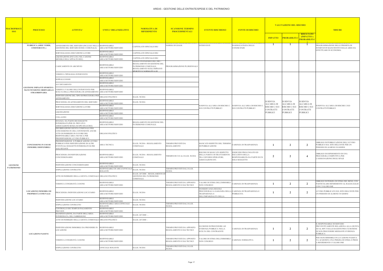| <u> MACROPROC</u><br><b>SSO</b> | <b>PROCESSO</b>                                                                              | <b>ATTIVITA'</b>                                                                                                                                                                                                      | <b>UNITA' ORGANIZZATIVE</b>                                    | <b>NORMATIVA DI</b><br><b>RIFERIMENTO</b>                                                                                                    | <b>SCANSIONE TERMINI</b><br><b>PROCEDIMENTALI</b>                | <b>EVENTO RISCHIOSO</b>                                                                                                 | <b>FONTE DI RISCHIO</b>                                                                             |                              | <b>VALUTAZIONE DEL RISCHIO</b> |                                                      | <b>MISURE</b>                                                                                                                                                      |
|---------------------------------|----------------------------------------------------------------------------------------------|-----------------------------------------------------------------------------------------------------------------------------------------------------------------------------------------------------------------------|----------------------------------------------------------------|----------------------------------------------------------------------------------------------------------------------------------------------|------------------------------------------------------------------|-------------------------------------------------------------------------------------------------------------------------|-----------------------------------------------------------------------------------------------------|------------------------------|--------------------------------|------------------------------------------------------|--------------------------------------------------------------------------------------------------------------------------------------------------------------------|
|                                 |                                                                                              |                                                                                                                                                                                                                       |                                                                |                                                                                                                                              |                                                                  |                                                                                                                         |                                                                                                     | <b>IMPATTO</b>               | <b>PROBABILIT</b>              | <b>RISULTATO</b><br>(IMPATTO x<br><b>PROBABILITA</b> |                                                                                                                                                                    |
|                                 | PUBBLICA (AREE VERDI,<br><b>CIMITERI ETC.)</b>                                               | AFFIDAMENTO DEL SERVIZIO (INCLUSA NELLA<br>GESTIONE DEL SERVIZIO DI RSU COMUNALE)                                                                                                                                     | <b>RESPONSABILE</b><br>AREA/SETTORE/SERVIZIO                   | CAPITOLATO SPECIALE RSU                                                                                                                      | NORMA DI LEGGE                                                   | <b>INTERVENTI</b>                                                                                                       | NADEGUATEZZA DELLE<br>CONOSCENZE                                                                    |                              |                                |                                                      | PROGRAMMAZIONE DELLE PRIORITà DI<br>INTERVENTI MANUTENTIVI SULLE AREE DA                                                                                           |
|                                 |                                                                                              | SORVEGLIANZA ESECUZIONE LAVORI                                                                                                                                                                                        | <b>RESPONSABILE</b><br>AREA/SETTORE/SERVIZIO                   | CAPITOLATO SPECIALE RSU                                                                                                                      |                                                                  |                                                                                                                         |                                                                                                     |                              |                                |                                                      | EFFETTUARE IN ECONOMIA                                                                                                                                             |
|                                 |                                                                                              | LIQUIDAZIONE (INCLUSA NEL CANONE<br>MENSILE DELL'APPALTO RSU)                                                                                                                                                         | RESPONSABILE<br>AREA/SETTORE/SERVIZIO                          | CAPITOLATO SPECIALE RSU                                                                                                                      |                                                                  |                                                                                                                         |                                                                                                     |                              |                                |                                                      |                                                                                                                                                                    |
|                                 |                                                                                              | CARICAMENTO IN ARCHIVIO                                                                                                                                                                                               | RESPONSABILE<br>AREA/SETTORE/SERVIZIO                          | LEGGE FINANZIARIA DEL 2003 -<br>REGOLAMENTO DI GESTIONE DEL<br>PATRIMONIO COMUNALE,<br>REGOLAMENTO SUGLI IMPIANTI<br>SPORTIVI E NORMATIVA DI | PROGRAMMAZIONE PLURIENNALE                                       |                                                                                                                         |                                                                                                     |                              |                                |                                                      |                                                                                                                                                                    |
|                                 |                                                                                              | VERIFICA TIPOLOGIA INTERVENTO                                                                                                                                                                                         | RESPONSABILE<br>AREA/SETTORE/SERVIZIO                          |                                                                                                                                              |                                                                  |                                                                                                                         |                                                                                                     |                              |                                |                                                      |                                                                                                                                                                    |
|                                 |                                                                                              | SOPRALLUOGHI                                                                                                                                                                                                          | <b>RESPONSABILE</b><br>AREA/SETTORE/SERVIZIO                   |                                                                                                                                              |                                                                  |                                                                                                                         |                                                                                                     |                              |                                |                                                      |                                                                                                                                                                    |
|                                 |                                                                                              | <b>ACCERTAMENTO</b>                                                                                                                                                                                                   | RESPONSABILE<br>AREA/SETTORE/SERVIZIO                          |                                                                                                                                              |                                                                  |                                                                                                                         |                                                                                                     |                              |                                |                                                      |                                                                                                                                                                    |
|                                 | <b>GESTIONE IMPIANTI SPORTIVI</b><br><b>MANUTENZIONE ORDINARIA E</b><br><b>STRAORDINARIA</b> | VERIFICA VALORE DELL'INTERVENTO PER<br>SCELTA DELLA PROCEDURA DI AFFIDAMENTO AREA/SETTORE/SERVIZIO                                                                                                                    | RESPONSABILE                                                   |                                                                                                                                              |                                                                  |                                                                                                                         |                                                                                                     |                              |                                |                                                      |                                                                                                                                                                    |
|                                 |                                                                                              | INDIVIDUAZIONE DEL TIPO DI PROCEDURA PER<br><b>AFFIDAMENTO</b>                                                                                                                                                        | ORGANO POLITICO                                                | D.LGS. 50/2016                                                                                                                               |                                                                  |                                                                                                                         |                                                                                                     |                              |                                |                                                      |                                                                                                                                                                    |
|                                 |                                                                                              | PROCEDURA DI AFFIDAMENTO DEL SERVIZIO                                                                                                                                                                                 | RESPONSABILE                                                   | D.LGS. 50/2016                                                                                                                               |                                                                  |                                                                                                                         |                                                                                                     | SI RINVIA                    | SI RINVIA                      | SI RINVIA                                            |                                                                                                                                                                    |
|                                 |                                                                                              | SORVEGLIANZA ESECUZIONE LAVORI                                                                                                                                                                                        | AREA/SETTORE/SERVIZIO<br>RESPONSABILE                          |                                                                                                                                              |                                                                  | SI RINVIA ALL'AREA DI RISCHIO 2                                                                                         | SI RINVIA ALL'AREA DI RISCHIO 2                                                                     | ALL'AREA DI<br>RISCHIO 2 SUI | ALL'AREA DI<br>RISCHIO 2 SUI   | <b>ALL'AREA DI</b><br>RISCHIO 2 SUI                  | I RINVIA ALL'AREA DI RISCHIO 2 SUI                                                                                                                                 |
|                                 |                                                                                              | LIQUIDAZIONE                                                                                                                                                                                                          | AREA/SETTORE/SERVIZIO<br>RESPONSABILE                          |                                                                                                                                              |                                                                  | SUI CONTRATTI PUBBLICI                                                                                                  | SUI CONTRATTI PUBBLICI                                                                              | CONTRATTI<br>PUBBLICI        | <b>CONTRATTI</b><br>PUBBLICI   | <b>CONTRATTI</b><br><b>PUBBLICI</b>                  | CONTRATTI PUBBLICI                                                                                                                                                 |
|                                 |                                                                                              | COLLAUDO                                                                                                                                                                                                              | AREA/SETTORE/SERVIZIO<br>RESPONSABILE                          |                                                                                                                                              |                                                                  |                                                                                                                         |                                                                                                     |                              |                                |                                                      |                                                                                                                                                                    |
|                                 |                                                                                              | ISTANZA DA PARTE DEI SOGGETTI<br>INTERESSATI (PER ES. PRIVATI O                                                                                                                                                       | AREA/SETTORE/SERVIZIO<br>RESPONSABILE<br>AREA/SETTORE/SERVIZIO | REGOLAMENTO DI GESTIONE DEL<br>PATRIMONIO COMUNALE.                                                                                          |                                                                  |                                                                                                                         |                                                                                                     |                              |                                |                                                      |                                                                                                                                                                    |
|                                 | <b>CONCESSIONE IN USO DI</b><br><b>IMMOBILI DISPONIBILI</b>                                  | ASSOCIAZIONI SENZA SCOPO DI LUCRO)<br>DELIBERAZIONE GIUNTA COMUNALE PER<br>CONCESSIONE IN USO, CONTENENTE ANCHE<br>ATTO DI INDIRIZZO IN FAVORE DEL<br>RESPONSABILE AREA TECNICA PER<br>PREDISPOSZIONE AVVISO PUBBLICO | ORGANO POLITICO                                                |                                                                                                                                              |                                                                  |                                                                                                                         |                                                                                                     |                              |                                |                                                      |                                                                                                                                                                    |
|                                 |                                                                                              | PREDISPOSIZIONE E PUBBLICAZIONE AVVISO<br>PUBBLICO PER INDIVIDUAZIONE DI ALTRI<br>EVENTUALI SOGGETTI INTERESSATI OLTRE<br><b>AGLI ISTANTI</b>                                                                         | AREA TECNICA                                                   | D.LGS. 50/2016 - REGOLAMENTO<br>COMUNALE                                                                                                     | TERMINI PREVISTI DA<br>REGOLAMENTO                               | MANCATO RISPETTO DEL TERMINE<br>DI PUBBLICAZIONE                                                                        | 'ARENZA DI TRASPARENZA                                                                              |                              | $\mathbf{2}$                   | $\overline{2}$                                       | OBBLIGO DI PUBBLICAZIONE DELL'AVVISO<br>PUBBLICO SUL SITO DELL'ENTE PER UN<br>PERIODO DI ALMENO 30 GIORNI                                                          |
|                                 |                                                                                              | PROCEDURA DI INDIVIDUAZIONE<br>CONCESSIONARIO                                                                                                                                                                         | RESPONSABILE<br>AREA/SETTORE/SERVIZIO                          | D.LGS. 50/2016 - REGOLAMENTO<br>COMUNALE                                                                                                     | FERMINI DI CUI AL D.LGS. 50/2016                                 | RISCHIO DI MANCATO RISPETTO<br>DELLA PARITA' DI TRATTAMENTO<br><b>TRA I DIVERSI OPERATORI,</b><br>ASSOCIAZIONI ETC.     | ESERCIZIO PROLUNGATO ED<br><b>ESCLUSIVO DELLA</b><br>RESPONSABILITà DA PARTE DI UN<br>SOLO SOGGETTO | $\mathbf{2}$                 | $\mathbf{2}$                   | -4                                                   | OBBLIGO DI ESPERIMENTO DI UNA<br>PROCEDURA COMPETTIVA PER<br>L'ASSEGNAZIONE DEGLI SPAZI                                                                            |
| <b>GESTIONE</b>                 |                                                                                              | INDIVIDUAZIONE CONCESSIONARIO                                                                                                                                                                                         | RESPONSABILE<br>AREA/SETTORE/SERVIZIO                          | D.LGS. 50/2016                                                                                                                               |                                                                  |                                                                                                                         |                                                                                                     |                              |                                |                                                      |                                                                                                                                                                    |
| <b>PATRIMONIO</b>               |                                                                                              | STIPULAZIONE CONTRATTO                                                                                                                                                                                                | RESPONSABILE DI AREA/UFFICIALE<br>ROGANTE                      | D.LGS. 50/2016                                                                                                                               | TERMINI PREVISTI DAL D.LGS.<br>50/2016                           |                                                                                                                         |                                                                                                     |                              |                                |                                                      |                                                                                                                                                                    |
|                                 |                                                                                              | ATTO DI INDIRIZZO DELLA GIUNTA COMUNALE ORGANO POLITICO                                                                                                                                                               |                                                                | D.LGS. 267/2000 - REGOLAMENTO DI<br>GESTIONE DEL PATRIMONIO<br>COMUNALE.                                                                     |                                                                  |                                                                                                                         |                                                                                                     |                              |                                |                                                      |                                                                                                                                                                    |
|                                 |                                                                                              | VERIFICA CONGRUITÀ CANONE                                                                                                                                                                                             | RESPONSABILE<br>AREA/SETTORE/SERVIZIO                          |                                                                                                                                              | TERMINI PREVISTI DA APPOSITO<br>REGOLAMENTO E DAI TECNICI        | VALORE DI STIMA DELL'IMMOBILE<br>NON CONGRUO                                                                            | ARENZA DI TRASPARENZA                                                                               | -1                           | $\overline{2}$                 | $\overline{2}$                                       | OBBLIGO DI PERIZIA DI STIMA DEL BENE, CON<br>PARTICOLARE RIFERIMENTO AL RAGGUAGLIO<br>CON I VALORI OMI                                                             |
|                                 | <b>LOCAZIONE IMMOBILI DI</b><br>PROPRIETÀ COMUNALE                                           | PROCEDURA INDIVIDUAZIONE LOCATARIO                                                                                                                                                                                    | RESPONSABILE<br>AREA/SETTORE/SERVIZIO                          | D.LGS. 50/2016                                                                                                                               |                                                                  | NOSSERVANZA REGOLE<br>PROCEDURALI A GARANZIA DELLA CARENZA DI TRASPARENZA E<br>TRASPARENZA E<br>DELL'IMPARZIALITÀ DELLA | PUBBLICITA                                                                                          |                              | $\overline{2}$                 | $\overline{2}$                                       | AVVISO PUBBLICATO SUL SITO DELL'ENTE PER<br>UN PERIODO DI ALMENO 30 GIORNI                                                                                         |
|                                 |                                                                                              | INDIVIDUAZIONE LOCATARIO                                                                                                                                                                                              | RESPONSABILE<br>AREA/SETTORE/SERVIZIO                          | D.LGS. 50/2016                                                                                                                               |                                                                  |                                                                                                                         |                                                                                                     |                              |                                |                                                      |                                                                                                                                                                    |
|                                 |                                                                                              | STIPULAZIONE CONTRATTO                                                                                                                                                                                                | RESPONSABILE AREA/UFFICIALE<br>ROGANTE                         | D.LGS. 50/2016                                                                                                                               | FERMINI PREVISTI DAL D.LGS.<br>50/2016                           |                                                                                                                         |                                                                                                     |                              |                                |                                                      |                                                                                                                                                                    |
|                                 |                                                                                              | CONTROLLO DEI TEMPI DI PAGAMENTO<br>PREVISTI                                                                                                                                                                          | RESPONSABILE<br>AREA/SETTORE/SERVIZIO                          |                                                                                                                                              |                                                                  |                                                                                                                         |                                                                                                     |                              |                                |                                                      |                                                                                                                                                                    |
|                                 |                                                                                              | MANIFESTAZIONE, DA PARTE DELL'AREA<br>INTERESSATA, DEL FABBISOGNO                                                                                                                                                     | RESPONSABILE<br>AREA/SETTORE/SERVIZIO                          | D.LGS. 267/2000 -                                                                                                                            |                                                                  |                                                                                                                         |                                                                                                     |                              |                                |                                                      |                                                                                                                                                                    |
|                                 |                                                                                              | ATTO DI INDIRIZZO DELLA GIUNTA COMUNALE ORGANO POLITICO                                                                                                                                                               |                                                                | D.LGS. 267/2000 -                                                                                                                            |                                                                  |                                                                                                                         |                                                                                                     |                              |                                |                                                      |                                                                                                                                                                    |
|                                 | <b>LOCAZIONI PASSIVE</b>                                                                     | INDIVIDUAZIONE IMMOBILE DA PRENDERE IN RESPONSABILE<br>LOCAZIONE                                                                                                                                                      | AREA/SETTORE/SERVIZIO                                          |                                                                                                                                              | <b>TERMINI PREVISTI DA APPOSITO</b><br>REGOLAMENTO E DAI TECNICI | ELUSIONE DI PROCEDURE AD<br>EVIDENZA PUBBLICA NELLA<br>SCELTA DEL CONTRAENTE                                            | CARENZA DI TRASPARENZA                                                                              |                              | $\mathbf{2}$                   | $\overline{2}$                                       | IL RESPONSABILE DI SERVIZIO<br>PREVENTIVAMENTE RELAZIONA ALLA GIUNTA<br>ED AL RPCT SULLE RAGIONI PER CUI RITIENE<br>DI NON PROCEDERE MEDIANTE EVIDENZA<br>PUBBLICA |
|                                 |                                                                                              | VERIFICA CONGRUITÀ CANONE                                                                                                                                                                                             | RESPONSABILE<br>AREA/SETTORE/SERVIZIO                          |                                                                                                                                              | TERMINI PREVISTI DA APPOSITO<br>REGOLAMENTO E DAI TECNICI        | VALORE DI STIMA DELL'IMMOBILE<br>NON CONGRUO                                                                            | CARENZA NORMATIVA                                                                                   |                              | 2                              | $\overline{2}$                                       | PER OGNI IMMOBILE IN LCCAZIONE PASSIVA<br>VA ACQUISITA UNA PERIZIA DI STIMA E PRESI<br>A RIFERIMENTO I VALORI OMI                                                  |
|                                 |                                                                                              | STIPULAZIONE CONTRATTO                                                                                                                                                                                                | UFFICIALE ROGANTE                                              | D.LGS. 50/2016                                                                                                                               | TERMINI PREVISTI DAL D.LGS.<br>50/2016                           |                                                                                                                         |                                                                                                     |                              |                                |                                                      |                                                                                                                                                                    |
|                                 |                                                                                              |                                                                                                                                                                                                                       |                                                                |                                                                                                                                              |                                                                  |                                                                                                                         |                                                                                                     |                              |                                |                                                      |                                                                                                                                                                    |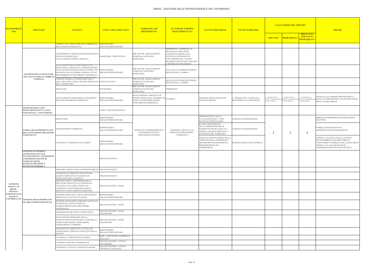| <b>SSO</b><br><b>RIFERIMENTO</b><br><b>PROCEDIMENTALI</b><br><b>PROBABILIT</b><br><b>IMPATTO</b><br>VERIFICA DEL PERMANERE DEL FABBISOGNO RESPONSABILE<br>AREA/SETTORE/SERVIZIO<br>DELL'UFFICIO INTERESSATO<br>TEMPESTIVO - CONSEGNA AL<br>PROTOCOLLO DELL'ENTE<br>DPR 285/1990 - REGOLAMENTO<br>CONTESTUALMENTE ALLA<br>ACQUISIZIONE COMUNICAZIONE DI DECESSO E<br>STANZA DI SEPOLTURA<br>SEGRETERIA - PROTOCOLLO<br>COMUNALE DI POLIZIA<br>EVENTUALE DOMANDA DI<br><b>MORTUARIA</b><br>LOCULO/FOSSA/TOMBA FAMIGLIA).<br>CONCESSIONE NEL CASO DI<br>RICHIESTA SEPOLTURA IN SPAZIO<br>A REGIME DI CONCESSIONE<br>VALUIAZIONE DELLA DISPONIBILITA DI<br>SPAZIO PER LA SEPOLTURA. INDIVIDUAZIONE<br>DPR 285/1990 - REGOLAMENTO<br><b>RESPONSABILE</b><br>DALLA DATA DI PRESENTAZIONE<br>DELLO SPAZIO PER SEPOLTURA IN FOSSA. PER<br>COMUNALE DI POLIZIA<br>AREA/SETTORE/SERVIZIO<br>DELL'ISTANZA 1 GIORNO<br>RICHIESTA LOCULI/TOMBE FAMIGLIA AVVIO<br><b>MORTUARIA</b><br><b>GESTIONE DELLE SEPOLTURE,</b><br>PROCEDIMENTO CONCESSIONE CIMITERIALE<br>DEI LOCULI E DELLE TOMBE DI<br><b>ER MAPPATURA PROCESSO CONCESSIONI</b><br>COMUNICAZIONE AL NECROFORO DELLA<br>DPR 285/1990 - REGOLAMENTO<br><b>FAMIGLIA</b><br><b>DALLA DATA DI PRESENTAZIONE</b><br>DATA, DELL'ORA E DELLO SPAZIO ASSEGNATO UFFICIO TECNICO<br>COMUNALE DI POLIZIA<br>DELL'ISTANZA 1 GIORNO<br><b>MORTUARIA</b><br>PER LA SEPOLTURA<br>DPR 285/1990 - REGOLAMENTO<br>SEPOLTURA<br>NECROFORO<br>COMUNALE DI POLIZIA<br>TEMPESTIVO<br>MORTUARIA<br>REGOLAMENTO COMUNALE DI<br>MISURE PER LA<br>. MISURE PER LA<br><b>RESPONSABILE</b><br>POLIZIA MORTUARIA. DELIBERA DI 30 GIORNI<br>DISTORTA APPLICAZIONE DEI<br>. MISURE PER LA MANCATA<br>NVIO COMUNICAZIONE PER IL PAGAMENTO<br><b>AANCATA RISCOSSIONE MANCATA RISCOSSIONE MANCATA RISCOSSION</b><br>AREA/SETTORE/SERVIZIO<br><b>GIUNTA DI DETERMINAZIONE</b><br>COSTI DEI SERVIZI.<br>DEI COSTI DEI SERVIZI CIMITERIALI<br>RISCOSSIONE ACCERTAMENTI<br><b>ACCERTAMENTI</b><br><b>ACCERTAMENTI</b><br><b>ACCERTAMENTI</b><br>COSTI SERVIZI CIMITERIALI.<br><b>GESTIONE DEGLI ATTI</b><br>JFFICI E ORGANO POLITICO<br>SOCIETARI (STATUTI - PATTI<br>PARASOCIALI - CONVENZIONI)<br>DISOMOGENEITÀ NELLA<br><b>RESPONSABILE</b><br><b>ISTRUTTORIA</b><br>CARENZA DI TRASPARENZA<br>VALUTAZIONE DEI C.V. DEL<br>AREA/SETTORE/SERVIZIO<br>SOGGETTO DESTINATARIO<br>SCARSA TRASPARENZA<br>NELL'ATTRIBUZIONE DELLE<br><b>RESPONSABILE</b><br><b>ADOZIONE PROVVEDIMENTO</b><br>NOMINE POLITICHE; MANCATA<br>ARENZA DI TRASPARENZA<br><b>NOMINA DEI RAPPRESENTANTI</b><br>AREA/SETTORE/SERVIZIO<br>NORMATIVA DI RIFERIMENTO E<br>TEMPISTICA DETTATA DA<br>VERIFICA DEI REQUISITI SULLA<br>$\overline{2}$<br><b>DELL'ENTE PRESSO ORGANISMI</b><br>ATTI REGOALENTARI E<br>ESIGENZA DI PROCEDERE-<br>$\overline{2}$<br>$\overline{4}$<br>CONGRUITÀ DEL COMPENSO<br><b>PARTECIPATI</b><br>PROCEDURALI INTERNI<br>TEMPESTIVO<br>MANCATA EFFETTUAZIONE DELLE<br>VERIFICHE SULLA SUSSISTENZA<br><b>RESPONSABILE</b><br>DEI REQUISITI DI ONORABILITÀ,<br>CONTROLLI E VERIFICHE SUCCESSIVE<br>INADEGUATEZZA DEI CONTROLLI<br>AREA/SETTORE/SERVIZIO<br>PROFESSIONILITÀ ED<br><b>INDIPENDENZA</b><br><b>GESTIONE ECONOMICA:</b><br><b>AUMENTI DI CAPITALE,</b><br>FINANZIAMENTO, ACQUISIZIONI<br>ORGANO POLITICO<br>E DISMISSIONI QUOTE DI<br>PARTECIPAZIONE,<br><b>RAZIONALIZZAZIONE E</b><br><b>REVISIONE PERIODICA</b><br>ORGANO POLITICO<br>ESERCIZIO AZIONE CIVILE DI RESPONSABILITÀ<br>ADOZIONE DI CORRETTIVI PER EVITARE<br>ORGANO POLITICO<br>AGGRAVAMENTO STATO DI CRISI ED<br>NSOLVENZA DELLA SOCIETÀ<br>NDIVIDUAZIONE - DEFINIZIONE DELLA<br>STRUTTURA DEPUTATA AL CONTROLLO<br><b>GESTIONE</b><br>ANALOGO E AD ALTRE ATTIVITÀ DI<br>ORGANO POLITICO - SEGR.<br>SOCIETA' IN<br>CONTROLLO E MONITORAGGIO DELLE<br><b>HOUSE -</b><br>DIRETTIVI E DEGLI OBIETTIVI IMPARTITI<br><b>SOCIETA'</b><br>PARTECIPATE E | <b>VALUTAZIONE DEL RISCHIO</b><br><b>MISURE</b>                                                                                                                                    |
|----------------------------------------------------------------------------------------------------------------------------------------------------------------------------------------------------------------------------------------------------------------------------------------------------------------------------------------------------------------------------------------------------------------------------------------------------------------------------------------------------------------------------------------------------------------------------------------------------------------------------------------------------------------------------------------------------------------------------------------------------------------------------------------------------------------------------------------------------------------------------------------------------------------------------------------------------------------------------------------------------------------------------------------------------------------------------------------------------------------------------------------------------------------------------------------------------------------------------------------------------------------------------------------------------------------------------------------------------------------------------------------------------------------------------------------------------------------------------------------------------------------------------------------------------------------------------------------------------------------------------------------------------------------------------------------------------------------------------------------------------------------------------------------------------------------------------------------------------------------------------------------------------------------------------------------------------------------------------------------------------------------------------------------------------------------------------------------------------------------------------------------------------------------------------------------------------------------------------------------------------------------------------------------------------------------------------------------------------------------------------------------------------------------------------------------------------------------------------------------------------------------------------------------------------------------------------------------------------------------------------------------------------------------------------------------------------------------------------------------------------------------------------------------------------------------------------------------------------------------------------------------------------------------------------------------------------------------------------------------------------------------------------------------------------------------------------------------------------------------------------------------------------------------------------------------------------------------------------------------------------------------------------------------------------------------------------------------------------------------------------------------------------------------------------------------------------------------------------------------------------------------------------------------------------------------------------------------------------------------------------------------------------------------------------------------------------------------------------------------------------------------------------------------------------------------------------------------------------------------------------------------------------------------------------|------------------------------------------------------------------------------------------------------------------------------------------------------------------------------------|
|                                                                                                                                                                                                                                                                                                                                                                                                                                                                                                                                                                                                                                                                                                                                                                                                                                                                                                                                                                                                                                                                                                                                                                                                                                                                                                                                                                                                                                                                                                                                                                                                                                                                                                                                                                                                                                                                                                                                                                                                                                                                                                                                                                                                                                                                                                                                                                                                                                                                                                                                                                                                                                                                                                                                                                                                                                                                                                                                                                                                                                                                                                                                                                                                                                                                                                                                                                                                                                                                                                                                                                                                                                                                                                                                                                                                                                                                                                                            | <b>RISULTATO</b><br>(IMPATTO x<br><b>PROBABILITA</b>                                                                                                                               |
|                                                                                                                                                                                                                                                                                                                                                                                                                                                                                                                                                                                                                                                                                                                                                                                                                                                                                                                                                                                                                                                                                                                                                                                                                                                                                                                                                                                                                                                                                                                                                                                                                                                                                                                                                                                                                                                                                                                                                                                                                                                                                                                                                                                                                                                                                                                                                                                                                                                                                                                                                                                                                                                                                                                                                                                                                                                                                                                                                                                                                                                                                                                                                                                                                                                                                                                                                                                                                                                                                                                                                                                                                                                                                                                                                                                                                                                                                                                            |                                                                                                                                                                                    |
|                                                                                                                                                                                                                                                                                                                                                                                                                                                                                                                                                                                                                                                                                                                                                                                                                                                                                                                                                                                                                                                                                                                                                                                                                                                                                                                                                                                                                                                                                                                                                                                                                                                                                                                                                                                                                                                                                                                                                                                                                                                                                                                                                                                                                                                                                                                                                                                                                                                                                                                                                                                                                                                                                                                                                                                                                                                                                                                                                                                                                                                                                                                                                                                                                                                                                                                                                                                                                                                                                                                                                                                                                                                                                                                                                                                                                                                                                                                            |                                                                                                                                                                                    |
|                                                                                                                                                                                                                                                                                                                                                                                                                                                                                                                                                                                                                                                                                                                                                                                                                                                                                                                                                                                                                                                                                                                                                                                                                                                                                                                                                                                                                                                                                                                                                                                                                                                                                                                                                                                                                                                                                                                                                                                                                                                                                                                                                                                                                                                                                                                                                                                                                                                                                                                                                                                                                                                                                                                                                                                                                                                                                                                                                                                                                                                                                                                                                                                                                                                                                                                                                                                                                                                                                                                                                                                                                                                                                                                                                                                                                                                                                                                            |                                                                                                                                                                                    |
|                                                                                                                                                                                                                                                                                                                                                                                                                                                                                                                                                                                                                                                                                                                                                                                                                                                                                                                                                                                                                                                                                                                                                                                                                                                                                                                                                                                                                                                                                                                                                                                                                                                                                                                                                                                                                                                                                                                                                                                                                                                                                                                                                                                                                                                                                                                                                                                                                                                                                                                                                                                                                                                                                                                                                                                                                                                                                                                                                                                                                                                                                                                                                                                                                                                                                                                                                                                                                                                                                                                                                                                                                                                                                                                                                                                                                                                                                                                            |                                                                                                                                                                                    |
|                                                                                                                                                                                                                                                                                                                                                                                                                                                                                                                                                                                                                                                                                                                                                                                                                                                                                                                                                                                                                                                                                                                                                                                                                                                                                                                                                                                                                                                                                                                                                                                                                                                                                                                                                                                                                                                                                                                                                                                                                                                                                                                                                                                                                                                                                                                                                                                                                                                                                                                                                                                                                                                                                                                                                                                                                                                                                                                                                                                                                                                                                                                                                                                                                                                                                                                                                                                                                                                                                                                                                                                                                                                                                                                                                                                                                                                                                                                            |                                                                                                                                                                                    |
|                                                                                                                                                                                                                                                                                                                                                                                                                                                                                                                                                                                                                                                                                                                                                                                                                                                                                                                                                                                                                                                                                                                                                                                                                                                                                                                                                                                                                                                                                                                                                                                                                                                                                                                                                                                                                                                                                                                                                                                                                                                                                                                                                                                                                                                                                                                                                                                                                                                                                                                                                                                                                                                                                                                                                                                                                                                                                                                                                                                                                                                                                                                                                                                                                                                                                                                                                                                                                                                                                                                                                                                                                                                                                                                                                                                                                                                                                                                            | SI RINVIA ALLE MISURE PREVISTE PER LA<br>MISURE PER LA<br>MANCATA RISCOSSIONE E QUANTIFICAZIONE<br>DEGLI ACCERTAMENTI                                                              |
|                                                                                                                                                                                                                                                                                                                                                                                                                                                                                                                                                                                                                                                                                                                                                                                                                                                                                                                                                                                                                                                                                                                                                                                                                                                                                                                                                                                                                                                                                                                                                                                                                                                                                                                                                                                                                                                                                                                                                                                                                                                                                                                                                                                                                                                                                                                                                                                                                                                                                                                                                                                                                                                                                                                                                                                                                                                                                                                                                                                                                                                                                                                                                                                                                                                                                                                                                                                                                                                                                                                                                                                                                                                                                                                                                                                                                                                                                                                            |                                                                                                                                                                                    |
|                                                                                                                                                                                                                                                                                                                                                                                                                                                                                                                                                                                                                                                                                                                                                                                                                                                                                                                                                                                                                                                                                                                                                                                                                                                                                                                                                                                                                                                                                                                                                                                                                                                                                                                                                                                                                                                                                                                                                                                                                                                                                                                                                                                                                                                                                                                                                                                                                                                                                                                                                                                                                                                                                                                                                                                                                                                                                                                                                                                                                                                                                                                                                                                                                                                                                                                                                                                                                                                                                                                                                                                                                                                                                                                                                                                                                                                                                                                            | OBBLIGO DI ESPERIMENTO DI PROCEDURA<br>SELETTIVA                                                                                                                                   |
|                                                                                                                                                                                                                                                                                                                                                                                                                                                                                                                                                                                                                                                                                                                                                                                                                                                                                                                                                                                                                                                                                                                                                                                                                                                                                                                                                                                                                                                                                                                                                                                                                                                                                                                                                                                                                                                                                                                                                                                                                                                                                                                                                                                                                                                                                                                                                                                                                                                                                                                                                                                                                                                                                                                                                                                                                                                                                                                                                                                                                                                                                                                                                                                                                                                                                                                                                                                                                                                                                                                                                                                                                                                                                                                                                                                                                                                                                                                            | PUBBLICAZIONE DEI DATI IN<br>AMMINISTRAZIONE TRASPARENTE                                                                                                                           |
|                                                                                                                                                                                                                                                                                                                                                                                                                                                                                                                                                                                                                                                                                                                                                                                                                                                                                                                                                                                                                                                                                                                                                                                                                                                                                                                                                                                                                                                                                                                                                                                                                                                                                                                                                                                                                                                                                                                                                                                                                                                                                                                                                                                                                                                                                                                                                                                                                                                                                                                                                                                                                                                                                                                                                                                                                                                                                                                                                                                                                                                                                                                                                                                                                                                                                                                                                                                                                                                                                                                                                                                                                                                                                                                                                                                                                                                                                                                            | VERIFICA ANALITICA DELLE CAUSE DI<br>INCONFERIBILITA' INCOMPATIBILITA'<br>ATTRAVERSO CONTROLLO DEL CASELLARIO E<br>VERIFICA ALL'ANAGRAFE DEGLI<br>AMMINISTRATORI DA PARTE DEL RPCT |
|                                                                                                                                                                                                                                                                                                                                                                                                                                                                                                                                                                                                                                                                                                                                                                                                                                                                                                                                                                                                                                                                                                                                                                                                                                                                                                                                                                                                                                                                                                                                                                                                                                                                                                                                                                                                                                                                                                                                                                                                                                                                                                                                                                                                                                                                                                                                                                                                                                                                                                                                                                                                                                                                                                                                                                                                                                                                                                                                                                                                                                                                                                                                                                                                                                                                                                                                                                                                                                                                                                                                                                                                                                                                                                                                                                                                                                                                                                                            |                                                                                                                                                                                    |
|                                                                                                                                                                                                                                                                                                                                                                                                                                                                                                                                                                                                                                                                                                                                                                                                                                                                                                                                                                                                                                                                                                                                                                                                                                                                                                                                                                                                                                                                                                                                                                                                                                                                                                                                                                                                                                                                                                                                                                                                                                                                                                                                                                                                                                                                                                                                                                                                                                                                                                                                                                                                                                                                                                                                                                                                                                                                                                                                                                                                                                                                                                                                                                                                                                                                                                                                                                                                                                                                                                                                                                                                                                                                                                                                                                                                                                                                                                                            |                                                                                                                                                                                    |
|                                                                                                                                                                                                                                                                                                                                                                                                                                                                                                                                                                                                                                                                                                                                                                                                                                                                                                                                                                                                                                                                                                                                                                                                                                                                                                                                                                                                                                                                                                                                                                                                                                                                                                                                                                                                                                                                                                                                                                                                                                                                                                                                                                                                                                                                                                                                                                                                                                                                                                                                                                                                                                                                                                                                                                                                                                                                                                                                                                                                                                                                                                                                                                                                                                                                                                                                                                                                                                                                                                                                                                                                                                                                                                                                                                                                                                                                                                                            |                                                                                                                                                                                    |
|                                                                                                                                                                                                                                                                                                                                                                                                                                                                                                                                                                                                                                                                                                                                                                                                                                                                                                                                                                                                                                                                                                                                                                                                                                                                                                                                                                                                                                                                                                                                                                                                                                                                                                                                                                                                                                                                                                                                                                                                                                                                                                                                                                                                                                                                                                                                                                                                                                                                                                                                                                                                                                                                                                                                                                                                                                                                                                                                                                                                                                                                                                                                                                                                                                                                                                                                                                                                                                                                                                                                                                                                                                                                                                                                                                                                                                                                                                                            |                                                                                                                                                                                    |
| <b>RESPONSABILE</b><br>INDIVIDUAZIONE DEI CASI DI AFFIDAMENTO<br><b>SOCIETA'</b><br>DIRETTO ALLE SOCIETÀ IN HOUSE<br>AREA/SETTORE/SERVIZIO<br>CONTROLLATE GESTIONE DEI RAPPORTI CON                                                                                                                                                                                                                                                                                                                                                                                                                                                                                                                                                                                                                                                                                                                                                                                                                                                                                                                                                                                                                                                                                                                                                                                                                                                                                                                                                                                                                                                                                                                                                                                                                                                                                                                                                                                                                                                                                                                                                                                                                                                                                                                                                                                                                                                                                                                                                                                                                                                                                                                                                                                                                                                                                                                                                                                                                                                                                                                                                                                                                                                                                                                                                                                                                                                                                                                                                                                                                                                                                                                                                                                                                                                                                                                                        |                                                                                                                                                                                    |
| NDIVIDUAZIONE DEGLI OBIETTIVI ANNUALI E<br><b>GLI ORGANISMI PARTECIPATI</b><br>PLURIENNALI E DELLE SPESE DI<br>ORGANO POLITICO - SEGR.<br>FUNZIONAMENTO DELL'ORGANISMO<br>PARTECIPATO                                                                                                                                                                                                                                                                                                                                                                                                                                                                                                                                                                                                                                                                                                                                                                                                                                                                                                                                                                                                                                                                                                                                                                                                                                                                                                                                                                                                                                                                                                                                                                                                                                                                                                                                                                                                                                                                                                                                                                                                                                                                                                                                                                                                                                                                                                                                                                                                                                                                                                                                                                                                                                                                                                                                                                                                                                                                                                                                                                                                                                                                                                                                                                                                                                                                                                                                                                                                                                                                                                                                                                                                                                                                                                                                      |                                                                                                                                                                                    |
| ORGANO POLITICO - SEGR-<br>ADOZIONE DEL BILANCIO CONSOLIDATO<br>FINANZIARIO                                                                                                                                                                                                                                                                                                                                                                                                                                                                                                                                                                                                                                                                                                                                                                                                                                                                                                                                                                                                                                                                                                                                                                                                                                                                                                                                                                                                                                                                                                                                                                                                                                                                                                                                                                                                                                                                                                                                                                                                                                                                                                                                                                                                                                                                                                                                                                                                                                                                                                                                                                                                                                                                                                                                                                                                                                                                                                                                                                                                                                                                                                                                                                                                                                                                                                                                                                                                                                                                                                                                                                                                                                                                                                                                                                                                                                                |                                                                                                                                                                                    |
| RICOGNIZIONE ORDINARIA DELLA<br>PARTECIPAZIONE SOCIETARIA AI FINI DELLA<br>ORGANO POLITICO - SEGR-<br>FINANZIARIO<br>RAZIONALIZZAZIONE, ALIENAZIONE,<br>LIQUIDAZIONE O CESSIONE                                                                                                                                                                                                                                                                                                                                                                                                                                                                                                                                                                                                                                                                                                                                                                                                                                                                                                                                                                                                                                                                                                                                                                                                                                                                                                                                                                                                                                                                                                                                                                                                                                                                                                                                                                                                                                                                                                                                                                                                                                                                                                                                                                                                                                                                                                                                                                                                                                                                                                                                                                                                                                                                                                                                                                                                                                                                                                                                                                                                                                                                                                                                                                                                                                                                                                                                                                                                                                                                                                                                                                                                                                                                                                                                            |                                                                                                                                                                                    |
| ESERCIZIO DEL DIRITTO DI ACCESSO DEL<br>RESPONSABILE<br>CONSIGLIERE COMUNALE SUGLI ATTI DELLA<br>AREA/SETTORE/SERVIZIO<br>SOCIETÀ                                                                                                                                                                                                                                                                                                                                                                                                                                                                                                                                                                                                                                                                                                                                                                                                                                                                                                                                                                                                                                                                                                                                                                                                                                                                                                                                                                                                                                                                                                                                                                                                                                                                                                                                                                                                                                                                                                                                                                                                                                                                                                                                                                                                                                                                                                                                                                                                                                                                                                                                                                                                                                                                                                                                                                                                                                                                                                                                                                                                                                                                                                                                                                                                                                                                                                                                                                                                                                                                                                                                                                                                                                                                                                                                                                                          |                                                                                                                                                                                    |
| SEGR. - UFFICIO DEL CONTROLLO<br>CONTROLLI E VERIFICHE SUCCESSIVE<br>ANALOGO                                                                                                                                                                                                                                                                                                                                                                                                                                                                                                                                                                                                                                                                                                                                                                                                                                                                                                                                                                                                                                                                                                                                                                                                                                                                                                                                                                                                                                                                                                                                                                                                                                                                                                                                                                                                                                                                                                                                                                                                                                                                                                                                                                                                                                                                                                                                                                                                                                                                                                                                                                                                                                                                                                                                                                                                                                                                                                                                                                                                                                                                                                                                                                                                                                                                                                                                                                                                                                                                                                                                                                                                                                                                                                                                                                                                                                               |                                                                                                                                                                                    |
| ORGANO POLITICO - UFFICIO<br>CONTROLLO BILANCI E RENDICONTI<br>FINANZIARIO                                                                                                                                                                                                                                                                                                                                                                                                                                                                                                                                                                                                                                                                                                                                                                                                                                                                                                                                                                                                                                                                                                                                                                                                                                                                                                                                                                                                                                                                                                                                                                                                                                                                                                                                                                                                                                                                                                                                                                                                                                                                                                                                                                                                                                                                                                                                                                                                                                                                                                                                                                                                                                                                                                                                                                                                                                                                                                                                                                                                                                                                                                                                                                                                                                                                                                                                                                                                                                                                                                                                                                                                                                                                                                                                                                                                                                                 |                                                                                                                                                                                    |
| ORGANO POLITICO - UFFICIO<br>CONTROLLO ATTIVITÀ AFFIDATE IN HOUSE<br>CONTROLLO ANALOGO                                                                                                                                                                                                                                                                                                                                                                                                                                                                                                                                                                                                                                                                                                                                                                                                                                                                                                                                                                                                                                                                                                                                                                                                                                                                                                                                                                                                                                                                                                                                                                                                                                                                                                                                                                                                                                                                                                                                                                                                                                                                                                                                                                                                                                                                                                                                                                                                                                                                                                                                                                                                                                                                                                                                                                                                                                                                                                                                                                                                                                                                                                                                                                                                                                                                                                                                                                                                                                                                                                                                                                                                                                                                                                                                                                                                                                     |                                                                                                                                                                                    |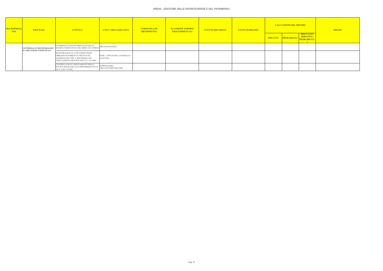| <b>MACROPROCE</b><br><b>SSO</b> | <b>PROCESSO</b>                 | <b>ATTIVITA'</b>                                                                                                                                       | <b>UNITA' ORGANIZZATIVE</b>                     | NORMATIVA DI<br><b>RIFERIMENTO</b> | <b>SCANSIONE TERMINI</b><br><b>PROCEDIMENTALI</b> | <b>EVENTO RISCHIOSO</b> | <b>FONTE DI RISCHIO</b> | <b>VALUTAZIONE DEL RISCHIO</b><br><b>RISULTATO</b><br>(IMPATTO x<br><b>PROBABILITA</b><br><b>IMPATTO</b> |                     | <b>MISURE</b> |
|---------------------------------|---------------------------------|--------------------------------------------------------------------------------------------------------------------------------------------------------|-------------------------------------------------|------------------------------------|---------------------------------------------------|-------------------------|-------------------------|----------------------------------------------------------------------------------------------------------|---------------------|---------------|
|                                 |                                 |                                                                                                                                                        |                                                 |                                    |                                                   |                         |                         |                                                                                                          | <b>PROBABILITA'</b> |               |
|                                 | <b>CONTROLLO E MONITORAGGIO</b> | CONTROLLO ATTIVITÀ ESPLETATE DALLA<br>SOCIETÀ PARTECIPATA NEL MERCATO APERTO                                                                           | ORGANO POLITICO                                 |                                    |                                                   |                         |                         |                                                                                                          |                     |               |
|                                 | SU ORGANISMI PARTECIPATI        | MONITORAGGIO SU ATTUAZIONE DEGLI<br>OBBLIGHI DI PUBBLICITÀ DEI DATI ED<br>ADOZIONE DEL PTPC E DEI MODELLI DI<br>ADEGUAMENTO PREVISTI DALLA L. 231/2000 | SEGR. - UFFICIO DEL CONTROLLO<br><b>ANALOGO</b> |                                    |                                                   |                         |                         |                                                                                                          |                     |               |
|                                 |                                 | CONTROLLO SULL'ADEGUAMENTO DEGLI<br>STATUTI SOCIETARI ALLE DISPOSIZIONI DI CUI<br>AL D. LGS. 175/2016                                                  | <b>RESPONSABILE</b><br>AREA/SETTORE/SERVIZIO    |                                    |                                                   |                         |                         |                                                                                                          |                     |               |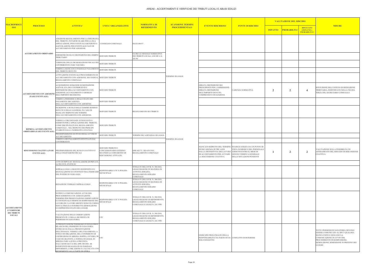| MACROPROCI                                |                                                           |                                                                                                                                                                                                                                                                                                                                                                                                                                                                                             |                                                                                                  | <b>NORMATIVA DI</b>                                                                                                               | <b>SCANSIONE TERMINI</b> |                                                                                                                                                                                                             |                                                                                              | <b>VALUTAZIONE DEL RISCHIO</b> |                    |                                                        | <b>MISURE</b>                                                                                                                                                                                                              |
|-------------------------------------------|-----------------------------------------------------------|---------------------------------------------------------------------------------------------------------------------------------------------------------------------------------------------------------------------------------------------------------------------------------------------------------------------------------------------------------------------------------------------------------------------------------------------------------------------------------------------|--------------------------------------------------------------------------------------------------|-----------------------------------------------------------------------------------------------------------------------------------|--------------------------|-------------------------------------------------------------------------------------------------------------------------------------------------------------------------------------------------------------|----------------------------------------------------------------------------------------------|--------------------------------|--------------------|--------------------------------------------------------|----------------------------------------------------------------------------------------------------------------------------------------------------------------------------------------------------------------------------|
| <b>SSO</b>                                | <b>PROCESSO</b>                                           | <b>ATTIVITA'</b>                                                                                                                                                                                                                                                                                                                                                                                                                                                                            | <b>UNITA' ORGANIZZATIVE</b>                                                                      | <b>RIFERIMENTO</b>                                                                                                                | <b>PROCEDIMENTALI</b>    | <b>EVENTO RISCHIOSO</b>                                                                                                                                                                                     | <b>FONTE DI RISCHIO</b>                                                                      | <b>IMPATTO</b>                 | <b>PROBABILITA</b> | <b>RISULTATO</b><br>(IMPATTO x<br><b>PROBABILITA')</b> |                                                                                                                                                                                                                            |
|                                           |                                                           | ADOZIONE REGOLAMENTO PER LA DISCIPLINA<br>DEL TRIBUTO, IN PARTICOLARE PER LA SUA<br>APPLICAZIONE, PER EVENTUALI ESENZIONI O CONSIGLIO COMUNALE<br>AGEVOLAZIONI, PER EVENTUALE FACE DI<br>ACCERTAMENTO PER ADESIONE.                                                                                                                                                                                                                                                                         |                                                                                                  | DLGS 446/97                                                                                                                       |                          |                                                                                                                                                                                                             |                                                                                              |                                |                    |                                                        |                                                                                                                                                                                                                            |
|                                           | ACCERTAMENTO ORDINARIO                                    | EMISSIONE RUOLO E DEFINIZIONE DEL DEBITO SERVIZIO TRIBUTI<br><b>TRIBUTARIO</b>                                                                                                                                                                                                                                                                                                                                                                                                              |                                                                                                  | OLTRE LE SINGOLE NORMATIVE<br>DEI TRIBUTI LOCALI, ANCHE L.N.<br>241/90                                                            |                          |                                                                                                                                                                                                             |                                                                                              |                                |                    |                                                        |                                                                                                                                                                                                                            |
|                                           |                                                           | VERIFICHE DELLE DICHIARAZIONI FISCALI DEI<br>CONTRIBUENTI (TARI TASI IMU)                                                                                                                                                                                                                                                                                                                                                                                                                   | <b>SERVIZIO TRIBUTI</b>                                                                          |                                                                                                                                   |                          |                                                                                                                                                                                                             |                                                                                              |                                |                    |                                                        |                                                                                                                                                                                                                            |
|                                           |                                                           | VERIFICA MANCATO O PARZIALE PAGAMENTO SERVIZIO TRIBUTI<br>DEL TRIBUTO DOVUTO                                                                                                                                                                                                                                                                                                                                                                                                                |                                                                                                  |                                                                                                                                   |                          |                                                                                                                                                                                                             |                                                                                              |                                |                    |                                                        |                                                                                                                                                                                                                            |
|                                           |                                                           | ATTIVAZIONE EVENTUALE PROCEDIMENTO DI<br>ACCERTAMENTO CON ADESIONE, SECONDO IL SERVIZIO TRIBUTI<br>REGOLAMENTO COMUNALE                                                                                                                                                                                                                                                                                                                                                                     |                                                                                                  |                                                                                                                                   | <b>TERMINE DI LEGGE</b>  |                                                                                                                                                                                                             |                                                                                              |                                |                    |                                                        |                                                                                                                                                                                                                            |
|                                           | ACCERTAMENTO CON ADESIONE<br>(FASE EVENTUALE)             | ACQUISIZIONE DOMANDE DI DEFINIZIONE<br>AGEVOLATA DEI CONTRIBUENTI E<br>DEFINIZIONE DELL'ACCERTAMENTO CON<br>ADESIONE (ACCOGLIMENTO O DINIEGO<br>DELL'IMPORTO RICHIESTO)                                                                                                                                                                                                                                                                                                                     | SERVIZIO TRIBUTI                                                                                 |                                                                                                                                   |                          | ERRATA DEFINIZIONE DEI<br>PRESUPPOSTI PER L'AMMISSIONE -<br>ERRATA DEFINIZIONE<br>DELL'IMPORTO DOVUTO,<br>COMPRENSIVO DI SANZIONI.                                                                          | CARENZA NORMATIVA                                                                            | $\overline{2}$                 | $\overline{2}$     | $\overline{4}$                                         | ISTITUZIONE DELL'UFFICIO DI MEDIAZIONE<br>TRIBUTARIA, INDIVIDUATO NELLA FIGURA<br>TERZA DEL SEGRETARIO COMUNALE                                                                                                            |
|                                           |                                                           | VERIFICA PERIODOCA DELLO STATO DEI<br>PAGAMENTI/ DECADENZA<br>DELL'ACCERTAMENTO CON ADESIONE                                                                                                                                                                                                                                                                                                                                                                                                | SERVIZIO TRIBUTI                                                                                 |                                                                                                                                   |                          |                                                                                                                                                                                                             |                                                                                              |                                |                    |                                                        |                                                                                                                                                                                                                            |
|                                           |                                                           | ISCRIZIONE A RUOLO DELLE SOMME RESIDUE<br>DOVUTE E DELLE SANZIONI, IN CASO DI<br>MANCATO RISPETTO DEI TERMINI<br>DELL'ACCERTAMENTO CON ADESIONE.                                                                                                                                                                                                                                                                                                                                            | SERVIZIO TRIBUTI                                                                                 | REGOLAMENTO SUI TRIBUTI                                                                                                           |                          |                                                                                                                                                                                                             |                                                                                              |                                |                    |                                                        |                                                                                                                                                                                                                            |
|                                           | RIPRESA ACCERTAMENTO<br><b>ORDINARIO (FASE EVENTUALE)</b> | VERIFICA CIRCOSTANZE ATTENUANTI O<br>ESIMENTI PER L'APPLICAZIONE DEL TRIBUTO,<br>COME DISCIPLINATI DAL REGOLAMENTO<br>COMUNALE , NEL RISPETTO DEI PRINCIPI<br>STABILITI DALLA NORMATIVA STATALE                                                                                                                                                                                                                                                                                             | <b>SERVIZIO TRIBUTI</b>                                                                          |                                                                                                                                   | <b>TERMINE DI LEGGE</b>  |                                                                                                                                                                                                             |                                                                                              |                                |                    |                                                        |                                                                                                                                                                                                                            |
|                                           |                                                           | PREDISPOSIZIONE ED INVIO DEGLI AVVISI DI<br>ACCERTAMENTO                                                                                                                                                                                                                                                                                                                                                                                                                                    | SERVIZIO TRIBUTI                                                                                 | <b>TERMINI DECADENZIALI DI LEGGE</b>                                                                                              |                          |                                                                                                                                                                                                             |                                                                                              |                                |                    |                                                        |                                                                                                                                                                                                                            |
|                                           |                                                           | VERIFICA DEI PAGAMENTI EFFETTUATI DAI<br>CONTRIBUENTI                                                                                                                                                                                                                                                                                                                                                                                                                                       |                                                                                                  |                                                                                                                                   |                          |                                                                                                                                                                                                             |                                                                                              |                                |                    |                                                        |                                                                                                                                                                                                                            |
|                                           | <b>EVENTUALE)</b>                                         | RISCOSSIONE COATTIVA (FASE PREDISPOSIZIONE DEL RUOLO COATTIVO O<br>DELLE INGIUNZIONI FISCALI                                                                                                                                                                                                                                                                                                                                                                                                | SERVIZIO TRIBUTI O<br>CONCESSIONARIO ESTERNO<br>SECONDO LO STRUMENTO DI<br>RISCOSSIONE ATTIVATO. | DPR 602/73 - RD 639/1910 -<br>REGOLAMENTO COMUNALE                                                                                |                          | MANCATO RISPETTO DEL TERMINE  INADEGUATEZZA DA UN PUNTO DI<br>DI DECADENZA DI TRE ANNI<br>DALLA DEFINITIVITA DELLAVVISO ADDETTO/ENTRO IL MESE DI<br>DI ACCERTAMENTO PER AVVIARE<br>LA RISCOSSIONE COATTIVA. | VISTA NUMERICO DEL PERSONALE<br><b>GIUGNO VERIFICA GENERALE</b><br>DELLE SITUAZIONI PENDENTI |                                | $\overline{2}$     | $\overline{2}$                                         | VALUTAZIONE SULLA POSSIBILITA' DI<br>AFFIDAMENTO DEL SERVIZIO DI RISCOSSIONE<br>COATTIVA                                                                                                                                   |
|                                           |                                                           | ATTO DI IMPULSO: SEGNALAZIONE DI PRIVATI,<br>ALTRI ENTI, D'UFFICIO                                                                                                                                                                                                                                                                                                                                                                                                                          |                                                                                                  |                                                                                                                                   |                          |                                                                                                                                                                                                             |                                                                                              |                                |                    |                                                        |                                                                                                                                                                                                                            |
|                                           |                                                           | SOPRALLUOGO A SEGUITO DI ESPOSTO E/O<br>SUPRALLOOD A DESCRIPTION NELL'ESERCIZIO NEN DINAMICIPALE<br>DEL POTERE DI VIGILANZA                                                                                                                                                                                                                                                                                                                                                                 | RESPONSABILE UTC E POLIZIA                                                                       | <b>ITOLO IV DEL D.P.R. N. 380/2010,</b><br>LEGGE REGIONE IN MATERIA DI<br>ATTIVITÀ EDILIZIA,<br>REGOLAMENTO EDILIZIO<br>COMUNALE  |                          |                                                                                                                                                                                                             |                                                                                              |                                |                    |                                                        |                                                                                                                                                                                                                            |
|                                           |                                                           | REDAZIONE VERBALE SOPRALLUOGO                                                                                                                                                                                                                                                                                                                                                                                                                                                               | RESPONSABILE UTC E POLIZIA<br><b>MUNICIPALE</b>                                                  | <b>ITTOLO IV DEL D.P.R. N. 380/2010,</b><br>LEGGE REGIONE IN MATERIA DI<br>ATTIVITÀ EDILIZIA,<br>REGOLAMENTO EDILIZIO<br>COMUNALE |                          |                                                                                                                                                                                                             |                                                                                              |                                |                    |                                                        |                                                                                                                                                                                                                            |
| <b>ACCERTAMENTI</b><br><b>E VERIFICHE</b> |                                                           | NOTIFICA COMUNICAZIONE AVVIO DEL<br>PROCEDIMENTO CON ASSEGNAZIONE<br>TERMINE PER PRESENTAZIONE OSSERVAZIONI<br>E CONTESTUALE ORDINE DI SOSPENSIONE DEI<br>LAVORI (SE I LAVORI ABUSIVI SONO IN CORSO,<br>NON ULTIMATI O INTERROTTI) DEMOLIZIONE<br>E/O RIPRISTINO STATO DEI LUOGHI.                                                                                                                                                                                                          | RESPONSABILE UTC E POLIZIA<br>MUNICIPALE                                                         | TITOLO IV DEL D.P.R. N. 380/2010,<br>LEGGE REGIONE DI RIFERIMENTO,<br>REGOLAMENTO EDILIZIO<br>COMUNALE E LEGGE N. 241/1990        |                          |                                                                                                                                                                                                             |                                                                                              |                                |                    |                                                        |                                                                                                                                                                                                                            |
| <b>DEI TRIBUTI</b><br>LOCALI              |                                                           | VALUTAZIONE DELLE OSSERVAZIONI<br>PRESENTATE E DELLA RICHIESTA DI<br>PERMESSO IN SANATORIA                                                                                                                                                                                                                                                                                                                                                                                                  | UTC                                                                                              | TITOLO IV DEL D.P.R. N. 380/2010,<br>LEGGE REGIONE DI RIFERIMENTO,<br>REGOLAMENTO EDILIZIO<br>COMUNALE E LEGGE N. 241/1990        |                          |                                                                                                                                                                                                             |                                                                                              |                                |                    |                                                        |                                                                                                                                                                                                                            |
|                                           |                                                           | A) PRESENTAZIONE PERMESSO IN SANATORIA:<br>RILASCIO DEL PERMESSO IN SANATORIA<br>ENTRO 60 GG DALLA PRESENTAZIONE<br>DELL'ISTANZA. VERIFICA DEL PAGAMENTO, A<br>TITOLO DI OBLAZIONE, DEL CONTRIBUTO DI<br>COSTRUZIONE IN MISURA DOPPIA, OVVERO, IN UTC<br>CASO DI GRATUITÀ A NORMA DI LEGGE, IN<br>MISURA PARI A QUELLA PREVISTA<br>DALL'ARTICOLO 16 DEL DPR 380/2001. SE<br>INTERVENTO REALIZZATO IN PARZIALE<br>DIFFORMITÀ, L'OBLAZIONE È CALCOLATA CON<br>RIFERIMENTO ALLA PARTE DI OPERA |                                                                                                  |                                                                                                                                   |                          | ESERCIZIO PROLUNGATO DELLA<br>RESPONSABILITA' DA PARTE DI UN CONFLITTO DI INTERESSI<br><b>SOLO SOGGETTO</b>                                                                                                 |                                                                                              |                                |                    |                                                        | TUTTI I PERMESSI IN SANATORIA DEVONO<br>ESSERE COMUNICATO AL RPCT QUALORA<br>SIANO L'ESITO E SEGUANO LA<br>COMUNICAZIONE DI AVVIO DEL<br>PROCEDIMENTO DI SOSPENSIONE,<br>DEMOLIZIONE, RIMESISONE IN PRISTINO DEI<br>LUOGHI |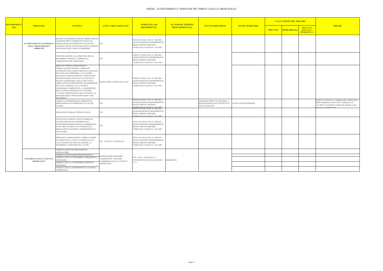| <b>MACROPROCE</b> |                                                      |                                                                                                                                                                                                                                                                                                                                                                                                                                                                                                                                     |                                                 | NORMATIVA DI                                                                                                                                                   | <b>SCANSIONE TERMINI</b> |                                                                              |                               |                | <b>VALUTAZIONE DEL RISCHIO</b> |                                                                                                                                                     |
|-------------------|------------------------------------------------------|-------------------------------------------------------------------------------------------------------------------------------------------------------------------------------------------------------------------------------------------------------------------------------------------------------------------------------------------------------------------------------------------------------------------------------------------------------------------------------------------------------------------------------------|-------------------------------------------------|----------------------------------------------------------------------------------------------------------------------------------------------------------------|--------------------------|------------------------------------------------------------------------------|-------------------------------|----------------|--------------------------------|-----------------------------------------------------------------------------------------------------------------------------------------------------|
| <b>SSO</b>        | <b>PROCESSO</b>                                      | <b>ATTIVITA'</b>                                                                                                                                                                                                                                                                                                                                                                                                                                                                                                                    | <b>UNITA' ORGANIZZATIVE</b>                     | <b>RIFERIMENTO</b>                                                                                                                                             | <b>PROCEDIMENTALI</b>    | <b>EVENTO RISCHIOSO</b>                                                      | <b>FONTE DI RISCHIO</b>       | <b>IMPATTO</b> | <b>PROBABILITA'</b>            | <b>MISURE</b><br><b>RISULTATO</b><br>(IMPATTO x<br><b>PROBABILITA')</b>                                                                             |
|                   | SUGLI ABUSI EDILIZI E<br><b>AMBIENTE</b>             | 3) MANCATA PRESENTAZIONE OSSERVAZIONI:<br>ADOZIONE PROVVEDIMENTO FINALE DI<br>ACCERTAMENTI E CONTROLLI DEMOLIZIONE E/O RIPRISTINO STATO DEI<br><b>UOGHI E APPLICAZIONE RELATIVE SANZIONI</b><br>N RAGIONE DELL'ABUSO COMMESSO                                                                                                                                                                                                                                                                                                       | <b>UTC</b>                                      | TITOLO IV DEL D.P.R. N. 380/2010,<br>EGGE REGIONE DI RIFERIMENTO,<br>REGOLAMENTO EDILIZIO<br>COMUNALE E LEGGE N. 241/1990                                      |                          |                                                                              |                               |                |                                |                                                                                                                                                     |
|                   |                                                      | NVIO RELAZIONE ALLA PROCURA DELLA<br>REPUBBLICA PRESSO IL TRIBUNALE<br>COMPETENTE PER TERRITORIO                                                                                                                                                                                                                                                                                                                                                                                                                                    | UTC                                             | <b>ITTOLO IV DEL D.P.R. N. 380/2010,</b><br>LEGGE REGIONE DI RIFERIMENTO,<br>REGOLAMENTO EDILIZIO<br>COMUNALE E LEGGE N. 241/1990                              |                          |                                                                              |                               |                |                                |                                                                                                                                                     |
|                   |                                                      | MESE SUCCESSIVO: REDAZIONE E<br>UBBLICAZIONE MENSILE, MEDIANTE<br>AFFISSIONE NELL'ALBO COMUNALE, DEI DATI<br>RELATIVI AGLI IMMOBILI E ALLE OPERE<br>REALIZZATI ABUSIVAMENTE, OGGETTO DEI<br>RAPPORTI DEGLI UFFICIALI ED AGENTI DI<br>POLIZIA GIUDIZIARIA E DELLE RELATIVE<br>ORDINANZE DI SOSPENSIONE; TRASMISSIONE<br>DEI DATI ANZIDETTI ALL'AUTORITÀ<br>GIUDIZIARIA COMPETENTE, AL PRESIDENTE<br>DELLA GIUNTA REGIONALE E, TRAMITE<br>.'UFFICIO TERRITORIALE DEL GOVERNO, AL<br>MINISTRO DELLE INFRASTRUTTURE E DEI<br>TRASPORTI. | SEGRETARIO COMUNALE E UTC                       | TITOLO IV DEL D.P.R. N. 380/2010,<br>EGGE REGIONE DI RIFERIMENTO,<br>REGOLAMENTO EDILIZIO<br>COMUNALE E LEGGE N. 241/1990                                      |                          |                                                                              |                               |                |                                |                                                                                                                                                     |
|                   |                                                      | VERIFICA OTTEMPERANZA ORDINANZA<br>DEMOLIZIONE E/O RIPRISTINO STATO DEI<br><b>UOGHI</b>                                                                                                                                                                                                                                                                                                                                                                                                                                             | <b>UTC</b>                                      | TTOLO IV DEL D.P.R. N. 380/2010,<br>LEGGE REGIONE DI RIFERIMENTO,<br>REGOLAMENTO EDILIZIO<br>COMUNALE E LEGGE N. 241/1990<br>TITOLO IV DEL D.P.R. N. 380/2010, |                          | ESERCIZIO PROLUNGATO DELLA<br>RESPONSABILITà DA PARTE DI UN<br>SOLO SOGGETTO | <b>CONFLITTO DI INTERESSI</b> |                |                                | IL RPCT E' TENUTO A VERIFICARE L'ESITO DEI<br>PROCEDIMENTI ATTIVATI E COMUNICATI<br>ALL'RPCT, DANDONE COMUNICAZIONE AGLI<br><b>RGANI COMPETENTI</b> |
|                   |                                                      | REDAZIONE VERBALE SOPRALLUOGO                                                                                                                                                                                                                                                                                                                                                                                                                                                                                                       | <b>UTC</b>                                      | LEGGE REGIONE DI RIFERIMENTO,<br>REGOLAMENTO EDILIZIO<br>OMUNALE E LEGGE N 241/1990                                                                            |                          |                                                                              |                               |                |                                |                                                                                                                                                     |
|                   | <b>CONTROLLI SULLE ATTIVITÀ</b><br><b>PRODUTTIVE</b> | EVENTUALE NOTIFICA PROVVEDIMENTO<br>ACCERTAMENTO INOTTEMPERANZA<br>NGIUNZIONE DEMOLIZIONE E/O RIPRISTINO<br>STATO DEI LUOGHI, CON CONTESTUALE<br>RROGAZIONE SANZIONE AMMINISTRATIVA<br>PECUNIARIA.                                                                                                                                                                                                                                                                                                                                  | UTC                                             | TITOLO IV DEL D.P.R. N. 380/2010,<br>LEGGE REGIONE DI RIFERIMENTO,<br>REGOLAMENTO EDILIZIO<br>COMUNALE E LEGGE N. 241/1990                                     |                          |                                                                              |                               |                |                                |                                                                                                                                                     |
|                   |                                                      | ORDINANZA DEMOLIZIONE; APPROVAZIONE<br>DA PARTE DELLA GIUNTA COMUNALE DI<br>ALUTAZIONE TECNICO-ECONOMICA E<br>DETERMINA AFFIDAMENTO LAVORI.                                                                                                                                                                                                                                                                                                                                                                                         | UTC E GIUNTA COMUNALE                           | TITOLO IV DEL D.P.R. N. 380/2010,<br>LEGGE REGIONE DI RIFERIMENTO,<br>REGOLAMENTO EDILIZIO<br>COMUNALE E LEGGE N. 241/1990                                     |                          |                                                                              |                               |                |                                |                                                                                                                                                     |
|                   |                                                      | VERIFICA RISPETTO PRESCRIZIONI<br><b>ANTINCENDIO</b>                                                                                                                                                                                                                                                                                                                                                                                                                                                                                |                                                 |                                                                                                                                                                |                          |                                                                              |                               |                |                                |                                                                                                                                                     |
|                   |                                                      | VERIFICA DEI REQUISITI PROFESSIONALI<br>VERIFICA DELLA CONFORMITÀ URBANISTICA<br>D EDILIZIA                                                                                                                                                                                                                                                                                                                                                                                                                                         | RESPONSABILE SERVIZIO<br>COMPETENTE - SERVIZIO  | ART. 14 D. L. 09/02/2012 N. 5,<br>CONVERTITO IN LEGGE 04/04/2012                                                                                               | <b>IMMEDIATO</b>         |                                                                              |                               |                |                                |                                                                                                                                                     |
|                   |                                                      | VERIFICA DELLA CONFORMITÀ IGIENICO-<br><b>SANITARIA</b>                                                                                                                                                                                                                                                                                                                                                                                                                                                                             | COMMERCIO SUAP E ATTIVITÀ<br>1.35<br>PRODUTTIVE |                                                                                                                                                                |                          |                                                                              |                               |                |                                |                                                                                                                                                     |
|                   |                                                      | VERIFICA DEGLI ADEMPIMENTI IN MATERIA<br>AMBIENTALE                                                                                                                                                                                                                                                                                                                                                                                                                                                                                 |                                                 |                                                                                                                                                                |                          |                                                                              |                               |                |                                |                                                                                                                                                     |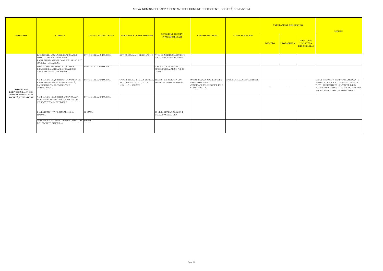|                                                                                                      |                                                                                                                                           |                                 |                                                                                                                        |                                                             |                                                                                                          |                                    | <b>VALUTAZIONE DEL RISCHIO</b> |                     |                                                              | <b>MISURE</b>                                                                                                                                                                                                 |
|------------------------------------------------------------------------------------------------------|-------------------------------------------------------------------------------------------------------------------------------------------|---------------------------------|------------------------------------------------------------------------------------------------------------------------|-------------------------------------------------------------|----------------------------------------------------------------------------------------------------------|------------------------------------|--------------------------------|---------------------|--------------------------------------------------------------|---------------------------------------------------------------------------------------------------------------------------------------------------------------------------------------------------------------|
| <b>PROCESSO</b>                                                                                      | <b>ATTIVITA'</b>                                                                                                                          | <b>UNITA' ORGANIZZATIVE</b>     | NORMATIVA DI RIFERIMENTO                                                                                               | <b>SCANSIONE TERMINI</b><br><b>PROCEDIMENTALI</b>           | <b>EVENTO RISCHIOSO</b>                                                                                  | <b>FONTE DI RISCHIO</b>            | <b>IMPATTO</b>                 | <b>PROBABILITA'</b> | <b>RISULTATO</b><br><b>IMPATTO</b> x<br><b>PROBABILITA')</b> |                                                                                                                                                                                                               |
|                                                                                                      | IL CONSIGLIO COMUNALE ELABORA GLI<br><b>INDIRIZZI PER LA NOMINA DEI</b><br>RAPPRESENTANTI DEL COMUNE PRESSO ENTI,<br>SOCIETÀ, FONDAZIONI. | <b>UFFICI E ORGANO POLITICO</b> | ART. 50, COMMA 8, DLGS 267/2000 ATTO DI INDIRIZZO ADOTTATO                                                             | DAL CONSIGLIO COMUNALE                                      |                                                                                                          |                                    |                                |                     |                                                              |                                                                                                                                                                                                               |
| <b>NOMINA DEI</b><br><b>RAPPRESENTANTI DEL</b><br><b>COMUNE PRESSO ENTI,</b><br>SOCIETÀ, FONDAZIONI. | DARE ADEGUATA PUBBLICITÀ DEGLI<br><b>INCARICHI DA AFFIDARE ATTRAVERSO</b><br>APPOSITO AVVISO DEL SINDACO.                                 | <b>UFFICI E ORGANO POLITICO</b> |                                                                                                                        | L'AVVISO DEVE ESSERE<br>PUBBLICATO ALMENO PER 10<br>GIORNI. |                                                                                                          |                                    |                                |                     |                                                              |                                                                                                                                                                                                               |
|                                                                                                      | VERIFICA DEI REQUISITI PER LA NOMINA DEI<br>RAPPRESENTANTI: PARI OPPORTUNITÀ,<br>CANDIDABILITÀ, ELEGGIBILITÀ E<br><b>COMPATIBILITÀ</b>    | <b>UFFICI E ORGANO POLITICO</b> | CAPO II, TITOLO III, D.LGS 267/2000, TEMPISTICA INDICATA CON<br>ART. 10 DLGS 235/2012, D.LGS<br>39/2013, D.L. 198/2006 | PROPRIO ATTO DI INDIRIZZO.                                  | <b>INOSSERVANZA REGOLE SULLE</b><br>PARI OPPORTUNITÀ,<br>CANDIDABILITÀ, ELEGGIBILITÀ E<br>COMPATIBILITÀ. | <b>INADEGUATEZZA DEI CONTROLLI</b> |                                |                     |                                                              | L'RPCT è TENUTO A VERIFICARE, MEDIANTE<br>APPOSITA CHECK LIST, LA SUSSISTENZA DI<br>TUTTI I REQUISITI PER L'INCONFERIBILITà<br>INCOMPATIBILITà DEGLI INCARICHI, A MEZZO<br>VERIFICA DEL CASELLARIO GIUDIZIALE |
|                                                                                                      | VERIFICA DEI REQUISITI DI COMPROVATA<br>ESPERIENZA PROFESSIONALE MATURATA<br>NELL'ATTIVITÀ DA SVOLGERE                                    | UFFICI E ORGANO POLITICO        |                                                                                                                        |                                                             |                                                                                                          |                                    |                                |                     |                                                              |                                                                                                                                                                                                               |
|                                                                                                      | DECRETO MOTIVATO DI NOMINA DEL<br><b>SINDACO</b>                                                                                          | <b>SINDACO</b>                  |                                                                                                                        | 15 GIORNI DALLA RICEZIONE<br>DELLA CANDIDATURA              |                                                                                                          |                                    |                                |                     |                                                              |                                                                                                                                                                                                               |
|                                                                                                      | COMUNICAZIONE AI MEMBRI DEL CONSIGLIO SINDACO<br>DEL DECRETO DI NOMINA.                                                                   |                                 |                                                                                                                        |                                                             |                                                                                                          |                                    |                                |                     |                                                              |                                                                                                                                                                                                               |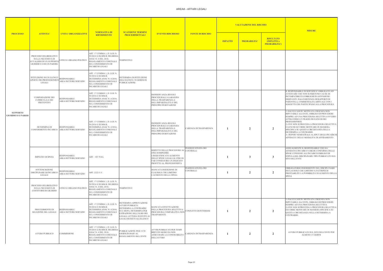|                                              | <b>ATTIVITA'</b>                                                                                                  | <b>UNITA' ORGANIZZATIVE</b>                  |                                                                                                                                                                  |                                                                                                                                                                                          |                                                                                                                                                                          |                                      |                | <b>VALUTAZIONE DEL RISCHIO</b> |                                                                | <b>MISURE</b>                                                                                                                                                                                                                                                                                                                                                                                                                                |
|----------------------------------------------|-------------------------------------------------------------------------------------------------------------------|----------------------------------------------|------------------------------------------------------------------------------------------------------------------------------------------------------------------|------------------------------------------------------------------------------------------------------------------------------------------------------------------------------------------|--------------------------------------------------------------------------------------------------------------------------------------------------------------------------|--------------------------------------|----------------|--------------------------------|----------------------------------------------------------------|----------------------------------------------------------------------------------------------------------------------------------------------------------------------------------------------------------------------------------------------------------------------------------------------------------------------------------------------------------------------------------------------------------------------------------------------|
| <b>PROCESSO</b>                              |                                                                                                                   |                                              | <b>NORMATIVA DI</b><br><b>RIFERIMENTO</b>                                                                                                                        | <b>SCANSIONE TERMINI</b><br><b>PROCEDIMENTALI</b>                                                                                                                                        | <b>EVENTO RISCHIOSO</b>                                                                                                                                                  | <b>FONTE DI RISCHIO</b>              | <b>IMPATTO</b> | <b>PROBABILITA'</b>            | <b>RISULTATO</b><br><b>(IMPATTO x)</b><br><b>PROBABILITA')</b> |                                                                                                                                                                                                                                                                                                                                                                                                                                              |
|                                              | PROCESSO DELIBERATIVO<br>SULLA NECESSITÀ DI<br><b>AVVALERSI DI UN SUPPORTO</b><br><b>GIURIDICO O DI UN PARERE</b> | JFFICI E ORGANO POLITICO                     | ART. 17 COMMA 1. D. LGS. N.<br>50/2016 E SS.MM.II; DELIBERA<br>ANAC N. 4 DEL 2016;<br>REGOLAMENTO COMUNALE<br>SUL CONFERIMENTO DI<br>INCARICHI LEGALI            | TEMPESTIVO                                                                                                                                                                               |                                                                                                                                                                          |                                      |                |                                |                                                                |                                                                                                                                                                                                                                                                                                                                                                                                                                              |
|                                              | ISTITUZIONE DI UN ELENCO<br><b>APERTO DEI PROFESSIONISTI</b><br>LEGALI                                            | <b>RESPONSABILE</b><br>AREA/SETTORE/SERVIZIO | ART. 17 COMMA 1, D. LGS. N.<br>50/2016 E SS.MM.II;<br>DETERMINA ANAC N. 4/2016;<br>REGOLAMENTO COMUNALE<br><b>SUL CONFERIMENTO DI</b><br><b>INCARICHI LEGALI</b> | DETERMINA DI ISTITUZIONE<br>DELL'ELENCO; 30 GIORNI DI<br>PUBBLICAZIONE                                                                                                                   |                                                                                                                                                                          |                                      |                |                                |                                                                |                                                                                                                                                                                                                                                                                                                                                                                                                                              |
|                                              | <b>COMPARAZIONE DEI</b><br><b>CURRICULA E DEI</b><br><b>PREVENTIVI</b>                                            | <b>RESPONSABILE</b><br>AREA/SETTORE/SERVIZIO | ART. 17 COMMA 1, D. LGS. N.<br>50/2016 E SS.MM.II;<br>DETERMINA ANAC N. 4/2016;<br>REGOLAMENTO COMUNALE<br>SUL CONFERIMENTO DI<br><b>INCARICHI LEGALI</b>        |                                                                                                                                                                                          | <b>INOSSERVANZA REGOLE</b><br>PROCEDURALI A GARANZIA<br>DELLA TRASPARENZA E<br>DELL'IMPARZIALITÀ E DEL<br>PRINCIPIO DI ROTAZIONE                                         |                                      |                |                                |                                                                | IL RESPONSABILE DI SERVIZIO E' OBBLIGATO AD<br>ATTESTARE CHE NON SUSSISTONO CAUSE DI<br>INCOMPATIBILITA'/OBBLIGHI DI ASTENSIONE<br>DERIVANTI DALL'ESISTENZA DI RAPPORTI DI<br>PARENTELA, COMMENSALITà ABITUALE CON I<br>SOGGETTI CHE PARTECIPANO ALLA PROCEDURA                                                                                                                                                                              |
| <b>SUPPORTO</b><br><b>GIURIDICO E PARERI</b> | DETERMINA DI<br>CONFERIMENTO INCARICO AREA/SETTORE/SERVIZIO                                                       | <b>RESPONSABILE</b>                          | ART. 17 COMMA 1, D. LGS. N.<br>50/2016 E SS.MM.II;<br>DETERMINA ANAC N. 4/2016;<br>REGOLAMENTO COMUNALE<br>SUL CONFERIMENTO DI<br><b>INCARICHI LEGALI</b>        |                                                                                                                                                                                          | <b>INOSSERVANZA REGOLE</b><br>PROCEDURALI A GARANZIA<br>DELLA TRASPARENZA E<br>DELL'IMPARZIALITÀ E DEL<br>PRINCIPIO DI ROTAZIONE                                         | CARENZA DI TRASPARENZA               |                | $\overline{2}$                 | $\overline{2}$                                                 | 1) SALVO CASI DI MOTIVATA URGENZA NON<br>IMPUTABILE ALL'ENTE, OBBLIGO DI PROCEDERE<br>SEMPRE AD UNA PROCEDURA SELETTIVA OVVER<br>ATTRAVERSO L'UTILIZZO DI ELENCHI DEI<br>PROFESSIONISTI.<br>2) OVE NON SI PROCEDA A PROCEDURA SELETTIV<br>O LENCHI OCCORRE MOTIVARE IN MANIERA<br>SPECIFICA SU QUESTA CIRCOSTANZA NELLA<br>DETERMINA A CONTRARRE.<br>3) REPORT SEMESTRALE AL RPCT DEGLI INCARIO<br>AFFIDATI E DELLE MODALITA' DI AFFIDAMENTO |
|                                              | <b>IMPEGNO DI SPESA</b>                                                                                           | RESPONSABILE<br>AREA/SETTORE/SERVIZIO        | ART. 183 TUEL                                                                                                                                                    |                                                                                                                                                                                          | RISPETTO DELLE PROCEDURE AL<br>FINE DI IMPEDIRE<br>L'INGIUSTIFICATO AUMENTO<br>DELLE SPESE LEGALI AL FINE DI<br>FAR CONSEGUIRE UN INGIUSTO<br>PROFITTO AL PROFESSIONISTA | NADEGUATEZZA DEI<br><b>CONTROLLI</b> |                | 3                              | $\overline{3}$                                                 | ANNUALMENTE IL RESPONSABILE CHE HA<br>AFFIDATO L'INCARICO CHIEDE CONFERMA DELLE<br>SPESE CONNESSE ALL'INCARICO/OBBLIGO DI<br>STIPULA DEL DISCIPLINARE TIPO PUBBLICATO SU<br><b>SITO DELL'ENTE</b>                                                                                                                                                                                                                                            |
|                                              | <b>SOTTOSCRIZIONE</b><br>DISCIPLINARE DI INCARICO<br>LEGALE                                                       | <b>RESPONSABILE</b><br>AREA/SETTORE/SERVIZIO | ART. 2222 C.C.                                                                                                                                                   |                                                                                                                                                                                          | MANCATA INSERZIONE DI<br>CLAUSOLE CHE LIMITINO<br>L'AUMENTO DELLA SPESA                                                                                                  | <b>NADEGUATEZZA DEI</b><br>CONTROLLI |                | $\overline{2}$                 | $\overline{2}$                                                 | OBBLIGATORIO INSERIMENTO NEL DISCIPLI NARE<br>DI CLAUSOLE CHE LIMITINO A FATTISPECIE<br>PRESTABILITE LA POSSIBILITA' DI AUMENTO DELI<br><b>SPESA</b>                                                                                                                                                                                                                                                                                         |
|                                              | PROCESSO DELIBERATIVO<br>SULLA NECESSITÀ DI<br>COSTITUIRSI IN GIUDIZIO                                            | UFFICI E ORGANO POLITICO                     | ART. 17 COMMA 1, D. LGS. N.<br>50/2016 E SS.MM.II: DELIBERA<br>ANAC N. 4 DEL 2016;<br>REGOLAMENTO COMUNALE<br>SUL CONFERIMENTO DI<br><b>INCARICHI LEGALI</b>     | TEMPESTIVO                                                                                                                                                                               |                                                                                                                                                                          |                                      |                |                                |                                                                |                                                                                                                                                                                                                                                                                                                                                                                                                                              |
|                                              | PROCEDIMENTO DI<br>SELEZIONE DEL LEGALE                                                                           | <b>RESPONSABILE</b><br>AREA/SETTORE/SERVIZIO | ART. 17 COMMA 1, D. LGS. N.<br>50/2016 E SS.MM.II;<br>DETERMINA ANAC N. 4/2016;<br>REGOLAMENTO COMUNALE<br><b>SUL CONFERIMENTO DI</b><br>INCARICHI LEGALI        | DETERMINA APPROVAZIONE<br>AVVISO PUBBLICO;<br>DETERMINA A CONTRARRE<br>SUL MEPA; DETERMINA PER<br>ESTRAZIONE DELL'ALBO DEI<br>LEGALI; LETTERA DI INVITO AI<br>LEGALI ISCRITTI ALL'ELENCO | MANCATA EFFETTUAZIONE<br>DELLA PROCEDURA SELETTIVA/<br>PROCEDURA COMPARATIVA NON<br>TRASPARENTE                                                                          | CONFLITTO DI INTERESSI               |                | $\overline{2}$                 | $\overline{2}$                                                 | 1) SALVO CASI DI MOTIVATA URGENZA NON<br>IMPUTABILE ALL'ENTE, OBBLIGO DI PROCEDERE<br>SEMPRE AD UNA PROCEDURA SELETTIVA.<br>2) OVE NON SI PROCEDA A PROCEDURA SELETTIV<br>OCCORRE MOTIVARE IN MANIERA SPECIFICA SU<br>QUESTA CIRCOSTANZA NELLA DETERMINA A<br>CONTRARRE.                                                                                                                                                                     |
|                                              | <b>AVVISO PUBBLICO</b>                                                                                            | <b>COMMISSIONE</b>                           | ART. 17 COMMA 1, D. LGS. N.<br>50/2016 E SS.MM.II; DELIBERA<br>ANAC N. 4 DEL 2016;<br>REGOLAMENTO COMUNALE<br>SUL CONFERIMENTO DI<br><b>INCARICHI LEGALI</b>     | PUBBLICAZIONE PER 15/30<br><b>GIORNI IN BASE AL</b><br>REGOLAMENTO DELL'ENTE                                                                                                             | AVVISI PUBBLICATI PER TEMPI<br>BREVI IN MODO DA NON<br>ASSICURARE LA CONOSCIBILITA'<br><b>DELL'AVVISO</b>                                                                | CARENZA DI TRASPARENZA               |                | $\overline{2}$                 | $\overline{2}$                                                 | AVVISO PUBBLICATO SUL SITO DELL'ENTE PER<br>ALMENO 15 GIORNI                                                                                                                                                                                                                                                                                                                                                                                 |

| <b>MISURE</b>                                                                                                                                                                                                                                                                                                                                                                                                                                    |
|--------------------------------------------------------------------------------------------------------------------------------------------------------------------------------------------------------------------------------------------------------------------------------------------------------------------------------------------------------------------------------------------------------------------------------------------------|
|                                                                                                                                                                                                                                                                                                                                                                                                                                                  |
|                                                                                                                                                                                                                                                                                                                                                                                                                                                  |
| IL RESPONSABILE DI SERVIZIO E' OBBLIGATO AD<br>ATTESTARE CHE NON SUSSISTONO CAUSE DI<br>INCOMPATIBILITA'/OBBLIGHI DI ASTENSIONE<br>DERIVANTI DALL'ESISTENZA DI RAPPORTI DI<br>PARENTELA, COMMENSALITà ABITUALE CON I<br>SOGGETTI CHE PARTECIPANO ALLA PROCEDURA                                                                                                                                                                                  |
| 1) SALVO CASI DI MOTIVATA URGENZA NON<br>IMPUTABILE ALL'ENTE, OBBLIGO DI PROCEDERE<br>SEMPRE AD UNA PROCEDURA SELETTIVA OVVERO<br>ATTRAVERSO L'UTILIZZO DI ELENCHI DEI<br>PROFESSIONISTI.<br>2) OVE NON SI PROCEDA A PROCEDURA SELETTIVA<br>O LENCHI OCCORRE MOTIVARE IN MANIERA<br>SPECIFICA SU QUESTA CIRCOSTANZA NELLA<br>DETERMINA A CONTRARRE.<br>3) REPORT SEMESTRALE AL RPCT DEGLI INCARICHI<br>AFFIDATI E DELLE MODALITA' DI AFFIDAMENTO |
| ANNUALMENTE IL RESPONSABILE CHE HA<br>AFFIDATO L'INCARICO CHIEDE CONFERMA DELLE<br>SPESE CONNESSE ALL'INCARICO/OBBLIGO DI<br>STIPULA DEL DISCIPLINARE TIPO PUBBLICATO SUL<br><b>SITO DELL'ENTE</b>                                                                                                                                                                                                                                               |
| OBBLIGATORIO INSERIMENTO NEL DISCIPLI NARE<br>DI CLAUSOLE CHE LIMITINO A FATTISPECIE<br>PRESTABILITE LA POSSIBILITA' DI AUMENTO DELLA<br><b>SPESA</b>                                                                                                                                                                                                                                                                                            |
| 1) SALVO CASI DI MOTIVATA URGENZA NON<br>IMPUTABILE ALL'ENTE, OBBLIGO DI PROCEDERE<br>SEMPRE AD UNA PROCEDURA SELETTIVA.<br>2) OVE NON SI PROCEDA A PROCEDURA SELETTIVA<br>OCCORRE MOTIVARE IN MANIERA SPECIFICA SU<br>QUESTA CIRCOSTANZA NELLA DETERMINA A<br>CONTRARRE.                                                                                                                                                                        |
| AVVISO PUBBLICATO SUL SITO DELL'ENTE PER<br><b>ALMENO 15 GIORNI</b>                                                                                                                                                                                                                                                                                                                                                                              |

 $\overline{\phantom{0}}$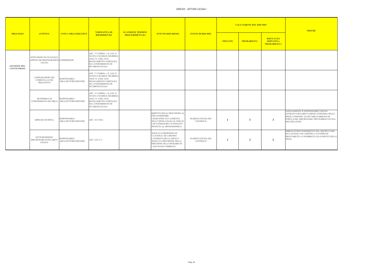#### AREA8 - AFFARI LEGALI

| <b>MISURE</b>                                                                                                                                                                                      |
|----------------------------------------------------------------------------------------------------------------------------------------------------------------------------------------------------|
|                                                                                                                                                                                                    |
|                                                                                                                                                                                                    |
|                                                                                                                                                                                                    |
| ANNUALMENTE IL RESPONSABILE CHE HA<br>AFFIDATO L'INCARICO CHIEDE CONFERMA DELLE<br>SPESE CONNESSE ALL'INCARICO/OBBLIGO DI<br>STIPULA DEL DISCIPLINARE TIPO PUBBLICATO SUL<br><b>SITO DELL'ENTE</b> |
| OBBLIGATORIO INSERIMENTO NEL DISCIPLI NARE<br>DI CLAUSOLE CHE LIMITINO A FATTISPECIE<br>PRESTABILITE LA POSSIBILITA' DI AUMENTO DELLA<br><b>SPESA</b>                                              |

|                                           |                                                                             |                                              |                                                                                                                                                              |                                                   |                                                                                                                                                                                 |                                              | <b>VALUTAZIONE DEL RISCHIO</b> |                     |                                                              |                                                                               |
|-------------------------------------------|-----------------------------------------------------------------------------|----------------------------------------------|--------------------------------------------------------------------------------------------------------------------------------------------------------------|---------------------------------------------------|---------------------------------------------------------------------------------------------------------------------------------------------------------------------------------|----------------------------------------------|--------------------------------|---------------------|--------------------------------------------------------------|-------------------------------------------------------------------------------|
| <b>PROCESSO</b>                           | <b>ATTIVITA'</b>                                                            | <b>UNITA' ORGANIZZATIVE</b>                  | <b>NORMATIVA DI</b><br><b>RIFERIMENTO</b>                                                                                                                    | <b>SCANSIONE TERMINI</b><br><b>PROCEDIMENTALI</b> | <b>EVENTO RISCHIOSO</b>                                                                                                                                                         | <b>FONTE DI RISCHIO</b>                      | <b>IMPATTO</b>                 | <b>PROBABILITA'</b> | <b>RISULTATO</b><br><b>IMPATTO x</b><br><b>PROBABILITA')</b> |                                                                               |
| <b>GESTIONE DEL</b><br><b>CONTENZIOSO</b> | ISTITUZIONE DI UN ELENCO<br>APERTO DEI PROFESSIONISTI COMMISSIONE<br>LEGALI |                                              | ART. 17 COMMA 1, D. LGS. N.<br>50/2016 E SS.MM.II; DELIBERA<br>ANAC N. 4 DEL 2016;<br>REGOLAMENTO COMUNALE<br>SUL CONFERIMENTO DI<br><b>INCARICHI LEGALI</b> |                                                   |                                                                                                                                                                                 |                                              |                                |                     |                                                              |                                                                               |
|                                           | <b>COMPARAZIONE DEI</b><br><b>CURRICULA E DEI</b><br>PREVENTIVI             | <b>RESPONSABILE</b><br>AREA/SETTORE/SERVIZIO | ART. 17 COMMA 1, D. LGS. N.<br>50/2016 E SS.MM.II; DELIBERA<br>ANAC N. 4 DEL 2016;<br>REGOLAMENTO COMUNALE<br>SUL CONFERIMENTO DI<br><b>INCARICHI LEGALI</b> |                                                   |                                                                                                                                                                                 |                                              |                                |                     |                                                              |                                                                               |
|                                           | <b>DETERMINA DI</b><br>CONFERIMENTO INCARICO AREA/SETTORE/SERVIZIO          | <b>RESPONSABILE</b>                          | ART. 17 COMMA 1, D. LGS. N.<br>50/2016 E SS.MM.II; DELIBERA<br>ANAC N. 4 DEL 2016;<br>REGOLAMENTO COMUNALE<br>SUL CONFERIMENTO DI<br><b>INCARICHI LEGALI</b> |                                                   |                                                                                                                                                                                 |                                              |                                |                     |                                                              |                                                                               |
|                                           | <b>IMPEGNO DI SPESA</b>                                                     | <b>RESPONSABILE</b><br>AREA/SETTORE/SERVIZIO | ART. 183 TUEL                                                                                                                                                |                                                   | RISPETTO DELLE PROCEDURE AL<br><b>FINE DI IMPEDIRE</b><br>L'INGIUSTIFICATO AUMENTO<br>DELLE SPESE LEGALI AL FINE DI<br>FAR CONSEGUIRE UN INGIUSTO<br>PROFITTO AL PROFESSIONISTA | <b>INADEGUATEZZA DEI</b><br>CONTROLLI        |                                | 3                   | 3                                                            | <b>ANNU</b><br><b>AFFID</b><br><b>SPESE</b><br><b>STIPUI</b><br><b>SITO L</b> |
|                                           | <b>SOTTOSCRIZIONE</b><br>DISCIPLINARE DI INCARICO<br><b>LEGALE</b>          | <b>RESPONSABILE</b><br>AREA/SETTORE/SERVIZIO | ART. 2222 C.C.                                                                                                                                               |                                                   | MANCATA INSERZIONE DI<br>CLAUSOLE CHE LIMITINO<br>L'AUMENTO DELLA SPESA E<br>MANCATA PREVISIONE DELLA<br>RIDUZIONE DELL'ONORARIO IN<br>CASO DI SOCCOMBENZA                      | <b>INADEGUATEZZA DEI</b><br><b>CONTROLLI</b> |                                | $\overline{2}$      | $\overline{2}$                                               | OBBLI<br>DI CLA<br><b>PREST</b><br><b>SPESA</b>                               |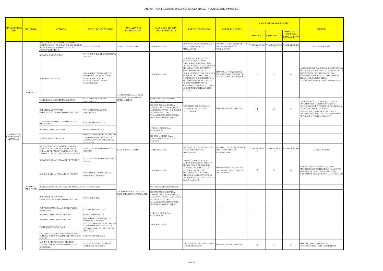| MACROPROC                                                       |                                      |                                                                                                                                                      |                                                                                                                                         | <b>NORMATIVA DI</b>                                                       | <b>SCANSIONE TERMINI</b>                                                                                                                                                                          |                                                                                                                                                                                                                                                                                                                                                                                                                    |                                                                                      |                      | <b>VALUTAZIONE DEL RISCHIO</b> |                                                                         | <b>MISURE</b>                                                                                                                                                                                                                                                   |
|-----------------------------------------------------------------|--------------------------------------|------------------------------------------------------------------------------------------------------------------------------------------------------|-----------------------------------------------------------------------------------------------------------------------------------------|---------------------------------------------------------------------------|---------------------------------------------------------------------------------------------------------------------------------------------------------------------------------------------------|--------------------------------------------------------------------------------------------------------------------------------------------------------------------------------------------------------------------------------------------------------------------------------------------------------------------------------------------------------------------------------------------------------------------|--------------------------------------------------------------------------------------|----------------------|--------------------------------|-------------------------------------------------------------------------|-----------------------------------------------------------------------------------------------------------------------------------------------------------------------------------------------------------------------------------------------------------------|
| <b>SSO</b>                                                      | <b>PROCESSO</b>                      | <b>ATTIVITA'</b>                                                                                                                                     | <b>UNITA' ORGANIZZATIVE</b>                                                                                                             | <b>RIFERIMENTO</b>                                                        | <b>PROCEDIMENTALI</b>                                                                                                                                                                             | <b>EVENTO RISCHIOSO</b>                                                                                                                                                                                                                                                                                                                                                                                            | <b>CAUSE DI RISCHIO</b>                                                              | <b>IMPATTO</b>       | PROBABILITA                    | <b>RISULTATO</b><br>(IMPATTO x<br><b>PROBABILITA'</b><br>$\blacksquare$ |                                                                                                                                                                                                                                                                 |
|                                                                 |                                      | AFFIDAMENTO A PROGETTISTA ESTERNO<br>DELL'INCARICO PER REDAZIONE DEL PRG/PGT<br>EVENTUALE, NEL CASO DI MANCANZA<br>PERSONALE INTERNO)                | JFFICIO TECNICO                                                                                                                         | D.LGS. N. 50/2016 E S.M.I.                                                | TERMINI DI LEGGE                                                                                                                                                                                  | RINVIO ALL'AREA DI RISCHIO N. 2<br>PER LA PROCEDURA DI<br><b>AFFIDAMENTO</b>                                                                                                                                                                                                                                                                                                                                       | RINVIO ALL'AREA DI RISCHIO N. 2<br>PER LA PROCEDURA DI<br><b>AFFIDAMENTO</b>         | V. AREA RISCHIO<br>2 | V. AREA RISCHIO<br>2           | . AREA RISCHIO<br>2                                                     | V. AREA RISCHIO 2                                                                                                                                                                                                                                               |
|                                                                 |                                      | REDAZIONE DEL PAT/PATI                                                                                                                               | UFFICIO TECNICO/PROFESSIONISTA<br>ESTERNO                                                                                               |                                                                           |                                                                                                                                                                                                   |                                                                                                                                                                                                                                                                                                                                                                                                                    |                                                                                      |                      |                                |                                                                         |                                                                                                                                                                                                                                                                 |
|                                                                 | PAT/PATI                             | ADOZIONE DEL PAT/PATI                                                                                                                                | <b>ORGANO POLITICO DI VERTICE</b><br>CONSIGLIO COMUNALE) PREVIA<br>DELIBERA DI GIUNTA E<br>CONCERTAZIONE CON GLI<br><b>STAKEHOLDERS</b> | N. 1150/1942 E S.M.I. - LEGGE                                             | TERMINI DI LEGGE                                                                                                                                                                                  | LA MANCANZA DI CHIARE E<br>SPECIFICHE INDICAZIONI<br>PRELIMINARI, DA PARTE DEGLI<br>ORGANI POLITICI, SUGLI OBIETTIVI<br>DELLE POLITICHE DI SVILUPPO<br>TERRITORIALE ALLA CUI<br>CONCRETIZZAZIONE LE SOLUZIONI<br><b>TECNICHE DEVONO ESSERE</b><br>FINALIZZATE, PUÒ IMPEDIRE UNA<br>TRASPARENTE VERIFICA DELLA<br>CORRISPONDENZA TRA LE<br>SOLUZIONI TECNICHE ADOTTATE I<br>LE SCELTE POLITICHE AD ESSE<br>SOTTESE. | MANCATA ATTUAZIONE DEL<br>PRINCIPIO DI DISTINZIONE TRA<br>POLITICA E AMMINISTRAZIONE | $\overline{2}$       | $\overline{2}$                 | 4                                                                       | L'ADOZIONE DEL PIANO DEVE DARE EVIDENZA<br>NELLA MOTIVAZIONE DELLA DELIBERA DELLA<br>RISPONDENZA TRA GLI INDIRIZZI E LE<br>SOLUZIONI TECNICHE ADOTTATE, NONCHè<br>DELLO SVOLGIMENTO DELLA<br>CONCERTAZIONE CON GLI INTERESSI EMERSI                             |
|                                                                 |                                      | PUBBLICAZIONE DEL PIANO ADOTTATO                                                                                                                     | UFFICIO PIANIFICAZIONE                                                                                                                  | REGIONALE VENETO 11/2004<br>ARTICOLI 14 E 15                              | PUBBLICATO PER 30 GIORNI                                                                                                                                                                          |                                                                                                                                                                                                                                                                                                                                                                                                                    |                                                                                      |                      |                                |                                                                         |                                                                                                                                                                                                                                                                 |
|                                                                 |                                      | <b>ISTRUTTORIA EVENTUALI</b><br>OSSERVAZIONI/OPPOSIZIONI PRESENTATE                                                                                  | <b>URBANISTICA</b><br>UFFICIO PIANIFICAZIONE<br><b>JRBANISTICA</b>                                                                      |                                                                           | <b>DALL'ADOZIONE</b><br>DECORSI 30 GIORNI DALLA<br>SCEDENZA DEL TERMINE PER LA<br>L'ADOZIONE, ENTRO I SUCCESSIVI<br>30 (QUINDI ENTRO 60<br>DALL'ADOZIONE) CHIUNQUE Può<br>PRESENTARE OSSERVAZIONI | OSSIBILITÀ DI ORIENTARE E<br>ONDIZIONARE LE SCELTE<br><b>DALL'ESTERNO.</b>                                                                                                                                                                                                                                                                                                                                         | MANCANZA DI TRASPARENZA                                                              | $\overline{2}$       | -3                             | -6                                                                      | ELABORAZIONE E PUBBLICAZIONE DI UN<br>DOCUMENTO DI SINTESI CONTENENTE<br>L'ESPLICAZIONE DEI CONTENUTI DEL PIANO A<br>CURA DELL'UFFICIO TECNICO E<br>DELL'AMMINISTRAZIONE COMUNALE -<br>DOCUMENTO PUBBLICATO SUL SITO INSIEME<br>AL PIANO E A TUTTI GLI ALLEGATI |
|                                                                 |                                      | CONTRODEDUZIONI ALLE OSSERVAZIONI<br>PRESENTATE                                                                                                      | CONSIGLIO COMUNALE                                                                                                                      |                                                                           |                                                                                                                                                                                                   |                                                                                                                                                                                                                                                                                                                                                                                                                    |                                                                                      |                      |                                |                                                                         |                                                                                                                                                                                                                                                                 |
| <b>PIANIFICAZION</b><br><b>E URBANISTICA</b><br><b>GENERALE</b> |                                      | APPROVAZIONE DEL PIANO                                                                                                                               | GIUNTA PROVINCIALE                                                                                                                      |                                                                           | ENTRO 240 GIORNI DAL<br><b>RICEVIMENTO</b>                                                                                                                                                        |                                                                                                                                                                                                                                                                                                                                                                                                                    |                                                                                      |                      |                                |                                                                         |                                                                                                                                                                                                                                                                 |
|                                                                 |                                      | PUBBLICAZIONE DEL PIANO                                                                                                                              | PROVINCIA O COMUNE SE DECORSI<br>I 2 40 GIORNI DALLA MANCATA<br>APPROVAZIONE DA PARTE DELLA<br>PROVINCIA                                |                                                                           | DECORSI 15 GIORNI DALLA<br>PUBBLICAZIONE IL PIANO E'<br><b>EFFICACE</b>                                                                                                                           |                                                                                                                                                                                                                                                                                                                                                                                                                    |                                                                                      |                      |                                |                                                                         |                                                                                                                                                                                                                                                                 |
|                                                                 |                                      | AFFIDAMENTO A PROGETTISTA ESTERNO<br>DELL'INCARICO PER REDAZIONE DELLA<br>VARIANTE AL PRG/PGT (EVENTUALE, NEL<br>CASO DI MANCANZA PERSONALE INTERNO) | UFFICIO TECNICO/PROFESSIONISTA<br>ESTERNO                                                                                               | D.LGS. N. 50/2016 E S.M.I.                                                | TERMINI DI LEGGE                                                                                                                                                                                  | RINVIO ALL'AREA DI RISCHIO N. 2<br>PER LA PROCEDURA DI<br><b>AFFIDAMENTO</b>                                                                                                                                                                                                                                                                                                                                       | RINVIO ALL'AREA DI RISCHIO N. 2<br>PER LA PROCEDURA DI<br><b>AFFIDAMENTO</b>         | . AREA RISCHIO<br>2  | V. AREA RISCHIO<br>2           | V. AREA RISCHIO<br>2                                                    | V. AREA RISCHIO 2                                                                                                                                                                                                                                               |
|                                                                 |                                      | REDAZIONE DELLA VARIANTE AL PRG/PGT                                                                                                                  | UFFICIO TECNICO/PROFESSIONISTA<br>ESTERNO                                                                                               |                                                                           |                                                                                                                                                                                                   | RISCHI CONNESSI A TALI<br>VARIANTI RISULTANO RELATIVI                                                                                                                                                                                                                                                                                                                                                              |                                                                                      |                      |                                |                                                                         |                                                                                                                                                                                                                                                                 |
|                                                                 |                                      | ADOZIONE DELLA VARIANTE AL PRG/PGT                                                                                                                   | DRGANO POLITICO DI VERTICE<br>CONSIGLIO COMUNALE)                                                                                       |                                                                           | TERMINI DI LEGGE                                                                                                                                                                                  | ALLA SCELTA O AL MAGGIOR<br>CONSUMO DEL SUOLO; ALLA<br>POSSIBILE DISPARITÀ DI<br>TRATTAMENTO TRA DIVERSI<br>OPERATORI; ALLA SOTTOSTIMA<br>DEL MAGGIOR VALORE GENERATO<br>DALLA VARIANTE.                                                                                                                                                                                                                           | MANCATO COINVOLGIMENTO<br>DEGLI INTERESSI DI TUTTA LA<br><b>COLLETTIVITA'</b>        | $\overline{2}$       | 3                              | -6                                                                      | MOTIVAZIONE SPECIFICA IN ORDINE<br>ALL'INTERESSE PUBBLICO DELLA VARIANTE -<br>PROPOSTA DI REGOLAMENTAZIONE DEL<br>PLUSVALORE DETERMINATO DALLE VARIANTI                                                                                                         |
|                                                                 | <b>VARIANTI</b><br><b>SPECIFICHE</b> | PUBBLICAZIONE DELLA VARIANTE ADOTTATA UFFICIO TECNICO                                                                                                |                                                                                                                                         |                                                                           | PER 30 GIORNI DALL'ADOZIONE                                                                                                                                                                       |                                                                                                                                                                                                                                                                                                                                                                                                                    |                                                                                      |                      |                                |                                                                         |                                                                                                                                                                                                                                                                 |
|                                                                 |                                      | ISTRUTTORIA EVENTUALI<br>OSSERVAZIONI/OPPOSIZIONI PRESENTATE                                                                                         | UFFICIO TECNICO                                                                                                                         | N. 1150/1942 E S.M.I. - LEGGE<br>REGIONALE 11/2004 ARTICOLI 14 E<br>15 L. | DECORSI 30 GIORNI DALLA<br>SCEDENZA DEL TERMINE PER LA<br>L'ADOZIONE, ENTRO I SUCCESSIVI<br>30 (QUINDI ENTRO 60<br>DALL'ADOZIONE) CHIUNQUE Può<br>PRESENTARE OSSERVAZIONI                         |                                                                                                                                                                                                                                                                                                                                                                                                                    |                                                                                      |                      |                                |                                                                         |                                                                                                                                                                                                                                                                 |
|                                                                 |                                      | CONTRODEDUZIONI ALLE OSSERVAZIONI<br><b>PRESENTATE</b>                                                                                               | CONSIGLIO COMUNALE                                                                                                                      |                                                                           |                                                                                                                                                                                                   |                                                                                                                                                                                                                                                                                                                                                                                                                    |                                                                                      |                      |                                |                                                                         |                                                                                                                                                                                                                                                                 |
|                                                                 |                                      | APPROVAZIONE DELLA VARIANTE                                                                                                                          | GIUNTA PROVINCIALE                                                                                                                      |                                                                           | ENTRO 240 GIORNI DAL<br><b>RICEVIMENTO</b>                                                                                                                                                        |                                                                                                                                                                                                                                                                                                                                                                                                                    |                                                                                      |                      |                                |                                                                         |                                                                                                                                                                                                                                                                 |
|                                                                 |                                      | APPROVAZIONE DELLA VARIANTE                                                                                                                          | ORGANO POLITICO DI VERTICE<br>(CONSIGLIO COMUNALE)                                                                                      |                                                                           |                                                                                                                                                                                                   |                                                                                                                                                                                                                                                                                                                                                                                                                    |                                                                                      |                      |                                |                                                                         |                                                                                                                                                                                                                                                                 |
|                                                                 |                                      | PUBBLICAZIONE DEL PIANO                                                                                                                              | PROVINCIA O COMUNE SE DECORSI<br>I 2 40 GIORNI DALLA MANCATA<br>APPROVAZIONE DA PARTE DELLA<br>PROVINCIA                                |                                                                           | TERMINI DI LEGGE                                                                                                                                                                                  |                                                                                                                                                                                                                                                                                                                                                                                                                    |                                                                                      |                      |                                |                                                                         |                                                                                                                                                                                                                                                                 |
|                                                                 |                                      | LA LORO ADOZIONE È UNA FACOLTÀ PER IL<br>COMUNE; POSSONO VARIARE LE PREVISIONI<br>DEL PRG                                                            | CONSIGLIO COMUNALE                                                                                                                      |                                                                           |                                                                                                                                                                                                   |                                                                                                                                                                                                                                                                                                                                                                                                                    |                                                                                      |                      |                                |                                                                         |                                                                                                                                                                                                                                                                 |
|                                                                 |                                      | ADOZIONE DEL PIANO CON DELIBERA<br>CONSIGLIARE, PREVIA AUTORIZZAZIONE<br><b>REGIONALE</b>                                                            | JFFICIO TECNICO, CONSIGLIO<br>COMUNALE E REGIONE                                                                                        |                                                                           |                                                                                                                                                                                                   | PREVISIONE DI PIANI ORIENTATI A<br>SPECIFICI INTERESSI                                                                                                                                                                                                                                                                                                                                                             | MANCANZA DI TRASPARENZA                                                              | $\overline{2}$       | 3                              | 6                                                                       | SVOLGIMENTO DI ATTIVITA' DI<br>CONIVOLGIMENTO DEI STAKEHOLDERS                                                                                                                                                                                                  |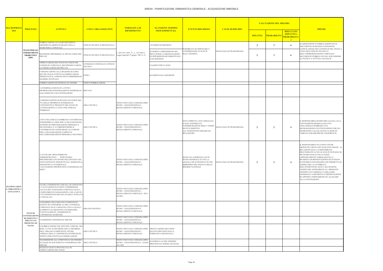| <b>MACROPROC</b>                                    |                                                                    | <b>ATTIVITA'</b>                                                                                                                                                                                                                                                                  |                                                                    | <b>NORMATIVA DI</b>                                                                                          | <b>SCANSIONE TERMINI</b><br><b>EVENTO RISCHIOSO</b>                                                             |                                                                                                                                                |                         |                | <b>VALUTAZIONE DEL RISCHIO</b> |                                                                 |                                                                                                                                                                                                                                                                                                                                                                                                                                                                                                                                                                              |
|-----------------------------------------------------|--------------------------------------------------------------------|-----------------------------------------------------------------------------------------------------------------------------------------------------------------------------------------------------------------------------------------------------------------------------------|--------------------------------------------------------------------|--------------------------------------------------------------------------------------------------------------|-----------------------------------------------------------------------------------------------------------------|------------------------------------------------------------------------------------------------------------------------------------------------|-------------------------|----------------|--------------------------------|-----------------------------------------------------------------|------------------------------------------------------------------------------------------------------------------------------------------------------------------------------------------------------------------------------------------------------------------------------------------------------------------------------------------------------------------------------------------------------------------------------------------------------------------------------------------------------------------------------------------------------------------------------|
| <b>SSO</b>                                          | <b>PROCESSO</b>                                                    |                                                                                                                                                                                                                                                                                   | <b>UNITA' ORGANIZZATIVE</b>                                        | <b>RIFERIMENTO</b>                                                                                           | <b>PROCEDIMENTALI</b>                                                                                           |                                                                                                                                                | <b>CAUSE DI RISCHIO</b> | <b>IMPATTO</b> | <b>PROBABILITA</b>             | <b>RISULTATO</b><br>(IMPATTO x<br>PROBABILITA'<br>$\sim$ $\sim$ | <b>MISURE</b>                                                                                                                                                                                                                                                                                                                                                                                                                                                                                                                                                                |
|                                                     |                                                                    | PUBBLICAZIONE ALL'ALBO PRETORIO E<br>DEPOSITO ELABORATI GRAFICI NELLA<br><b>SEGRETERIA COMUNALE</b>                                                                                                                                                                               | UFFICIO TECNICO E PROTOCOLLO                                       |                                                                                                              | 10 GIORNI DI DEPOSITO                                                                                           | 'OSSIBILITÀ DI ORIENTARE E                                                                                                                     |                         | $\overline{2}$ | 3                              | -6                                                              | ELABORAZIONE E PUBBLICAZIONE DI UN<br>DOCUMENTO DI SINTESI CONTENENTE                                                                                                                                                                                                                                                                                                                                                                                                                                                                                                        |
|                                                     | PIANO PER GLI<br><b>INSEDIAMENTI</b><br><b>PRODUTTIVI</b><br>(PIP) | RICEZIONE OPPOSIZIONI AL PIP DA PARTE DEI<br>PRIVATI                                                                                                                                                                                                                              | JFFICIO TECNICO E PROTOCOLLO Legge regionale 27 giugno 1985, n. 61 | ., 865/1971 ART, 27, L, 167/1962 E                                                                           | 20 GIORNI A DISPOSIZIONE DEI<br>PRIVATI PER LA PRESENTAZIONE<br>DI OPPOSIZIONI DECORRENTI DAI<br>10 DI DEPOSITO | CONDIZIONARE LE SCELTE<br>DALL'ESTERNO.                                                                                                        | MANCANZA DI TRASPARENZA | $\overline{2}$ | -3                             | -6                                                              | L'ESPLICAZIONE DEI CONTENUTI DEL PIANO A<br>CURA DELL'UFFICIO TECNICO E<br>DELL'AMMINISTRAZIONE COMUNALE -<br>DOCUMENTO PUBBLICATO SUL SITO INSIEME<br>AL PIANO E A TUTTI GLI ALLEGATI                                                                                                                                                                                                                                                                                                                                                                                       |
|                                                     |                                                                    | APPROVAZIONE DEL PIANO DA PARTE DEL<br>CONSIGLIO COMUNALE, RECEPENDO O MENO<br>LE OSSERVAZIONI DEI PRIVATI                                                                                                                                                                        | ONSIGLIO COMUNALE E UFFICIO<br>ECNICO                              |                                                                                                              | VALIDITÀ PER 10 ANNI                                                                                            |                                                                                                                                                |                         |                |                                |                                                                 |                                                                                                                                                                                                                                                                                                                                                                                                                                                                                                                                                                              |
|                                                     |                                                                    | COMUNICAZIONE ALLA REGIONE DI COPIA<br>DEL PIP: SULLE EVENTUALI OSSERVAZIONI<br>PRESENTATE IL COMUNE DEVE ESPRIMERSI IN<br>MANIERA PUNTUALE                                                                                                                                       | JFFICI                                                             |                                                                                                              | 60 GIORNI DALL'ADOZIONE                                                                                         |                                                                                                                                                |                         |                |                                |                                                                 |                                                                                                                                                                                                                                                                                                                                                                                                                                                                                                                                                                              |
|                                                     |                                                                    | PUBBLICAZIONE ED ENTRATA IN VIGORE                                                                                                                                                                                                                                                | JFFICO PUBBLICAZIONI                                               |                                                                                                              |                                                                                                                 |                                                                                                                                                |                         |                |                                |                                                                 |                                                                                                                                                                                                                                                                                                                                                                                                                                                                                                                                                                              |
|                                                     |                                                                    | 1) INTERPELLO RIVOLTO A TUTTI I<br>PROPRIETARI POTENZIALMENTE INTERESSATI PRIVATO<br>DALL'INIZIATIVA DI LOTTIZZAZIONE                                                                                                                                                             |                                                                    |                                                                                                              |                                                                                                                 |                                                                                                                                                |                         |                |                                |                                                                 |                                                                                                                                                                                                                                                                                                                                                                                                                                                                                                                                                                              |
|                                                     |                                                                    | 2) PRESENTAZIONE DI ISTANZA DA PARTE DEL<br>75% DELLE PROPRIETÀ INTERESSATE<br>CONTENENTE IL PROGETTO DEL PIANO DI<br>LOTTIZZAZIONE E L'ATTO UNILATERALE<br>D'OBBLIGO                                                                                                             | AREA TECNICA                                                       | TESTO UNICO SULL'EDILIZIA-DPR3<br>80/2001 - LEGGI REGIONALI -<br>REGOLAMENTO COMUNALE                        |                                                                                                                 |                                                                                                                                                |                         |                |                                |                                                                 |                                                                                                                                                                                                                                                                                                                                                                                                                                                                                                                                                                              |
|                                                     |                                                                    | ATTO UNILATERALE D'OBBLIGO CON IMPEGNO<br>DI REPERIRE LE AREE PER LA REALIZZAZIONE<br>DI OPERE DI URBANIZZAZIONE PRIMARIA E<br>SECONDARIA, E A CORRISPONDERE IL<br>CONTRIBUTO DI COSTRUZIONE AL COMUNE<br>PER LA REALIZZAZIONE COMPLETA<br>DELL'URBANIZZAZIONE PRIMARIA E SECONDA | AREA TECNICA                                                       | TESTO UNICO SULL'EDILIZIA-DPR3<br>80/2001 - LEGGI REGIONALI -<br>REGOLAMENTO COMUNALE                        |                                                                                                                 | NON CORRETTA, NON ADEGUATA<br>O NON AGGIORNATA<br>COMMISURAZIONE DEGLI "ONERI"<br>DOVUTI, RISPETTO<br>ALL'INTERVENTO EDILIZIO DA<br>REALIZZARE | MANCANZA DI TRASPARENZA | $\overline{2}$ | $\overline{\mathbf{c}}$        | -4                                                              | iL RESPONSABILE DI SERVIZIO ALLEGA ALLA<br>CONVENZIONE/MODELLO DI ATTO<br>UNILATERALE D'OBBLIGO UNA<br>DICHIARAZIONE UN'ATTESTAZIONE CHE GLI<br>ONERI SONO CALCOLATI SULLA BASE DI<br>TABELLE PARAMETRICHE AGGIORNATE;                                                                                                                                                                                                                                                                                                                                                       |
|                                                     |                                                                    | 3) AVVIO DEL PROCEDIMENTO<br>AMMINISTRATIVO: ISTRUTTORIA<br>PRELIMINARE CON ESAME DELL'ISTANZA NEI<br>SUOI CONTENUTI: PROGETTUALE, NORMATIVA,<br>DESCRITTIVA E FUNZIONALE;<br>VALUTAZIONE OPPORTUNITÀ CONFERENZA DI<br><b>SERVI</b>                                               |                                                                    | TESTO UNICO SULL'EDILIZIA-DPR3<br>80/2001 - LEGGI REGIONALI -<br>REGOLAMENTO COMUNALE                        |                                                                                                                 | MANCATA COERENZA CON IL<br>PIANO GENERALE (E CON LA<br>LEGGE), CHE SI TRADUCE IN USO<br>IMPROPRIO DEL SUOLO E DELLE<br>RISORSE NATURALI.       | MANCANZA DI TRASPARENZA | $\overline{2}$ | $\overline{2}$                 | -4                                                              | IL RESPONSABILE DA CONTO ANCHE<br>MEDIANTE CHECK LIST DI QUANTO SEGUE: A)<br>RELAZIONE SULLA COMPATIBILITA'<br>DELL'INIZIATIVA CON LE SCELTE DI PIANO; B)<br>INCONTRI SVOLTI CON LE PARTI<br>(APPOSITAMENTE VERBALIZZATI); C)<br>RICHIESTA DI PRESENTAZIONE DI UN PIANO<br>ECONOMICO FINANZIARIO CHE PERMETTA DI<br>VERIFICARE LA FATTIBILITA'<br>DELL'INTERVENTO; D) IN CASO DI DITTE,<br>VERIFICARE AFFIDABILITà O.E. MEDIANTE<br>CERTIFICATI CAMERALI, CASELLARIO<br>GIUDIZIALE, E) RICHIESTA E PRESENTAZIONE<br>DI APPOSITA FIDEIUSSIONE DA ALLEGARE<br>ALLA CONVENZIONE |
| PIANIFICAZION<br>E URBANISTICA<br><b>ATTUATTIVA</b> |                                                                    | ESAME COMMISSIONE EDILIZIA (SE ESISTENTE<br>E VALUTAZIONE DA PARTE COMMISSIONE<br>LOCALE DEL PAESAGGIO COMUNALE SULLA<br>COMPATIBILITÀ PAESAGGISTICA NEL CASO IN<br>CUI L'INTERVENTO RICADA IN ZONA TUTELATA<br>E VINCOLATA                                                       |                                                                    | TESTO UNICO SULL'EDILIZIA-DPR3<br>80/2001 - LEGGI REGIONALI -<br>REGOLAMENTO COMUNALE - DLG<br>42/2004       |                                                                                                                 |                                                                                                                                                |                         |                |                                |                                                                 |                                                                                                                                                                                                                                                                                                                                                                                                                                                                                                                                                                              |
|                                                     | <b>PIANI DI</b><br>LOTTIZZAZIONI                                   | 4) DELIBERA DELL'ORGANO COMPETENTE<br>(GIUNTA SE CONFORME AL PRG; CONSIGLIO<br>COMUNALE SE IN VARIANTE) CON LA QUALE<br>SI APPROVA IL PROGETTO E SI DEMANDA,<br>EVENTUALMENTE, L'INDIZIONE DI<br>CONFERENZA DI SERVIZI                                                            | ORGANO POLITICO                                                    | TESTO UNICO SULL'EDILIZIA-DPR3<br>80/2001 - LEGGI REGIONALI -<br>REGOLAMENTO COMUNALE                        |                                                                                                                 |                                                                                                                                                |                         |                |                                |                                                                 |                                                                                                                                                                                                                                                                                                                                                                                                                                                                                                                                                                              |
|                                                     | DI INIZIATIVA<br>PRIVATA IN<br>PRESENZA DI                         | ) INDIZIONE CONFERENZA SERVIZI                                                                                                                                                                                                                                                    |                                                                    | TESTO UNICO SULL'EDILIZIA-DPR3<br>80/2001 - LEGGI REGIONALI -<br>REGOLAMENTO COMUNALE                        |                                                                                                                 |                                                                                                                                                |                         |                |                                |                                                                 |                                                                                                                                                                                                                                                                                                                                                                                                                                                                                                                                                                              |
|                                                     | PIANO                                                              | 6) PUBBLICAZIONE NEL SITO DEL COMUNE, NEI<br>BURL, E CON ALTRI MEZZI, DELLA DELIBERA<br>DELL' ORGANO COMPETENTE, ED DEL<br>VERBALE DELLA CONFERENZA DI SERVIZI SE<br>INDETTA PER EVENTUALI OSSERVAZIONI                                                                           | AREA TECNICA                                                       | TESTO UNICO SULL'EDILIZIA-DPR3 TRENTA GIORNI (SECONDO<br>80/2001 - LEGGI REGIONALI -<br>REGOLAMENTO COMUNALE | QUANTO PREVISTO DALLA<br>NORMATIVA REGIONALE)                                                                   |                                                                                                                                                |                         |                |                                |                                                                 |                                                                                                                                                                                                                                                                                                                                                                                                                                                                                                                                                                              |
|                                                     |                                                                    | TRASMISSIONE ALLA PROVINCIA NEI TERMINI<br>DI LEGGE SE NON INDETTA CONFERENZA DEI<br>SERVIZI                                                                                                                                                                                      | AREA TECNICA                                                       | TESTO UNICO SULL'EDILIZIA-DPR.<br>80/2001 - LEGGI REGIONALI - LEGGI<br>241/1990                              | 60 GIORNI O ALTRO TERMINE<br>PREVISTO DA NORMA DI LEGGE                                                         |                                                                                                                                                |                         |                |                                |                                                                 |                                                                                                                                                                                                                                                                                                                                                                                                                                                                                                                                                                              |
|                                                     |                                                                    | DECRETO GIUNTA PROVINCIALE DI<br>APPROVAZIONE DEL PIANO                                                                                                                                                                                                                           |                                                                    |                                                                                                              |                                                                                                                 |                                                                                                                                                |                         |                |                                |                                                                 |                                                                                                                                                                                                                                                                                                                                                                                                                                                                                                                                                                              |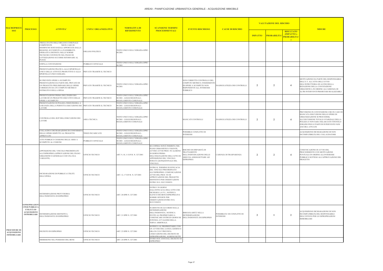| <b>MACROPRO</b>                                           |                                                                                                          |                                                                                                                                                                                                                                                                    |                             | <b>NORMATIVA DI</b>                                                                          | <b>SCANSIONE TERMINI</b>                                                                                                                                                                                                 |                                                                                                                                       |                                           |                | <b>VALUTAZIONE DEL RISCHIO</b> |                                                                       |                                                                                                                                                                                                                                                                |
|-----------------------------------------------------------|----------------------------------------------------------------------------------------------------------|--------------------------------------------------------------------------------------------------------------------------------------------------------------------------------------------------------------------------------------------------------------------|-----------------------------|----------------------------------------------------------------------------------------------|--------------------------------------------------------------------------------------------------------------------------------------------------------------------------------------------------------------------------|---------------------------------------------------------------------------------------------------------------------------------------|-------------------------------------------|----------------|--------------------------------|-----------------------------------------------------------------------|----------------------------------------------------------------------------------------------------------------------------------------------------------------------------------------------------------------------------------------------------------------|
| <b>SSO</b>                                                | <b>PROCESSO</b>                                                                                          | <b>ATTIVITA'</b>                                                                                                                                                                                                                                                   | <b>UNITA' ORGANIZZATIVE</b> | <b>RIFERIMENTO</b>                                                                           | <b>PROCEDIMENTALI</b>                                                                                                                                                                                                    | <b>EVENTO RISCHIOSO</b>                                                                                                               | <b>CAUSE DI RISCHIO</b>                   | <b>IMPATTO</b> | <b>PROBABILITA</b>             | <b>RISULTATO</b><br>(IMPATTO x<br><b>PROBABILITA</b><br>$\mathcal{L}$ | <b>MISURE</b>                                                                                                                                                                                                                                                  |
|                                                           |                                                                                                          | PRESA D'ATTO DELL'ORGANO COMUNALE<br>COMPETENTE<br>NB IN CASO DI<br>MODIFICHE SOSTANZIALI APPORTATE DALLA<br>REGIONE, ECCEDENTI LA FLESSIBILITÀ<br>OPERATIVA DEFINITA NELLE NORME<br>ECNICHE CONTENUTE NEL PIANO DI<br>LOTTIZZAZIONE OCCORRE RITORNARE AL<br>PUNTO | ORGANO POLITICO             | TESTO UNICO SULL'EDILIZIA-DPR3<br>80/2001                                                    |                                                                                                                                                                                                                          |                                                                                                                                       |                                           |                |                                |                                                                       |                                                                                                                                                                                                                                                                |
|                                                           |                                                                                                          | STIPULA CONVENZIONE                                                                                                                                                                                                                                                | PUBBLICO UFFICIALE          | <b>TESTO UNICO SULL'EDILIZIA-DPR3</b><br>80/2001                                             |                                                                                                                                                                                                                          |                                                                                                                                       |                                           |                |                                |                                                                       |                                                                                                                                                                                                                                                                |
|                                                           |                                                                                                          | PRESENTAZIONE PRATICA ALLO SPORTELLO<br>UNICO DELLE ATTIVITÀ PRODUTTIVE O ALLO<br>SPORTELLO UNICO EDILIZIA                                                                                                                                                         | PRIVATO TRAMITE IL TECNICO  |                                                                                              |                                                                                                                                                                                                                          |                                                                                                                                       |                                           |                |                                |                                                                       |                                                                                                                                                                                                                                                                |
|                                                           |                                                                                                          | SE PREVISTE OPERE A SCOMPUTO:<br>PRESENTAZIONE DA PARTE DEL PRIVATO DI<br>UN PROGETTO PRELIMINARE DELLE OPERE<br>CORREDATO DA UN COMPUTO METRICO<br>ESTIMATIVO DELLA SPESA                                                                                         | PRIVATO TRAMITE IL TECNICO  | <b>TESTO UNICO SULL'EDILIZIA-DPR3</b><br>30/2001                                             |                                                                                                                                                                                                                          | NON CORRETTO CONTROLLO DEL<br>COMPUTO METRICO; INSERIMENTO<br>DI OPERE A SCOMPUTO NON<br>RISPONDENTI ALL INTERESSE<br><b>PUBBLICO</b> | <b>INADEGUATEZZA DEI CONTROLLI</b>        | $\overline{2}$ | $\overline{2}$                 | $\overline{4}$                                                        | MOTIVAZIONE DA PARTE DEL RESPONSABILE<br>DELL'U.T. ALL'ATTO DELL'AVVIO<br>DELL'ISTRUTTORIA ED AI FINI DELLA<br>REDAZIONE DELLA CONVENZIONE<br>URBANISTICA IN ORDINE ALL'ASSENZA DI<br>ALTRI INTERVENTI PRIORITARI REALIZZABILI                                 |
|                                                           |                                                                                                          | PRESENTAZIONE PRIMA DELL'INIZIO DEI<br>LAVORI DI UN PROGETTO ESECUTIVO DELLE<br>OPERE A SCOMPUTO                                                                                                                                                                   | PRIVATO TRAMITE IL TECNICO  | <b>TESTO UNICO SULL'EDILIZIA-DPR3</b><br>80/2001 - LEGGI REGIONALI -<br>REGOLAMENTO COMUNALE |                                                                                                                                                                                                                          |                                                                                                                                       |                                           |                |                                |                                                                       |                                                                                                                                                                                                                                                                |
|                                                           |                                                                                                          | PRESENTAZIONE DI POLIZZA FIDEIUSSORIA A<br>GARANZIA DELLA PERFETTA ESECUZIONE DEI<br>LAVORI                                                                                                                                                                        | PRIVATO TRAMITE IL TECNICO  | <b>TESTO UNICO SULL'EDILIZIA-DPR3</b><br>80/2001 - LEGGI REGIONALI -<br>REGOLAMENTO COMUNALE |                                                                                                                                                                                                                          |                                                                                                                                       |                                           |                |                                |                                                                       |                                                                                                                                                                                                                                                                |
|                                                           |                                                                                                          | CONTROLLO DEL RUP DELL'ESECUZIONE DEI<br>LAVORI                                                                                                                                                                                                                    | AREA TECNICA                | <b>FESTO UNICO SULL'EDILIZIA-DPR3</b><br>80/2001 - LEGGI REGIONALI -<br>REGOLAMENTO COMUNALE |                                                                                                                                                                                                                          | <b>MANCATI CONTROLLI</b>                                                                                                              | INADEGUATEZZA DEI CONTROLLI               | $\overline{2}$ | $\mathbf{2}$                   | $\overline{4}$                                                        | PREVISIONE IN CONVENZIONE CHE IN CASO DI<br>MANCATA ESECUZIONE DELLE OPERE DI<br>URBANIZZAZIONE SI PROCEDERà<br>ALL'ESCUSSIONE TOTALE O PARZIALE DELLA<br>POLIZZA E NON SARA' RILASCIATO TITOTOLO<br>EDILIZIO PER LE PARTI DI INTERVENTO NON<br>ANCORA ATTUATE |
|                                                           |                                                                                                          | COLLAUDO E DICHIARAZIONE DI CONFORMITÀ<br>DELLE OPERE RISPETTO AL PROGETTO                                                                                                                                                                                         | <b>TERZO INCARICATO</b>     | <b>FESTO UNICO SULL'EDILIZIA-DPR3</b><br>80/2001 - LEGGI REGIONALI -                         |                                                                                                                                                                                                                          | POSSIBILE CONFLITTO DI<br><b>INTERESSI</b>                                                                                            |                                           |                |                                |                                                                       | ACQUISIZIONE DICHIARAZIONE DI NON<br>INCOMPATIBILITà DEL COLLAUDATORE                                                                                                                                                                                          |
|                                                           |                                                                                                          | APPROVATO<br>ATTO PUBBLICO CESSIONE DELLE AREE A                                                                                                                                                                                                                   | PUBBLICO UFFICIALE          | REGOLAMENTO COMUNALE<br>TESTO UNICO SULL'EDILIZIA-DPR3<br>80/2001 - LEGGI REGIONALI -        |                                                                                                                                                                                                                          |                                                                                                                                       |                                           |                |                                |                                                                       |                                                                                                                                                                                                                                                                |
|                                                           |                                                                                                          | SCOMPUTO AL COMUNE<br>APPOSIZIONE DEL VINCOLO PREORDINATO<br>ALL'ESPROPRIO (APPROVAZIONE DEL PIANO<br>JRBANISTICO GENERALE O DI UNA SUA<br>VARIANTE)                                                                                                               | JFFICIO TECNICO             | REGOLAMENTO COMUNALE<br>ART. 9, 10, 11 D.P.R. N. 327/2001                                    | SE L'OPERA NON È INSERITA NEL<br>PIANO URBANISTICO VIGENTE,<br>AVVISO AVVIO PROC.TO ALMENO<br>20 GIORNI PRIMA<br>DELL'EMANAZIONE DELL'ATTO DI<br>APPOSIZIONE DEL VINCOLO.<br>DURATA QUINQUENNALE DEL<br>VINCOLO.         | RISCHIO DI DISPARITÀ DI<br><b>TRATTAMENTO</b><br>NELL'INDIVIDUAZIONE DELLE<br>AREE DA ASSOGGETTARE AD<br>ESPROPRIO.                   | CARENZA DI TRASPARENZA                    | $\overline{2}$ | $\overline{2}$                 | -4                                                                    | COMUNICAZIONE DI AVVIO DEL<br>PROCEDIMENTO CON MOTIVAZIONE<br>PUNTUALE IN ORDINE ALL'INTERESSE<br>PUBBLICO SOTTESO ALL'APPROVAZIONE DEL<br>PROGETTO                                                                                                            |
|                                                           |                                                                                                          | DICHIARAZIONE DI PUBBLICA UTILITÀ<br><b>DELL'OPERA</b>                                                                                                                                                                                                             | UFFICIO TECNICO             | ART. 12, 17 D.P.R. N. 327/2001                                                               | ENTRO IL TERMINE DI EFFICACIA<br>DEL VINCOLO PREORDINATO<br>ALL'ESPROPRIO. COMUNICAZIONE<br>AVVIO DEL PROC.TO DI<br>APPROVAZIONE DEL PROGETTO<br>DEFINITIVO PER OSSERVAZIONI<br>ENTRO 30 G. SUCCESSIVI.                  |                                                                                                                                       |                                           |                |                                |                                                                       |                                                                                                                                                                                                                                                                |
|                                                           |                                                                                                          | DETERMINAZIONE PROVVISORIA<br>DELL'INDENNITÀ DI ESPROPRIO                                                                                                                                                                                                          | UFFICIO TECNICO             | ART. 20 DPR N. 327/2001                                                                      | ENTRO I 30 GIORNI<br>DALL'EFFICACIA DELL'ATTO CHE<br>DICHIARA LA P.U., NOTIFICA<br>ELENCO DEI BENI ESPROPRIATI E<br><b>SOMME OFFERTE PER</b><br>OSSERVAZIONI ENTRO 30 G.<br>SUCCESSIVI.                                  |                                                                                                                                       |                                           |                |                                |                                                                       |                                                                                                                                                                                                                                                                |
|                                                           | <b>ESPROPRIAZION</b><br><b>I PER PUBBLICA</b><br>UTILITÀ ED<br><b>ACQUISIZIONI</b><br><b>IMMOBILIARI</b> | DETERMINAZIONE DEFINITIVA<br>DELL'INDENNITÀ DI ESPROPRIO                                                                                                                                                                                                           | UFFICIO TECNICO             | ART. 21 DPR N. 327/2001                                                                      | IN DIFETTO DI ACCORDO SULLA<br><b>DETERMINAZIONE</b><br>DELL'INDENNITA', NOTIFICA<br>INVITO AL PROPRIETARIO A<br>COMUNICARE ENTRO20 GIORNI SE DELL'INDENNITÀ DI ESPROPRIO<br>INTENDA AVVALERSI DELLA<br>TERNA ARBITRALE. | IRREGOLARITÀ NELLA<br><b>DETERMINAZIONE</b>                                                                                           | POSSIBILITA' DI CONFLITTO DI<br>INTERESSI | $\overline{2}$ |                                | 2                                                                     | ACQUISIZIONE DICHIARAZIONE DI NON<br>INCOMPATIBILITà DEL RESPONSABILE<br>DELL'UFFICIO PER LE ESPROPRIAZIONI<br>IMMOBILIARI                                                                                                                                     |
| PROCEDURE DI<br><b>ACQUISIZIONE</b><br><b>IMMOBILIARE</b> |                                                                                                          | DECRETO DI ESPROPRIO                                                                                                                                                                                                                                               | <b>UFFICIO TECNICO</b>      | ART. 23 DPR N. 327/2001                                                                      | NOTIFICA AL PROPRIETARIO, CON<br>UN AVVISO DEL LUOGO, GIORNO E<br>ORA IN CUI E' PREVISTA<br>L'ESECUZIONE DEL DECRETO DI<br>SPROPRIAZIONE, ALMENO SETTE                                                                   |                                                                                                                                       |                                           |                |                                |                                                                       |                                                                                                                                                                                                                                                                |
|                                                           |                                                                                                          | IMMISSIONE NEL POSSESSO DEL BENE                                                                                                                                                                                                                                   | UFFICIO TECNICO             | ART. 24 DPR N. 327/2001                                                                      | ENTRO DUE ANNI DAL DECRETO DI<br><b>SPROPRIO</b>                                                                                                                                                                         |                                                                                                                                       |                                           |                |                                |                                                                       |                                                                                                                                                                                                                                                                |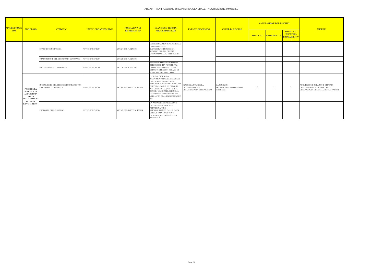| <b>MACROPROCE</b><br><b>SSO</b> | <b>PROCESSO</b>                                                                         | <b>ATTIVITA'</b>                                             | <b>UNITA' ORGANIZZATIVE</b> | NORMATIVA DI<br><b>RIFERIMENTO</b> | <b>SCANSIONE TERMINI</b>                                                                                                                                                                                                                                                               | <b>EVENTO RISCHIOSO</b>                                                    | <b>CAUSE DI RISCHIO</b>                                           | <b>VALUTAZIONE DEL RISCHIO</b> |             |                                                       | <b>MISURE</b>                                                                                              |
|---------------------------------|-----------------------------------------------------------------------------------------|--------------------------------------------------------------|-----------------------------|------------------------------------|----------------------------------------------------------------------------------------------------------------------------------------------------------------------------------------------------------------------------------------------------------------------------------------|----------------------------------------------------------------------------|-------------------------------------------------------------------|--------------------------------|-------------|-------------------------------------------------------|------------------------------------------------------------------------------------------------------------|
|                                 |                                                                                         |                                                              |                             |                                    | <b>PROCEDIMENTALI</b>                                                                                                                                                                                                                                                                  |                                                                            |                                                                   | <b>IMPATTO</b>                 | PROBABILITA | <b>RISULTATO</b><br>(IMPATTO x<br><b>PROBABILITA'</b> |                                                                                                            |
|                                 |                                                                                         | STATO DI CONSISTENZA                                         | <b>UFFICIO TECNICO</b>      | ART. 24 DPR N. 327/2001            | CONTESTUALMENTE AL VERBALE<br>DI IMMISSIONE O<br><b>SUCCESSIVAMENTE SENZA</b><br>RITARDO E PRIMA CHE SIA<br>MUTATO LO STATO DEI LUOGHI                                                                                                                                                 |                                                                            |                                                                   |                                |             |                                                       |                                                                                                            |
|                                 |                                                                                         | <b>TRASCRIZIONE DEL DECRETO DI ESPROPRIO</b>                 | <b>UFFICIO TECNICO</b>      | ART. 25 DPR N. 327/2001            |                                                                                                                                                                                                                                                                                        |                                                                            |                                                                   |                                |             |                                                       |                                                                                                            |
|                                 |                                                                                         | PAGAMENTO DELL'INDENNITÀ                                     | <b>UFFICIO TECNICO</b>      | ART. 26 DPR N. 327/2001            | PAGAMENTO ENTRO 30 GIORNI<br>DELL'INDENNITÀ ACCETTATA;<br>DEPOSITO PRESSO LA CASSA<br>DEPOSITI E PRESTITI IN CASO DI<br>MANCATA ACCETTAZIONE                                                                                                                                           |                                                                            |                                                                   |                                |             |                                                       |                                                                                                            |
|                                 | <b>PROCEDURA</b><br><b>SPECIALE DI</b><br><b>ACQUISTO IN</b><br>VIA DI<br>PRELAZIONE EX | INSERIMENTO DEL BENE NELLO STRUMENTO<br>URBANISTICO GENERALE | <b>UFFICIO TECNICO</b>      | ART. 60 E SS. D.LVO N. 42/2004     | <b>ENTRO 60 GIORNI DAL</b><br>RICEVIMENTO DELLA DENUNCIA<br>DI ALIENAZIONE DEL BENE<br><b>IMMOBILE SOGGETTO A VINCOLO</b><br>CULTURALE (ART. 59) FACOLTÀ<br>PER L'ENTE DI ACQUISTARE IL<br>BENE IN VIA DI PRELAZIONE AL<br>MEDESIMO PREZZO STABILITO<br>NELL'ATTO DI ALIENAZIONE (ART. | IRREGOLARITÀ NELLA<br><b>DETERMINAZIONE</b><br>DELL'INDENNITÀ DI ESPROPRIO | <b>CARENZA DI</b><br>TRASPARENZA/CONFLITTO DI<br><b>INTERESSI</b> | $\overline{2}$                 |             | $\overline{2}$                                        | ACQUISIZIONE RELAZIONE DI STIMA<br>DELL'IMMOBILE DA PARTE DELL'UT O<br>DELL'AGENZIA DEL DEMANIO SUL VALORE |
|                                 | <b>ART. 60 CC.</b><br>D.LVO N. 42/2004                                                  | PROPOSTA DI PRELAZIONE                                       | <b>UFFICIO TECNICO</b>      | ART. 62 E SS. D.LVO N. 42/2004     | LA PROPOSTA DI PRELAZIONE<br>DEVE ESSEE NOTIFICATA<br><b>ALL'ALIENANTE E</b><br>ALL'ACQUIRENTE; DALLA DATA<br>DELL'ULTIMA MODIFICA SI<br>DETERMINA IL PASSAGGIO DI<br>PROPRIETÀ                                                                                                        |                                                                            |                                                                   |                                |             |                                                       |                                                                                                            |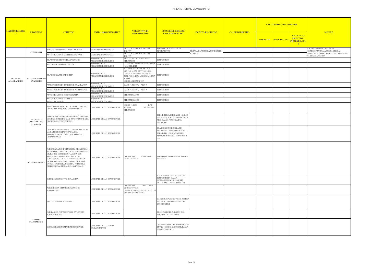| <b>MACROPROCESS</b>                   |                                                           | <b>ATTIVITA'</b>                                                                                                                                                                                                                                                                                                        | NORMATIVA DI<br><b>UNITA' ORGANIZZATIVE</b><br><b>RIFERIMENTO</b> | <b>SCANSIONE TERMINI</b>                                                                                                                                                                            |                                                                                                                       |                              | <b>VALUTAZIONE DEL RISCHIO</b> |                |                                                                                |                                                            |
|---------------------------------------|-----------------------------------------------------------|-------------------------------------------------------------------------------------------------------------------------------------------------------------------------------------------------------------------------------------------------------------------------------------------------------------------------|-------------------------------------------------------------------|-----------------------------------------------------------------------------------------------------------------------------------------------------------------------------------------------------|-----------------------------------------------------------------------------------------------------------------------|------------------------------|--------------------------------|----------------|--------------------------------------------------------------------------------|------------------------------------------------------------|
| $\overline{0}$                        | <b>PROCESSO</b>                                           |                                                                                                                                                                                                                                                                                                                         |                                                                   |                                                                                                                                                                                                     | <b>PROCEDIMENTALI</b>                                                                                                 | <b>EVENTO RISCHIOSO</b>      | <b>CAUSE DI RISCHIO</b>        | <b>IMPATTO</b> | <b>RISULTATO</b><br>(IMPATTO x<br><b>PROBABILITA</b><br>PROBABILITA'<br>$\Box$ | <b>MISURE</b>                                              |
|                                       |                                                           | ROGITO ATTI SEGRETARIO COMUNALE                                                                                                                                                                                                                                                                                         | SEGRETARIO COMUNALE                                               | ART. 21, C. 4, D.P.R. N. 465 DEL<br>1.12.1997                                                                                                                                                       | SECONDO NORMATIVA DI<br>RIFERIMENTO                                                                                   | ERRATA QUANTIFICAZIONE SPESE |                                |                |                                                                                | IL RESPONSABILE DELL'AREA<br>AMMINISTRATIVA ATTESTA CHE LA |
|                                       | <b>CONTRATTI</b>                                          | AUTENTICAZIONE SCRITTURE PRIVATE                                                                                                                                                                                                                                                                                        | SEGRETARIO COMUNALE                                               | ART. 21, C. 4, D.P.R. N. 465 DEL<br>.12.1997                                                                                                                                                        |                                                                                                                       | E DIRITTI                    |                                |                |                                                                                | QUANTIFICAZIONE DEI DIRITTI è CONFORME<br>AL REGOLAMENTO   |
|                                       |                                                           | RILASCIO CERTIFICATI ANAGRAFICI                                                                                                                                                                                                                                                                                         | <b>RESPONSABILE</b><br>AREA/SETTORE/SERVIZIO                      | ART. 15 DELLA LEGGE 183/2011<br>DPR 445/2000                                                                                                                                                        | <b>TEMPESTIVO</b>                                                                                                     |                              |                                |                |                                                                                |                                                            |
|                                       |                                                           | PRATICA DI DIVORZIO BREVE                                                                                                                                                                                                                                                                                               | <b>RESPONSABILE</b><br>AREA/SETTORE/SERVIZIO                      | D.L. 132/14, CONVERTITO IN LEGGE<br>N.162 DEL 2014                                                                                                                                                  | TEMPESTIVO                                                                                                            |                              |                                |                |                                                                                |                                                            |
| <b>PRATICHE</b><br><b>ANAGRAFICHE</b> | ATTIVITA' UFFICIO<br>ANAGRAFE                             | RILASCIO CARTE D'IDENTITÀ                                                                                                                                                                                                                                                                                               | <b>RESPONSABILE</b><br>AREA/SETTORE/SERVIZIO                      | R.D. 18.06.1931 N. 773, ART.3; R.D.<br>$6.05.1940$ N. $635$ , ARTT. $288 - 294$ ;<br>LEGGE 18.02.1963 N. 224; D.P.R.<br>30.12.1965 N. 1656; LEGGE 21.11.1967<br>N. 1185;<br>LEGGE 4.04.1977 N. 127; | TEMPESTIVO                                                                                                            |                              |                                |                |                                                                                |                                                            |
|                                       |                                                           | ATTESTAZIONE DI ISCRIZIONE ANAGRAFICA                                                                                                                                                                                                                                                                                   | RESPONSABILE<br>AREA/SETTORE/SERVIZIO                             | D.LGS N. 30/2007, ART. 9                                                                                                                                                                            | <b>TEMPESTIVO</b>                                                                                                     |                              |                                |                |                                                                                |                                                            |
|                                       |                                                           | ATTESTAZIONE DI ISCRIZIONE PERMANENTE                                                                                                                                                                                                                                                                                   | <b>RESPONSABILE</b><br>AREA/SETTORE/SERVIZIO                      | D.LGS N. 30/2007, ART. 9                                                                                                                                                                            | TEMPESTIVO                                                                                                            |                              |                                |                |                                                                                |                                                            |
|                                       |                                                           | AUTENTICAZIONE DI FOTOGRAFIA                                                                                                                                                                                                                                                                                            | <b>RESPONSABILE</b><br>AREA/SETTORE/SERVIZIO                      | DPR 445 DEL 2000                                                                                                                                                                                    | TEMPESTIVO                                                                                                            |                              |                                |                |                                                                                |                                                            |
|                                       |                                                           | AUTENTICAZIONE DI COPIA<br>ATTI E DOCUMENTI                                                                                                                                                                                                                                                                             | <b>RESPONSABILE</b><br>AREA/SETTORE/SERVIZIO                      | DPR 445 DEL 2000                                                                                                                                                                                    | TEMPESTIVO                                                                                                            |                              |                                |                |                                                                                |                                                            |
|                                       |                                                           | A) INVIO DA PARTE DELLA PREFETTURA DEI<br>DECRETI DI ACQUISTO CITTADINANZA                                                                                                                                                                                                                                              | UFFICIALE DELLO STATO CIVILE                                      | <b>DPR</b><br>LEGGE 91/1992<br>572/1993<br>DPR 362/1994<br>DPR 396/2000                                                                                                                             |                                                                                                                       |                              |                                |                |                                                                                |                                                            |
|                                       | <b>ACQUISTO</b><br><b>CITTADINANZA</b><br><b>ITALIANA</b> | 3) PRESTAZIONE DEL GIURAMENTO PRESSO IL<br>COMUNE DI RESIDENZA E TRASCRIZIONE DEL<br>DECRETO DI CONCESSIONE                                                                                                                                                                                                             | UFFICIALE DELLO STATO CIVILE                                      |                                                                                                                                                                                                     | <b>TERMINI PREVISTI DALLE NORME</b><br>DI LEGGE (GIURAMENTO ENTRO 6<br>MESI DALLA NOTIFICA DEL<br>DECRETO)            |                              |                                |                |                                                                                |                                                            |
|                                       |                                                           | C) TRASCRIZIONE ATTI E COMUNICAZIONI AI<br>VARI UFFICI DELL'EFFICACIA DEL<br>PROVVEDIMENTO DI ACQUISTO DELLA<br>CITTADINANZA.                                                                                                                                                                                           | UFFICIALE DELLO STATO CIVILE                                      |                                                                                                                                                                                                     | IRASCRIZIONE DEGLI ATTI<br>RELATIVI AI NEO CITTADINI NEI<br>TERMINI DI LEGGE (NASCITA,<br>MATRIMONIO, FIGLI MINORENNI |                              |                                |                |                                                                                |                                                            |
|                                       | ATTO DI NASCITA                                           | A) DICHIARAZIONE DI NASCITA RESA DAGLI<br>AVENTI DIRITTO ALL'UFFICIALE DELLO STATO<br>CIVILE DEL COMUNE DI NASCITA O DI<br>RESIDENZA DEI GENITORI NEI 10 GG<br>SUCCESSIVI ALLA NASCITA OPPURE RESA<br>INDISTINTAMENTE DA UNO DEI GENITORI,<br>ENTRO 3 GG DALLA NASCITA, PRESSO LA<br>DIREZIONE SANITARIA DELL'OSPEDALE. | UFFICIALE DELLO STATO CIVILE                                      | PR 396/2000,<br>ARTT. 28-49<br>CODICE CIVILE                                                                                                                                                        | TERMINI PREVISTI DALLE NORME<br>DI LEGGE                                                                              |                              |                                |                |                                                                                |                                                            |
|                                       |                                                           | B) FORMAZIONE ATTO DI NASCITA                                                                                                                                                                                                                                                                                           | UFFICIALE DELLO STATO CIVILE                                      |                                                                                                                                                                                                     | FORMAZIONE DELL'ATTO CON<br>TEMPESTIVITÀ DALLA<br>DICHIARAZIONE DI NASCITA<br>FATTA DAGLI AVENTI DIRITTO              |                              |                                |                |                                                                                |                                                            |
|                                       |                                                           | A) RICHIESTA DI PUBBLICAZIONE DI<br>MATRIMONIO                                                                                                                                                                                                                                                                          | UFFICIALE DELLO STATO CIVILE                                      | DPR 396/2000,<br>ARTT. 50-70<br>CODICE CIVILE<br>LEGGE 847/1929 (CONCORDATO TRA<br>STATO E SANTA SEDE)                                                                                              |                                                                                                                       |                              |                                |                |                                                                                |                                                            |
|                                       |                                                           | B) ATTO DI PUBBLICAZIONE                                                                                                                                                                                                                                                                                                | UFFICIALE DELLO STATO CIVILE                                      |                                                                                                                                                                                                     | LA PUBBLICAZIONE VIENE AFFISSA<br>ALL'ALBO PRETORIO PER 8 GG.<br>CONSECUTIVI                                          |                              |                                |                |                                                                                |                                                            |
|                                       |                                                           | ) RILASCIO CERTIFICATO DI AVVENUTA<br>PUBBLICAZIONE                                                                                                                                                                                                                                                                     | UFFICIALE DELLO STATO CIVILE                                      |                                                                                                                                                                                                     | RILASCIO DOPO 3 GIORNI DAL<br>TERMINE DI AFFISSIONE                                                                   |                              |                                |                |                                                                                |                                                            |
|                                       | <b>ATTO DI</b><br><b>MATRIMONIO</b>                       | D) CELEBRAZIONE MATRIMONIO CIVILE                                                                                                                                                                                                                                                                                       | UFFICIALE DELLO STATO<br>CIVILE/SINDACO                           |                                                                                                                                                                                                     | CELEBRAZIONE DEL MATRIMONIO<br>ENTRO I 180 GG. SUCCESSIVI ALLA<br>PUBBLICAZIONE                                       |                              |                                |                |                                                                                |                                                            |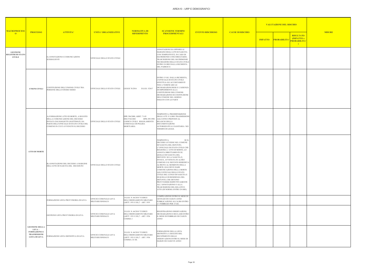## AREA10 - URP E DEMOGRAFICI

| <b>ISCHIO</b>                                                              |               |
|----------------------------------------------------------------------------|---------------|
| <b>RISULTATO</b><br>(IMPATTO x<br>PROBABILITA'<br>$\overline{\phantom{0}}$ | <b>MISURE</b> |
|                                                                            |               |
|                                                                            |               |
|                                                                            |               |
|                                                                            |               |
|                                                                            |               |
|                                                                            |               |
|                                                                            |               |
|                                                                            |               |
|                                                                            |               |
|                                                                            |               |

| <b>MACROPROCESS</b>                                          |                                                                                                  |                                                                                                                                                                                                      | <b>UNITA' ORGANIZZATIVE</b>               | <b>NORMATIVA DI</b><br><b>RIFERIMENTO</b>                                                                                          | <b>SCANSIONE TERMINI</b>                                                                                                                                                                                                                                                                                                                                                                                                                                                                                                                                                                                                         | <b>EVENTO RISCHIOSO</b> |                         | <b>VALUTAZIONE DEL RISCHIO</b>       |                                                                                        |  |
|--------------------------------------------------------------|--------------------------------------------------------------------------------------------------|------------------------------------------------------------------------------------------------------------------------------------------------------------------------------------------------------|-------------------------------------------|------------------------------------------------------------------------------------------------------------------------------------|----------------------------------------------------------------------------------------------------------------------------------------------------------------------------------------------------------------------------------------------------------------------------------------------------------------------------------------------------------------------------------------------------------------------------------------------------------------------------------------------------------------------------------------------------------------------------------------------------------------------------------|-------------------------|-------------------------|--------------------------------------|----------------------------------------------------------------------------------------|--|
| $\overline{0}$                                               | <b>PROCESSO</b>                                                                                  | <b>ATTIVITA'</b>                                                                                                                                                                                     |                                           |                                                                                                                                    | <b>PROCEDIMENTALI</b>                                                                                                                                                                                                                                                                                                                                                                                                                                                                                                                                                                                                            |                         | <b>CAUSE DI RISCHIO</b> | <b>PROBABILITA</b><br><b>IMPATTO</b> | <b>MISURE</b><br><b>RISULTATO</b><br><b>IMPATTO</b> x<br>PROBABILITA'<br>$\rightarrow$ |  |
| <b>GESTIONE</b><br><b>REGISTRI DI STATO</b><br><b>CIVILE</b> |                                                                                                  | E) ANNOTAZIONI E COMUNICAZIONI<br>SUSSEGUENTI                                                                                                                                                        | UFFICIALE DELLO STATO CIVILE              |                                                                                                                                    | ANNOTAZIONI DA OPPORSI AI<br>MARGINI DEGLI ATTI DI NASCITA<br>CON TEMPESTIVITÀ. IN CASO DI<br>MATRIMONIO CONCORDATARIO,<br>TRASCRIZIONE DEL MATRIMONIO<br>NEI REGISTRI DELLO STATO CIVILE<br>ENTRO 24 ORE DALLA RICHIESTA<br>DEL PARROCO.                                                                                                                                                                                                                                                                                                                                                                                        |                         |                         |                                      |                                                                                        |  |
|                                                              | <b>UNIONI CIVILI</b>                                                                             | COSTITUZIONE DELL'UNIONE CIVILE TRA<br>PERSONE DELLO STESSO SESSO                                                                                                                                    | UFFICIALE DELLO STATO CIVILE              | LEGGE 76/2016<br>D.LGS. 5/2017                                                                                                     | ENTRO 15 GG. DALLA RICHIESTA,<br>L'UFFICIALE DI STATO CIVILE<br>EFFETTUA GLI ACCERTAMENTI<br>TESI A VERIFICARE LE<br>DICHIARAZIONI RESE E L'ASSENZA<br>DI IMPEDIMENTI ALLA<br>COSTITUZIONE DELL'UNIONE.<br>DICHIARAZIONE DI COSTITUZIONE<br>DELL'UNIONE NEL GIORNO<br>FISSATO CON LE PARTI                                                                                                                                                                                                                                                                                                                                       |                         |                         |                                      |                                                                                        |  |
|                                                              | <b>ATTO DI MORTE</b>                                                                             | A) FORMAZIONE ATTO DI MORTE, A SEGUITO<br>DELLA COMUNICAZIONE DEL DECESSO<br>INVIATA DAI SOGGETTI LEGITTIMATI, DA<br>PARTE DELL'UFFICIALE DI STATO CIVILE DEL<br>COMUNE IN CUI È AVVENUTO IL DECESSO | UFFICIALE DELLO STATO CIVILE              | DPR 396/2000, ARRT. 71-83<br>DM 27/02/2001<br>DPR 295/1990<br>CODICE CIVILE REGOLAMENTO<br>COMUNALE DI POLIZIA<br><b>MORTUARIA</b> | TEMPESTIVA: PREDISPOSIZIONE<br>DEGLI ATTI E LORO TRASMISSIONE<br>AGLI UFFICI PREPOSTI AL<br>RILASCIO DELLA<br><b>DOCUMENTAZIONE</b><br>AUTORIZZATIVA E SANITARIA NEI<br>TERMINI DI LEGGE.                                                                                                                                                                                                                                                                                                                                                                                                                                        |                         |                         |                                      |                                                                                        |  |
|                                                              |                                                                                                  | B) ANNOTAZIONE DEL DECESSO A MARGINE<br>DELL'ATTO DI NASCITA DEL DECEDUTO                                                                                                                            | UFFICIALE DELLO STATO CIVILE              |                                                                                                                                    | TEMPESTIVA.<br>SE IL<br>DECESSO AVVIENE NEL COMUNE<br>DI NASCITA DEL DEFUNTO,<br>L'UFFICIALE DI STATO CIVILE CHE<br>REGISTRA L'ATTO DI MORTE, LO<br>ANNOTA DIRETTAMENTE SU<br><b>QUELLO DI NASCITA DEL</b><br>DEFUNTO. SE LA NASCITA È,<br>INVECE, AVVENUTA IN ALTRO<br>COMUNE O IL DEFUNTO RISIEDEVA<br>ALTROVE AL MOMENTO DELLA<br>MORTE, EGLI DEVE DARE<br>COMUNICAZIONE DELLA MORTE<br>AGLI UFFICIALI DELLO STATO<br>CIVILE DEL LUOGO DI NASCITA E<br>DI QUELLO DI RESIDENZA DEL<br>DEFUNTO, CHE DEVONO<br>PROVVEDERE RISPETTIVAMENTE<br>ALL'ANNOTAZIONE O ALLA<br>TRASCRIZIONE DEL RELATIVO<br>ATTO (DI NORMA ENTRO 24 ORE) |                         |                         |                                      |                                                                                        |  |
|                                                              |                                                                                                  | FORMAZIONE LISTA PROVVISORIA DI LEVA                                                                                                                                                                 | UFFICIO COMUNALE LEVA<br>MILITARE/SINDACO | D.LGS. N. 66/2010 "CODICE<br>DELL'ORDINAMENTO MILITARE<br>(ARTT. 1931 E SS.)" - ART. 1935                                          | COMPILAZIONE ENTRO IL MESE DI<br>GENNAIO DI CIASUN ANNO<br>PUBBLICAZIONE ALL'ALBO ENTRO<br>L'1 FEBBRAIO PER 15 GG                                                                                                                                                                                                                                                                                                                                                                                                                                                                                                                |                         |                         |                                      |                                                                                        |  |
|                                                              |                                                                                                  | GESTIONE LISTA PROVVISORIA DI LEVA                                                                                                                                                                   | UFFICIO COMUNALE LEVA<br>MILITARE/SINDACO | D.LGS. N. 66/2010 "CODICE<br>DELL'ORDINAMENTO MILITARE<br>(ARTT. 1931 E SS.)" - ART. 1936<br>COMMA 1                               | REGISTRAZIONE OSSERVAZIONI,<br>DICHIARAZIONI E RECLAMI ENTRO<br>IL MESE DI FEBBRAIO DI CIASUN<br>ANNO                                                                                                                                                                                                                                                                                                                                                                                                                                                                                                                            |                         |                         |                                      |                                                                                        |  |
|                                                              | <b>GESTIONE DELLA</b><br>$LEVA -$<br><b>FORMAZIONE E</b><br><b>TRASMISSIONE</b><br>LISTA DI LEVA | FORMAZIONE LISTA DEFINITIVA DI LEVA                                                                                                                                                                  | UFFICIO COMUNALE LEVA<br>MILITARE/SINDACO | D.LGS. N. 66/2010 "CODICE<br>DELL'ORDINAMENTO MILITARE<br>(ARTT. 1931 E SS.)" - ART. 1936<br>COMMA 2 E SS.                         | FORMAZIONE DELLA LISTA<br>DEFINITIVA A SEGUITO DEL<br>RECEPIMENTO DELLE<br>OSSERVAZIONI ENTRO IL MESE DI<br>MARZO DI CIASCUN ANNO                                                                                                                                                                                                                                                                                                                                                                                                                                                                                                |                         |                         |                                      |                                                                                        |  |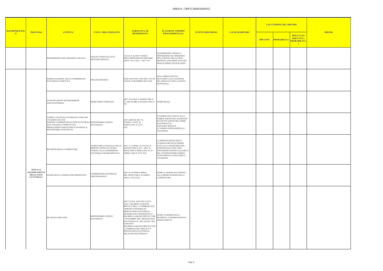| <b>SCHIO</b>                                                    |               |
|-----------------------------------------------------------------|---------------|
| <b>RISULTATO</b><br>(IMPATTO x<br>PROBABILITA'<br>$\mathcal{E}$ | <b>MISURE</b> |
|                                                                 |               |
|                                                                 |               |
|                                                                 |               |
|                                                                 |               |
|                                                                 |               |
|                                                                 |               |
|                                                                 |               |
|                                                                 |               |
|                                                                 |               |

|                                       | <b>PROCESSO</b>                                                                    |                                                                                                                                                                                                                                      |                                                                                                                                               | NORMATIVA DI<br><b>RIFERIMENTO</b>                                                                                                                                                                                                                                                                                                                                                                              | <b>SCANSIONE TERMINI</b><br><b>PROCEDIMENTALI</b>                                                                                                                                                                | <b>EVENTO RISCHIOSO</b> |                         |  | <b>VALUTAZIONE DEL RISCHIO</b> |                                                                 |               |
|---------------------------------------|------------------------------------------------------------------------------------|--------------------------------------------------------------------------------------------------------------------------------------------------------------------------------------------------------------------------------------|-----------------------------------------------------------------------------------------------------------------------------------------------|-----------------------------------------------------------------------------------------------------------------------------------------------------------------------------------------------------------------------------------------------------------------------------------------------------------------------------------------------------------------------------------------------------------------|------------------------------------------------------------------------------------------------------------------------------------------------------------------------------------------------------------------|-------------------------|-------------------------|--|--------------------------------|-----------------------------------------------------------------|---------------|
| <b>MACROPROCESS</b><br>$\overline{0}$ |                                                                                    | <b>ATTIVITA'</b>                                                                                                                                                                                                                     | <b>UNITA' ORGANIZZATIVE</b>                                                                                                                   |                                                                                                                                                                                                                                                                                                                                                                                                                 |                                                                                                                                                                                                                  |                         | <b>CAUSE DI RISCHIO</b> |  | <b>IMPATTO PROBABILITA</b>     | <b>RISULTATO</b><br>(IMPATTO x<br>PROBABILITA'<br>$\rightarrow$ | <b>MISURE</b> |
|                                       |                                                                                    | TRASMISSIONE LISTA DEFINITIVA DI LEVA                                                                                                                                                                                                | UFFICIO COMUNALE LEVA<br>MILITARE/SINDACO                                                                                                     | D.LGS. N. 66/2010 "CODICE<br>DELL'ORDINAMENTO MILITARE<br>(ARTT. 1931 E SS.)" - ART. 1937                                                                                                                                                                                                                                                                                                                       | TRASMISSIONE O MESSA A<br>DISPOSIZIONE DEL MINISTERO<br>DELLA DIFESA DELLA LISTA<br>DEFINITIVA NEI PRIMI 10 GG DEL<br>MESE DI APRILE DI OGNI ANNO                                                                |                         |                         |  |                                |                                                                 |               |
|                                       |                                                                                    | NOMINA/ELEZIONE DELLA COMMISSIONE<br>ELETTORALE COMUNALE                                                                                                                                                                             | ORGANO POLITICO                                                                                                                               | D.P.R. 20/03/1967 N.223 ART. 2 CO 30<br>LEGGE 24 DICEMBRE 2007 N.244                                                                                                                                                                                                                                                                                                                                            | NELLA PRIMA SEDUTA,<br>SUCCESSIVA ALLA ELEZIONE<br>DEL SINDACO E DELLA GIUNTA<br>MUNICIPALE,                                                                                                                     |                         |                         |  |                                |                                                                 |               |
|                                       |                                                                                    | AUTENTICAZIONE SOTTOSCRIZIONI<br>LISTE ELETTORALI                                                                                                                                                                                    | SEGRETARIO COMUNALE                                                                                                                           | ART. 14 LEGGE 21 MARZO 1990, N.<br>53; ART 28 DPR 16 MAGGIO 1960, N.<br>570                                                                                                                                                                                                                                                                                                                                     | <b>TEMPO REALE</b>                                                                                                                                                                                               |                         |                         |  |                                |                                                                 |               |
|                                       |                                                                                    | COMPILA UN ELENCO IN TRIPLICE COPIA DEI<br>CITTADINI CHE, PUR<br>ESSENDO COMPRESI NELLE LISTE ELETTORALI, RESPONSABILE UFFICIO<br>NON AVRANNO COMPIUTO, NEL<br>PRIMO GIORNO FISSATO PER LE ELEZIONI, IL<br>DICIOTTESIMO ANNO DI ETA' | ELETTORALE                                                                                                                                    | ART. 4-BIS ED ART. 33,<br>COMMA 1 D.P.R. 20<br>MARZO 1967, N. 223 E<br>S.M.                                                                                                                                                                                                                                                                                                                                     | 10°GIORNO SUCCESSIVO ALLA<br>PUBBLICAZIONE DEL MANIFESTO<br>DI CONVOCAZIONE DEI COMIZI<br>ELETTORALI DA<br>PARTE DEL SINDACO<br>35° GIORNO ANTECEDENTE LA<br><b>VOTAZIONE</b>                                    |                         |                         |  |                                |                                                                 |               |
|                                       |                                                                                    | RICEZIONE DELLE CANDIDATURE                                                                                                                                                                                                          | SEGRETARIO COMUNALE CHE LE ART. 71, COMMI 1 E 2 D.LGS. 18<br>RIMETTE, ENTRO LO STESSO<br>GIORNO, ALLA COMMISSIONE<br>ELETTORALE MANDAMENTALE. | AGOSTO 2000, N. 267; - ART. 28,<br>PENULTIMO COMMA, DEL TU 16<br>APRILE 1960, N. 570 E S.M.                                                                                                                                                                                                                                                                                                                     | LA PRESENTAZIONE DELLE<br>CANDIDATURE DEVE ESSERE<br>FATTA ALLA SEGRETERIA DEL<br>COMUNE DALLE ORE 8 DEL<br>TRENTESIMO GIORNO ALLE ORE 12<br>DEL VENTINOVESIMO GIORNO<br>ANTECEDENTI LA DATA DELLA<br>VOTAZIONE. |                         |                         |  |                                |                                                                 |               |
|                                       | <b>TENUTA E</b><br><b>AGGIORNAMENTO</b><br><b>DELLE LISTE</b><br><b>ELETTORALI</b> | ESAME DELLE CANDIDATURE PRESENTATE                                                                                                                                                                                                   | COMMISSIONE ELETTORALE<br><b>CIRCONDARIALE</b>                                                                                                | ART. 28, ULTIMO COMMA,<br>DEL TESTO UNICO 16 APRILE<br>1960, N. 570, E S.M.                                                                                                                                                                                                                                                                                                                                     | ENTRO IL GIORNO SUCCESSIVO<br>ALLA PRESENTAZIONE DELLA<br>CANDIDATURA.                                                                                                                                           |                         |                         |  |                                |                                                                 |               |
|                                       |                                                                                    | RILASCIO COPIE LISTE                                                                                                                                                                                                                 | RESPONSABILE UFFICIO<br><b>ELETTORALE</b>                                                                                                     | ART 51 D.P.R. 20/03/1967 N.223 E<br>S.M.I.; DELIBERA GARANTE<br>PRIVACY DELL'11 FEBBRAIO 2010<br>"MISURE IN MATERIA DI<br>PROPAGANDA ELETTORALE -<br>ESONERO DALL'INFORMATIVA";<br>DELIBERA GARANTE PRIVACY DEL<br>7 SETTEMBRE 2005 "PROPAGANDA<br>ELETTORALE: IL 'DECALOGO' DEL<br>GARANTE";<br>DELIBERA GARANTE PRIVACY DEL<br>12 FEBBRAIO 2004 "PRIVACY E<br>PROPAGANDA ELETTORALE.<br>DECALOGO ELETTORALE"; | ENTRO 30 GIORNI DALLA<br>RICHIESTA. I TERMINI POSSONO<br><b>ESSERE RIDOTTI</b>                                                                                                                                   |                         |                         |  |                                |                                                                 |               |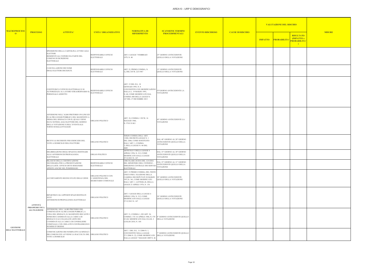| <b>ISCHIO</b>                                                    |               |
|------------------------------------------------------------------|---------------|
| <b>RISULTATO</b><br>(IMPATTO x<br>PROBABILITA'<br>$\overline{)}$ | <b>MISURE</b> |
|                                                                  |               |
|                                                                  |               |
|                                                                  |               |
|                                                                  |               |
|                                                                  |               |
|                                                                  |               |
|                                                                  |               |
|                                                                  |               |
|                                                                  |               |
|                                                                  |               |
|                                                                  |               |
|                                                                  |               |
|                                                                  |               |

| <b>MACROPROCESS</b>                       |                                             |                                                                                                                                                                                                                                                                                                        | <b>UNITA' ORGANIZZATIVE</b>                                    | <b>NORMATIVA DI</b><br><b>RIFERIMENTO</b>                                                                                                                                                         | <b>SCANSIONE TERMINI</b>                                                                 |                         | <b>CAUSE DI RISCHIO</b> | <b>VALUTAZIONE DEL RISCHIO</b> |                            |                                                                 |               |
|-------------------------------------------|---------------------------------------------|--------------------------------------------------------------------------------------------------------------------------------------------------------------------------------------------------------------------------------------------------------------------------------------------------------|----------------------------------------------------------------|---------------------------------------------------------------------------------------------------------------------------------------------------------------------------------------------------|------------------------------------------------------------------------------------------|-------------------------|-------------------------|--------------------------------|----------------------------|-----------------------------------------------------------------|---------------|
| $\overline{O}$                            | <b>PROCESSO</b>                             | <b>ATTIVITA'</b>                                                                                                                                                                                                                                                                                       |                                                                |                                                                                                                                                                                                   | <b>PROCEDIMENTALI</b>                                                                    | <b>EVENTO RISCHIOSO</b> |                         |                                | <b>IMPATTO PROBABILITA</b> | <b>RISULTATO</b><br>(IMPATTO x<br>PROBABILITA'<br>$\rightarrow$ | <b>MISURE</b> |
|                                           |                                             | SPEDIZIONE DELLA CARTOLINA AVVISO AGLI<br>ELETTORI<br>RESIDENTI ALL'ESTERO DA PARTE DEL<br>COMUNE DI ISCRIZIONE<br>ELETTORALE                                                                                                                                                                          | RESPONSABILE UFFICIO<br><b>ELETTORALE</b>                      | ART. 6 LEGGE 7 FEBBRAIO<br>1979, N. 40                                                                                                                                                            | 25° GIORNO ANTECEDENTE<br><b>QUELLO DELLA VOTAZIONE</b>                                  |                         |                         |                                |                            |                                                                 |               |
|                                           |                                             | CANCELLAZIONE DEI NOMI<br>DEGLI ELETTORI DECEDUTI.                                                                                                                                                                                                                                                     | RESPONSABILE UFFICIO<br>ELETTORALE                             | ART. 32, PRIMO COMMA, N.<br>1), DEL D.P.R. 223/1967                                                                                                                                               | 15° GIORNO ANTECEDENTE<br>QUELLO DELLA VOTAZIONE                                         |                         |                         |                                |                            |                                                                 |               |
|                                           |                                             | COSTITUISCE L'UFFICIO ELETTORALE E SI<br>AUTORIZZAZA AL LAVORO STRAORDINARIO II<br>PERSONALE ADDETTO                                                                                                                                                                                                   | RESPONSABILE UFFICIO<br>ELETTORALE                             | ART. 15 DEL D.L. 18<br><b>GENNAIO 1993, N. 8</b><br>CONVERTITO CON MODIFICAZIONI<br>DALLA L. 19 MARZO 1993,<br>N. 68, COME MODIFICATO DAL<br>COMMA 400 DELLA LEGGE N.<br>147 DEL 27 DICEMBRE 2013 | 55°GIORNO ANTECEDENTE LA<br>VOTAZIONE                                                    |                         |                         |                                |                            |                                                                 |               |
|                                           |                                             | AFFISSIONE NELL'ALBO PRETORIO ON LINE ED<br>IN ALTRI LUOGHI PUBBLICI, DEL MANIFESTO A<br>FIRMA DEL SINDACO CON IL QUALE VIENE<br>DATA NOTIZIA AGLI ELETTORI DEL GIORNO<br>DELLA VOTAZIONE E DELL'EVENTUALE<br>TURNO DI BALLOTTAGGIO                                                                    | ORGANO POLITICO                                                | ART. 18, COMMA 1 D.P.R. 16<br>MAGGIO 1960,<br>N. 570 E S.M.I                                                                                                                                      | 45° GIORNO ANTECEDENTE LA<br><b>VOTAZIONE</b>                                            |                         |                         |                                |                            |                                                                 |               |
|                                           |                                             | RICEVE LE RICHIESTE PER ESERCIZIO DEL<br>VOTO A DOMICILIO DELL'ELETTORE                                                                                                                                                                                                                                | ORGANO POLITICO                                                | TERZO COMMA DELL'ART.<br>1 DEL DECRETO-LEGGE N. 1<br>DEL 2006, COME SOSTITUITO<br>DALL'ART. 1, COMMA<br>3, DELLA LEGGE N. 46 DEL<br>2009                                                          | DAL 40° GIORNO AL 20° GIORNO<br>ANTECEDENTE QUELLO DELLA<br>VOTAZIONE                    |                         |                         |                                |                            |                                                                 |               |
|                                           |                                             | DELIBERAZIONE DEGLI SPAZI DA DESTINARE<br>ALLE AFFISSIONI DI PROPAGANDA<br>ELETTORALE                                                                                                                                                                                                                  | ORGAN POLITICO                                                 | ARTICOLO 3 DELLA LEGGE 4<br>APRILE 1956, N. 212, COME<br>MODIFICATO DALLA LEGGE<br>27/12/2013 N. 147                                                                                              | DAL 33° GIORNO AL 30° GIORNO<br>ANTECEDENTE QUELLO DELLA<br>VOTAZIONE                    |                         |                         |                                |                            |                                                                 |               |
|                                           |                                             | RILASCIO DELLA CERTIFICAZIONE<br>NECESSARIA PER LA PRESENTAZIONE<br>DELLE LISTE. UFFICIO DEVE RIMANERE<br>APERTO ANCHE NEL POMERIGGIO                                                                                                                                                                  | RESPONSABILE UFFICIO<br><b>ELETTORALE</b>                      | CIRCOLARE 20/2016 DEL 12/4/2016<br>DEL MINISTERO DELL'INTERNO -<br>DIREZIONE CENTRALE DEI SERVIZI<br><b>ELETTORALI</b>                                                                            | DAL 33° GIORNO AL 31° GIORNO<br>ANTECEDENTE QUELLO DELLA<br>VOTAZIONE                    |                         |                         |                                |                            |                                                                 |               |
|                                           |                                             | ACCERTAMENTO BUONO STATO DELLE URNE                                                                                                                                                                                                                                                                    | ORGANO POLITICO CON<br>L'ASSISTENZA DEL<br>SEGRETARIO COMUNALE | ART. 33 PRIMO COMMA, DEL TESTO<br>UNICO PER L'ELEZIONE DELLA<br>CAMERA DEI DEPUTATI 30 MARZO<br>1957, N. 361, COME MODIFICATO<br>DALL'ART. 1. LETTERA R, DELLA<br>LEGGE 23 APRILE 1976, N. 136    | 30° GIORNO ANTECEDENTE<br>QUELLO DELLA VOTAZIONE                                         |                         |                         |                                |                            |                                                                 |               |
| <b>GESTIONE</b><br><b>DELL'ELETTORALE</b> | ATTIVITÀ                                    | RIPARTISCE GLI APPOSITI SPAZI DESTINATI<br>ALLE<br>AFFISSIONI DI PROPAGANDA ELETTORALE                                                                                                                                                                                                                 | ORGANO POLITICO                                                | ART. 5 LEGGE DELLA LEGGE 4<br>APRILE 1956, N. 212, COME<br>MODIFICATO DALLA LEGGE<br>27/12/2013 N. 147                                                                                            | 24° GIORNO ANTECEDENTE<br>QUELLO DELLA VOTAZIONE                                         |                         |                         |                                |                            |                                                                 |               |
|                                           | <b>PREOPEDEUTICA</b><br><b>ALL'ELEZIONE</b> | AFFISSIONE, NELL'ALBO PRETORIO DEL<br>COMUNE ED IN ALTRI LUOGHI PUBBLICI, A<br>CURA DEL SINDACO, IL MANIFESTO RECANTE I<br>NOMI DEI CANDIDATI ALLA CARICA DI<br>SINDACO E LE COLLEGATE LISTE DEI<br>CANDIDATI ALLA CARICA DI CONSIGLIERE<br>COMUNALE, CON I RELATIVI CONTRASSEGNI E<br>NUMERI D'ORDINE | ORGANO POLITICO                                                | ART. 31, COMMA 1, ED ART. 34,<br>E S.M. MODIFICATO DAL D.LGS. 2<br>LUGLIO 2010, N. 104                                                                                                            | COMMA 1 TU 16 APRILE 1960, N. 570 8° GIORNO ANTECEDENTE QUELLO<br><b>DELLA VOTAZIONE</b> |                         |                         |                                |                            |                                                                 |               |
|                                           |                                             | COMUNICAZIONE DEI NOMINATIVI AI SINDACI<br>DEI COMUNI OVE AVVIENE LA RACCOLTA DEL ORGANO POLITICO<br>VOTO A DOMICILIO                                                                                                                                                                                  |                                                                | ART. 1 DEL D.L. 3/1/2006 N. 1,<br>CONVERTITO NELLA LEGGE<br>27/1/2006 N. 22, COME MODIFICATO DELLA VOTAZIONE<br>DALLA LEGGE 7 MAGGIO 2009 N. 46                                                   | <sup>2</sup> GIORNO ANTECEDENTE QUELLO                                                   |                         |                         |                                |                            |                                                                 |               |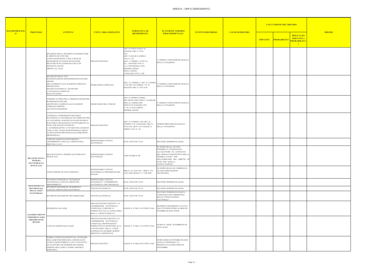| <b>SCHIO</b>                                                               |               |
|----------------------------------------------------------------------------|---------------|
| <b>RISULTATO</b><br>(IMPATTO x<br>PROBABILITA'<br>$\overline{\phantom{0}}$ | <b>MISURE</b> |
|                                                                            |               |
|                                                                            |               |
|                                                                            |               |
|                                                                            |               |
|                                                                            |               |
|                                                                            |               |
|                                                                            |               |
|                                                                            |               |
|                                                                            |               |
|                                                                            |               |
|                                                                            |               |
|                                                                            |               |
|                                                                            |               |
|                                                                            |               |
|                                                                            |               |

|                                       |                                                                                    |                                                                                                                                                                                                                                                                                                                                                | <b>UNITA' ORGANIZZATIVE</b>                                                                                                                                                                       |                                                                                                                                                                                                                                                    | <b>SCANSIONE TERMINI</b>                                                                                                                                                                                     | <b>EVENTO RISCHIOSO</b> | <b>CAUSE DI RISCHIO</b> | <b>VALUTAZIONE DEL RISCHIO</b> |                    |                                                                 |               |
|---------------------------------------|------------------------------------------------------------------------------------|------------------------------------------------------------------------------------------------------------------------------------------------------------------------------------------------------------------------------------------------------------------------------------------------------------------------------------------------|---------------------------------------------------------------------------------------------------------------------------------------------------------------------------------------------------|----------------------------------------------------------------------------------------------------------------------------------------------------------------------------------------------------------------------------------------------------|--------------------------------------------------------------------------------------------------------------------------------------------------------------------------------------------------------------|-------------------------|-------------------------|--------------------------------|--------------------|-----------------------------------------------------------------|---------------|
| <b>MACROPROCESS</b><br>$\overline{0}$ | <b>PROCESSO</b>                                                                    | <b>ATTIVITA'</b>                                                                                                                                                                                                                                                                                                                               |                                                                                                                                                                                                   | <b>NORMATIVA DI</b><br><b>RIFERIMENTO</b>                                                                                                                                                                                                          | <b>PROCEDIMENTALI</b>                                                                                                                                                                                        |                         |                         | <b>IMPATTO</b>                 | <b>PROBABILITA</b> | <b>RISULTATO</b><br>(IMPATTO x<br>PROBABILITA'<br>$\rightarrow$ | <b>MISURE</b> |
|                                       |                                                                                    | RICEZIONE DELLA RICHIESTA DI ESERCITARE<br>IL DIRITTO DI VOTO NEL<br>LUOGO DI DEGENZA O NEL LUOGO DI<br>DETENZIONE DA PARTE DI ELETTORI<br>RICOVERATI IN LUOGHI DI CURA E DI<br>DETENUTI AVENTI<br>DIRITTO AL VOTO                                                                                                                             | ORGANO POLITICO                                                                                                                                                                                   | ART. 42 TESTO UNICO 16<br>MAGGIO 1960, N. 570 E<br>S.M.<br>ART. 9 LEGGE 23 APRILE<br>1976, N. 136<br>ART. 1, COMMA 1, LETT. E)<br>D.L. 3 MAGGIO 1976, N.<br>161, CONVERTITO, CON<br>MODIFICAZIONI,<br><b>NELLA LEGGE</b><br>14 MAGGIO 1976, N. 240 | 3° GIORNO ANTECEDENTE QUELLO<br><b>DELLA VOTAZIONE</b>                                                                                                                                                       |                         |                         |                                |                    |                                                                 |               |
|                                       |                                                                                    | RICEZIONE DEGLI ATTI<br>DI DESIGNAZIONE DEI RAPPRESENTANTI DEI<br><b>GRUPPI</b><br>DEI CANDIDATI ALLE ELEZIONI COMUNALI<br>PRESSO OGNI<br>SEGGIO ELETTORALE, ANCHE PER<br>L'EVENTUALE TURNO DI<br><b>BALLOTTAGGIO</b>                                                                                                                          | SEGRETARIO COMUNALE                                                                                                                                                                               | ART. 35, COMMA 2, ART. 47, COMMA<br>1, ED ART. 48 COMMA 1 TU 16<br>MAGGIO 1960, N. 570 E S.M                                                                                                                                                       | <sup>3</sup> ° GIORNO ANTECEDENTE QUELLO<br>DELLA VOTAZIONE                                                                                                                                                  |                         |                         |                                |                    |                                                                 |               |
|                                       |                                                                                    | TERMINE ULTIMO PER LA PRESENTAZIONE DEI<br>RAPPRESENTANTI DEI<br>GRUPPI DEI CANDIDATI ALLE ELEZIONI<br><b>COMUNALI PRESSO</b><br><b>GLI UFFICI DI SEZIONE.</b>                                                                                                                                                                                 | SEGRETARIO DEL COMUNE                                                                                                                                                                             | ART. 25, PRIMO COMMA,<br>DEI TESTO UNICO PER L'ELEZIONE<br>DELLA CAMERA DEI<br>DEPUTATI 30 MARZO 1957<br>N. 361, E SUCCESSIVE<br>MODIFICAZIONI                                                                                                     | 2° GIORNO ANTECEDENTE QUELLO<br><b>DELLA VOTAZIONE</b>                                                                                                                                                       |                         |                         |                                |                    |                                                                 |               |
|                                       |                                                                                    | CONSEGNA AI PRESIDENTI DEI SEGGI<br>ELETTORALI, IL MATERIALE OCCORRENTE PER<br>LA VOTAZIONE, NONCHÉ GLI ELENCHI DEGLI<br>ELETTORI E DEI DETENUTI AVENTI DIRITTO AL<br>VOTO CHE HANNO OTTENUTO<br>.'AUTORIZZAZIONE A VOTARE NEI LUOGHI DI<br>CURA O NEL LUOGO DI DETENZIONE E DEGLI<br>ALTRI ELENCHI PREVISTI DALLE ISTRUZIONI<br>MINISTERIALI. | ORGANO POLITICO                                                                                                                                                                                   | ART. 27, COMMA 1 ED ART. 42,<br>COMMA 3 TU 16 MAGGIO 1960, N.<br>570 E S.M. ARTT. 8 E 9 LEGGE 23<br>APRILE 1976, N. 136                                                                                                                            | GIORNO PRECEDENTE QUELLO<br>DELLA VOTAZIONE                                                                                                                                                                  |                         |                         |                                |                    |                                                                 |               |
|                                       |                                                                                    | COMUNICAZIONI DATI REVISIONI E<br>ADEMPIMENTI VARI ALLA PREFETTURA,<br>PROCURA E S.E.C                                                                                                                                                                                                                                                         | RESPONSABILE UFFICIO<br><b>ELETTORALE</b>                                                                                                                                                         | D.P.R. 20/03/1967 N.223                                                                                                                                                                                                                            | SECONDO TERMINI DI LEGGE                                                                                                                                                                                     |                         |                         |                                |                    |                                                                 |               |
|                                       | <b>RILASCIO NUOVA</b><br><b>TESSERA</b><br><b>ELETTORALE E</b><br><b>DUPLICATO</b> | RILASCIO NUOVA TESSERA ELETTORALE E<br><b>DUPLICATO</b>                                                                                                                                                                                                                                                                                        | RESPONSABILE UFFICIO<br>ELETTORALE                                                                                                                                                                | DPR 8/9/2000 N.299                                                                                                                                                                                                                                 | IN TEMPO REALE. SE NON<br>POSSIBILE E' CONSEGNATO<br>ALL'ELETTORE UN ATTESTATO<br>DEL SINDACO SOSTITUTIVO DELLA<br>ESSERA AI SOLI FINI<br>DELL'ESERCIZIO DEL DIRITTO DI<br>VOTO PER QUELLA<br>CONSULTAZIONE. |                         |                         |                                |                    |                                                                 |               |
|                                       |                                                                                    | ANNOTAZIONE DI VOTO ASSISTITO                                                                                                                                                                                                                                                                                                                  | RESPONSABILE UFFICIO<br>ELETTORALE O PRESIDENTE DEL<br>SEGGIO                                                                                                                                     | DPR N. 361 30.03.1957 - DPR N. 570<br>16.05.1960 LEGGE N. 17 5/02/2003                                                                                                                                                                             | N TEMPO REALE SE CORREDATA<br>DA DOCUMENTAZIONE<br>NECESSARIA                                                                                                                                                |                         |                         |                                |                    |                                                                 |               |
|                                       |                                                                                    | REVISIONI SEMESTRALI: ISCRIZIONE<br>ELETTORALE, CANCELLAZIONI PER<br>IRREPERIBILITÀ                                                                                                                                                                                                                                                            | RESPONSABILE UFFICIO<br>ELETTORALE / COMMISSIONE<br>ELETTORALE CIRCONDARIALE                                                                                                                      | D.P.R. 20/03/1967 N.223                                                                                                                                                                                                                            | SECONDO TERMINI DI LEGGE                                                                                                                                                                                     |                         |                         |                                |                    |                                                                 |               |
|                                       | <b>PROCEDIMENTO</b><br><b>REVISIONALE</b>                                          | REVISIONE DINAMICHE :ISCRIZIONI E<br>ANCELLAZIONI LISTE ELETTORALI                                                                                                                                                                                                                                                                             | UFFICIO ELETTORALE                                                                                                                                                                                | D.P.R. 20/03/1967 N.223                                                                                                                                                                                                                            | SECONDO TERMINI DI LEGGE                                                                                                                                                                                     |                         |                         |                                |                    |                                                                 |               |
|                                       | <b>DELLE LISTE</b><br><b>ELETTORALI</b>                                            | REVISIONE DINAMICHE STRAORDINARIE                                                                                                                                                                                                                                                                                                              | UFFICIO ELETTORALE                                                                                                                                                                                | D.P.R. 20/03/1967 N.223                                                                                                                                                                                                                            | SECONDO TERMINI DI LEGGE E<br>COMUNQUE NELL'IMMINENZA<br>DELLE CONSULTAZIONI<br><b>ELETTORALI</b>                                                                                                            |                         |                         |                                |                    |                                                                 |               |
|                                       | <b>AGGIORNAMENTO</b>                                                               | <b>ISCRIZIONE ALL'ALBO</b>                                                                                                                                                                                                                                                                                                                     | ORGANO POLITICO,SENTITA LA<br>COMMISSIONE ELETTORALE<br>COMUNALE, COMUNICA I<br>NOMINATIVI ALLA CANCELLERIA<br>DELLA CORTE D'APPELLO.                                                             | LEGGE N. 53 DEL 21.03.1990 E S.M.I.                                                                                                                                                                                                                | RICHIESTA ISCRIZIONE VA FATTA<br>DAI CITTADINI ENTRO IL MESE DI<br>OTTOBRE DI OGNI ANNO                                                                                                                      |                         |                         |                                |                    |                                                                 |               |
|                                       | PERIODICO ALBO<br>PRESIDENTI DI<br><b>SEGGIO</b>                                   | CANCELLAZIONE DALL'ALBO                                                                                                                                                                                                                                                                                                                        | ORGANO POLITICO, SENTITA LA<br>COMMISSIONE ELETTORALE<br>COMUNALE, PROPONGONO I<br>NOMINATIVI DA ISCRIVERE ALLA<br>CANCELLERIA DELLA CORTE<br>D'APPELLO IN NUMERO DOPPIO<br>RISPETTO AI DEPENNATI | LEGGE N. 53 DEL 21.03.1990 E S.M.I.                                                                                                                                                                                                                | ENTRO IL MESE DI FEBBRAIO DI<br>OGNI ANNO                                                                                                                                                                    |                         |                         |                                |                    |                                                                 |               |
|                                       |                                                                                    | PUBBLICAZIONE MANIFESTO DA AFFIGGERE<br>NELL'ALBO PRETORIO DEL COMUNE ED IN<br>ALTRI LUOGHI PUBBLICI, CON CUI SI INVITA<br>GLI ELETTORI CHE DESIDERANO ESSERE<br>INSERITI NELL'ALBO A FARNE APPOSITA<br>DOMANDA                                                                                                                                | ORGANO POLITICO                                                                                                                                                                                   | LEGGE N. 95 DELL'8.03.1989 E S.M.I                                                                                                                                                                                                                 | ENTRO MESE DI OTTOBRE DI OGNI<br>ANNO,LA DOMANDA VA<br>PRESENTATA ENTRO MESE DI<br><b>NOVEMBRE</b>                                                                                                           |                         |                         |                                |                    |                                                                 |               |
|                                       |                                                                                    |                                                                                                                                                                                                                                                                                                                                                |                                                                                                                                                                                                   |                                                                                                                                                                                                                                                    |                                                                                                                                                                                                              |                         |                         |                                |                    |                                                                 |               |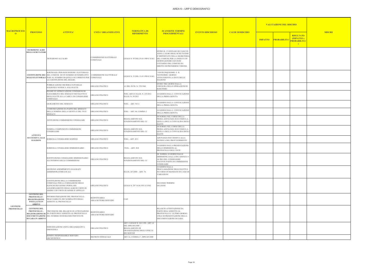| <b>ISCHIO</b>                                                    |               |
|------------------------------------------------------------------|---------------|
| <b>RISULTATO</b><br>(IMPATTO x<br>PROBABILITA'<br>$\overline{)}$ | <b>MISURE</b> |
|                                                                  |               |
|                                                                  |               |
|                                                                  |               |
|                                                                  |               |
|                                                                  |               |
|                                                                  |               |
|                                                                  |               |
|                                                                  |               |
|                                                                  |               |
|                                                                  |               |
|                                                                  |               |
|                                                                  |               |
|                                                                  |               |
|                                                                  |               |
|                                                                  |               |
|                                                                  |               |
|                                                                  |               |
|                                                                  |               |

| <b>MACROPROCESS</b>           |                                                                                              |                                                                                                                                                                                                             | <b>UNITA' ORGANIZZATIVE</b>           | <b>NORMATIVA DI</b><br><b>RIFERIMENTO</b>                                                                    | <b>SCANSIONE TERMINI</b>                                                                                                                                                                                                | <b>EVENTO RISCHIOSO</b> |                         | <b>VALUTAZIONE DEL RISCHIO</b>       |                                                                                                |
|-------------------------------|----------------------------------------------------------------------------------------------|-------------------------------------------------------------------------------------------------------------------------------------------------------------------------------------------------------------|---------------------------------------|--------------------------------------------------------------------------------------------------------------|-------------------------------------------------------------------------------------------------------------------------------------------------------------------------------------------------------------------------|-------------------------|-------------------------|--------------------------------------|------------------------------------------------------------------------------------------------|
| $\overline{0}$                | <b>PROCESSO</b>                                                                              | <b>ATTIVITA'</b>                                                                                                                                                                                            |                                       |                                                                                                              | <b>PROCEDIMENTALI</b>                                                                                                                                                                                                   |                         | <b>CAUSE DI RISCHIO</b> | <b>PROBABILITA</b><br><b>IMPATTO</b> | <b>MISURE</b><br><b>RISULTATO</b><br><b>(IMPATTO x)</b><br><b>PROBABILITA</b><br>$\rightarrow$ |
|                               | <b>ISCRIZIONE ALBO</b><br><b>DEGLI SCRUTATORI</b>                                            | <b>ISCRIZIONE ALL'ALBO</b>                                                                                                                                                                                  | COMMISSIONE ELETTORALE<br>COMUNALE    | LEGGE N. 95 DELL'8.03.1989 E S.M.I.                                                                          | ENTRO IL 15 GENNAIO DI CIASCUN<br>ANNO, L'ALBO DEGLI SCRUTATORI<br>E' DEPOSITATO NELLA SEGRETERIA<br>DEL COMUNE PER LA DURATA DI<br>GIORNI QUINDICI ED OGNI<br>CITTADINO DEL COMUNE HA<br>DIRITTO DI PRENDERNE VISIONE. |                         |                         |                                      |                                                                                                |
|                               |                                                                                              | SORTEGGIO, PER OGNI SEZIONE ELETTORALE<br><b>COSTITUZIONE DEI DEL COMUNE DI UN NUMERO DI NOMINATIVI</b><br>SEGGI ELETTORALI PARI AL NUMERO DI QUELLI OCCORRENTI PER COMUNALE<br>LA COSTITUZIONE DEL SEGGIO. | COMMISSIONE ELETTORALE                | LEGGE N. 53 DEL 21.03.1990 E S.M.I.                                                                          | VENTICINQUESIMO E IL<br>VENTESIMO GIORNO<br>ANTECEDENTI LA DATA DELLE<br><b>ELEZIONI</b>                                                                                                                                |                         |                         |                                      |                                                                                                |
|                               |                                                                                              | PUBBLICAZIONE DEI RISULTATI DELLE<br>ELEZIONI E NOTIFICA AGLI ELETTI                                                                                                                                        | ORGANO POLITICO                       | 61 DEL D.P.R. N. 570/1960                                                                                    | ENTRO TRE GIORNI DALLA<br>CHIUSURA DELLE OPERAZIONI DI<br><b>SCRUTINIO</b>                                                                                                                                              |                         |                         |                                      |                                                                                                |
|                               |                                                                                              | ESAME ED APPROVAZIONE CONDIZIONI DI<br>ELEGGIBILITA' DEL SINDACO NEO ELETTO E<br>DEGLI ELETTI ALLA CARICA DI CONSIGLIERE<br>COMUNALE                                                                        | ORGANO POLITICO                       | TUEL ART.41 D.LGS. N. 235/2012<br>D.LGS. N. 39/2013                                                          | 10 GIORNI DALLA CONVOCAZIONE<br>DELLA PRIMA SEDUTA                                                                                                                                                                      |                         |                         |                                      |                                                                                                |
|                               | <b>ATTIVITÀ</b><br>SUCCESSIVA ALLE<br><b>ELEZIONI</b>                                        | GIURAMENTO DEL SINDACO                                                                                                                                                                                      | ORGANO POLITICO                       | TUEL - ART. 50/11                                                                                            | 10 GIORNI DALLA CONVOCAZIONE<br>DELLA PRIMA SEDUTA                                                                                                                                                                      |                         |                         |                                      |                                                                                                |
|                               |                                                                                              | COMUNICAZIONE DA PARTE DEL SINDACO<br>DELLA NOMINA DELLA GIUNTA E DEL VICE<br>SINDACO                                                                                                                       | ORGANO POLITICO                       | TUEL - ART. 46, COMMA 2                                                                                      | 10 GIORNI DALLA CONVOCAZIONE<br>DELLA PRIMA SEDUTA                                                                                                                                                                      |                         |                         |                                      |                                                                                                |
|                               |                                                                                              | ISTITUZIONE COMMISSIONI CONSIGLIARI                                                                                                                                                                         | ORGANO POLITICO                       | REGOLAMENTO SUL<br>FUNZIONAMENTO DEL CC                                                                      | DI NORMA NEL CORSO DELLA<br>PRIMA ADUNANZA SUCCESSIVA A<br>QUELLA DELLA CONVALIDA DEGL<br><b>ELETTI</b>                                                                                                                 |                         |                         |                                      |                                                                                                |
|                               |                                                                                              | NOMINA COMPONENTI COMMISSIONI<br>CONSIGLIARI                                                                                                                                                                | ORGANO POLITICO                       | REGOLAMENTO SUL<br>FUNZIONAMENTO DEL CC                                                                      | DI NORMA NEL CORSO DELLA<br>PRIMA ADUNANZA SUCCESSIVA A<br>QUELLA DELLA CONVALIDA DEGL<br>ELETTI                                                                                                                        |                         |                         |                                      |                                                                                                |
|                               |                                                                                              | URROGA CONSIGLIERE SOSPESO                                                                                                                                                                                  | ORGANO POLITICO                       | <b>TUEL - ART. 45/2</b>                                                                                      | ADUNANZA SUCCESSIVA ALLA<br>NOTIFICA DEL PROVVEDIMENTO                                                                                                                                                                  |                         |                         |                                      |                                                                                                |
|                               |                                                                                              | SURROGA CONSIGLIERE DIMISSIONARIO                                                                                                                                                                           | ORGANO POLITICO                       | <b>TUEL - ART. 38/8</b>                                                                                      | 10 GIORNI DALLA PRESENTAZIONE<br>DELLE DIMISSIONI AL<br>PROTOCOLLO DELL'ENTE                                                                                                                                            |                         |                         |                                      |                                                                                                |
|                               |                                                                                              | SOSTITUZIONE CONSIGLIERE DIMISSIONARIO<br>ALL'INTERNO DELLE COMMISSIONE                                                                                                                                     | ORGANO POLITICO                       | REGOLAMENTO SUL<br>FUNZIONAMENTO DEL CC                                                                      | DI NORMA 10 GIORNI DALLE<br>DIMISSIONI, DALLA DECADENZA O<br>ALTRO DEL CONSIGLIERE<br><b>FACENTE PARTE DI COMMISSIONI</b><br>CONSILIARE                                                                                 |                         |                         |                                      |                                                                                                |
|                               |                                                                                              | GESTIONE ADEMPIMENTI ANAGRAFE<br>AMMINISTRATORI LOCALI                                                                                                                                                      |                                       | D.LGS. 267/2000 - ART. 76                                                                                    | 10 GIORNI DALLA<br>PROCLAMAZIONE DEGLI ELETTI O<br>IN CORSO DI MANDATO IN CASO DI<br>VARIAZIONI                                                                                                                         |                         |                         |                                      |                                                                                                |
|                               |                                                                                              | COSTITUZIONE DELLA COMMISSIONE<br>COMUNALE PER LA FORMAZIONE DEGLI<br>ELENCHI DEI GIUDICI POPOLARI:<br>AGGIORNAMENTO DEGLI ALBI DI CORTE DI<br>ASSISE E DI CORTE DI ASSISE D'APPELLO                        | ORGANO POLITICO                       | LEGGE N. 287 10.04.1951 E S.M.I.                                                                             | <b>SECONDO TERMINI</b><br>DI LEGGE                                                                                                                                                                                      |                         |                         |                                      |                                                                                                |
|                               | <b>GESTIONE DEL</b><br>PROTOCOLLO-<br><b>REGISTRAZIONE</b><br>POSTA/ATTI IN<br><b>ARRIVO</b> | INFORMATIZZAZIONE DEL PROTOCOLLO-<br>TRACCIABILITÀ DEI NOMINATIVI DEGLI<br>ADDETTI AL PROTOCOLLO                                                                                                            | RESPONSABILE<br>AREA/SETTORE/SERVIZIO | CAD                                                                                                          |                                                                                                                                                                                                                         |                         |                         |                                      |                                                                                                |
| <b>GESTIONE</b><br>PROTOCOLLO | <b>GESTIONE DEL</b><br>PROTOCOLLO-<br>DI GARA IN ARRIVO                                      | PREVISIONE DEL RILASCIO DI ATTESTAZIONE<br>REGISTRAZIONE DI DA PARTE DELL'ADDETTO AL PROTOCOLLO<br>DOCUMENTAZIONE DEL NUMERO DI DOMANDE PERVENUTE                                                           | RESPONSABILE<br>AREA/SETTORE/SERVIZIO |                                                                                                              | RILASCIO ATTESTAZIONE DA<br>PARTE DELL'ADDETTO AL<br>PROTOCOLLO L'ULTIMO GIORNO<br>UTILE DI PRESENTAZIONE DELLA<br>DOCUMENTAZIONE DI GARA                                                                               |                         |                         |                                      |                                                                                                |
|                               |                                                                                              | INDIVIDUAZIONE UNITÀ ORGANIZZATIVA<br>OMOGENEA                                                                                                                                                              | ORGANO POLITICO                       | ART. 4 LEGGE N. 241/1190 - ART. 61<br>DEL DPR 445/2000 - -<br>REGOLAMENTO DI<br>ORANIZZAZIONE DEGLI UFFICI E |                                                                                                                                                                                                                         |                         |                         |                                      |                                                                                                |
|                               |                                                                                              | NOMINA RESPONSABILE SERVIZIO<br>ARCHIVISTICO                                                                                                                                                                | DECRETO SINDACALE                     | <b>DEI SERVIZI</b><br>ART. 61, COMMA 2^, DPR 445/2000                                                        |                                                                                                                                                                                                                         |                         |                         |                                      |                                                                                                |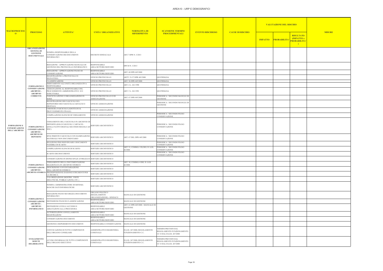| <b>ISCHIO</b>                                                              |               |
|----------------------------------------------------------------------------|---------------|
| <b>RISULTATO</b><br>(IMPATTO x<br>PROBABILITA'<br>$\overline{\phantom{0}}$ | <b>MISURE</b> |
|                                                                            |               |
|                                                                            |               |
|                                                                            |               |
|                                                                            |               |
|                                                                            |               |
|                                                                            |               |
|                                                                            |               |
|                                                                            |               |
|                                                                            |               |
|                                                                            |               |
|                                                                            |               |
|                                                                            |               |
|                                                                            |               |
|                                                                            |               |
|                                                                            |               |

| <b>MACROPROCESS</b>                                                 |                                                                                                    |                                                                                                                                    |                                                              | <b>NORMATIVA DI</b><br><b>RIFERIMENTO</b>          | <b>SCANSIONE TERMINI</b>                                                             | <b>EVENTO RISCHIOSO</b> |                         | <b>VALUTAZIONE DEL RISCHIO</b> |                    |                                                                               |               |
|---------------------------------------------------------------------|----------------------------------------------------------------------------------------------------|------------------------------------------------------------------------------------------------------------------------------------|--------------------------------------------------------------|----------------------------------------------------|--------------------------------------------------------------------------------------|-------------------------|-------------------------|--------------------------------|--------------------|-------------------------------------------------------------------------------|---------------|
| $\overline{0}$                                                      | <b>PROCESSO</b>                                                                                    | <b>ATTIVITA'</b>                                                                                                                   | <b>UNITA' ORGANIZZATIVE</b>                                  |                                                    | <b>PROCEDIMENTALI</b>                                                                |                         | <b>CAUSE DI RISCHIO</b> | <b>IMPATTO</b>                 | <b>PROBABILITA</b> | <b>RISULTATO</b><br><b>(IMPATTO x)</b><br><b>PROBABILITA</b><br>$\rightarrow$ | <b>MISURE</b> |
|                                                                     | <b>ORGANIZZAZIONE</b><br><b>SISTEMA DI</b><br><b>GESTIONE</b><br><b>DOCUMENTALE</b>                | NOMINA RESPONSABILE DELLA<br>CONSERVAZIONE DEI DOCUMENTI<br><b>INFORMATICI</b>                                                     | <b>DECRETO SINDACALE</b>                                     | ART.7 DPR N. 3/2013                                |                                                                                      |                         |                         |                                |                    |                                                                               |               |
|                                                                     |                                                                                                    | REDAZIONE / APPROVAZIONE MANUALE DI<br>GESTIONE DEL PROTOCOLLO INFORMATICO                                                         | <b>RESPONSABILE</b><br>AREA/SETTORE/SERVIZIO                 | DPCM N. 3/2013                                     |                                                                                      |                         |                         |                                |                    |                                                                               |               |
|                                                                     |                                                                                                    | REDAZIONE / APPROVAZIONE PIANO DI<br>CONSERVAZIONE                                                                                 | <b>RESPONSABILE</b><br>AREA/SETTORE/SERVIZIO                 | ART. 68 DPR 445/2000                               |                                                                                      |                         |                         |                                |                    |                                                                               |               |
|                                                                     |                                                                                                    | REGISTRAZIONE A PROTOCOLLO E<br>SEGNATURA                                                                                          | UFFICIO PROTOCOLLO                                           | ARTT. 53-57 DPR 445/2000                           | QUOTIDIANA                                                                           |                         |                         |                                |                    |                                                                               |               |
|                                                                     |                                                                                                    | <b>CLASSIFICAZIONE</b>                                                                                                             | UFFICIO PROTOCOLLO                                           | ART. 56 DPR 445/2000                               | QUOTIDIANA                                                                           |                         |                         |                                |                    |                                                                               |               |
|                                                                     | <b>FORMAZIONE E</b>                                                                                | SMISTAMENTO ALL'UNITÀ ORGANIZZATIVA<br><b>RESPONSABILE</b>                                                                         | UFFICIO PROTOCOLLO                                           | ART. 4 L. 241/1990                                 | QUOTIDIANA                                                                           |                         |                         |                                |                    |                                                                               |               |
|                                                                     | <b>CONSERVAZIONE</b><br>ARCHIVIO-<br><b>ARCHIVIO</b>                                               | ASSEGNAZIONE AL RESPONSABILE DEL<br>PROCEDIMENTO AMMINISTRATIVO E/O<br><b>ISTRUTTORIA</b>                                          | UFFICIO PROTOCOLLO                                           | ART. 5 L. 241/1991                                 | QUOTIDIANA                                                                           |                         |                         |                                |                    |                                                                               |               |
|                                                                     | <b>CORRENTE</b>                                                                                    | FASCICOLAZIONE E ORGANIZZAZIONE IN<br><b>SERIE</b>                                                                                 | UFFICIO PROTOCOLLO O DI                                      | ART. 67 DPR 445/2000                               | PERIODICA / SECONDO MANULE DI                                                        |                         |                         |                                |                    |                                                                               |               |
|                                                                     |                                                                                                    | REGISTRAZIONE DEI FASCICOLI SUL<br>REPERTORIO DEI FASCICOLI (CARTACEI O<br>DIGITALI)                                               | ASSEGNAZIONE<br><b>UFFICIO ASSEGNAZIONE</b>                  |                                                    | <b>GESTIONE</b><br>PERIODICA / SECONDO MANULE DI<br>GESTIONE                         |                         |                         |                                |                    |                                                                               |               |
|                                                                     |                                                                                                    | CHIUSURA FASCICOLO (ADOTTATO IL                                                                                                    | UFFICIO ASSEGNAZIONE                                         |                                                    |                                                                                      |                         |                         |                                |                    |                                                                               |               |
|                                                                     | <b>FORMAZIONE E</b><br>CONSERVAZIONE<br><b>ARCHIVIO -</b><br><b>ARCHIVIO DI</b><br><b>DEPOSITO</b> | PROVVEDIMENTO FINALE)<br>COMPILAZIONE ELENCHI DI VERSAMENTO                                                                        | UFFICIO ASSEGNAZIONE                                         |                                                    | PERIODICA / SECONDO PIANO                                                            |                         |                         |                                |                    |                                                                               |               |
| <b>FORMAZIONE E</b><br><b>CONSERVAZIONE</b><br><b>DELL'ARCHIVIO</b> |                                                                                                    | VERSAMENTO DEL FASCICOLO IN ARCHIVIO DI<br>DEPOSITO (SOLO FASCICOLI CARTACEI -<br>QUELLI NATIVI DIGITALI SECONDO REGOLE AD<br>HOC) | SERVIZIO ARCHIVISTICO                                        |                                                    | CONSERVAZIONE<br>PERIODICA / SECONDO PIANO<br>CONSERVAZIONE                          |                         |                         |                                |                    |                                                                               |               |
|                                                                     |                                                                                                    | SFOLTIMENTO FASCICOLO CON ELIMINAZIONE<br>MATERIALE NON DOCUMENTARIO                                                               | SERVIZIO ARCHIVISTICO                                        | ART. 67 DEL DPR 445/2000                           | PERIODICA / SECONDO PIANO<br>CONSERVAZIONE                                           |                         |                         |                                |                    |                                                                               |               |
|                                                                     |                                                                                                    | SELEZIONE PER INDIVIDUARE I DOCUMENTI<br>PASSIBILI DI SCARTO                                                                       | SERVIZIO ARCHIVISTICO                                        |                                                    | PERIODICA / SECONDO PIANO<br>CONSERVAZIONE                                           |                         |                         |                                |                    |                                                                               |               |
|                                                                     |                                                                                                    | COMPILAZIONE ELENCHI DI SCARTO                                                                                                     | SERVIZIO ARCHIVISTICO                                        | ART. 21, COMMA 1/D) DEL D. LGS.                    | PERIODICA / SECONDO PIANO                                                            |                         |                         |                                |                    |                                                                               |               |
|                                                                     |                                                                                                    | SCARTO DEI DOCUMENTI                                                                                                               | SERVIZIO ARCHIVISTICO                                        | 42/2004                                            | CONSERVAZIONE<br>PERIODICA / SECONDO PIANO                                           |                         |                         |                                |                    |                                                                               |               |
|                                                                     |                                                                                                    |                                                                                                                                    |                                                              |                                                    | CONSERVAZIONE                                                                        |                         |                         |                                |                    |                                                                               |               |
|                                                                     |                                                                                                    | CONSERVAZIONE IN IDONEI SPAZI ATTREZZATI SERVIZIO ARCHIVISTICO<br>VERSAMENTO DELLA DOCUMENTAZIONE                                  |                                                              | ART. 30, COMMA 4 DEL D. LGS.                       |                                                                                      |                         |                         |                                |                    |                                                                               |               |
|                                                                     | <b>FORMAZIONE E</b><br><b>CONSERVAZIONE</b>                                                        | SELEZIONATA IN ARCHIVIO STORICO<br>DESCRIZIONE E INVENTARIAZIONE                                                                   | SERVIZIO ARCHIVISTICO                                        | 42/2004                                            |                                                                                      |                         |                         |                                |                    |                                                                               |               |
|                                                                     | <b>ARCHIVIO –</b>                                                                                  | DELL'ARCHIVIO STORICO                                                                                                              | SERVIZIO ARCHIVISTICO                                        |                                                    |                                                                                      |                         |                         |                                |                    |                                                                               |               |
|                                                                     |                                                                                                    | ARCHIVIO STORICO PREDISPOSIZIONE DI IDONEI STRUMENTI PER<br>LA RICERCA                                                             | SERVIZIO ARCHIVISTICO                                        |                                                    |                                                                                      |                         |                         |                                |                    |                                                                               |               |
|                                                                     |                                                                                                    | VALORIZZAZIONE (MOSTRE, VISITE<br>DIDATTICHE, PUBBLICAZIONI, ETC.)                                                                 | SERVIZIO ARCHIVISTICO                                        |                                                    |                                                                                      |                         |                         |                                |                    |                                                                               |               |
|                                                                     |                                                                                                    | NOMINA AMMINISTRATORE DI SISTEMA<br><b>BANCHE DATI INFORMATICHE</b>                                                                | SERVIZIO ARCHIVISTICO                                        |                                                    |                                                                                      |                         |                         |                                |                    |                                                                               |               |
|                                                                     |                                                                                                    | REDAZIONE PIANO SICUREZZA DOCUMENTI<br><b>INFORMATICI</b>                                                                          | ORGANO POLITICO<br>(REGOLAMENTO<br>ORGANIZZAZIONE) - SINDACO | <b>MANUALE DI GESTIONE</b>                         |                                                                                      |                         |                         |                                |                    |                                                                               |               |
|                                                                     | <b>FORMAZIONE E</b><br><b>CONSERVAZIONE</b>                                                        | DEFINIZIONE PIANI DI CLASSIFICAZIONE                                                                                               | <b>RESPONSABILE</b><br>AREA/SETTORE/SERVIZIO                 | MANUALE DI GESTIONE                                |                                                                                      |                         |                         |                                |                    |                                                                               |               |
|                                                                     | ARCHIVIO-<br><b>ARCHIVIO</b><br><b>INFORMATICO</b>                                                 | DEFINIZIONE LIVELLI ACCESSO E<br>ABILITAZIONI ALLA PROCEDURA                                                                       | <b>RESPONSABILE</b><br>AREA/SETTORE/SERVIZIO                 | ART. 61 DPR 445/2000 - MANUALE DI<br>GESTIONE      |                                                                                      |                         |                         |                                |                    |                                                                               |               |
|                                                                     |                                                                                                    | AUTORIZZAZIONI ANNULLAMENTO<br>REGISTRAZIONI                                                                                       | <b>RESPONSABILE</b><br>AREA/SETTORE/SERVIZIO                 | MANUALE DI GESTIONE                                |                                                                                      |                         |                         |                                |                    |                                                                               |               |
|                                                                     |                                                                                                    | CONSERVAZIONE DOCUMENTI                                                                                                            | <b>RESPONSABILE</b>                                          | MANUALE DI GESTIONE                                |                                                                                      |                         |                         |                                |                    |                                                                               |               |
|                                                                     |                                                                                                    | GESTIONE E REPERIMENTO DOCUMENTI                                                                                                   | AREA/SETTORE/SERVIZIO<br>RESPONSABILE CONSERVAZIONE          | MANUALE DI GESTIONE                                |                                                                                      |                         |                         |                                |                    |                                                                               |               |
|                                                                     |                                                                                                    |                                                                                                                                    |                                                              |                                                    |                                                                                      |                         |                         |                                |                    |                                                                               |               |
|                                                                     |                                                                                                    | CONVOCAZIONE DI TUTTI I COMPONENTI<br>DELL'ORGANO CONSILIARE                                                                       | AMMINITRATIVO/SEGRETERIA<br><b>COMUNALE</b>                  | D.LGS. 267/2000; REGOLAMENTO<br>FUNZIONAMENTO C.C. | <b>FERMINI PREVISTI DAL</b><br>REGOLAMENTO FUNZIONAMENTO<br>CC O DAL D.LGS. 267/2000 |                         |                         |                                |                    |                                                                               |               |
|                                                                     | <b>SVOLGIMENTO</b><br><b>SEDUTE</b><br><b>DELIBERATIVE</b>                                         | AVVISO INFORMALE DI TUTTI I COMPONENTI<br>DELL'ORGANO ESECUTIVO                                                                    | AMMINITRATIVO/SEGRETERIA<br><b>COMUNALE</b>                  | D.LGS. 267/2000; REGOLAMENTO<br>FUNZIONAMENTO C.C. | FERMINI PREVISTI DAL<br>REGOLAMENTO FUNZIONAMENTO<br>CC O DAL D.LGS. 267/2000        |                         |                         |                                |                    |                                                                               |               |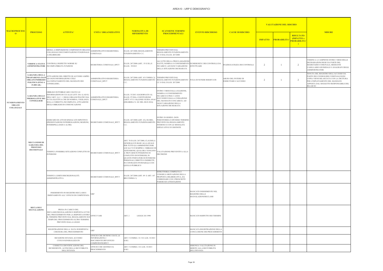| <b>MACROPROCESS</b>                                        |                                                                                                          | <b>ATTIVITA'</b>                                                                                                                                                                                                                                                                | <b>UNITA' ORGANIZZATIVE</b>                                                                          | NORMATIVA DI<br><b>RIFERIMENTO</b>                                                                                                                                                                                                                                                                                                                   | <b>SCANSIONE TERMINI</b><br><b>PROCEDIMENTALI</b>                                                                                                                                               |                                                                           |                                                    |                | <b>VALUTAZIONE DEL RISCHIO</b> |                                                                | <b>MISURE</b>                                                                                                                                                                                               |  |
|------------------------------------------------------------|----------------------------------------------------------------------------------------------------------|---------------------------------------------------------------------------------------------------------------------------------------------------------------------------------------------------------------------------------------------------------------------------------|------------------------------------------------------------------------------------------------------|------------------------------------------------------------------------------------------------------------------------------------------------------------------------------------------------------------------------------------------------------------------------------------------------------------------------------------------------------|-------------------------------------------------------------------------------------------------------------------------------------------------------------------------------------------------|---------------------------------------------------------------------------|----------------------------------------------------|----------------|--------------------------------|----------------------------------------------------------------|-------------------------------------------------------------------------------------------------------------------------------------------------------------------------------------------------------------|--|
| $\overline{0}$                                             | <b>PROCESSO</b>                                                                                          |                                                                                                                                                                                                                                                                                 |                                                                                                      |                                                                                                                                                                                                                                                                                                                                                      |                                                                                                                                                                                                 | <b>EVENTO RISCHIOSO</b>                                                   | <b>CAUSE DI RISCHIO</b>                            | <b>IMPATTO</b> | PROBABILITA                    | <b>RISULTATO</b><br>(IMPATTO x<br><b>PROBABILITA</b><br>$\Box$ |                                                                                                                                                                                                             |  |
|                                                            |                                                                                                          | MESSA A DISPOSIZIONE COMPONENTI ORGANO<br>COLLEGIALE DOCUMENTAZIONE FUNZIONALE<br>A DELIBERARE                                                                                                                                                                                  | <b>AMMINITRATIVO/SEGRETERIA</b><br>COMUNALE                                                          | D.LGS. 267/2000: REGOLAMENTO<br>FUNZIONAMENTO C.C.                                                                                                                                                                                                                                                                                                   | TERMINI PREVISTI DAL<br>REGOLAMENTO FUNZIONAMENTO<br>CC O DAL D.LGS. 267/2000                                                                                                                   |                                                                           |                                                    |                |                                |                                                                |                                                                                                                                                                                                             |  |
|                                                            |                                                                                                          | VERIFICA STATUS CONTROLLI RISPETTO NORME SU<br>AMMINISTRATORI INCOMPATIBILITÀ FUNZIONI                                                                                                                                                                                          | SEGRETERIA COMUNALE RPCT                                                                             | D.LGS. 267/2000 (ART 55 E SS.) E<br>D.LGS. 39/2013                                                                                                                                                                                                                                                                                                   | ALL'ATTO DELLA PROCLAMAZIONE<br>ELETTI, NOMINA O CONFERIMENTO NUMEROSITA' DEI CONTROLLI DA<br>INCARICO ;AD OGNI VARIAZIONE<br>DELLA SITUAZIONE DICHIARATA                                       | <b>EFFETTUARE</b>                                                         | NADEGUATEZZA DEI CONTROLLI                         | 2              |                                | 2                                                              | VERIFICA A CAMPIONE ENTRO 3 MESI DELLE<br>DICHIARAZIONI RESE DA PARTE DEL<br>SEGRETARIO COMUNALE, MEDIANTE<br>CASELLARIO GIUDIZIALE E ANAGRAFE DEGLI<br><b>AMMINISTRATORI</b>                               |  |
| <b>FUNZIONAMENTO</b><br><b>ORGANI</b><br><b>COLLEGIALI</b> | <b>GARANZIA DELLA</b><br><b>TRASPARENZA DAT</b><br>ORGANI INDIRIZZO<br>POLITICO (FINO A<br>$15.000$ AB.) | ATTUAZIONE DEL DIRITTO DI ACCESSO AMPIO<br>AD OGNI INFORMAZIONE UTILE<br>ALL'ESPLETAMENTO DEL MANDATO DEI<br>CONSIGLIERI:                                                                                                                                                       | AMMINITRATIVO/SEGRETERIA<br>COMUNALE_RPCT                                                            | D.LGS. 267/2000 (ART. 43 COMMA 2);<br>REGOLAMENTO FUNZIONAMENTO<br>C.                                                                                                                                                                                                                                                                                | TERMINI PREVISTI DAL<br>REGOLAMENTO FUNZIONAMENTO FUGA DI NOTIZIE RISERVATE<br>CC O DAL D.LGS. 267/2000                                                                                         |                                                                           | ABUSO DEL POTERE DI<br><b>ESERCITARE L'ACCESSO</b> | 2              |                                | 2                                                              | TENUTA DEL REGISTRO DELL'ACCESSO DA<br>PARTE DEI CONSIGLIERI COMUNALI/OGNI<br>COPIA VIENE RILASCIATA CON LA DICITURA<br>PER L'ESPLETAMENTO DEL MANDATO<br>APPOSTA DAL SOGGETTO RESPONSABILE DEL<br>RILASCIO |  |
|                                                            | <b>GARANZIA DELLE</b><br>PREROGATIVE DEI<br>CONSIGLIERI                                                  | OBBLIGO DI PUBBLICARE I DATI E LE<br>INFORMAZIONI DI CUI ALLE LETT. DA A) AD E)<br>DELL'ART. 14, C. 1 DEGLI ORGANI POLITICI SIA AMMINITRATIVO/SEGRETERIA<br>IN VIA ELETTIVA CHE DI NOMINA; VIGILANZA<br>SULLA CORRETTA INCOMPLETA ATTUAZIONE<br>DEGLI OBBLIGHI DI COMUNICAZIONE | <b>COMUNALE RPCT</b>                                                                                 | D.LGS. 33/2013 AGGIORNATO AL<br>D.LGS. 97/2016- COSTITUZIONE<br>(ARTT. 97 E 118); LINEE GUIDA ANAC<br>(DELIBERA N. 241 DEL 08.03.2016)                                                                                                                                                                                                               | ENTRO 3 MESI DALLA ELEZIONE,<br>NOMINA O CONFERIMENTO<br>INCARICO E PER I 3 ANNI<br>SUCCESSIVI DALLA CESSAZIONE<br>DEL MANDATO O INCARICO; AD<br>OGNI VARIAZIONE DELLA<br>SITUAZIONE DICHIARATA |                                                                           |                                                    |                |                                |                                                                |                                                                                                                                                                                                             |  |
|                                                            | <b>MECCANISMI DI</b><br><b>GARANZIA DEL</b><br><b>PROCESSO</b><br><b>DECISIONALE</b>                     | ESERCIZIO DI ATTI DI SINDACATO ISPETTIVO<br>PRESENTAZIONE INTERROGAZIONI, MOZIONI, SEGRETARIO COMUNALE RPCT<br><b>INTERRPELLANZE E ALTRI)</b>                                                                                                                                   |                                                                                                      | D.LGS. 267/2000 (ART. 43); SS.MM.;<br>REGOLAMENTO FUNZIONAMENTO<br>C.                                                                                                                                                                                                                                                                                | ENTRO 30 GIORNI (NON<br>PERENTORIO) O DIVERSO TERMINE<br>PREVISTO DA REGOLAMENTO<br>INTERNO E CON LE MODALITÀ<br>ESPLICATIVE IVI DEFINITE                                                       |                                                                           |                                                    |                |                                |                                                                |                                                                                                                                                                                                             |  |
|                                                            |                                                                                                          | VERIFICA POSSIBILI SITUAZIONI CONFLITTO DI<br><b>INTERESSI</b>                                                                                                                                                                                                                  | SEGRETARIO COMUNALE_RPCT                                                                             | ART. 78 D.LGS. 267/2000, CLAUSOLA<br>GENERALE IN BASE ALLA QUALE<br>PER TUTTI GLI AMMINISTRATORI<br>LOCALI VI È SEMPRE L'OBBLIGO DI<br>ASTENSIONE, QUALORA VENGANO<br>A TROVARSI IN POSIZIONE DI<br>CONFLITTO DI INTERESSI, IN<br>QUANTO PORTATORI DI INTERESSI<br>PERSONALI, DIRETTI O INDIRETTI,<br>IN CONTRASTO POTENZIALE CON<br>QUELLO PUBBLICO | <b>/ALUTAZIONE PREVENTIVA ALLA</b><br><b>DECISIONE</b>                                                                                                                                          |                                                                           |                                                    |                |                                |                                                                |                                                                                                                                                                                                             |  |
|                                                            |                                                                                                          | VERIFICA LIMITI DISCREZIONALITÀ<br>AMMINISTRATIVA                                                                                                                                                                                                                               | SEGRETARIO COMUNALE_RPCT                                                                             | D.LGS. 267/2000 (ART. 49 E ART. 147<br>BIS COMMA 1)                                                                                                                                                                                                                                                                                                  | ISTRUTTORIA COMPLETA E<br>CONGRUA MOIVAZIONE DELLA<br>PROPOSTA DELIBERATIVA, DA<br>CORREDARE CON I PRESCRITTI<br>PARERI ED ATTESTAZIONI                                                         |                                                                           |                                                    |                |                                |                                                                |                                                                                                                                                                                                             |  |
|                                                            |                                                                                                          | INSERIMENTO IN REGISTRO RECLAMI E<br>SMISTAMENTO ALL' UFFICIO DI COMPETENZA                                                                                                                                                                                                     | URP                                                                                                  |                                                                                                                                                                                                                                                                                                                                                      |                                                                                                                                                                                                 | MANCATO INSERIMENTO NEL<br><b>REGISTRO DELLE</b><br>SEGNALAZIONI/RECLAMI  |                                                    |                |                                |                                                                |                                                                                                                                                                                                             |  |
|                                                            | <b>RECLAMI E</b><br><b>SEGNALAZIONI</b>                                                                  | PRESA IN CARICO DEL<br>RECLAMO/SEGNALAZIONE E RISPOSTA/AVVIO<br>DEL PROCEDIMENTO PER LA RISPOSTA ENTRO<br>IL TERMINE PREVISTO DAL REGOLAMENTO SUI<br>TEMPI DEL PROCEDIMENTO/ALTRO TERMINE<br>PREVISTO DALLA LEGGE                                                               | UFFICI VARI                                                                                          | ART. 2<br>LEGGE 241/1990                                                                                                                                                                                                                                                                                                                             |                                                                                                                                                                                                 | MANCATO RISPETTO DEI TERMINI                                              |                                                    |                |                                |                                                                |                                                                                                                                                                                                             |  |
|                                                            |                                                                                                          | REGISTRAZIONE DELLA DATA DI RISPOSTA/<br>CHIUSURA DEL PROCEDIMENTO                                                                                                                                                                                                              | <b>URP</b>                                                                                           |                                                                                                                                                                                                                                                                                                                                                      |                                                                                                                                                                                                 | MANCATA REGISTRAZIONE DELLA<br>CONCLUSIONE DEI PROCEDIMENTI               |                                                    |                |                                |                                                                |                                                                                                                                                                                                             |  |
|                                                            |                                                                                                          | RICEZIONE ISTANZA ACCESSO<br>CIVICO/GENERALIZZATO                                                                                                                                                                                                                               | UFFICIO CHE DETIENE I DATI, LE<br><b>INFORMAZIONI, I</b><br>DOCUMENTI/URP/UFFICIO<br>COMPETENTE/RPCT | ART. 5 COMMA 1 E 3 D. LGS. 33/2013<br>S.M.I.                                                                                                                                                                                                                                                                                                         |                                                                                                                                                                                                 |                                                                           |                                                    |                |                                |                                                                |                                                                                                                                                                                                             |  |
|                                                            |                                                                                                          | CORRETTA IDENTIFICAZIONE DEL<br>RICHIEDENTE, AI FINI DELLA RICEVIBILITÀ<br>DELL'ISTANZA                                                                                                                                                                                         | UFFICIO CHE GESTISCE IL<br>PROCEDIMENTO                                                              | ART. 5 COMMA 1 D. LGS. 33/2013<br>S.M.I.                                                                                                                                                                                                                                                                                                             |                                                                                                                                                                                                 | ERRONEA VALUTAZIONE IN<br>MERITO ALLA RICEVIBILITÀ<br><b>DELL'ISTANZA</b> |                                                    |                |                                |                                                                |                                                                                                                                                                                                             |  |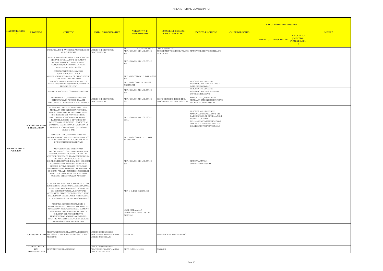| <b>ISCHIO</b>                                                   |               |
|-----------------------------------------------------------------|---------------|
| <b>RISULTATO</b><br>(IMPATTO x<br>PROBABILITA'<br>$\overline{)$ | <b>MISURE</b> |
|                                                                 |               |
|                                                                 |               |
|                                                                 |               |
|                                                                 |               |
|                                                                 |               |
|                                                                 |               |
|                                                                 |               |
|                                                                 |               |
|                                                                 |               |
|                                                                 |               |
|                                                                 |               |
|                                                                 |               |
|                                                                 |               |
|                                                                 |               |
|                                                                 |               |
|                                                                 |               |
|                                                                 |               |
|                                                                 |               |

|                                       | <b>PROCESSO</b>                                        |                                                                                                                                                                                                                                                                                                                                                                                                                                                                       |                                                                           |                                                               |                                                                              |                                                                                                                                                                                                     |                         |                | <b>VALUTAZIONE DEL RISCHIO</b> |                                                                              |               |
|---------------------------------------|--------------------------------------------------------|-----------------------------------------------------------------------------------------------------------------------------------------------------------------------------------------------------------------------------------------------------------------------------------------------------------------------------------------------------------------------------------------------------------------------------------------------------------------------|---------------------------------------------------------------------------|---------------------------------------------------------------|------------------------------------------------------------------------------|-----------------------------------------------------------------------------------------------------------------------------------------------------------------------------------------------------|-------------------------|----------------|--------------------------------|------------------------------------------------------------------------------|---------------|
| <b>MACROPROCESS</b><br>$\overline{0}$ |                                                        | <b>ATTIVITA'</b>                                                                                                                                                                                                                                                                                                                                                                                                                                                      | <b>UNITA' ORGANIZZATIVE</b>                                               | <b>NORMATIVA DI</b><br><b>RIFERIMENTO</b>                     | <b>SCANSIONE TERMINI</b><br><b>PROCEDIMENTALI</b>                            | <b>EVENTO RISCHIOSO</b>                                                                                                                                                                             | <b>CAUSE DI RISCHIO</b> | <b>IMPATTO</b> | PROBABILITA                    | <b>RISULTATO</b><br>(IMPATTO x<br><mark>PROBABILITA'</mark><br>$\rightarrow$ | <b>MISURE</b> |
|                                       |                                                        | COMUNICAZIONE AVVIO DEL PROCEDIMENTO UFFICIO CHE GESTISCE IL<br>AL RICHIEDENTE                                                                                                                                                                                                                                                                                                                                                                                        | <b>PROCEDIMENTO</b>                                                       | ART.7<br>LEGGE 241/1990 E<br>ART. 5 COMMA 6 D. LGS. 33/2013   | CONCLUSIONE DEL<br>PROCEDIMENTO ENTRO IL TEMINE MANCATO RISPETTO DEI TERMINI |                                                                                                                                                                                                     |                         |                |                                |                                                                              |               |
|                                       |                                                        | VERIFICA DELL'OBBLIGO DI PUBBLICAZIONE<br>DEI DATI, INFORMAZIONI, DOCUMENTI<br>RICHIESTI (LEGGE O REGOLAMENTO<br>COMUNALE) OVVERRO DELLA MERA<br>DETENZIONE DEGLI STESSI                                                                                                                                                                                                                                                                                              |                                                                           | S.M.I.<br>ART. 5 COMMA 1 D. LGS. 33/2013<br>S.M.I.            | DI 30 GIORNI                                                                 |                                                                                                                                                                                                     |                         |                |                                |                                                                              |               |
|                                       |                                                        | COMUNICAZIONE DELL'OMESSA<br>PUBBLICAZIONE AL RPCT                                                                                                                                                                                                                                                                                                                                                                                                                    |                                                                           |                                                               |                                                                              |                                                                                                                                                                                                     |                         |                |                                |                                                                              |               |
|                                       |                                                        | VERIFICA SUSSISTENZA CAUSE DI ESCLUSIONE<br>ASSOLUTA DELL'ACCESSO                                                                                                                                                                                                                                                                                                                                                                                                     |                                                                           | ART. 5-BIS COMMA 3 D. LGS. 33/2013<br>S.M.I.                  |                                                                              |                                                                                                                                                                                                     |                         |                |                                |                                                                              |               |
|                                       |                                                        | VERIFICA PREGIUDIZIO CONCRETO ALLA<br>TUTELA DEGLI INTERESSI PUBBLICI O PRIVATI<br>PREVISTI EX LEGE                                                                                                                                                                                                                                                                                                                                                                   |                                                                           | ART. 5-BIS COMMI 1 E 2 D. LGS.<br>33/2013 S.M.I.              |                                                                              | ERRONEA VALUTAZIONE<br>RIGUARDO ALLA TUTELA DEGLI<br>INTERESSI COINVOLTI                                                                                                                            |                         |                |                                |                                                                              |               |
|                                       |                                                        | IDENTIFICAZIONE DEI CONTROINTERESSATI                                                                                                                                                                                                                                                                                                                                                                                                                                 |                                                                           | ART. 5 COMMA 5 D. LGS. 33/2013<br>S.M.I.                      |                                                                              | ERRONEA VALUTAZIONE<br>RIGUARDO ALL'INESISTENZA DI<br>CONTROINTERESSATI                                                                                                                             |                         |                |                                |                                                                              |               |
|                                       |                                                        | INVIO COPIA AI CONTROINTERESSATI<br>DELL'ISTANZA DI ACCESSO TRAMITE<br>RACCOMANDATA RR O PER VIA TELEMATICA                                                                                                                                                                                                                                                                                                                                                           | UFFICIO CHE GESTISCE IL<br>PROCEDIMENTO                                   | ART. 5 COMMA 5 D. LGS. 33/2013<br>S.M.I.                      | SOSPENSIONE DEI TERMINI DEL<br>PROCEDIMENTO PER N. 10 GIORNI                 | MANCATA ACQUISIZIONE DI<br>MOTIVATA OPPOSIZIONE DA PARTE<br>DEL CONTROINTERESSATO                                                                                                                   |                         |                |                                |                                                                              |               |
|                                       | <b>ACCESSO AGLI ATT</b><br><b>E TRASPARENZA</b>        | IN ASSENZA DI CONTROINTERESSATI O DI<br>MOTIVATA OPPOSIZIONE DA PARTE DEL<br>CONTROINTERESSATO, TRASMISSIONE AL<br>RICHIEDENTE DEL PROVVEDIMENTO<br>MOTIVATO DI ACCOGLIMENTO TOTALE O<br>PARZIALE, RIGETTO O DIFFERIMENTO<br>DELL'ISTANZA, INDICANDO I SOGGETTI AI<br>QUALI PUÒ ESSERE PROPOSTA ISTANZA DI<br>RIESAME (RPCT) O RICORSO (DIFENSORE<br>CIVICO O TAR)                                                                                                    |                                                                           | ART. 5 COMMA 6 D. LGS. 33/2013<br>S.M.I.                      |                                                                              | ERRONEA VALUTAZIONE E<br>MANCATA COMUNICAZIONE DEI<br>DATI, DOCUMENTI, INFORMAZIONI<br>RICHIESTI OVVERO<br>DELL'AVVENUTA PUBBLICAZIONE<br>CON INDICAZIONE DEL RELATIVO<br>COLLEGAMENTO IPERTESTUALE |                         |                |                                |                                                                              |               |
|                                       |                                                        | IN PRESENZA DI CONTROINTERESSATI,<br>BILANCIAMENTO TRA L'INTERESSE PUBBLICO<br>ALLA TRASPARENZA E LA TUTELA DI ALTRI<br>INTERESSI PUBBLICI O PRIVATI                                                                                                                                                                                                                                                                                                                  |                                                                           | ART. 5-BIS COMMA 1 E 2 D. LGS.<br>33/2013 S.M.I.              |                                                                              |                                                                                                                                                                                                     |                         |                |                                |                                                                              |               |
| <b>RELAZIONI CON IL</b><br>PUBBLICO   |                                                        | PROVVEDIMANTO MOTIVATO DI<br>ACCOGLIMENTO TOTALE O PARZIALE, PUR<br>ESSENDOCI OPPOSIZIONE MOTIVATA DEL<br>CONTROINTERESSATO. TRASMISSIONE DELLA<br>RELATIVA COMUNICAZIONE AL<br>CONTROINTERESSATO INDICANDO I SOGGETTI<br>CUI PUÒ ESSERE PROPOSTA ISTANZA DI<br>RIESAME (RPCT) O RICORSO (DIFENSORE<br>CIVICO O TAR). DECORRENZA DEL TERMINE DI<br>15 GIORNI PRIMA DI RENDERE ACCESSIBILI I<br>DATI, I DOCUMENTI E LE INFORMAZIONI<br>OGGETTO DELL'ISTANZA DI ACCESSO |                                                                           | ART. 5 COMMA 6 D. LGS. 33/2013<br>S.M.I.                      |                                                                              | <b>MANCATA TUTELA</b><br><b>CONTROINTERESSATO</b>                                                                                                                                                   |                         |                |                                |                                                                              |               |
|                                       |                                                        | COMUNICAZIONE AL RPCT NOMINATIVO DEL<br>RICHIEDENTE, OGGETTO DELL'ISTANZA, DATA<br>DI AVVIO DEL PROCEDIMENTO, NOMINATIVI<br>DEI CONTROINTERESSATI, EVENTUALI<br>OPPOSIZIONI DEI CONTROINTERESSATI, ESITO<br>DELL'ISTANZA E LE RELATIVE MOTIVAZIONI,<br>DATA DI CONCLUSIONE DEL PROCEDIMENTO                                                                                                                                                                           |                                                                           | ART. 43 D. LGS. 33/2013 S.M.I.                                |                                                                              |                                                                                                                                                                                                     |                         |                |                                |                                                                              |               |
|                                       |                                                        | REGISTRO ACCESSI: INSERIMENTO E<br>NUMERAZIONE DELL'ISTANZA NEL REGISTRO<br>ACCESSI CON INDICAZIONE DEGLI ELEMENTI<br>ESSENZIALI, DELLA DATA DI AVVIO E DI<br>CHIUSURA DEL PROCEDIMENTO.<br>PUBBLICAZIONE AGGIORNAMENTO DEL<br>REGISTRO ACCESSI NELL'APPOSITA SEZIONE<br>AMMINISTRAZIONE TRASPARENTE                                                                                                                                                                  |                                                                           | LINEE GUIDA ANAC<br>(DETERMINZIONE N. 1309 DEL<br>28/12/2016) |                                                                              |                                                                                                                                                                                                     |                         |                |                                |                                                                              |               |
|                                       |                                                        | REGISTRAZIONE CENTRALIZZATA RICHIESTE<br>ACCESSO AGLI ATTI ACCESSO E PUBBLICAZIONE SUL SITO ELENCO PROCEDIMENTO - URP - ALTRO<br><b>RICHIESTE</b>                                                                                                                                                                                                                                                                                                                     | <b>UFFICIO RESPONSABILE</b><br>UFFICIO INDIVIDUATO                        | PNA - PTPC                                                    | TEMPISTICA DA REGOLAMENTO                                                    |                                                                                                                                                                                                     |                         |                |                                |                                                                              |               |
|                                       | <b>ACCESSO ATTI A</b><br>FINI<br><b>AMMINISTRATIVI</b> | RICEVIMENTO E TRATTAZIONE                                                                                                                                                                                                                                                                                                                                                                                                                                             | UFFICIO RESPONSABILE<br>PROCEDIMENTO - URP - ALTRO<br>UFFICIO INDIVIDUATO | ARTT. 22-28 L. 241/1990                                       | 30 GIORNI                                                                    |                                                                                                                                                                                                     |                         |                |                                |                                                                              |               |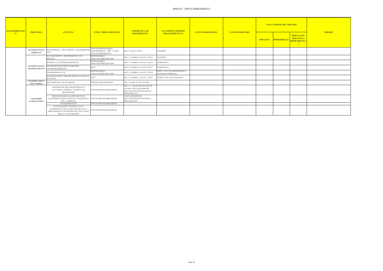| <b>ISCHIO</b>                                                                     |               |
|-----------------------------------------------------------------------------------|---------------|
| <b>RISULTATO</b><br>(IMPATTO x<br><b>PROBABILITA'</b><br>$\overline{\phantom{a}}$ | <b>MISURE</b> |
|                                                                                   |               |
|                                                                                   |               |
|                                                                                   |               |
|                                                                                   |               |
|                                                                                   |               |
|                                                                                   |               |
|                                                                                   |               |
|                                                                                   |               |
|                                                                                   |               |
|                                                                                   |               |
|                                                                                   |               |

| <b>MACROPROCESS</b> |                                              | <b>ATTIVITA'</b>                                                                                                                     | <b>UNITA' ORGANIZZATIVE</b>                                                             | NORMATIVA DI<br><b>RIFERIMENTO</b>                                                                          | <b>SCANSIONE TERMINI</b>                            |                         | <b>CAUSE DI RISCHIO</b> |                |                    | <b>VALUTAZIONE DEL RISCHIO</b>                       |               |  |
|---------------------|----------------------------------------------|--------------------------------------------------------------------------------------------------------------------------------------|-----------------------------------------------------------------------------------------|-------------------------------------------------------------------------------------------------------------|-----------------------------------------------------|-------------------------|-------------------------|----------------|--------------------|------------------------------------------------------|---------------|--|
| $\mathbf{O}$        | <b>PROCESSO</b>                              |                                                                                                                                      |                                                                                         |                                                                                                             | <b>PROCEDIMENTALI</b>                               | <b>EVENTO RISCHIOSO</b> |                         | <b>IMPATTO</b> | <b>PROBABILITA</b> | <b>RISULTATO</b><br>(IMPATTO x<br><b>PROBABILITA</b> | <b>MISURE</b> |  |
|                     | <b>ACCESSO CIVICO</b><br><b>NORMALE</b>      | RICEVIMENTO - TRATTAZIONE - TRASMISSIONE<br>ATTI                                                                                     | <b>UFFICIO RESPONSABILE</b><br>PROCEDIMENTO - URP - ALTRO<br><b>UFFICIO INDIVIDUATO</b> | ART. 5 D.LGS. 33/2013                                                                                       | 30 GIORNI                                           |                         |                         |                |                    |                                                      |               |  |
|                     | <b>GENERALIZZATO</b>                         | ACCOGLIMENTO - TRASMISSIONE ATTI -<br><b>RIGETTO</b>                                                                                 | <b>RESPONSABILE</b><br>AREA/SETTORE/SERVIZIO                                            | ART. 5, COMMA 6, D.LGS. 33/2013                                                                             | 30 GIORNI                                           |                         |                         |                |                    |                                                      |               |  |
|                     |                                              | NOTIFICA AI CONTROINTERESSATI                                                                                                        | <b>RESPONSABILE</b><br>AREA/SETTORE/SERVIZIO                                            | ART. 5, COMMA 6, D.LGS. 33/2013                                                                             | <b>TEMPESTIVA</b>                                   |                         |                         |                |                    |                                                      |               |  |
|                     |                                              | ACCESSO CIVICO DECISIONE SU RICHIESTA RIESAME<br><b>CONTROINTERESSATI</b>                                                            | <b>RPCT</b>                                                                             | ART. 5, COMMA 6, D.LGS. 33/2013                                                                             | <b>TEMPESTIVA</b>                                   |                         |                         |                |                    |                                                      |               |  |
|                     |                                              | <b>TRASMISSIONE ATTI</b>                                                                                                             | <b>RESPONSABILE</b><br>AREA/SETTORE/SERVIZIO                                            | ART. 5, COMMA 6, D.LGS. 33/2014                                                                             | DOPO 15 GG. DA OPPOSIZIONE O<br>SILENZIO INTERESATI |                         |                         |                |                    |                                                      |               |  |
|                     |                                              | ESAME RICHIESTA RISAME DINIEGO PARZIALE<br>O TOTALE                                                                                  | <b>RPCT</b>                                                                             | ART. 5, COMMA 7, D.LGS. 33/2015                                                                             | ENTRO 20 GG. DALL'ISTANZA                           |                         |                         |                |                    |                                                      |               |  |
|                     | <b>ACCESSO ATTI A</b><br><b>FINI STORICI</b> | RICEVIMENTO E TRATTAZIONE                                                                                                            | SERVIZIO ARCHIVISTICO                                                                   | ART. 124 DEL D. LGS. 42/2004                                                                                |                                                     |                         |                         |                |                    |                                                      |               |  |
|                     |                                              | DEFINIZIONE DEI SERVIZI EROGATI<br>ALL'UTENZA INTERNA / ESTERNA DA<br>MONITORARE                                                     | UFFICIO PROGRAMMAZIONE                                                                  | ART. 11 - D.LGS. 286/199 E D.LGS.<br>150/2009 CARTA DEI SERVIZI<br>DELL'ENTE/DUP/PIANO DELLA<br>PERFORMANCE |                                                     |                         |                         |                |                    |                                                      |               |  |
|                     | <b>CUSTOMER</b><br><b>SATISFACTION</b>       | DEFINIZIONE DELLO STRUMENTO DI<br>CUSTOMER SATISFACTION DA UTILIZZARE E<br>DEL CAMPIONE                                              | <b>UFFICIO PROGRAMMAZIONE</b>                                                           | <b>CARTA DEI SERVIZI</b><br>DELL'ENTE/DUP/PIANO DELLA<br>PERFORMANCE                                        |                                                     |                         |                         |                |                    |                                                      |               |  |
|                     |                                              | ANALISI DEI DATI                                                                                                                     | <b>UFFICIO PROGRAMMAZIONE</b>                                                           |                                                                                                             |                                                     |                         |                         |                |                    |                                                      |               |  |
|                     |                                              | ILLUSTRAZIONE DEI RISULTATI E<br>INSERIMENTO NELLA RELAZIONE SULLA<br>PERFORMANCE (SE INSERITI NEL PEG AI FINI<br>DELLA VALUTAZIONE) | UFFICIO PROGRAMMAZIONE                                                                  |                                                                                                             |                                                     |                         |                         |                |                    |                                                      |               |  |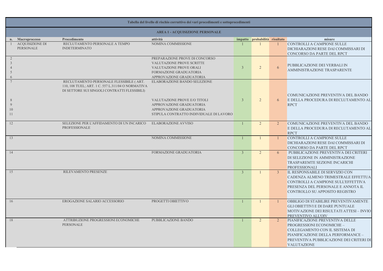# CONTROLLI A CAMPIONE SULLE DICHIARAZIONI RESE DAI COMMISSARI DI CONCORSO DA PARTE DEL RPCT

CONTROLLI A CAMPIONE SULLE DICHIARAZIONI RESE DAI COMMISSARI DI CONCORSO DA PARTE DEL RPCT

PUBBLICAZIONE PREVENTIVA DEI CRITERI DI SELEZIONE IN AMMINISTRAZIONE TRASPAREMTE SEZIONE INCARICHI PROFESSIONALI

L RESPONSABILE DI SERVIZIO CON CADENZA ALMENO TRIMESTRALE EFFETTUA CONTROLLI A CAMPIONE SULL'EFFETTIVA PRESENZA DEL PERSONALE E ANNOTA IL CONTROLLO SU APPOSITO REGISTRO

OBBLIGO DI STABILIRE PREVENTIVAMENTE GLI OBIETTIVI E DI DARE PUNTUALE MOTIVAZIONE DEI RISULTATI ATTESI – INVIO PREVENTIVO ALL'OIV PIANIFICAZIONE PREVENTIVA DELLE

|                                       |                                            |                                                                                                                                              | Tabella del livello di rischio corruttivo dei vari procedimenti e sottoprocedimenti                                                                             |                |                       |                |                                                                                                                                                        |
|---------------------------------------|--------------------------------------------|----------------------------------------------------------------------------------------------------------------------------------------------|-----------------------------------------------------------------------------------------------------------------------------------------------------------------|----------------|-----------------------|----------------|--------------------------------------------------------------------------------------------------------------------------------------------------------|
|                                       |                                            |                                                                                                                                              | <b>AREA 1 - ACQUISIZIONE PERSONALE</b>                                                                                                                          |                |                       |                |                                                                                                                                                        |
| n.                                    | <b>Macroprocesso</b>                       | Procedimento                                                                                                                                 | attività                                                                                                                                                        | impatto        | probabilità risultato |                | misure                                                                                                                                                 |
|                                       | <b>ACQUISIZIONE DI</b><br><b>PERSONALE</b> | RECLUTAMENTO PERSONALE A TEMPO<br><b>INDETERMINATO</b>                                                                                       | NOMINA COMMISSIONE                                                                                                                                              |                |                       |                | <b>CONTROLLI A CAMPIONE</b><br><b>DICHIARAZIONI RESE DAI</b><br><b>CONCORSO DA PARTE DE</b>                                                            |
| $\overline{2}$<br>$\overline{3}$<br>6 |                                            |                                                                                                                                              | PREPARAZIONE PROVE DI CONCORSO<br>VALUTAZIONE PROVE SCRITTE<br>VALUTAZIONE PROVE ORALI<br>FORMAZIONE GRADUATORIA<br>APPROVAZIONE GRADUATORIA                    | $\overline{3}$ | $\overline{2}$        | 6              | PUBBLICAZIONE DEI VER<br><b>AMMINISTRAZIONE TRAS</b>                                                                                                   |
| 8<br>9<br>10<br>11                    |                                            | RECLUTAMENTO PERSONALE FLESSIBILE (ART.<br>110, 108 TUEL; ART. 1 C. 557 L.311/04 O NORMATIVA<br>DI SETTORE SUI SINGOLI CONTRATTI FLESSIBILI) | ELABORAZIONE BANDO SELEZIONE<br>VALUTAZIONE PROVE E/O TITOLI<br>APPROVAZIONE GRADUATORIA<br>APPROVAZIONE GRADUATORIA<br>STIPULA CONTRATTO INDIVIDUALE DI LAVORO | $\overline{3}$ | $\overline{2}$        | 6              | <b>COMUNICAZIONE PREVEN</b><br>E DELLA PROCEDURA DI I<br><b>RPCT</b>                                                                                   |
| 12                                    |                                            | SELEZIONE PER L'AFFIDAMENTO DI UN INCARICO<br>PROFESSIONALE                                                                                  | <b>ELABORAZIONE AVVISO</b>                                                                                                                                      |                | $\overline{2}$        | $\overline{2}$ | <b>COMUNICAZIONE PREVEN</b><br>E DELLA PROCEDURA DI I<br><b>RPCT</b>                                                                                   |
| 13                                    |                                            |                                                                                                                                              | NOMINA COMMISSIONE                                                                                                                                              |                |                       |                | <b>CONTROLLI A CAMPIONE</b><br><b>DICHIARAZIONI RESE DAI</b><br><b>CONCORSO DA PARTE DE</b>                                                            |
| 14                                    |                                            |                                                                                                                                              | FORMAZIONE GRADUATORIA                                                                                                                                          | $\overline{3}$ | $\overline{2}$        | 6              | PUBBLICAZIONE PREVEN<br>DI SELEZIONE IN AMMINI;<br><b>TRASPAREMTE SEZIONE I</b><br><b>PROFESSIONALI</b>                                                |
| $\overline{15}$                       |                                            | RILEVAMENTO PRESENZE                                                                                                                         |                                                                                                                                                                 | $\overline{3}$ |                       | $\overline{3}$ | <b>IL RESPONSABILE DI SERV</b><br><b>CADENZA ALMENO TRIMI</b><br><b>CONTROLLI A CAMPIONE</b><br>PRESENZA DEL PERSONA<br><b>CONTROLLO SU APPOSITO</b>   |
| 16                                    |                                            | EROGAZIONE SALARIO ACCESSORIO                                                                                                                | PROGETTI OBIETTIVO                                                                                                                                              |                |                       |                | <b>OBBLIGO DI STABILIRE PR</b><br><b>GLI OBIETTIVI E DI DARE</b><br>MOTIVAZIONE DEI RISUL'<br>PREVENTIVO ALL'OIV                                       |
| 18                                    |                                            | ATTRIBUZIONE PROGRESSIONI ECONOMICHE<br>PERSONALE                                                                                            | PUBBLICAZIONE BANDO                                                                                                                                             |                | $\overline{2}$        | $\overline{2}$ | PIANIFICAZIONE PREVENT<br>PROGRESSIONI ECONOMI<br><b>COLLEGAMENTO CON IL :</b><br>PIANIFICAZIONE DELLA P<br>PREVENTIVA PUBBLICAZ<br><b>VALITAZIONE</b> |

PROGRESSIONI ECONOMICHE – COLLEGAMENTO CON IL SISTEMA DI PIANIFICAZIONE DELLA PERFORMANCE – PREVENTIVA PUBBLICAZIONE DEI CRITERI DI VALUTAZIONE

# PUBBLICAZIONE DEI VERBALI IN AMMINISTRAZIONE TRASPARENTE

COMUNICAZIONE PREVENTIVA DEL BANDO E DELLA PROCEDURA DI RECLUTAMENTO AL RPCT

COMUNICAZIONE PREVENTIVA DEL BANDO E DELLA PROCEDURA DI RECLUTAMENTO AL **RPCT**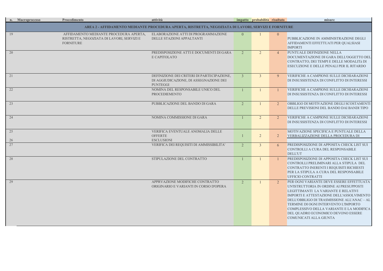UNTUALE DEFINIZIONE NELLA DOCUMENTAZIONE DI GARA DELL'OGGETTO DEL CONTRATTO, DEI TEMPI E DELLE MODALITà DI ESECUZIONE E DELLE PENALI PER IL RITARDO

PUBBLICAZIONE IN AMMINISTRAZIONE DEGLI AFFIDAMENTI EFFETTUATI PER QUALSIASI IMPORTI

**ERIFICHE A CAMPIONE SULLE DICHIARAZIONI** DI INSUSSISTENZA DI CONFLITTO DI INTERESSI

**TERIFICHE A CAMPIONE SULLE DICHIARAZIONI** DI INSUSSISTENZA DI CONFLITTO DI INTERESSI

**BBBLIGO DI MOTIVAZIONE DEGLI SCOSTAMENTI** DELLE PREVISIONI DEL BANDO DAI BANDI TIPO

**ERIFICHE A CAMPIONE SULLE DICHIARAZIONI** DI INSUSSISTENZA DI CONFLITTO DI INTERESSI

REDISPOSIZIONE DI APPOSITA CHECK LIST SUI CONTROLLI A CURA DEL RESPONSABILE DELL'UT

REDISPOSIZIONE DI APPOSITA CHECK LIST SUI CONTROLLI PRELIMINARI ALLA STIPULA DEL CONTRATTO INERENTI I REQUISITI RICHIESTI ER LA STIPULA A CURA DEL RESPONSABILE UFFICIO CONTRATTI

ER OGNI VARIANTE DEVE ESSERE EFFETTUATA UN'ISTRUTTORIA IN ORDINE AI PRESUPPOSTI LEGITTIMANTI LA VARIANTE E RELATIVI IMPORTI E ATTESTAZIONE DELL'ASSOLVIMENTO DELL'OBBLIGO DI TRASMISSIONE ALL'ANAC – AL TERMINE DI OGNI INTERVENTO L'IMPORTO COMPLESSIVO DELLA VARIANTE E LA MODIFICA DEL QUADRO ECONOMICO DEVONO ESSERE COMUNICATI ALLA GIUNTA

|          | n. Macroprocesso | Procedimento                                                                                            | attività                                                                                                |                | impatto probabilità risultato |                | misure                                                                                                                                                                                                                                                                 |
|----------|------------------|---------------------------------------------------------------------------------------------------------|---------------------------------------------------------------------------------------------------------|----------------|-------------------------------|----------------|------------------------------------------------------------------------------------------------------------------------------------------------------------------------------------------------------------------------------------------------------------------------|
|          |                  |                                                                                                         | AREA 2 - AFFIDAMENTO MEDIANTE PROCEDURA APERTA, RISTRETTA, NEGOZIATA DI LAVORI, SERVIZI E FORNITURE     |                |                               |                |                                                                                                                                                                                                                                                                        |
| 19       |                  | AFFIDAMENTO MEDIANTE PROCEDURA APERTA,<br>RISTRETTA, NEGOZIATA DI LAVORI, SERVIZI E<br><b>FORNITURE</b> | ELABORAZIONE ATTI DI PROGRAMMAZIONE<br>DELLE STAZIONI APPALTANTI                                        | $\overline{0}$ |                               | $\overline{0}$ | PUBBLICAZIONE IN AMMINI<br>AFFIDAMENTI EFFETTUATI<br><b>IMPORTI</b>                                                                                                                                                                                                    |
| 20       |                  |                                                                                                         | PREDISPOSIZIONE ATTI E DOCUMENTI DI GARA<br>E CAPITOLATO                                                | $\overline{2}$ | $\overline{2}$                | $\overline{4}$ | PUNTUALE DEFINIZIONE NE<br>DOCUMENTAZIONE DI GAR<br>CONTRATTO, DEI TEMPI E D<br><b>ESECUZIONE E DELLE PENA</b>                                                                                                                                                         |
| 21       |                  |                                                                                                         | DEFINIZIONE DEI CRITERI DI PARTECIPAZIONE,<br>DI AGGIUDICAZIONE, DI ASSEGNAZIONE DEI<br><b>PUNTEGGI</b> | $\overline{3}$ | $\overline{3}$                | 9              | <b>VERIFICHE A CAMPIONE SU</b><br>DI INSUSSISTENZA DI CONFI                                                                                                                                                                                                            |
| 22       |                  |                                                                                                         | NOMINA DEL RESPONSABILE UNICO DEL<br><b>PROCEDIEMENTO</b>                                               |                |                               |                | <b>VERIFICHE A CAMPIONE SU</b><br>DI INSUSSISTENZA DI CONFI                                                                                                                                                                                                            |
| 23       |                  |                                                                                                         | PUBBLICAZIONE DEL BANDO DI GARA                                                                         | $\overline{2}$ |                               | $\overline{2}$ | OBBLIGO DI MOTIVAZIONE<br>DELLE PREVISIONI DEL BAN                                                                                                                                                                                                                     |
| 24       |                  |                                                                                                         | NOMINA COMMISSIONE DI GARA                                                                              |                | $\overline{2}$                | $\overline{2}$ | <b>VERIFICHE A CAMPIONE SU</b><br>DI INSUSSISTENZA DI CONFI                                                                                                                                                                                                            |
| 25<br>26 |                  |                                                                                                         | VERIFICA EVENTUALE ANOMALIA DELLE<br><b>OFFERTE</b><br><b>ESCLUSIONI</b>                                |                | $\overline{2}$                | $\overline{2}$ | MOTIVAZIONE SPECIFICA E<br><b>VERBALIZZAZIONE DELLA I</b>                                                                                                                                                                                                              |
| 27       |                  |                                                                                                         | VERIFICA DEI REQUISITI DI AMMISSIBILITA'                                                                | $\overline{2}$ | 3 <sup>1</sup>                | 6              | PREDISPOSIZIONE DI APPOS<br>CONTROLLI A CURA DEL RE<br><b>DELL'UT</b>                                                                                                                                                                                                  |
| 28       |                  |                                                                                                         | STIPULAZIONE DEL CONTRATTO                                                                              |                |                               |                | PREDISPOSIZIONE DI APPOS<br>CONTROLLI PRELIMINARI A<br><b>CONTRATTO INERENTI I REQ</b><br>PER LA STIPULA A CURA DE<br><b>UFFICIO CONTRATTI</b>                                                                                                                         |
| 29       |                  |                                                                                                         | APPRVAZIONE MODIFICHE CONTRATTO<br>ORIGINARIO E VARIANTI IN CORSO D'OPERA                               | $\overline{2}$ |                               | $\overline{2}$ | PER OGNI VARIANTE DEVE I<br>UN'ISTRUTTORIA IN ORDINE<br>LEGITTIMANTI LA VARIAN'<br><b>IMPORTI E ATTESTAZIONE I</b><br>DELL'OBBLIGO DI TRASMISS<br><b>TERMINE DI OGNI INTERVEI</b><br><b>COMPLESSIVO DELLA VARI</b><br>DEL QUADRO ECONOMICO I<br>COMUNICATI ALLA GIUNTA |

MOTIVAZIONE SPECIFICA E PUNTUALE DELLA VERBALIZZAZIONE DELLA PROCEDURA DI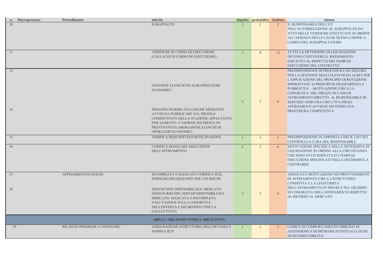NELL'AUTORIZZAZIONE AL SUBAPPALTO DA' ATTO DELLE VERIFICHE EFFETTUATE IN ORDINE ALL'ASSENZA DELLE CAUSE DI ESCLUSIONE A CARICO DEL SUBAPPALTATORE

CODICE DI COMPORTAMENTO OBBLIGO DI ASTENSIONE E DI DICHIARE EVENTUALI CAUSE DI INCOMPATIBILITA'

TUTTE LE DETERMINE DI LIQUIDAZIONE DEVONO CONTENERE IL RIFERIMENTO ESPLICITO AL RISPETTO DEI TEMPI DI ESECUZIONE DEL CONTRATTO PREDISPOSIZIONE DI PROCEDURA DA SEGUIRE PER LA GESTIONE DEGLI ELENCHI ED ALBI E PER L'APPLICAZIONE DEL PRINCIPIO DI ROTAZIONE IMPRONTATE AI PRINCIPI DI TRASPARENZA E PUBBLICITA' - MOTIVAZIONE CIRCA LA CONGRUITA' DEL PREZZO IN CASO DI AFFIDAMENTO DIRETTO - IL RESPONSABILE DI SERVIZIO ASSICURA CHE L'70 % DEGLI AFFIDAMENTI AVVIENE SECONDO UNA PROCEDURA COMPETITIVA

PREDISPOSIZIONE DI APPOSITA CHECK LIST SUI CONTROLLI A CURA DEL RESPONSABILE 2 3 6 MOTIVAZIONE SPECIFICA NELLA DETERMINA DI LIQUIDAZIONE IN ORDINE ALLA CIRCOSTANZA CHE SONO STATI RISPETTATI I TEMPI DI ESECUZIONE SPECIFICATI NELLA DETERMINA A **CONTRARRE** 

|          | n. Macroprocesso | Procedimento                  | attività                                                                                                                                                                                                                                                                                    |                | impatto probabilità risultato |                | misure                                                                                                                                                                                                                                                                                    |
|----------|------------------|-------------------------------|---------------------------------------------------------------------------------------------------------------------------------------------------------------------------------------------------------------------------------------------------------------------------------------------|----------------|-------------------------------|----------------|-------------------------------------------------------------------------------------------------------------------------------------------------------------------------------------------------------------------------------------------------------------------------------------------|
| 30       |                  |                               | <b>SUBAPPALTO</b>                                                                                                                                                                                                                                                                           |                |                               | $\overline{2}$ | IL RESPONSABILE DELL'UT<br>NELL'AUTORIZZAZIONE AL<br>ATTO DELLE VERIFICHE EFI<br>ALL'ASSENZA DELLE CAUSE<br>CARICO DEL SUBAPPALTAT                                                                                                                                                        |
| 31       |                  |                               | VERIFICHE IN CORSO DI ESECUZIONE<br>(COLLAUDI IN CORSO DI ESECUZIONE)                                                                                                                                                                                                                       | 3 <sup>1</sup> | $\overline{4}$                | 12             | TUTTE LE DETERMINE DI LI<br>DEVONO CONTENERE IL RIF<br>ESPLICITO AL RISPETTO DEI<br>ESECUZIONE DEL CONTRAT                                                                                                                                                                                |
| 33<br>34 |                  |                               | <b>GESTIONE ELENCHI ED ALBI OPERATORI</b><br><b>ECONOMICI</b><br>INDAGINI DI MERCATO (ANCHE MEDIANTE<br>AVVISI DA PUBBLICARE SUL PROFILO<br>COMMITTENTE DELLA STAZIONE APPALTANTE<br>PER ALMENTO 15 GIORNI)/ RICHIESTA DI<br>PREVENTIVI/ELABORAZIONE ELENCHI DI<br>OPERATORI ECONOMICI      | $\overline{2}$ | 3 <sup>1</sup>                | $\mathbf{6}$   | PREDISPOSIZIONE DI PROCE<br>PER LA GESTIONE DEGLI EL<br>L'APPLICAZIONE DEL PRINC<br><b>IMPRONTATE AI PRINCIPI DI</b><br>PUBBLICITA' - MOTIVAZION<br>CONGRUITA' DEL PREZZO II<br>AFFIDAMENTO DIRETTO - II<br>SERVIZIO ASSICURA CHE L'7<br>AFFIDAMENTI AVVIENE SEC<br>PROCEDURA COMPETITIVA |
| 35       |                  |                               | VERIFICA REQUISITI DI PARTECIPAZIONE                                                                                                                                                                                                                                                        |                |                               |                | PREDISPOSIZIONE DI APPOS<br>CONTROLLI A CURA DEL RE                                                                                                                                                                                                                                       |
| 36       |                  |                               | VERIFICA REGOLARE ESECUZIONE<br><b>DELL'AFFIDAMENTO</b>                                                                                                                                                                                                                                     | $\overline{2}$ | $\overline{3}$                | 6              | MOTIVAZIONE SPECIFICA N<br>LIQUIDAZIONE IN ORDINE A<br>CHE SONO STATI RISPETTAT<br>ESECUZIONE SPECIFICATI N<br><b>CONTRARRE</b>                                                                                                                                                           |
| 37<br>38 |                  | <b>AFFIDAMENTI IN HOUSE</b>   | INCOMPLETA O MANCATA VERIFICA SUIL<br>POSSESSO DEI REQUISITI PER L'IN HOUSE<br>SERVIZI NON DISPONIBILI SUL MERCATO:<br>NESSUN RISCHIO; SERVIZI DISPONIBILI SUL<br>MERCATO: MANCATA O INCOMPLETA<br>VALUTAZIONE SULLA CONGRUITÀ<br>DELL'OFFERTA E DEI BENEFICI PER LA<br><b>COLLETTIVITÀ</b> | $\overline{2}$ | $\overline{2}$                |                | <b>ADEGUATA MOTIVAZIONE</b><br>DI AFFIDAMENTO CIRCA L'IS<br>CONDOTTA E LA LEGITTIMI<br>DELL'AFFIDAMENTO IN HOU<br>DI CONGRUITA' DELL'AFFID<br>AL RICORSO AL MERCATO                                                                                                                       |
|          |                  |                               | <b>AREA 3 - RILASCIO TITIOLI ABILITATIVI</b>                                                                                                                                                                                                                                                |                |                               |                |                                                                                                                                                                                                                                                                                           |
|          | 39               | RILASCIO PERMESSI A COSTRUIRE | ASSEGNAZIONE ISTRUTTORIA DELL'ISTANZA E<br><b>NOMINA RUP</b>                                                                                                                                                                                                                                |                |                               |                | CODICE DI COMPORTAMENT<br><b>ASTENSIONE E DI DICHIARE</b><br>DI INCOMPATIBILITA'                                                                                                                                                                                                          |

ADEGUATA MOTIVAZIONE NEI PROVVEDIMENTI DI AFFIDAMENTO CIRCA L'ISTRUTTORIA CONDOTTA E LA LEGITTIMITA' DELL'AFFIDAMENTO IN HOUSE E SUL GIUDIZIO DI CONGRUITA' DELL'AFFIDAMENTO RISPETTO AL RICORSO AL MERCATO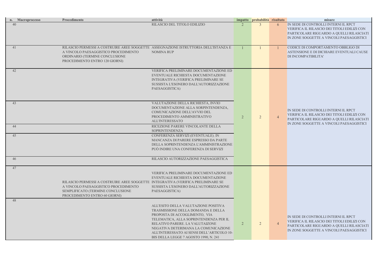N SEDE DI CONTROLLI INTERNI IL RPCT VERIFICA IL RILASCIO DEI TITOLI EDILIZI CON PARTICOLARE RIGUARDO A QUELLI RILASCIATI IN ZONE SOGGETTE A VINCOLI PAESAGGISTICI

**CODICE DI COMPORTAMENTO OBBLIGO DI** ASTENSIONE E DI DICHIARE EVENTUALI CAUSE DI INCOMPATIBILITA'

|    | n. Macroprocesso | Procedimento                                                                                                                                                                                    | attività                                                                                                                                                                                                                                                                                                                |                | impatto probabilità risultato |                | misure                                                                                                        |
|----|------------------|-------------------------------------------------------------------------------------------------------------------------------------------------------------------------------------------------|-------------------------------------------------------------------------------------------------------------------------------------------------------------------------------------------------------------------------------------------------------------------------------------------------------------------------|----------------|-------------------------------|----------------|---------------------------------------------------------------------------------------------------------------|
| 40 |                  |                                                                                                                                                                                                 | RILASCIO DEL TITOLO EDILIZIO                                                                                                                                                                                                                                                                                            |                | $\mathcal{E}$                 | 6              | IN SEDE DI CONTROLLI INTE<br>VERIFICA IL RILASCIO DEI T<br>PARTICOLARE RIGUARDO A<br>IN ZONE SOGGETTE A VINCO |
| 41 |                  | RILASCIO PERMESSI A COSTRUIRE AREE SOGGETTE ASSEGNAZIONE ISTRUTTORIA DELL'ISTANZA E<br>A VINCOLO PAESAGGISTICO PROCEDIMENTO<br>ORDINARIO (TERMINE CONCLUSIONE<br>PROCEDIMENTO ENTRO 120 GIORNI) | <b>NOMINA RUP</b>                                                                                                                                                                                                                                                                                                       |                |                               |                | CODICE DI COMPORTAMENT<br><b>ASTENSIONE E DI DICHIARE</b><br>DI INCOMPATIBILITA'                              |
| 42 |                  |                                                                                                                                                                                                 | VERIFICA PRELIMINARE DOCUMENTAZIONE ED<br>EVENTUALE RICHIESTA DOCUMENTAZIONE<br>INTEGRATIVA (VERIFICA PRELIMINARE SE<br>SUSSISTA L'ESONERO DALL'AUTORIZZAZIONE<br>PAESAGGISTICA)                                                                                                                                        |                |                               |                |                                                                                                               |
| 43 |                  |                                                                                                                                                                                                 | VALUTAZIONE DELLA RICHIESTA, INVIO<br>DOCUMENTAZIONE ALLA SORPINTENDENZA,<br>COMUNICAZIONE DELL'AVVIO DEL<br>PROCEDIMENTO AMMINISTRATIVO<br><b>ALL'INTERESSATO</b>                                                                                                                                                      | $\overline{2}$ | $\overline{2}$                | $\overline{4}$ | IN SEDE DI CONTROLLI INTE<br>VERIFICA IL RILASCIO DEI T<br>PARTICOLARE RIGUARDO A<br>IN ZONE SOGGETTE A VINCO |
| 44 |                  |                                                                                                                                                                                                 | RICEZIONE PARERE VINCOLANTE DELLA<br><b>SOPRINTENDENZA</b>                                                                                                                                                                                                                                                              |                |                               |                |                                                                                                               |
| 45 |                  |                                                                                                                                                                                                 | CONFERENZA SERVIZI (EVENTUALE). IN<br>MANCANZA DI PARERE ESPRESSO DA PARTE<br>DELLA SOPRINTENDENZA L'AMMINISTRAZIONE<br>PUÒ INDIRE UNA CONFERENZA DI SERVIZI                                                                                                                                                            |                |                               |                |                                                                                                               |
| 46 |                  |                                                                                                                                                                                                 | RILASCIO AUTORIZZAZIONE PAESAGGISTICA                                                                                                                                                                                                                                                                                   |                |                               |                |                                                                                                               |
| 47 |                  | RILASCIO PERMESSI A COSTRUIRE AREE SOGGETTE INTEGRATIVA (VERIFICA PRELIMINARE SE<br>A VINCOLO PAESAGGISTICO PROCEDIMENTO<br>SEMPLIFICATO (TERMINE CONCLUSIONE<br>PROCEDIMENTO ENTRO 60 GIORNI)  | VERIFICA PRELIMINARE DOCUMENTAZIONE ED<br>EVENTUALE RICHIESTA DOCUMENTAZIONE<br>SUSSISTA L'ESONERO DALL'AUTORIZZAZIONE<br>PAESAGGISTICA)                                                                                                                                                                                |                |                               |                |                                                                                                               |
| 48 |                  |                                                                                                                                                                                                 | ALL'ESITO DELLA VALUTAZIONE POSITIVA<br>TRASMISSIONE DELLA DOMANDA E DELLA<br>PROPOSTA DI ACCOGLIMENTO, VIA<br>TELEMATICA, ALLA SOPRINTENDENZA PER IL<br>RELATIVO PARERE. LA VALUTAIZONE<br>NEGATIVA DETERIMANA LA COMUNICAZIONE<br>ALL'INTERESSATO AI SENSI DELL'ARTICOLO 10-<br>BIS DELLA LEGGE 7 AGOSTO 1990, N. 241 | $\overline{2}$ | $\overline{2}$                | $\overline{4}$ | IN SEDE DI CONTROLLI INTE<br>VERIFICA IL RILASCIO DEI T<br>PARTICOLARE RIGUARDO A<br>IN ZONE SOGGETTE A VINCO |

# IN SEDE DI CONTROLLI INTERNI IL RPCT VERIFICA IL RILASCIO DEI TITOLI EDILIZI CON PARTICOLARE RIGUARDO A QUELLI RILASCIATI IN ZONE SOGGETTE A VINCOLI PAESAGGISTICI

# IN SEDE DI CONTROLLI INTERNI IL RPCT VERIFICA IL RILASCIO DEI TITOLI EDILIZI CON PARTICOLARE RIGUARDO A QUELLI RILASCIATI IN ZONE SOGGETTE A VINCOLI PAESAGGISTICI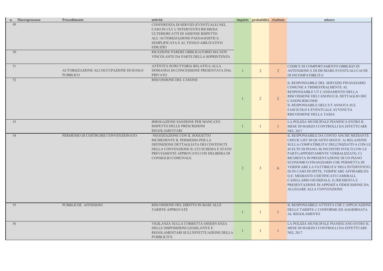CODICE DI COMPORTAMENTO OBBLIGO DI ASTENSIONE E DI DICHIARE EVENTUALI CAUSE DI INCOMPATIBILITA'

iL RESPONSABILE DEL SERVIZIO FINANZIARIO COMUNICA TRIMESTRALMENTE AL

RESPONSABILE UT L'ANDAMENTO DELLA RISCOSSIONE DEI CANONI E IL DETTAGLIO DEI CANONI RISCOSSI

IL RESPONSABILE DELL'UT ANNOTA SUL FASCICOLO L'EVENTUALE AVVENUTA RISCOSSIONE DELLA TASSA

LA POLIZIA MUNICIPALE PIANIFICA ENTRO IL MESE DI MARZO I CONTROLLI DA EFFETTUARE NEL 2017

|    | n. Macroprocesso | Procedimento                                               | attività                                                                                                                                                                                                                 |                | impatto probabilità risultato |                | misure                                                                                                                                                                                                                                                                                                                                                                         |
|----|------------------|------------------------------------------------------------|--------------------------------------------------------------------------------------------------------------------------------------------------------------------------------------------------------------------------|----------------|-------------------------------|----------------|--------------------------------------------------------------------------------------------------------------------------------------------------------------------------------------------------------------------------------------------------------------------------------------------------------------------------------------------------------------------------------|
| 49 |                  |                                                            | CONFERENZA DI SERVIZI (EVENTUALE) NEL<br>CASO IN CUI L'INTERVENTO RICHIEDA<br>ULTERIORI ATTI DI ASSENSE RISPETTO<br>ALL'AUTORIZZAZIONE PAESAGGISTICA<br>SEMPLIFICATA E AL TITOLO ABILITATIVO<br><b>EDILIZIO</b>          |                |                               |                |                                                                                                                                                                                                                                                                                                                                                                                |
| 50 |                  |                                                            | RICEZIONE PARERE OBBLIGATORIO MA NON<br>VINCOLANTE DA PARTE DELLA SOPRINTENZA                                                                                                                                            |                |                               |                |                                                                                                                                                                                                                                                                                                                                                                                |
| 51 |                  | AUTORIZZAZIONE ALL'OCCUPAZIONE DI SUOLO<br><b>PUBBLICO</b> | ATTIVITÀ ISTRUTTORIA RELATIVA ALLA<br>DOMANDA DI CONCESSIONE PRESENTATA DAL<br><b>PRIVATO</b>                                                                                                                            |                | $\overline{2}$                | $\overline{2}$ | CODICE DI COMPORTAMEN'<br><b>ASTENSIONE E DI DICHIARE</b><br>DI INCOMPATIBILITA'                                                                                                                                                                                                                                                                                               |
| 52 |                  |                                                            | RISCOSSIONE DEL CANONE                                                                                                                                                                                                   |                | $\overline{2}$                |                | <b>iL RESPONSABILE DEL SERV</b><br><b>COMUNICA TRIMESTRALME</b><br>RESPONSABILE UT L'ANDAN<br>RISCOSSIONE DEI CANONI E<br><b>CANONI RISCOSSI</b><br>IL RESPONSABILE DELL'UT .<br>FASCICOLO L'EVENTUALE A<br>RISCOSSIONE DELLA TASSA                                                                                                                                            |
| 53 |                  |                                                            | <b>IRROGAZIONE SANZIONE PER MANCATO</b><br>RISPETTO DELLE PRESCRIZIONI<br><b>REGOLAMENTARI</b>                                                                                                                           |                |                               |                | LA POLIZIA MUNICIPALE PIA<br>MESE DI MARZO I CONTROL<br><b>NEL 2017</b>                                                                                                                                                                                                                                                                                                        |
| 54 |                  | PERMESSO DI COSTRUIRE CONVENZIONATO                        | NEGOZIAZIONE CON IL SOGGETTO<br>RICHIEDENTE IL PERMESSO PER LA<br>DEFINIZIONE DETTAGLIATA DEI CONTENUTI<br>DELLA CONVENZIONE IL CUI SCHEMA È STATO<br>PREVIAMENTE APPROVATO CON DELIBERA DI<br><b>CONSIGLIO COMUNALE</b> | $\overline{2}$ | 3 <sup>1</sup>                | 6              | IL RESPONSABILE DA CONT<br>CHECK LIST DI QUANTO SEO<br>SULLA COMPATIBILITA' DEI<br><b>SCELTE DI PIANO; B) INCON</b><br>PARTI (APPOSITAMENTE VE<br>RICHIESTA DI PRESENTAZIO<br>ECONOMICO FINANZIARIO (<br>VERIFICARE LA FATTIBILIT.<br>D) IN CASO DI DITTE, VERIFI<br>O.E. MEDIANTE CERTIFICAT<br>CASELLARIO GIUDIZIALE, E<br>PRESENTAZIONE DI APPOSIT<br>ALLEGARE ALLA CONVENZ |
| 55 |                  | PUBBLICHE AFFISSIONI                                       | RISCOSSIONE DEL DIRITTO IN BASE ALLE<br><b>TARIFFE APPROVATE</b>                                                                                                                                                         |                |                               |                | IL RESPONSABILE ATTESTA<br>DELLE TARIFFE e' CONFORM<br>AL REGOLAMENTO                                                                                                                                                                                                                                                                                                          |
| 56 |                  |                                                            | VIGILANZA SULLA CORRETTA OSSERVANZA<br>DELLE DISPOSIZIONI LEGISLATIVE E<br>REGOLAMENTARI SULL'EFFETTUAZIONE DELLA<br><b>PUBBLICITÀ</b>                                                                                   |                |                               |                | LA POLIZIA MUNICIPALE PIA<br>MESE DI MARZO I CONTROL<br><b>NEL 2017</b>                                                                                                                                                                                                                                                                                                        |

IL RESPONSABILE DA CONTO ANCHE MEDIANTE CHECK LIST DI QUANTO SEGUE: A) RELAZIONE SULLA COMPATIBILITA' DELL'INIZIATIVA CON LE SCELTE DI PIANO; B) INCONTRI SVOLTI CON LE PARTI (APPOSITAMENTE VERBALIZZATI); C) RICHIESTA DI PRESENTAZIONE DI UN PIANO ECONOMICO FINANZIARIO CHE PERMETTA DI VERIFICARE LA FATTIBILITA' DELL'INTERVENTO; D) IN CASO DI DITTE, VERIFICARE AFFIDABILITà O.E. MEDIANTE CERTIFICATI CAMERALI, CASELLARIO GIUDIZIALE, E) RICHIESTA E PRESENTAZIONE DI APPOSITA FIDEIUSSIONE DA ALLEGARE ALLA CONVENZIONE

IL RESPONSABILE ATTESTA CHE L'APPLICAZIONE DELLE TARIFFE e' CONFORME ED AGGIORNATA AL REGOLAMENTO

LA POLIZIA MUNICIPALE PIANIFICANO ENTRO IL MESE DI MARZO I CONTROLLI DA EFFETTUARE NEL 2017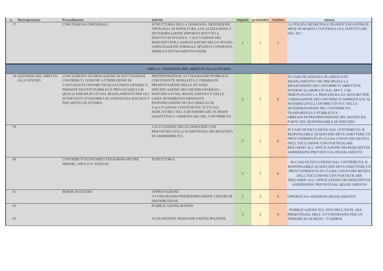LA POLIZIA MUNICIPALE PIANIFICANO ENTRO IL MESE DI MARZO I CONTROLLI DA EFFETTUARE NEL 2017

| n. Macroprocesso                              | Procedimento                                                                                                                                                                                                                                                                                                                                                       | attività                                                                                                                                                                                                                                                                                                    |                | impatto probabilità risultato |                | misure                                                                                                                                                                                                                                                                                                                  |
|-----------------------------------------------|--------------------------------------------------------------------------------------------------------------------------------------------------------------------------------------------------------------------------------------------------------------------------------------------------------------------------------------------------------------------|-------------------------------------------------------------------------------------------------------------------------------------------------------------------------------------------------------------------------------------------------------------------------------------------------------------|----------------|-------------------------------|----------------|-------------------------------------------------------------------------------------------------------------------------------------------------------------------------------------------------------------------------------------------------------------------------------------------------------------------------|
| 57                                            | CONCESSIONI CIMITERIALI                                                                                                                                                                                                                                                                                                                                            | ISTRUTTORIA DELLA DOMANDA. DEFINIZIONE<br>TIPOLOGIA DI SEPOLTURA, LOCALIZZAZIONE E<br>DETERMINAZIONE IMPORTO DOVUTO A<br>SEGUITO DI ISTANZA. VALUTAZIONE DEI<br>REQUISITI PER L'ASSEGNAZIONE DELLO SPAZIO.<br>ASSEGNAZIONE FORMALE SPAZIO E CONSEGNA<br>MODULO DI PAGAMENTO ONERI                           |                |                               |                | LA POLIZIA MUNICIPALE PIA<br>MESE DI MARZO I CONTROL<br><b>NEL 2017</b>                                                                                                                                                                                                                                                 |
|                                               |                                                                                                                                                                                                                                                                                                                                                                    | AREA 4 - GESTIONE DEL DIRITTO ALLO STUDIO                                                                                                                                                                                                                                                                   |                |                               |                |                                                                                                                                                                                                                                                                                                                         |
| 58 GESTIONE DEL DIRITTO<br><b>ALLO STUDIO</b> | CONCESSIONE ED EROGAZIONE DI SOVVENZIONI,<br>CONTRIBUTI, NONCHÉ ATTRIBUZIONE DI<br>VANTAGGI ECONOMICI DI QUALUNQUE GENERE A<br>PERSONE ED ENTI PUBBLICI E PRIVATI (ESCLUSI<br>QUELLI DISCIPLINATI DAL REGOLAMENTO PER GLI INDIVIDUATI NEL REGOLAMENTO E NELLE<br>INTERVENTI ECONOMICI DI ASSISTENZA SOCIALE E LINEE DI INDIRIZZO MEDIANTE<br>PER MOTIVI DI STUDIO) | PREDISPOSIZIONE AVVISO/BANDO PUBBLICO<br>CONTENENTE MODALITÀ E TERMINI DI<br>PRESENTAZIONE DELLE ISTANZE.<br>SPECIFICAZIONE DEI CRITERI GENERALI<br>INDIVIDUAZIONE DI UNA GRIGLIA DI<br>VALUTAZIONE CONTENENTE TUTTI GLI<br>INDICATORI UTILI A DETERMINARE IN MODO<br>OGGETTIVO L'AMMONTARE DEL CONTRIBUTO. | $\overline{2}$ | $\overline{3}$                |                | IN CASO DI ASSENZA DI ADI<br>REGOLAMENTO CHE DISCIP<br>RIPARTIZIONE DEI CONTRIB<br><b>INTERNE ELABORATE DAL I</b><br>DISICPLINANO LA PROCEDU<br>L'EROGAZIONE DEI CONTRII<br>MASSIMI LIVELLI DI OBIETT<br>DETERMIANZIONE DEL CON<br><b>TRASPARENZA E PUBBLICIT</b><br>OBBLIGO DI PREDISPOSIZIO<br>PARTE DEL RESPONSABILE |
| 59                                            |                                                                                                                                                                                                                                                                                                                                                                    | VALUTAZIONE DELLE DOMANDE CON<br>RISCONTRO SULLA SUSSISTENZA DEI REQUISITI<br>DI AMMISSIBILITÀ                                                                                                                                                                                                              | $\overline{2}$ | $\overline{3}$                | 6 <sup>1</sup> | IN CASO DI ESCLUSIONE DA<br>RESPONSABILE DI SERVIZIO<br>PROVVEDIMENTO IN CUI DA<br>DELL'ESCLUSIONE CON PAF<br>RIGUARDO ALL'APPLICAZIO<br>AMMISSIONE PREVISTI DAL                                                                                                                                                        |
| 60                                            | CONTRIBUTI ECONOMICI STRAORDINARI PER<br>MINORI, ADULTI E ANZIANI                                                                                                                                                                                                                                                                                                  | <b>ISTRUTTORIA</b>                                                                                                                                                                                                                                                                                          | $\overline{2}$ | $\overline{3}$                | 6              | IN CASO DI ESCLUSIONE D<br>RESPONSABILE DI SERVIZIO<br>PROVVEDIMENTO IN CUI D.<br>DELL'ESCLUSIONE CO<br>RIGUARDO ALL'APPLICAZIO<br>AMMISSIONE PREVISTI D                                                                                                                                                                |
| 61                                            | <b>BORSE DI STUDIO</b>                                                                                                                                                                                                                                                                                                                                             | <b>APPROVAZIONE</b><br>AVVISO/BANDO/PREDERMINAZIONE CRITERI DI<br><b>DISTRIBUZIONE</b>                                                                                                                                                                                                                      | 2              | $\mathbf{3}$                  | 6              | OPPORTUNA ADOZIONE REC                                                                                                                                                                                                                                                                                                  |
| 62<br>63                                      |                                                                                                                                                                                                                                                                                                                                                                    | PUBBLICAZIONE BANDO<br>ACQUISIZIONE DOMANDE PARTECIPAZIONE                                                                                                                                                                                                                                                  | 2              | $\overline{2}$                |                | PUBBLICAZIONE SUL SITO<br>PRIMO PIANO, DELL'AVVISO<br>PERIODO DI ALMENO 15 GIO                                                                                                                                                                                                                                          |

IN CASO DI ASSENZA DI ADEGUATO REGOLAMENTO CHE DISCIPLINA LA RIPARTIZIONE DEI CONTRIBUTI, DIRETTIVE INTERNE ELABORATE DAL RPCT, CHE DISICPLINANO LA PROCEDURA DA SEGUIRE PER L'EROGAZIONE DEI CONTRIBUTI IMPRONTATE AI MASSIMI LIVELLI DI OBIETTIVITA' NELLA DETERMIANZIONE DEL CONTRIBUTO, TRASPARENZA E PUBBLICITA' - OBBLIGO DI PREDISPOSIZIONE DEL BANDO DA PARTE DEL RESPONSABILE DI SERVIZIO

IN CASO DI ESCLUSIONE DAL CONTRIBUTO, IL RESPONSABILE DI SERVIZIO DEVE EMETTERE UN PROVVEDIMENTO IN CUI DA CONTO DEI MOTIVI DELL'ESCLUSIONE CON PARTICOLARE RIGUARDO ALL'APPLICAZIONE DEI REQUISITI DI AMMISSIONE PREVISTI DAL REGOLAMENTO

IN CASO DI ESCLUSIONE DAL CONTRIBUTO, IL RESPONSABILE DI SERVIZIO DEVE EMETTERE UN PROVVEDIMENTO IN CUI DA CONTO DEI MOTIVI DELL'ESCLUSIONE CON PARTICOLARE RIGUARDO ALL'APPLICAZIONE DEI REQUISITI DI AMMISSIONE PREVISTI DAL REGOLAMENTO

OPPORTUNA ADOZIONE REGOLAMENTO

 PUBBLICAZIONE SUL SITO DELL'ENTE, SEZ. PRIMO PIANO, DELL'AVVISO/BANDO PER UN PERIODO DI ALMENO 15 GIORNI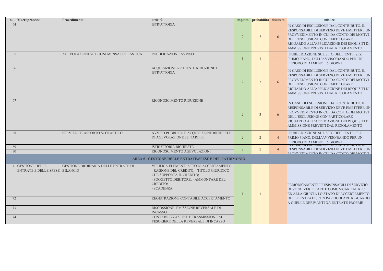IN CASO DI ESCLUSIONE DAL CONTRIBUTO, IL RESPONSABILE DI SERVIZIO DEVE EMETTERE UN PROVVEDIMENTO IN CUI DA CONTO DEI MOTIVI DELL'ESCLUSIONE CON PARTICOLARE RIGUARDO ALL'APPLICAZIONE DEI REQUISITI DI AMMISSIONE PREVISTI DAL REGOLAMENTO

 PUBBLICAZIONE SUL SITO DELL'ENTE, SEZ. PRIMO PIANO, DELL'AVVISO/BANDO PER UN PERIODO DI ALMENO 15 GIORNI

IN CASO DI ESCLUSIONE DAL CONTRIBUTO, IL RESPONSABILE DI SERVIZIO DEVE EMETTERE UN PROVVEDIMENTO IN CUI DA CONTO DEI MOTIVI DELL'ESCLUSIONE CON PARTICOLARE RIGUARDO ALL'APPLICAZIONE DEI REQUISITI DI AMMISSIONE PREVISTI DAL REGOLAMENTO

IN CASO DI ESCLUSIONE DAL CONTRIBUTO, IL RESPONSABILE DI SERVIZIO DEVE EMETTERE UN PROVVEDIMENTO IN CUI DA CONTO DEI MOTIVI DELL'ESCLUSIONE CON PARTICOLARE RIGUARDO ALL'APPLICAZIONE DEI REQUISITI DI AMMISSIONE PREVISTI DAL REGOLAMENTO

|                | n. Macroprocesso                                           | Procedimento                               | attività                                                                                                                                                                                                                                                                                                                                                            |                | impatto probabilità risultato |                | misure                                                                                                                                                                  |
|----------------|------------------------------------------------------------|--------------------------------------------|---------------------------------------------------------------------------------------------------------------------------------------------------------------------------------------------------------------------------------------------------------------------------------------------------------------------------------------------------------------------|----------------|-------------------------------|----------------|-------------------------------------------------------------------------------------------------------------------------------------------------------------------------|
| 64             |                                                            |                                            | <b>ISTRUTTORIA</b>                                                                                                                                                                                                                                                                                                                                                  | 2 <sup>1</sup> | $\overline{3}$                | 6              | IN CASO DI ESCLUSIONE DA<br>RESPONSABILE DI SERVIZIO<br>PROVVEDIMENTO IN CUI DA<br>DELL'ESCLUSIONE CON PAF<br>RIGUARDO ALL'APPLICAZIO<br>AMMISSIONE PREVISTI DAL        |
| 65             |                                                            | AGEVOLAZIONI SU BUONI MENSA SCOLASTICA     | PUBBLICAZIONE AVVISO                                                                                                                                                                                                                                                                                                                                                |                |                               |                | PUBBLICAZIONE SUL SITO<br>PRIMO PIANO, DELL'AVVISO<br>PERIODO DI ALMENO 15 GIO                                                                                          |
| 66             |                                                            |                                            | ACQUISIZIONE RICHIESTE RIDUZIONE E<br><b>ISTRUTTORIA</b>                                                                                                                                                                                                                                                                                                            | 2 <sup>1</sup> | 3 <sup>1</sup>                | $\mathfrak{b}$ | IN CASO DI ESCLUSIONE DA<br>RESPONSABILE DI SERVIZIO<br>PROVVEDIMENTO IN CUI DA<br><b>DELL'ESCLUSIONE CON PAF</b><br>RIGUARDO ALL'APPLICAZIO<br>AMMISSIONE PREVISTI DAL |
| 67             |                                                            |                                            | RICONOSCIMENTO RIDUZIONE                                                                                                                                                                                                                                                                                                                                            | $\overline{2}$ | 3 <sup>1</sup>                | $\mathfrak{b}$ | IN CASO DI ESCLUSIONE DA<br>RESPONSABILE DI SERVIZIO<br>PROVVEDIMENTO IN CUI DA<br>DELL'ESCLUSIONE CON PAF<br>RIGUARDO ALL'APPLICAZIO<br>AMMISSIONE PREVISTI DAL        |
| 68             |                                                            | SERVIZIO TRASPORTO SCOLASTICO              | AVVISO PUBBLICO E ACQUISIZIONE RICHIESTE<br>DI AGEVOLAZIONE SU TARIFFE                                                                                                                                                                                                                                                                                              | $\overline{2}$ | $\overline{2}$                | $\overline{4}$ | PUBBLICAZIONE SUL SITO<br>PRIMO PIANO, DELL'AVVISO<br>PERIODO DI ALMENO 15 GIO                                                                                          |
| 69<br>70       |                                                            |                                            | <b>ISTRUTTORIA RICHIESTE</b><br>RICONOSCIMENTO AGEVOLAZIONI                                                                                                                                                                                                                                                                                                         | 2              | $\overline{2}$                |                | IIN CADU DI EJCLUDIUNE DA<br>RESPONSABILE DI SERVIZIO                                                                                                                   |
|                |                                                            |                                            | <b>AREA 5 - GESTIONE DELLE ENTRATE/SPESE E DEL PATRIMONIO</b>                                                                                                                                                                                                                                                                                                       |                |                               |                | <b>DDOVALEDIMENTO IN CUILDA</b>                                                                                                                                         |
| 72<br>73<br>74 | <b>71 GESTIONE DELLE</b><br>ENTRATE E DELLE SPESE BILANCIO | <b>GESTIONE ORDINARIA DELLE ENTRATE DI</b> | VERIFICA ELEMENTI ATTO DI ACCERTAMENTO:<br>- RAGIONE DEL CREDITO; - TITOLO GIURIDICO<br>CHE SUPPORTA IL CREDITO;<br>- SOGGETTO DEBITORE; - AMMONTARE DEL<br>CREDITO;<br>- SCADENZA;<br>REGISTRAZIONE CONTABILE ACCERTAMENTO<br>RISCOSSIONE: EMISSIONE REVERSALE DI<br><b>INCASSO</b><br>CONTABILIZZAZIONE E TRASMISSIONE AL<br>TESORIERE DELLA REVERSALE DI INCASSO |                |                               |                | PERIODICAMENTE I RESPON<br>DEVONO VERIFICARE E CON<br>ED ALLA GIUNTA LO STATC<br>DELLE ENTRATE, CON PART<br>A QUELLE DERIVANTI DA EI                                    |

 PUBBLICAZIONE SUL SITO DELL'ENTE, SEZ. PRIMO PIANO, DELL'AVVISO/BANDO PER UN PERIODO DI ALMENO 15 GIORNI IN CASO DI ESCLUSIONE DAL CONTRIBUTO, IL RESPONSABILE DI SERVIZIO DEVE EMETTERE UN PROVVEDIMENTO IN CUI DA CONTO DEI MOTIVI

PERIODICAMENTE I RESPONSABILI DI SERVIZIO DEVONO VERIFICARE E COMUNICARE AL RPCT ED ALLA GIUNTA LO STATO DI ACCERTAMENTO DELLE ENTRATE, CON PARTICOLARE RIGUARDO A QUELLE DERIVANTI DA ENTRATE PROPRIE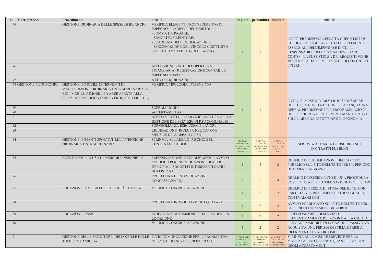## SI RINVIA ALL'AREA DI RISCHIO 2 SUI CONTRATTI PUBBLICI

| n. Macroprocesso                                            | Procedimento                                                                                                                                                                        | attività                                                                                                                                                                                                                                                                                                                                                         |                                                                                                | impatto probabilità risultato                                                                         |                                                                                                       | misure                                                                                                                                                                                                                                                                       |
|-------------------------------------------------------------|-------------------------------------------------------------------------------------------------------------------------------------------------------------------------------------|------------------------------------------------------------------------------------------------------------------------------------------------------------------------------------------------------------------------------------------------------------------------------------------------------------------------------------------------------------------|------------------------------------------------------------------------------------------------|-------------------------------------------------------------------------------------------------------|-------------------------------------------------------------------------------------------------------|------------------------------------------------------------------------------------------------------------------------------------------------------------------------------------------------------------------------------------------------------------------------------|
| 76<br>77                                                    | GESTIONE ORDINARIA DELLE SPESE DI BILANCIO                                                                                                                                          | VERIFICA ELEMENTI PROVVEDIMENTO DI<br>IMPEGNO: - RAGIONE DEL DEBITO;<br>- SOMMA DA PAGARE;<br>- SOGGETTO CREDITORE;<br>- SCADENZA DELL'OBBLIGAZIONE;<br>- SPECIFICAZIONE DEL VINCOLO COSTITUITO<br>SULLO STANZIAMENTO DI BILANCIO.<br>APPOSIZIONE VISTO DI COPERTURA<br>FINANZIARIA - REGISTRAZIONE CONTABILE<br><b>IMPEGNO DI SPESA</b><br>ATTO DI LIQUIDAZIONE |                                                                                                |                                                                                                       |                                                                                                       | L'RPCT PREDISPONE APPOSITA CHECK LIST IN<br>CUI DEVONO FIGURARE TUTTI GLI ELEMENTI<br>ESSENZIALI DELL'IMPEGNO E DI CUI IL<br>RESPONSABILE DELLA SPESA DEVE DARE<br>CONTO - LA SUSSISTENZA DEI REQUISITI VIENE<br>VERIFICATA DALL'RPCT IN SEDE DI CONTROLLI<br><b>INTERNI</b> |
| <b>78 GESTIONE PATRIMONIO</b><br>79<br>80<br>81<br>82<br>83 | <b>GESTIONE IMMOBILI: INTERVENTI DI</b><br>MANUTENZIONE ORDINARIA E STRAORDINARIA SU<br>BENI MOBILI, IMMOBILI ED AREE APERTE ALLA<br>FRUIZIONE PUBBLICA (AREE VERDI, CIMITERI ETC.) | VERIFICA TIPOLOGIA INTERVENTO<br>SOPRALLUOGHI<br><b>ACCERTAMENTO</b><br>AFFIDAMENTO DEL SERVIZIO (INCLUSA NELLA<br>GESTIONE DEL SERVIZIO DI RSU COMUNALE)<br>SORVEGLIANZA ESECUZIONE LAVORI<br>LIQUIDAZIONE (INCLUSA NEL CANONE<br>MENSILE DELL'APPALTO RSU)                                                                                                     |                                                                                                |                                                                                                       |                                                                                                       | ENTRO IL MESE DI MARZO IL RESPONSABILE<br>DELL'UT, DI CONCERTO CON IL CAPO SQUADRA<br>OPERAI, PREDISPONE UNA PROGRAMMAZIONE<br>DELLE PRIORITà DI INTERVENTI MANUTENTIVI<br>SULLE AREE DA EFFETTUARE IN ECONOMIA                                                              |
| 84                                                          | GESTIONE IMPIANTI SPORTIVI -MANUTENZIONE<br>ORDINARIA E STRAORDINARIA                                                                                                               | SI RINVIA ALL'AREA DI RISCHIO 2 SUI<br>CONTRATTI PUBBLICI                                                                                                                                                                                                                                                                                                        | <b>SI RINVIA</b><br><b>ALL'AREA DI</b><br>RISCHIO 2 SUI<br><b>CONTRATTI</b><br><b>PUBBLICI</b> | <b>SI RINVIA</b><br><b>ALL'AREA DI</b><br><b>RISCHIO 2 SUI</b><br><b>CONTRATTI</b><br><b>PUBBLICI</b> | <b>SI RINVIA</b><br><b>ALL'AREA DI</b><br><b>RISCHIO 2 SUI</b><br><b>CONTRATTI</b><br><b>PUBBLICI</b> | SI RINVIA ALL'AREA DI RISCHIO 2 SUI<br>CONTRATTI PUBBLICI                                                                                                                                                                                                                    |
| 85                                                          | CONCESSIONE IN USO DI IMMOBILI DISPONIBILI                                                                                                                                          | PREDISPOSIZIONE E PUBBLICAZIONE AVVISO<br>PUBBLICO PER INDIVIDUAZIONE DI ALTRI<br>EVENTUALI SOGGETTI INTERESSATI OLTRE<br><b>AGLI ISTANTI</b>                                                                                                                                                                                                                    |                                                                                                | 2                                                                                                     |                                                                                                       | OBBLIGO DI PUBBLICAZIONE DELL'AVVISO<br>PUBBLICO SUL SITO DELL'ENTE PER UN PERIODO<br>DI ALMENO 30 GIORNI                                                                                                                                                                    |
| 86                                                          |                                                                                                                                                                                     | PROCEDURA DI INDIVIDUAZIONE<br>CONCESSIONARIO                                                                                                                                                                                                                                                                                                                    |                                                                                                | $\overline{2}$                                                                                        |                                                                                                       | OBBLIGO DI ESPERIMENTO DI UNA PROCEDURA<br>COMPETTIVA PER L'ASSEGNAZIONE DEGLI SPAZ                                                                                                                                                                                          |
| 87                                                          | LOCAZIONE IMMOBILI DI PROPRIETÀ COMUNALE                                                                                                                                            | VERIFICA CONGRUITÀ CANONE                                                                                                                                                                                                                                                                                                                                        |                                                                                                | $\overline{2}$                                                                                        | 2                                                                                                     | OBBLIGO DI PERIZIA DI STIMA DEL BENE, CON<br>PARTICOLARE RIFERIMENTO AL RAGGUAGLIO<br>CON I VALORI OMI                                                                                                                                                                       |
| 88                                                          |                                                                                                                                                                                     | PROCEDURA INDIVIDUAZIONE LOCATARIO                                                                                                                                                                                                                                                                                                                               |                                                                                                | $\overline{2}$                                                                                        | $\overline{2}$                                                                                        | AVVISO PUBBLICATO SUL SITO DELL'ENTE PER<br>UN PERIODO DI ALMENO 30 GIORNI                                                                                                                                                                                                   |
| 89                                                          | <b>LOCAZIONI PASSIVE</b>                                                                                                                                                            | INDIVIDUAZIONE IMMOBILE DA PRENDERE IN<br><b>LOCAZIONE</b>                                                                                                                                                                                                                                                                                                       |                                                                                                | $\overline{2}$                                                                                        | 2                                                                                                     | IL RESPONSABILE DI SERVIZIO<br>PREVENTIVAMENTE RELAZIONA ALLA GIUNTA                                                                                                                                                                                                         |
| 90                                                          |                                                                                                                                                                                     | VERIFICA CONGRUITÀ CANONE                                                                                                                                                                                                                                                                                                                                        |                                                                                                | $\overline{2}$                                                                                        | 2                                                                                                     | PER OGNI IMMOBILE IN LCCAZIONE PASSIVA VA<br>ACQUISITA UNA PERIZIA DI STIMA E PRESI A<br>RIFERIMENTO I VALORI OMI                                                                                                                                                            |
| 91                                                          | GESTIONE DELLE SEPOLTURE, DEI LOCULI E DELLE INVIO COMUNICAZIONE PER IL PAGAMENTO<br>TOMBE DI FAMIGLIA                                                                              | DEI COSTI DEI SERVIZI CIMITERIALI                                                                                                                                                                                                                                                                                                                                | V. MISURE PER<br><b>LA MANCATA</b><br><b>RISCOSSIONE</b><br><b>ACCERTAMENTI</b>                | V. MISURE PER<br>LA MANCATA<br><b>RISCOSSIONE</b>                                                     | V. MISURE PI<br>LA MANCATA<br><b>RISCOSSIONE</b>                                                      | SI RINVIA ALLE MISURE PREVISTE PER LA<br>MANCATA RISCOSSIONE E QUANTIFICAZIONE<br>ACCERTAMENTI ACCERTAMENTI DEGLI ACCERTAMENTI                                                                                                                                               |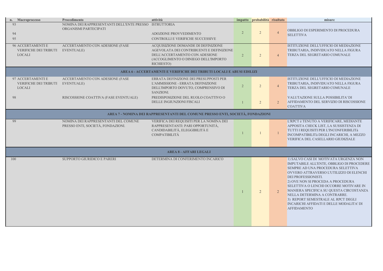ISTITUZIONE DELL'UFFICIO DI MEDIAZIONE TRIBUTARIA, INDIVIDUATO NELLA FIGURA TERZA DEL SEGRETARIO COMUNALE

ISTITUZIONE DELL'UFFICIO DI MEDIAZIONE TRIBUTARIA, INDIVIDUATO NELLA FIGURA TERZA DEL SEGRETARIO COMUNALE

OBBLIGO DI ESPERIMENTO DI PROCEDURA SELETTIVA

VALUTAZIONE SULLA POSSIBILITA' DI AFFIDAMENTO DEL SERVIZIO DI RISCOSSIONE COATTIVA

|                | n. Macroprocesso                                                   | Procedimento                                                                    | attività                                                                                                                                                                |                | impatto probabilità risultato |                | misure                                                                                                                                                                                                                                                                                                                                           |
|----------------|--------------------------------------------------------------------|---------------------------------------------------------------------------------|-------------------------------------------------------------------------------------------------------------------------------------------------------------------------|----------------|-------------------------------|----------------|--------------------------------------------------------------------------------------------------------------------------------------------------------------------------------------------------------------------------------------------------------------------------------------------------------------------------------------------------|
| 93<br>94<br>95 |                                                                    | NOMINA DEI RAPPRESENTANTI DELL'ENTE PRESSO ISTRUTTORIA<br>ORGANISMI PARTECIPATI | ADOZIONE PROVVEDIMENTO<br>CONTROLLI E VERIFICHE SUCCESSIVE                                                                                                              | $\overline{2}$ | $\overline{2}$                |                | OBBLIGO DI ESPERIMENTO I<br><b>SELETTIVA</b>                                                                                                                                                                                                                                                                                                     |
|                | <b>96 ACCERTAMENTI E</b><br>VERIFICHE DEI TRIBUTI<br><b>LOCALI</b> | ACCERTAMENTO CON ADESIONE (FASE<br><b>EVENTUALE</b> )                           | ACQUISIZIONE DOMANDE DI DEFINIZIONE<br>AGEVOLATA DEI CONTRIBUENTI E DEFINIZIONE<br>DELL'ACCERTAMENTO CON ADESIONE<br>(ACCOGLIMENTO O DINIEGO DELL'IMPORTO<br>RICHIESTO) | 2              | $\overline{2}$                |                | <b>ISTITUZIONE DELL'UFFICIO</b><br>TRIBUTARIA, INDIVIDUATO<br>TERZA DEL SEGRETARIO CO                                                                                                                                                                                                                                                            |
|                |                                                                    |                                                                                 | AREA 6 - ACCERTAMENTI E VERIFICHE DEI TRIBUTI LOCALI E ABUSI EDILIZI                                                                                                    |                |                               |                |                                                                                                                                                                                                                                                                                                                                                  |
|                | 97 ACCERTAMENTI E<br>VERIFICHE DEI TRIBUTI<br><b>LOCALI</b>        | ACCERTAMENTO CON ADESIONE (FASE<br>EVENTUALE)                                   | ERRATA DEFINIZIONE DEI PRESUPPOSTI PER<br>L'AMMISSIONE - ERRATA DEFINIZIONE<br>DELL'IMPORTO DOVUTO, COMPRENSIVO DI<br>SANZIONI.                                         | $\overline{2}$ | $\overline{2}$                | $\overline{4}$ | <b>ISTITUZIONE DELL'UFFICIO</b><br>TRIBUTARIA, INDIVIDUATO<br>TERZA DEL SEGRETARIO CO                                                                                                                                                                                                                                                            |
| 98             |                                                                    | RISCOSSIONE COATTIVA (FASE EVENTUALE)                                           | PREDISPOSIZIONE DEL RUOLO COATTIVO O<br>DELLE INGIUNZIONI FISCALI                                                                                                       |                | $\overline{2}$                | $\overline{2}$ | <b>VALUTAZIONE SULLA POSS</b><br>AFFIDAMENTO DEL SERVIZI<br><b>COATTIVA</b>                                                                                                                                                                                                                                                                      |
|                |                                                                    |                                                                                 | AREA 7 - NOMINA DEI RAPPRESENTANTI DEL COMUNE PRESSO ENTI, SOCIETÀ, FONDAZIONI                                                                                          |                |                               |                |                                                                                                                                                                                                                                                                                                                                                  |
| 99             |                                                                    | NOMINA DEI RAPPRESENTANTI DEL COMUNE<br>PRESSO ENTI, SOCIETÀ, FONDAZIONI.       | VERIFICA DEI REQUISITI PER LA NOMINA DEI<br>RAPPRESENTANTI: PARI OPPORTUNITÀ,<br>CANDIDABILITÀ, ELEGGIBILITÀ E<br><b>COMPATIBILITÀ</b>                                  |                |                               |                | L'RPCT è TENUTO A VERIFIC<br>APPOSITA CHECK LIST, LA S<br>TUTTI I REQUISITI PER L'INC<br><b>INCOMPATIBILITà DEGLI INO</b><br>VERIFICA DEL CASELLARIO                                                                                                                                                                                             |
|                |                                                                    |                                                                                 | <b>AREA 8 - AFFARI LEGALI</b>                                                                                                                                           |                |                               |                |                                                                                                                                                                                                                                                                                                                                                  |
| 100            |                                                                    | <b>SUPPORTO GIURIDICO E PARERI</b>                                              | DETERMINA DI CONFERIMENTO INCARICO                                                                                                                                      |                | $\overline{2}$                | 2              | 1) SALVO CASI DI MOTIVAT<br><b>IMPUTABILE ALL'ENTE, OBE</b><br><b>SEMPRE AD UNA PROCEDUI</b><br>OVVERO ATTRAVERSO L'UT<br>DEI PROFESSIONISTI.<br>2) OVE NON SI PROCEDA A P<br>SELETTIVA O LENCHI OCCO<br>MANIERA SPECIFICA SU QUI<br>NELLA DETERMINA A CONT<br>3) REPORT SEMESTRALE AI<br><b>INCARICHI AFFIDATI E DELI</b><br><b>AFFIDAMENTO</b> |

L'RPCT è TENUTO A VERIFICARE, MEDIANTE APPOSITA CHECK LIST, LA SUSSISTENZA DI TUTTI I REQUISITI PER L'INCONFERIBILITà INCOMPATIBILITà DEGLI INCARICHI, A MEZZO VERIFICA DEL CASELLARIO GIUDIZIALE

1) SALVO CASI DI MOTIVATA URGENZA NON IMPUTABILE ALL'ENTE, OBBLIGO DI PROCEDERE SEMPRE AD UNA PROCEDURA SELETTIVA OVVERO ATTRAVERSO L'UTILIZZO DI ELENCHI DEI PROFESSIONISTI.

2) OVE NON SI PROCEDA A PROCEDURA SELETTIVA O LENCHI OCCORRE MOTIVARE IN MANIERA SPECIFICA SU QUESTA CIRCOSTANZA NELLA DETERMINA A CONTRARRE. 3) REPORT SEMESTRALE AL RPCT DEGLI

INCARICHI AFFIDATI E DELLE MODALITA' DI AFFIDAMENTO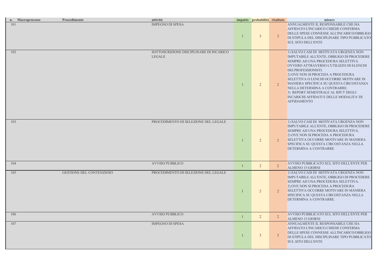ANNUALMENTE IL RESPONSABILE CHE HA AFFIDATO L'INCARICO CHIEDE CONFERMA DELLE SPESE CONNESSE ALL'INCARICO/OBBLIGO DI STIPULA DEL DISCIPLINARE TIPO PUBBLICATO SUL SITO DELL'ENTE

1) SALVO CASI DI MOTIVATA URGENZA NON IMPUTABILE ALL'ENTE, OBBLIGO DI PROCEDERE SEMPRE AD UNA PROCEDURA SELETTIVA OVVERO ATTRAVERSO L'UTILIZZO DI ELENCHI DEI PROFESSIONISTI. 2) OVE NON SI PROCEDA A PROCEDURA SELETTIVA O LENCHI OCCORRE MOTIVARE IN MANIERA SPECIFICA SU QUESTA CIRCOSTANZA NELLA DETERMINA A CONTRARRE. 3) REPORT SEMESTRALE AL RPCT DEGLI INCARICHI AFFIDATI E DELLE MODALITA' DI AFFIDAMENTO

**AVVISO PUBBLICATO SUL SITO DELL'ENTE PER** ALMENO 15 GIORNI

AVVISO PUBBLICATO SUL SITO DELL'ENTE PER ALMENO 15 GIORNI

|     | n. Macroprocesso | Procedimento             | attività                                                 | impatto probabilità risultato |                | misure                                                                                                                                                                                                                                                                                                                                           |
|-----|------------------|--------------------------|----------------------------------------------------------|-------------------------------|----------------|--------------------------------------------------------------------------------------------------------------------------------------------------------------------------------------------------------------------------------------------------------------------------------------------------------------------------------------------------|
| 101 |                  |                          | <b>IMPEGNO DI SPESA</b>                                  | 3 <sup>1</sup>                | $\mathbf{3}$   | ANNUALMENTE IL RESPONS<br>AFFIDATO L'INCARICO CHIE<br>DELLE SPESE CONNESSE AL<br>DI STIPULA DEL DISCIPLINA<br><b>SUL SITO DELL'ENTE</b>                                                                                                                                                                                                          |
| 102 |                  |                          | SOTTOSCRIZIONE DISCIPLINARE DI INCARICO<br><b>LEGALE</b> | $\overline{2}$                | $\overline{2}$ | 1) SALVO CASI DI MOTIVAT<br><b>IMPUTABILE ALL'ENTE, OBE</b><br>SEMPRE AD UNA PROCEDUI<br>OVVERO ATTRAVERSO L'UT<br>DEI PROFESSIONISTI.<br>2) OVE NON SI PROCEDA A P<br><b>SELETTIVA O LENCHI OCCO</b><br>MANIERA SPECIFICA SU QUI<br>NELLA DETERMINA A CONT<br>3) REPORT SEMESTRALE AI<br><b>INCARICHI AFFIDATI E DELI</b><br><b>AFFIDAMENTO</b> |
| 103 |                  |                          | PROCEDIMENTO DI SELEZIONE DEL LEGALE                     | $\overline{2}$                | $\overline{2}$ | 1) SALVO CASI DI MOTIVAT<br><b>IMPUTABILE ALL'ENTE, OBE</b><br>SEMPRE AD UNA PROCEDUI<br>2) OVE NON SI PROCEDA A P<br>SELETTIVA OCCORRE MOTI<br>SPECIFICA SU QUESTA CIRC<br>DETERMINA A CONTRARRE.                                                                                                                                               |
| 104 |                  |                          | <b>AVVISO PUBBLICO</b>                                   | $\overline{2}$                |                | AVVISO PUBBLICATO SUL S<br><b>ALMENO 15 GIORNI</b>                                                                                                                                                                                                                                                                                               |
| 105 |                  | GESTIONE DEL CONTENZIOSO | PROCEDIMENTO DI SELEZIONE DEL LEGALE                     | $\overline{2}$                | $\overline{2}$ | 1) SALVO CASI DI MOTIVAT<br><b>IMPUTABILE ALL'ENTE, OBE</b><br>SEMPRE AD UNA PROCEDUI<br>2) OVE NON SI PROCEDA A P<br>SELETTIVA OCCORRE MOTI<br>SPECIFICA SU QUESTA CIRC<br>DETERMINA A CONTRARRE                                                                                                                                                |
| 106 |                  |                          | <b>AVVISO PUBBLICO</b>                                   | $\overline{2}$                | $\overline{2}$ | <b>AVVISO PUBBLICATO SUL S</b><br><b>ALMENO 15 GIORNI</b>                                                                                                                                                                                                                                                                                        |
| 107 |                  |                          | <b>IMPEGNO DI SPESA</b>                                  | $\overline{3}$                | 3              | ANNUALMENTE IL RESPONS<br>AFFIDATO L'INCARICO CHIE<br>DELLE SPESE CONNESSE AL<br>DI STIPULA DEL DISCIPLINA<br><b>SUL SITO DELL'ENTE</b>                                                                                                                                                                                                          |

1) SALVO CASI DI MOTIVATA URGENZA NON IMPUTABILE ALL'ENTE, OBBLIGO DI PROCEDERE SEMPRE AD UNA PROCEDURA SELETTIVA. 2) OVE NON SI PROCEDA A PROCEDURA SELETTIVA OCCORRE MOTIVARE IN MANIERA SPECIFICA SU QUESTA CIRCOSTANZA NELLA DETERMINA A CONTRARRE.

1) SALVO CASI DI MOTIVATA URGENZA NON IMPUTABILE ALL'ENTE, OBBLIGO DI PROCEDERE SEMPRE AD UNA PROCEDURA SELETTIVA. 2) OVE NON SI PROCEDA A PROCEDURA SELETTIVA OCCORRE MOTIVARE IN MANIERA SPECIFICA SU QUESTA CIRCOSTANZA NELLA DETERMINA A CONTRARRE.

ANNUALMENTE IL RESPONSABILE CHE HA AFFIDATO L'INCARICO CHIEDE CONFERMA DELLE SPESE CONNESSE ALL'INCARICO/OBBLIGO DI STIPULA DEL DISCIPLINARE TIPO PUBBLICATO SUL SITO DELL'ENTE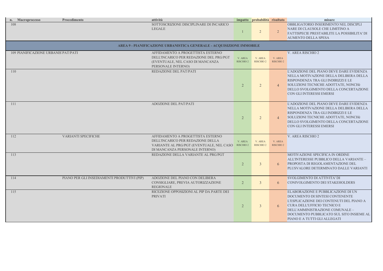OBBLIGATORIO INSERIMENTO NEL DISCIPLI NARE DI CLAUSOLE CHE LIMITINO A FATTISPECIE PRESTABILITE LA POSSIBILITA' DI AUMENTO DELLA SPESA

L'ADOZIONE DEL PIANO DEVE DARE EVIDENZA NELLA MOTIVAZIONE DELLA DELIBERA DELLA RISPONDENZA TRA GLI INDIRIZZI E LE SOLUZIONI TECNICHE ADOTTATE, NONCHè DELLO SVOLGIMENTO DELLA CONCERTAZIONE CON GLI INTERESSI EMERSI

L'ADOZIONE DEL PIANO DEVE DARE EVIDENZA NELLA MOTIVAZIONE DELLA DELIBERA DELLA RISPONDENZA TRA GLI INDIRIZZI E LE SOLUZIONI TECNICHE ADOTTATE, NONCHè DELLO SVOLGIMENTO DELLA CONCERTAZIONE CON GLI INTERESSI EMERSI

| n. Macroprocesso                     | Procedimento                                | attività                                                                                                                                             |                                 | impatto probabilità risultato   |                             | misure                                                                                                                                                                                     |
|--------------------------------------|---------------------------------------------|------------------------------------------------------------------------------------------------------------------------------------------------------|---------------------------------|---------------------------------|-----------------------------|--------------------------------------------------------------------------------------------------------------------------------------------------------------------------------------------|
| 108                                  |                                             | SOTTOSCRIZIONE DISCIPLINARE DI INCARICO<br><b>LEGALE</b>                                                                                             |                                 | 2 <sup>2</sup>                  | $\overline{2}$              | OBBLIGATORIO INSERIMEN'<br>NARE DI CLAUSOLE CHE LIN<br><b>FATTISPECIE PRESTABILITE</b><br><b>AUMENTO DELLA SPESA</b>                                                                       |
|                                      |                                             | AREA 9 - PIANIFICAZIONE URBANISTICA GENERALE - ACQUISIZIONE IMMOBILE                                                                                 |                                 |                                 |                             |                                                                                                                                                                                            |
| 109 PIANIFICAZIONE URBANIS' PAT/PATI |                                             | AFFIDAMENTO A PROGETTISTA ESTERNO<br>DELL'INCARICO PER REDAZIONE DEL PRG/PGT<br>(EVENTUALE, NEL CASO DI MANCANZA<br>PERSONALE INTERNO)               | V. AREA<br>RISCHIO <sub>2</sub> | V. AREA<br>RISCHIO <sub>2</sub> | V. AREA<br><b>RISCHIO 2</b> | V. AREA RISCHIO 2                                                                                                                                                                          |
| 110                                  |                                             | REDAZIONE DEL PAT/PATI                                                                                                                               | $\overline{2}$                  | $\overline{2}$                  |                             | L'ADOZIONE DEL PIANO DEV<br>NELLA MOTIVAZIONE DELL<br>RISPONDENZA TRA GLI INDI<br>SOLUZIONI TECNICHE ADOT<br>DELLO SVOLGIMENTO DELI<br>CON GLI INTERESSI EMERSI                            |
| 111                                  |                                             | ADOZIONE DEL PAT/PATI                                                                                                                                | $\overline{2}$                  | $\overline{2}$                  |                             | L'ADOZIONE DEL PIANO DEV<br>NELLA MOTIVAZIONE DELL<br>RISPONDENZA TRA GLI INDI<br>SOLUZIONI TECNICHE ADOT<br>DELLO SVOLGIMENTO DELI<br>CON GLI INTERESSI EMERSI                            |
| 112                                  | VARIANTI SPECIFICHE                         | AFFIDAMENTO A PROGETTISTA ESTERNO<br>DELL'INCARICO PER REDAZIONE DELLA<br>VARIANTE AL PRG/PGT (EVENTUALE, NEL CASO<br>DI MANCANZA PERSONALE INTERNO) | V. AREA<br>RISCHIO <sub>2</sub> | V. AREA<br>RISCHIO <sub>2</sub> | V. AREA<br><b>RISCHIO 2</b> | V. AREA RISCHIO 2                                                                                                                                                                          |
| 113                                  |                                             | REDAZIONE DELLA VARIANTE AL PRG/PGT                                                                                                                  | $\overline{2}$                  | $\overline{3}$                  |                             | MOTIVAZIONE SPECIFICA IN<br>ALL'INTERESSE PUBBLICO I<br>PROPOSTA DI REGOLAMENT<br>PLUSVALORE DETERMINAT                                                                                    |
| 114                                  | PIANO PER GLI INSEDIAMENTI PRODUTTIVI (PIP) | ADOZIONE DEL PIANO CON DELIBERA<br>CONSIGLIARE, PREVIA AUTORIZZAZIONE<br><b>REGIONALE</b>                                                            | $\overline{2}$                  | $\mathfrak{Z}$                  | 6                           | SVOLGIMENTO DI ATTIVITA<br>CONIVOLGIMENTO DEI STA                                                                                                                                          |
| 115                                  |                                             | RICEZIONE OPPOSIZIONI AL PIP DA PARTE DEI<br><b>PRIVATI</b>                                                                                          | $\overline{2}$                  | $\mathfrak{Z}$                  | $\sigma$                    | ELABORAZIONE E PUBBLICA<br>DOCUMENTO DI SINTESI CO<br>L'ESPLICAZIONE DEI CONTE<br>CURA DELL'UFFICIO TECNIC<br>DELL'AMMINISTRAZIONE CO<br>DOCUMENTO PUBBLICATO<br>PIANO E A TUTTI GLI ALLEC |

MOTIVAZIONE SPECIFICA IN ORDINE ALL'INTERESSE PUBBLICO DELLA VARIANTE – PROPOSTA DI REGOLAMENTAZIONE DEL PLUSVALORE DETERMINATO DALLE VARIANTI

SVOLGIMENTO DI ATTIVITA' DI CONIVOLGIMENTO DEI STAKEHOLDERS

ELABORAZIONE E PUBBLICAZIONE DI UN DOCUMENTO DI SINTESI CONTENENTE L'ESPLICAZIONE DEI CONTENUTI DEL PIANO A CURA DELL'UFFICIO TECNICO E DELL'AMMINISTRAZIONE COMUNALE – DOCUMENTO PUBBLICATO SUL SITO INSIEME AL PIANO E A TUTTI GLI ALLEGATI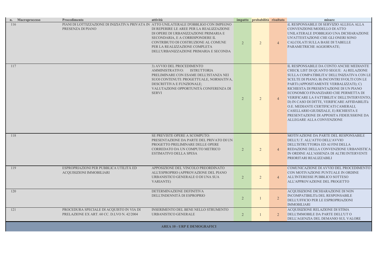iL RESPONSABILE DI SERVIZIO ALLEGA ALLA CONVENZIONE/MODELLO DI ATTO UNILATERALE D'OBBLIGO UNA DICHIARAZIONE UN'ATTESTAZIONE CHE GLI ONERI SONO CALCOLATI SULLA BASE DI TABELLE PARAMETRICHE AGGIORNATE;

IL RESPONSABILE DA CONTO ANCHE MEDIANTE CHECK LIST DI QUANTO SEGUE: A) RELAZIONE SULLA COMPATIBILITA' DELL'INIZIATIVA CON LE SCELTE DI PIANO; B) INCONTRI SVOLTI CON LE PARTI (APPOSITAMENTE VERBALIZZATI); C) RICHIESTA DI PRESENTAZIONE DI UN PIANO ECONOMICO FINANZIARIO CHE PERMETTA DI VERIFICARE LA FATTIBILITA' DELL'INTERVENTO; D) IN CASO DI DITTE, VERIFICARE AFFIDABILITà O.E. MEDIANTE CERTIFICATI CAMERALI, CASELLARIO GIUDIZIALE, E) RICHIESTA E PRESENTAZIONE DI APPOSITA FIDEIUSSIONE DA ALLEGARE ALLA CONVENZIONE

| n. Macroprocesso | Procedimento                                                                                                | attività                                                                                                                                                                                                                                      |                | impatto probabilità risultato |                | misure                                                                                                                                                                                                                                                                                                                                                                         |
|------------------|-------------------------------------------------------------------------------------------------------------|-----------------------------------------------------------------------------------------------------------------------------------------------------------------------------------------------------------------------------------------------|----------------|-------------------------------|----------------|--------------------------------------------------------------------------------------------------------------------------------------------------------------------------------------------------------------------------------------------------------------------------------------------------------------------------------------------------------------------------------|
| 116              | PIANI DI LOTTIZZAZIONE DI INIZIATIVA PRIVATA IN ATTO UNILATERALE D'OBBLIGO CON IMPEGNO<br>PRESENZA DI PIANO | DI REPERIRE LE AREE PER LA REALIZZAZIONE<br>DI OPERE DI URBANIZZAZIONE PRIMARIA E<br>SECONDARIA, E A CORRISPONDERE IL<br>CONTRIBUTO DI COSTRUZIONE AL COMUNE<br>PER LA REALIZZAZIONE COMPLETA<br>DELL'URBANIZZAZIONE PRIMARIA E SECONDA       | $\overline{2}$ | $\overline{2}$                |                | <b>iL RESPONSABILE DI SERVIZ</b><br>CONVENZIONE/MODELLO D<br>UNILATERALE D'OBBLIGO U<br>UN'ATTESTAZIONE CHE GLI<br><b>CALCOLATI SULLA BASE DI</b><br>PARAMETRICHE AGGIORNA                                                                                                                                                                                                     |
| 117              |                                                                                                             | 3) AVVIO DEL PROCEDIMENTO<br>AMMINISTRATIVO:<br><b>ISTRUTTORIA</b><br>PRELIMINARE CON ESAME DELL'ISTANZA NEI<br>SUOI CONTENUTI: PROGETTUALE, NORMATIVA,<br>DESCRITTIVA E FUNZIONALE;<br>VALUTAZIONE OPPORTUNITÀ CONFERENZA DI<br><b>SERVI</b> | $\overline{2}$ | $\overline{2}$                |                | IL RESPONSABILE DA CONT<br>CHECK LIST DI QUANTO SEO<br>SULLA COMPATIBILITA' DEI<br><b>SCELTE DI PIANO; B) INCON</b><br>PARTI (APPOSITAMENTE VE<br>RICHIESTA DI PRESENTAZIO<br>ECONOMICO FINANZIARIO O<br>VERIFICARE LA FATTIBILIT.<br>D) IN CASO DI DITTE, VERIFI<br>O.E. MEDIANTE CERTIFICAT<br>CASELLARIO GIUDIZIALE, E<br>PRESENTAZIONE DI APPOSIT<br>ALLEGARE ALLA CONVENZ |
| 118              |                                                                                                             | SE PREVISTE OPERE A SCOMPUTO:<br>PRESENTAZIONE DA PARTE DEL PRIVATO DI UN<br>PROGETTO PRELIMINARE DELLE OPERE<br>CORREDATO DA UN COMPUTO METRICO<br><b>ESTIMATIVO DELLA SPESA</b>                                                             | $\overline{2}$ | $\overline{2}$                |                | MOTIVAZIONE DA PARTE DI<br>DELL'U.T. ALL'ATTO DELL'A<br>DELL'ISTRUTTORIA ED AI FI<br>REDAZIONE DELLA CONVEN<br>IN ORDINE ALL'ASSENZA DI<br>PRIORITARI REALIZZABILI                                                                                                                                                                                                             |
| 119              | ESPROPRIAZIONI PER PUBBLICA UTILITÀ ED<br>ACQUISIZIONI IMMOBILIARI                                          | APPOSIZIONE DEL VINCOLO PREORDINATO<br>ALL'ESPROPRIO (APPROVAZIONE DEL PIANO<br>URBANISTICO GENERALE O DI UNA SUA<br><b>VARIANTE)</b>                                                                                                         | $\overline{2}$ | $\overline{2}$                |                | <b>COMUNICAZIONE DI AVVIO</b><br>CON MOTIVAZIONE PUNTUA<br>ALL'INTERESSE PUBBLICO S<br>ALL'APPROVAZIONE DEL PR                                                                                                                                                                                                                                                                 |
| 120              |                                                                                                             | DETERMINAZIONE DEFINITIVA<br>DELL'INDENNITÀ DI ESPROPRIO                                                                                                                                                                                      | $\overline{2}$ |                               | $\overline{2}$ | ACQUISIZIONE DICHIARAZIO<br><b>INCOMPATIBILITà DEL RESP</b><br>DELL'UFFICIO PER LE ESPRO<br><b>IMMOBILIARI</b>                                                                                                                                                                                                                                                                 |
| 121              | PROCEDURA SPECIALE DI ACQUISTO IN VIA DI<br>PRELAZIONE EX ART. 60 CC. D.LVO N. 42/2004                      | INSERIMENTO DEL BENE NELLO STRUMENTO<br>URBANISTICO GENERALE                                                                                                                                                                                  | $\overline{2}$ |                               | 2              | <b>ACQUISIZIONE RELAZIONE</b><br><b>DELL'IMMOBILE DA PARTE</b><br>DELL'AGENZIA DEL DEMAN                                                                                                                                                                                                                                                                                       |

MOTIVAZIONE DA PARTE DEL RESPONSABILE DELL'U.T. ALL'ATTO DELL'AVVIO DELL'ISTRUTTORIA ED AI FINI DELLA REDAZIONE DELLA CONVENZIONE URBANISTICA IN ORDINE ALL'ASSENZA DI ALTRI INTERVENTI PRIORITARI REALIZZABILI

COMUNICAZIONE DI AVVIO DEL PROCEDIMENTO CON MOTIVAZIONE PUNTUALE IN ORDINE ALL'INTERESSE PUBBLICO SOTTESO ALL'APPROVAZIONE DEL PROGETTO

ACQUISIZIONE DICHIARAZIONE DI NON INCOMPATIBILITà DEL RESPONSABILE DELL'UFFICIO PER LE ESPROPRIAZIONI IMMOBILIARI

ACQUISIZIONE RELAZIONE DI STIMA DELL'IMMOBILE DA PARTE DELL'UT O DELL'AGENZIA DEL DEMANIO SUL VALORE

AREA 10 - URP E DEMOGRAFICI